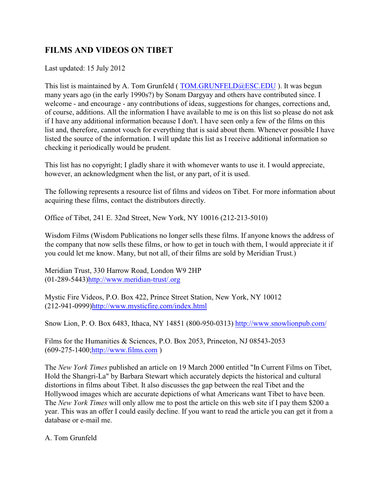# **FILMS AND VIDEOS ON TIBET**

Last updated: 15 July 2012

This list is maintained by A. Tom Grunfeld ( [TOM.GRUNFELD@ESC.EDU](mailto:TGRUNFELD@sescva.esc.edu) ). It was begun many years ago (in the early 1990s?) by Sonam Dargyay and others have contributed since. I welcome - and encourage - any contributions of ideas, suggestions for changes, corrections and, of course, additions. All the information I have available to me is on this list so please do not ask if I have any additional information because I don't. I have seen only a few of the films on this list and, therefore, cannot vouch for everything that is said about them. Whenever possible I have listed the source of the information. I will update this list as I receive additional information so checking it periodically would be prudent.

This list has no copyright; I gladly share it with whomever wants to use it. I would appreciate, however, an acknowledgment when the list, or any part, of it is used.

The following represents a resource list of films and videos on Tibet. For more information about acquiring these films, contact the distributors directly.

Office of Tibet, 241 E. 32nd Street, New York, NY 10016 (212-213-5010)

Wisdom Films (Wisdom Publications no longer sells these films. If anyone knows the address of the company that now sells these films, or how to get in touch with them, I would appreciate it if you could let me know. Many, but not all, of their films are sold by Meridian Trust.)

Meridian Trust, 330 Harrow Road, London W9 2HP (01-289-5443[\)http://www.meridian-trust/.org](http://www.tibetimages.co.uk/meridiantrust/)

Mystic Fire Videos, P.O. Box 422, Prince Street Station, New York, NY 10012 (212-941-0999[\)http://www.mysticfire.com/index.html](http://www.mysticfire.com/index.html)

Snow Lion, P. O. Box 6483, Ithaca, NY 14851 (800-950-0313)<http://www.snowlionpub.com/>

Films for the Humanities & Sciences, P.O. Box 2053, Princeton, NJ 08543-2053 (609-275-1400[;http://www.films.com](http://www.films.com) )

The *New York Times* published an article on 19 March 2000 entitled "In Current Films on Tibet, Hold the Shangri-La" by Barbara Stewart which accurately depicts the historical and cultural distortions in films about Tibet. It also discusses the gap between the real Tibet and the Hollywood images which are accurate depictions of what Americans want Tibet to have been. The *New York Times* will only allow me to post the article on this web site if I pay them \$200 a year. This was an offer I could easily decline. If you want to read the article you can get it from a database or e-mail me.

A. Tom Grunfeld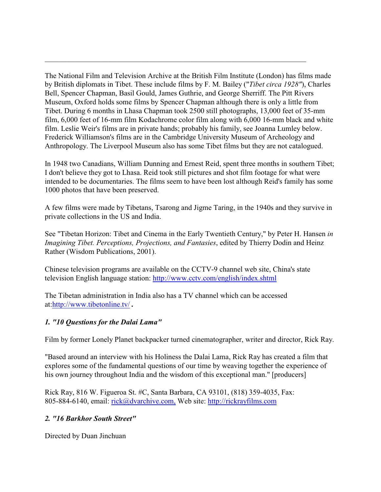The National Film and Television Archive at the British Film Institute (London) has films made by British diplomats in Tibet. These include films by F. M. Bailey ("*Tibet circa 1928"*), Charles Bell, Spencer Chapman, Basil Gould, James Guthrie, and George Sherriff. The Pitt Rivers Museum, Oxford holds some films by Spencer Chapman although there is only a little from Tibet. During 6 months in Lhasa Chapman took 2500 still photographs, 13,000 feet of 35-mm film, 6,000 feet of 16-mm film Kodachrome color film along with 6,000 16-mm black and white film. Leslie Weir's films are in private hands; probably his family, see Joanna Lumley below. Frederick Williamson's films are in the Cambridge University Museum of Archeology and Anthropology. The Liverpool Museum also has some Tibet films but they are not catalogued.

*\_\_\_\_\_\_\_\_\_\_\_\_\_\_\_\_\_\_\_\_\_\_\_\_\_\_\_\_\_\_\_\_\_\_\_\_\_\_\_\_\_\_\_\_\_\_\_\_\_\_\_\_\_\_\_\_\_\_\_\_\_\_\_\_\_\_\_\_\_\_*

In 1948 two Canadians, William Dunning and Ernest Reid, spent three months in southern Tibet; I don't believe they got to Lhasa. Reid took still pictures and shot film footage for what were intended to be documentaries. The films seem to have been lost although Reid's family has some 1000 photos that have been preserved.

A few films were made by Tibetans, Tsarong and Jigme Taring, in the 1940s and they survive in private collections in the US and India.

See "Tibetan Horizon: Tibet and Cinema in the Early Twentieth Century," by Peter H. Hansen *in Imagining Tibet. Perceptions, Projections, and Fantasies*, edited by Thierry Dodin and Heinz Rather (Wisdom Publications, 2001).

Chinese television programs are available on the CCTV-9 channel web site, China's state television English language station:<http://www.cctv.com/english/index.shtml>

The Tibetan administration in India also has a TV channel which can be accessed at:<http://www.tibetonline.tv/> *.* 

#### *1. "10 Questions for the Dalai Lama"*

Film by former Lonely Planet backpacker turned cinematographer, writer and director, Rick Ray.

"Based around an interview with his Holiness the Dalai Lama, Rick Ray has created a film that explores some of the fundamental questions of our time by weaving together the experience of his own journey throughout India and the wisdom of this exceptional man." [producers]

Rick Ray, 816 W. Figueroa St. #C, Santa Barbara, CA 93101, (818) 359-4035, Fax: 805-884-6140, email: [rick@dvarchive.com,](mailto:rick@dvarchive.com,) Web site:<http://rickrayfilms.com>

#### *2. "16 Barkhor South Street"*

Directed by Duan Jinchuan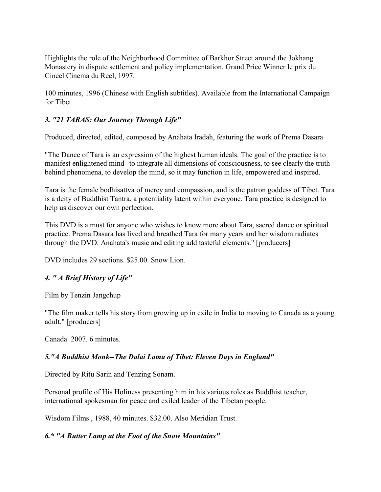Highlights the role of the Neighborhood Committee of Barkhor Street around the Jokhang Monastery in dispute settlement and policy implementation. Grand Price Winner le prix du Cineel Cinema du Reel, 1997.

100 minutes, 1996 (Chinese with English subtitles). Available from the International Campaign for Tibet.

## *3. "21 TARAS: Our Journey Through Life"*

Produced, directed, edited, composed by Anahata Iradah, featuring the work of Prema Dasara

"The Dance of Tara is an expression of the highest human ideals. The goal of the practice is to manifest enlightened mind--to integrate all dimensions of consciousness, to see clearly the truth behind phenomena, to develop the mind, so it may function in life, empowered and inspired.

Tara is the female bodhisattva of mercy and compassion, and is the patron goddess of Tibet. Tara is a deity of Buddhist Tantra, a potentiality latent within everyone. Tara practice is designed to help us discover our own perfection.

This DVD is a must for anyone who wishes to know more about Tara, sacred dance or spiritual practice. Prema Dasara has lived and breathed Tara for many years and her wisdom radiates through the DVD. Anahata's music and editing add tasteful elements." [producers]

DVD includes 29 sections. \$25.00. Snow Lion.

## *4. " A Brief History of Life"*

Film by Tenzin Jangchup

"The film maker tells his story from growing up in exile in India to moving to Canada as a young adult." [producers]

Canada. 2007. 6 minutes.

## *5."A Buddhist Monk--The Dalai Lama of Tibet: Eleven Days in England"*

Directed by Ritu Sarin and Tenzing Sonam.

Personal profile of His Holiness presenting him in his various roles as Buddhist teacher, international spokesman for peace and exiled leader of the Tibetan people.

Wisdom Films , 1988, 40 minutes. \$32.00. Also Meridian Trust.

## *6.\* "A Butter Lamp at the Foot of the Snow Mountains"*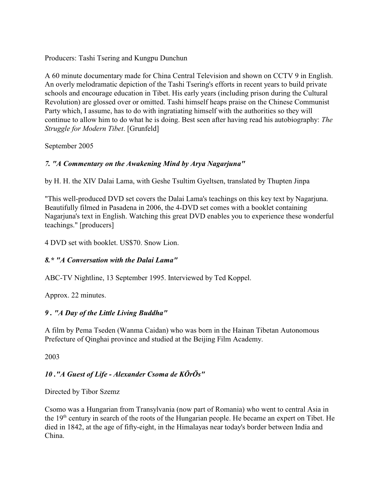Producers: Tashi Tsering and Kungpu Dunchun

A 60 minute documentary made for China Central Television and shown on CCTV 9 in English. An overly melodramatic depiction of the Tashi Tsering's efforts in recent years to build private schools and encourage education in Tibet. His early years (including prison during the Cultural Revolution) are glossed over or omitted. Tashi himself heaps praise on the Chinese Communist Party which, I assume, has to do with ingratiating himself with the authorities so they will continue to allow him to do what he is doing. Best seen after having read his autobiography: *The Struggle for Modern Tibet*. [Grunfeld]

September 2005

## *7. "A Commentary on the Awakening Mind by Arya Nagarjuna"*

by H. H. the XIV Dalai Lama, with Geshe Tsultim Gyeltsen, translated by Thupten Jinpa

"This well-produced DVD set covers the Dalai Lama's teachings on this key text by Nagarjuna. Beautifully filmed in Pasadena in 2006, the 4-DVD set comes with a booklet containing Nagarjuna's text in English. Watching this great DVD enables you to experience these wonderful teachings." [producers]

4 DVD set with booklet. US\$70. Snow Lion.

## *8.\* "A Conversation with the Dalai Lama"*

ABC-TV Nightline, 13 September 1995. Interviewed by Ted Koppel.

Approx. 22 minutes.

## *9 . "A Day of the Little Living Buddha"*

A film by Pema Tseden (Wanma Caidan) who was born in the Hainan Tibetan Autonomous Prefecture of Oinghai province and studied at the Beijing Film Academy.

2003

## *10 ."A Guest of Life - Alexander Csoma de KÖrÖs"*

Directed by Tibor Szemz

Csomo was a Hungarian from Transylvania (now part of Romania) who went to central Asia in the 19<sup>th</sup> century in search of the roots of the Hungarian people. He became an expert on Tibet. He died in 1842, at the age of fifty-eight, in the Himalayas near today's border between India and China.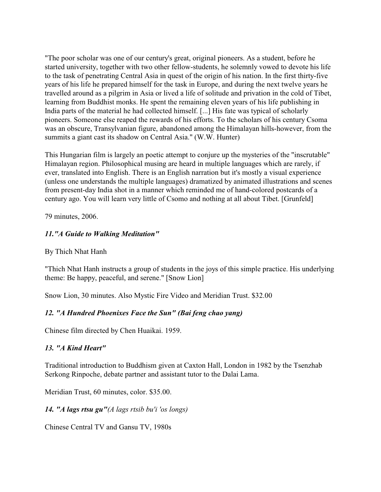"The poor scholar was one of our century's great, original pioneers. As a student, before he started university, together with two other fellow-students, he solemnly vowed to devote his life to the task of penetrating Central Asia in quest of the origin of his nation. In the first thirty-five years of his life he prepared himself for the task in Europe, and during the next twelve years he travelled around as a pilgrim in Asia or lived a life of solitude and privation in the cold of Tibet, learning from Buddhist monks. He spent the remaining eleven years of his life publishing in India parts of the material he had collected himself. [...] His fate was typical of scholarly pioneers. Someone else reaped the rewards of his efforts. To the scholars of his century Csoma was an obscure, Transylvanian figure, abandoned among the Himalayan hills-however, from the summits a giant cast its shadow on Central Asia." (W.W. Hunter)

This Hungarian film is largely an poetic attempt to conjure up the mysteries of the "inscrutable" Himalayan region. Philosophical musing are heard in multiple languages which are rarely, if ever, translated into English. There is an English narration but it's mostly a visual experience (unless one understands the multiple languages) dramatized by animated illustrations and scenes from present-day India shot in a manner which reminded me of hand-colored postcards of a century ago. You will learn very little of Csomo and nothing at all about Tibet. [Grunfeld]

79 minutes, 2006.

#### *11."A Guide to Walking Meditation"*

By Thich Nhat Hanh

"Thich Nhat Hanh instructs a group of students in the joys of this simple practice. His underlying theme: Be happy, peaceful, and serene." [Snow Lion]

Snow Lion, 30 minutes. Also Mystic Fire Video and Meridian Trust. \$32.00

#### *12. "A Hundred Phoenixes Face the Sun" (Bai feng chao yang)*

Chinese film directed by Chen Huaikai. 1959.

#### *13. "A Kind Heart"*

Traditional introduction to Buddhism given at Caxton Hall, London in 1982 by the Tsenzhab Serkong Rinpoche, debate partner and assistant tutor to the Dalai Lama.

Meridian Trust, 60 minutes, color. \$35.00.

*14. "A lags rtsu gu"(A lags rtsib bu'i 'os longs)*

Chinese Central TV and Gansu TV, 1980s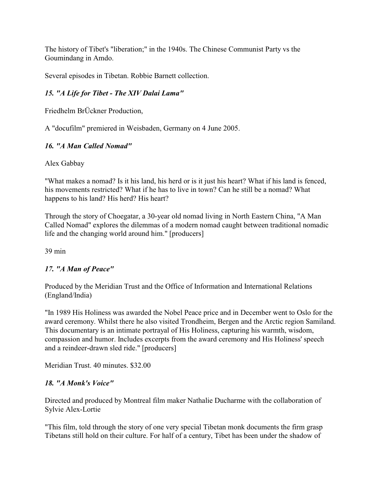The history of Tibet's "liberation;" in the 1940s. The Chinese Communist Party vs the Goumindang in Amdo.

Several episodes in Tibetan. Robbie Barnett collection.

## *15. "A Life for Tibet - The XIV Dalai Lama"*

Friedhelm BrÜckner Production,

A "docufilm" premiered in Weisbaden, Germany on 4 June 2005.

### *16. "A Man Called Nomad"*

Alex Gabbay

"What makes a nomad? Is it his land, his herd or is it just his heart? What if his land is fenced, his movements restricted? What if he has to live in town? Can he still be a nomad? What happens to his land? His herd? His heart?

Through the story of Choegatar, a 30-year old nomad living in North Eastern China, "A Man Called Nomad" explores the dilemmas of a modern nomad caught between traditional nomadic life and the changing world around him." [producers]

39 min

## *17. "A Man of Peace"*

Produced by the Meridian Trust and the Office of Information and International Relations (England/India)

"In 1989 His Holiness was awarded the Nobel Peace price and in December went to Oslo for the award ceremony. Whilst there he also visited Trondheim, Bergen and the Arctic region Samiland. This documentary is an intimate portrayal of His Holiness, capturing his warmth, wisdom, compassion and humor. Includes excerpts from the award ceremony and His Holiness' speech and a reindeer-drawn sled ride." [producers]

Meridian Trust. 40 minutes. \$32.00

#### *18. "A Monk's Voice"*

Directed and produced by Montreal film maker Nathalie Ducharme with the collaboration of Sylvie Alex-Lortie

"This film, told through the story of one very special Tibetan monk documents the firm grasp Tibetans still hold on their culture. For half of a century, Tibet has been under the shadow of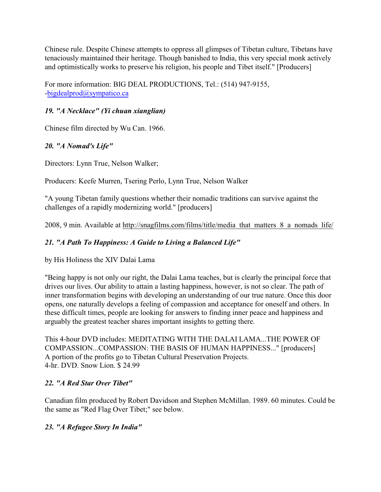Chinese rule. Despite Chinese attempts to oppress all glimpses of Tibetan culture, Tibetans have tenaciously maintained their heritage. Though banished to India, this very special monk actively and optimistically works to preserve his religion, his people and Tibet itself." [Producers]

For more information: BIG DEAL PRODUCTIONS, Tel.: (514) 947-9155, [-bigdealprod@sympatico.ca](mailto:bigdealprod@sympatico.ca)

## *19. "A Necklace" (Yi chuan xianglian)*

Chinese film directed by Wu Can. 1966.

## *20. "A Nomad's Life"*

Directors: Lynn True, Nelson Walker;

Producers: Keefe Murren, Tsering Perlo, Lynn True, Nelson Walker

"A young Tibetan family questions whether their nomadic traditions can survive against the challenges of a rapidly modernizing world." [producers]

2008, 9 min. Available at http://snagfilms.com/films/title/media\_that\_matters\_8\_a\_nomads\_life/

## *21. "A Path To Happiness: A Guide to Living a Balanced Life"*

by His Holiness the XIV Dalai Lama

"Being happy is not only our right, the Dalai Lama teaches, but is clearly the principal force that drives our lives. Our ability to attain a lasting happiness, however, is not so clear. The path of inner transformation begins with developing an understanding of our true nature. Once this door opens, one naturally develops a feeling of compassion and acceptance for oneself and others. In these difficult times, people are looking for answers to finding inner peace and happiness and arguably the greatest teacher shares important insights to getting there.

This 4-hour DVD includes: MEDITATING WITH THE DALAI LAMA...THE POWER OF COMPASSION...COMPASSION: THE BASIS OF HUMAN HAPPINESS..." [producers] A portion of the profits go to Tibetan Cultural Preservation Projects. 4-hr. DVD. Snow Lion. \$ 24.99

## *22. "A Red Star Over Tibet"*

Canadian film produced by Robert Davidson and Stephen McMillan. 1989. 60 minutes. Could be the same as "Red Flag Over Tibet;" see below.

## *23. "A Refugee Story In India"*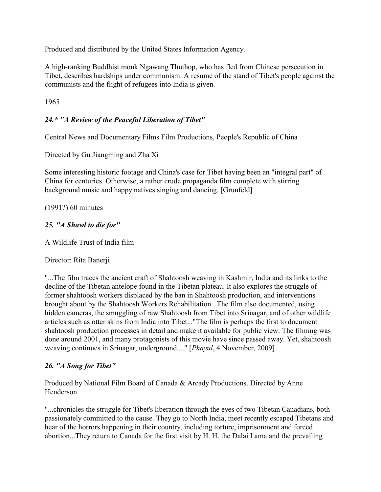Produced and distributed by the United States Information Agency.

A high-ranking Buddhist monk Ngawang Thuthop, who has fled from Chinese persecution in Tibet, describes hardships under communism. A resume of the stand of Tibet's people against the communists and the flight of refugees into India is given.

1965

## *24.\* "A Review of the Peaceful Liberation of Tibet"*

Central News and Documentary Films Film Productions, People's Republic of China

Directed by Gu Jiangming and Zha Xi

Some interesting historic footage and China's case for Tibet having been an "integral part" of China for centuries. Otherwise, a rather crude propaganda film complete with stirring background music and happy natives singing and dancing. [Grunfeld]

(1991?) 60 minutes

### *25. "A Shawl to die for"*

A Wildlife Trust of India film

Director: Rita Banerji

"...The film traces the ancient craft of Shahtoosh weaving in Kashmir, India and its links to the decline of the Tibetan antelope found in the Tibetan plateau. It also explores the struggle of former shahtoosh workers displaced by the ban in Shahtoosh production, and interventions brought about by the Shahtoosh Workers Rehabilitation...The film also documented, using hidden cameras, the smuggling of raw Shahtoosh from Tibet into Srinagar, and of other wildlife articles such as otter skins from India into Tibet..."The film is perhaps the first to document shahtoosh production processes in detail and make it available for public view. The filming was done around 2001, and many protagonists of this movie have since passed away. Yet, shahtoosh weaving continues in Srinagar, underground...." [*Phayul*, 4 November, 2009]

#### *26. "A Song for Tibet"*

Produced by National Film Board of Canada & Arcady Productions. Directed by Anne Henderson

"...chronicles the struggle for Tibet's liberation through the eyes of two Tibetan Canadians, both passionately committed to the cause. They go to North India, meet recently escaped Tibetans and hear of the horrors happening in their country, including torture, imprisonment and forced abortion...They return to Canada for the first visit by H. H. the Dalai Lama and the prevailing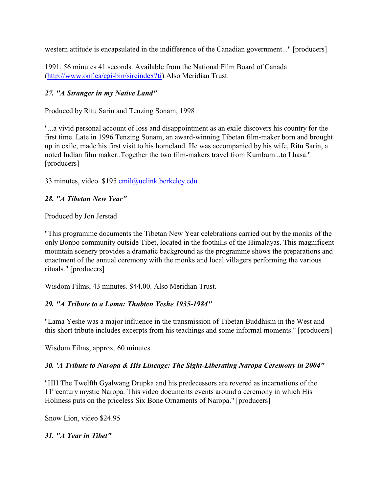western attitude is encapsulated in the indifference of the Canadian government..." [producers]

1991, 56 minutes 41 seconds. Available from the National Film Board of Canada [\(http://www.onf.ca/cgi-bin/sireindex?ti]((http://www.nfb.ca)) Also Meridian Trust.

## *27. "A Stranger in my Native Land"*

Produced by Ritu Sarin and Tenzing Sonam, 1998

"...a vivid personal account of loss and disappointment as an exile discovers his country for the first time. Late in 1996 Tenzing Sonam, an award-winning Tibetan film-maker born and brought up in exile, made his first visit to his homeland. He was accompanied by his wife, Ritu Sarin, a noted Indian film maker..Together the two film-makers travel from Kumbum...to Lhasa." [producers]

33 minutes, video. \$195 [cmil@uclink.berkeley.edu](mailto:cmil@uclink.berkeley.edu)

### *28. "A Tibetan New Year"*

Produced by Jon Jerstad

"This programme documents the Tibetan New Year celebrations carried out by the monks of the only Bonpo community outside Tibet, located in the foothills of the Himalayas. This magnificent mountain scenery provides a dramatic background as the programme shows the preparations and enactment of the annual ceremony with the monks and local villagers performing the various rituals." [producers]

Wisdom Films, 43 minutes. \$44.00. Also Meridian Trust.

#### *29. "A Tribute to a Lama: Thubten Yeshe 1935-1984"*

"Lama Yeshe was a major influence in the transmission of Tibetan Buddhism in the West and this short tribute includes excerpts from his teachings and some informal moments." [producers]

Wisdom Films, approx. 60 minutes

#### *30. 'A Tribute to Naropa & His Lineage: The Sight-Liberating Naropa Ceremony in 2004"*

"HH The Twelfth Gyalwang Drupka and his predecessors are revered as incarnations of the  $11<sup>th</sup>$  century mystic Naropa. This video documents events around a ceremony in which His Holiness puts on the priceless Six Bone Ornaments of Naropa." [producers]

Snow Lion, video \$24.95

*31. "A Year in Tibet"*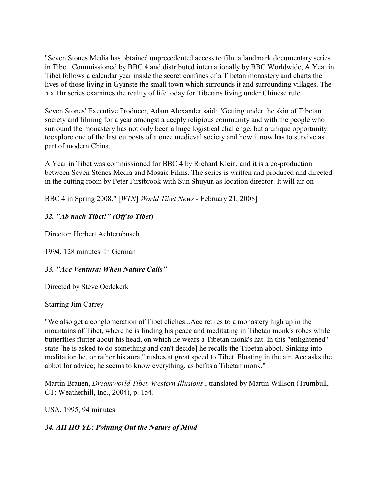"Seven Stones Media has obtained unprecedented access to film a landmark documentary series in Tibet. Commissioned by BBC 4 and distributed internationally by BBC Worldwide, A Year in Tibet follows a calendar year inside the secret confines of a Tibetan monastery and charts the lives of those living in Gyanste the small town which surrounds it and surrounding villages. The 5 x 1hr series examines the reality of life today for Tibetans living under Chinese rule.

Seven Stones' Executive Producer, Adam Alexander said: "Getting under the skin of Tibetan society and filming for a year amongst a deeply religious community and with the people who surround the monastery has not only been a huge logistical challenge, but a unique opportunity toexplore one of the last outposts of a once medieval society and how it now has to survive as part of modern China.

A Year in Tibet was commissioned for BBC 4 by Richard Klein, and it is a co-production between Seven Stones Media and Mosaic Films. The series is written and produced and directed in the cutting room by Peter Firstbrook with Sun Shuyun as location director. It will air on

BBC 4 in Spring 2008." [*WTN*] *World Tibet News* - February 21, 2008]

#### *32. "Ab nach Tibet!" (Off to Tibet*)

Director: Herbert Achternbusch

1994, 128 minutes. In German

#### *33. "Ace Ventura: When Nature Calls"*

Directed by Steve Oedekerk

#### Starring Jim Carrey

"We also get a conglomeration of Tibet cliches...Ace retires to a monastery high up in the mountains of Tibet, where he is finding his peace and meditating in Tibetan monk's robes while butterflies flutter about his head, on which he wears a Tibetan monk's hat. In this "enlightened" state [he is asked to do something and can't decide] he recalls the Tibetan abbot. Sinking into meditation he, or rather his aura," rushes at great speed to Tibet. Floating in the air, Ace asks the abbot for advice; he seems to know everything, as befits a Tibetan monk."

Martin Brauen, *Dreamworld Tibet. Western Illusions* , translated by Martin Willson (Trumbull, CT: Weatherhill, Inc., 2004), p. 154.

USA, 1995, 94 minutes

#### *34. AH HO YE: Pointing Out the Nature of Mind*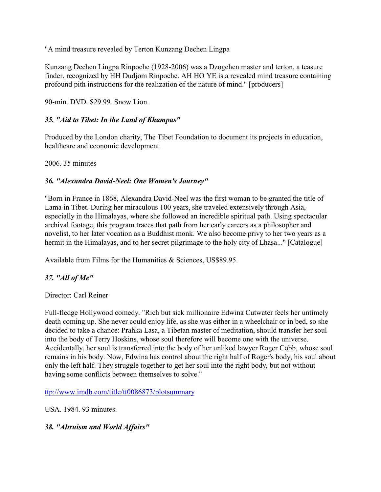"A mind treasure revealed by Terton Kunzang Dechen Lingpa

Kunzang Dechen Lingpa Rinpoche (1928-2006) was a Dzogchen master and terton, a teasure finder, recognized by HH Dudjom Rinpoche. AH HO YE is a revealed mind treasure containing profound pith instructions for the realization of the nature of mind." [producers]

90-min. DVD. \$29.99. Snow Lion.

## *35. "Aid to Tibet: In the Land of Khampas"*

Produced by the London charity, The Tibet Foundation to document its projects in education, healthcare and economic development.

2006. 35 minutes

## *36. "Alexandra David-Neel: One Women's Journey"*

"Born in France in 1868, Alexandra David-Neel was the first woman to be granted the title of Lama in Tibet. During her miraculous 100 years, she traveled extensively through Asia, especially in the Himalayas, where she followed an incredible spiritual path. Using spectacular archival footage, this program traces that path from her early careers as a philosopher and novelist, to her later vocation as a Buddhist monk. We also become privy to her two years as a hermit in the Himalayas, and to her secret pilgrimage to the holy city of Lhasa..." [Catalogue]

Available from Films for the Humanities & Sciences, US\$89.95.

## *37. "All of Me"*

Director: Carl Reiner

Full-fledge Hollywood comedy. "Rich but sick millionaire Edwina Cutwater feels her untimely death coming up. She never could enjoy life, as she was either in a wheelchair or in bed, so she decided to take a chance: Prahka Lasa, a Tibetan master of meditation, should transfer her soul into the body of Terry Hoskins, whose soul therefore will become one with the universe. Accidentally, her soul is transferred into the body of her unliked lawyer Roger Cobb, whose soul remains in his body. Now, Edwina has control about the right half of Roger's body, his soul about only the left half. They struggle together to get her soul into the right body, but not without having some conflicts between themselves to solve."

[ttp://www.imdb.com/title/tt0086873/plotsummary](http://www.imdb.com/title/tt0086873/plotsummary)

USA. 1984. 93 minutes.

## *38. "Altruism and World Affairs"*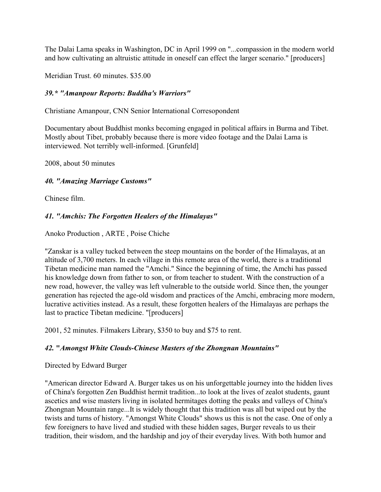The Dalai Lama speaks in Washington, DC in April 1999 on "...compassion in the modern world and how cultivating an altruistic attitude in oneself can effect the larger scenario." [producers]

Meridian Trust. 60 minutes. \$35.00

#### *39.\* "Amanpour Reports: Buddha's Warriors"*

Christiane Amanpour, CNN Senior International Corresopondent

Documentary about Buddhist monks becoming engaged in political affairs in Burma and Tibet. Mostly about Tibet, probably because there is more video footage and the Dalai Lama is interviewed. Not terribly well-informed. [Grunfeld]

2008, about 50 minutes

#### *40. "Amazing Marriage Customs"*

Chinese film.

#### *41. "Amchis: The Forgotten Healers of the Himalayas"*

Anoko Production , ARTE , Poise Chiche

"Zanskar is a valley tucked between the steep mountains on the border of the Himalayas, at an altitude of 3,700 meters. In each village in this remote area of the world, there is a traditional Tibetan medicine man named the "Amchi." Since the beginning of time, the Amchi has passed his knowledge down from father to son, or from teacher to student. With the construction of a new road, however, the valley was left vulnerable to the outside world. Since then, the younger generation has rejected the age-old wisdom and practices of the Amchi, embracing more modern, lucrative activities instead. As a result, these forgotten healers of the Himalayas are perhaps the last to practice Tibetan medicine. "[producers]

2001, 52 minutes. Filmakers Library, \$350 to buy and \$75 to rent.

#### *42.* **"***Amongst White Clouds-Chinese Masters of the Zhongnan Mountains"*

Directed by Edward Burger

"American director Edward A. Burger takes us on his unforgettable journey into the hidden lives of China's forgotten Zen Buddhist hermit tradition...to look at the lives of zealot students, gaunt ascetics and wise masters living in isolated hermitages dotting the peaks and valleys of China's Zhongnan Mountain range...It is widely thought that this tradition was all but wiped out by the twists and turns of history. "Amongst White Clouds" shows us this is not the case. One of only a few foreigners to have lived and studied with these hidden sages, Burger reveals to us their tradition, their wisdom, and the hardship and joy of their everyday lives. With both humor and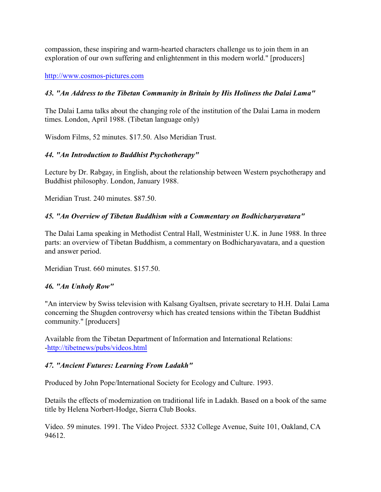compassion, these inspiring and warm-hearted characters challenge us to join them in an exploration of our own suffering and enlightenment in this modern world." [producers]

<http://www.cosmos-pictures.com>

### *43. "An Address to the Tibetan Community in Britain by His Holiness the Dalai Lama"*

The Dalai Lama talks about the changing role of the institution of the Dalai Lama in modern times. London, April 1988. (Tibetan language only)

Wisdom Films, 52 minutes. \$17.50. Also Meridian Trust.

### *44. "An Introduction to Buddhist Psychotherapy"*

Lecture by Dr. Rabgay, in English, about the relationship between Western psychotherapy and Buddhist philosophy. London, January 1988.

Meridian Trust. 240 minutes. \$87.50.

### *45. "An Overview of Tibetan Buddhism with a Commentary on Bodhicharyavatara"*

The Dalai Lama speaking in Methodist Central Hall, Westminister U.K. in June 1988. In three parts: an overview of Tibetan Buddhism, a commentary on Bodhicharyavatara, and a question and answer period.

Meridian Trust. 660 minutes. \$157.50.

#### *46. "An Unholy Row"*

"An interview by Swiss television with Kalsang Gyaltsen, private secretary to H.H. Dalai Lama concerning the Shugden controversy which has created tensions within the Tibetan Buddhist community." [producers]

Available from the Tibetan Department of Information and International Relations: [-http://tibetnews/pubs/videos.html](http://tibetnews/pubs/videos.html)

#### *47. "Ancient Futures: Learning From Ladakh"*

Produced by John Pope/International Society for Ecology and Culture. 1993.

Details the effects of modernization on traditional life in Ladakh. Based on a book of the same title by Helena Norbert-Hodge, Sierra Club Books.

Video. 59 minutes. 1991. The Video Project. 5332 College Avenue, Suite 101, Oakland, CA 94612.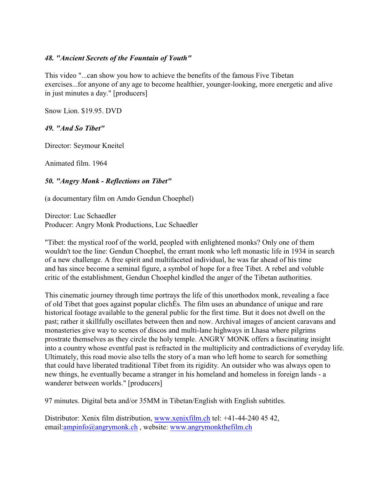#### *48. "Ancient Secrets of the Fountain of Youth"*

This video "...can show you how to achieve the benefits of the famous Five Tibetan exercises...for anyone of any age to become healthier, younger-looking, more energetic and alive in just minutes a day." [producers]

Snow Lion. \$19.95. DVD

#### *49. "And So Tibet"*

Director: Seymour Kneitel

Animated film. 1964

#### *50. "Angry Monk - Reflections on Tibet"*

(a documentary film on Amdo Gendun Choephel)

Director: Luc Schaedler Producer: Angry Monk Productions, Luc Schaedler

"Tibet: the mystical roof of the world, peopled with enlightened monks? Only one of them wouldn't toe the line: Gendun Choephel, the errant monk who left monastic life in 1934 in search of a new challenge. A free spirit and multifaceted individual, he was far ahead of his time and has since become a seminal figure, a symbol of hope for a free Tibet. A rebel and voluble critic of the establishment, Gendun Choephel kindled the anger of the Tibetan authorities.

This cinematic journey through time portrays the life of this unorthodox monk, revealing a face of old Tibet that goes against popular clichÉs. The film uses an abundance of unique and rare historical footage available to the general public for the first time. But it does not dwell on the past; rather it skillfully oscillates between then and now. Archival images of ancient caravans and monasteries give way to scenes of discos and multi-lane highways in Lhasa where pilgrims prostrate themselves as they circle the holy temple. ANGRY MONK offers a fascinating insight into a country whose eventful past is refracted in the multiplicity and contradictions of everyday life. Ultimately, this road movie also tells the story of a man who left home to search for something that could have liberated traditional Tibet from its rigidity. An outsider who was always open to new things, he eventually became a stranger in his homeland and homeless in foreign lands - a wanderer between worlds." [producers]

97 minutes. Digital beta and/or 35MM in Tibetan/English with English subtitles.

Distributor: Xenix film distribution, [www.xenixfilm.ch](http://www.xenixfilm.ch) tel: +41-44-240 45 42, email:[ampinfo@angrymonk.ch](mailto:ampinfo@angrymonk.ch), website: [www.angrymonkthefilm.ch](http://www.angrymonkthefilm.ch.)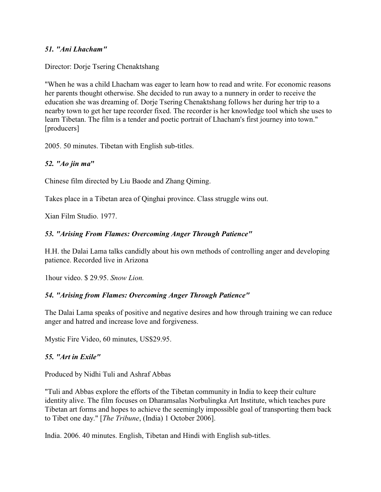#### *51. "Ani Lhacham"*

Director: Dorje Tsering Chenaktshang

"When he was a child Lhacham was eager to learn how to read and write. For economic reasons her parents thought otherwise. She decided to run away to a nunnery in order to receive the education she was dreaming of. Dorje Tsering Chenaktshang follows her during her trip to a nearby town to get her tape recorder fixed. The recorder is her knowledge tool which she uses to learn Tibetan. The film is a tender and poetic portrait of Lhacham's first journey into town." [producers]

2005. 50 minutes. Tibetan with English sub-titles.

#### *52. "Ao jin ma***"**

Chinese film directed by Liu Baode and Zhang Qiming.

Takes place in a Tibetan area of Qinghai province. Class struggle wins out.

Xian Film Studio. 1977.

#### *53. "Arising From Flames: Overcoming Anger Through Patience"*

H.H. the Dalai Lama talks candidly about his own methods of controlling anger and developing patience. Recorded live in Arizona

1hour video. \$ 29.95. *Snow Lion.*

#### *54. "Arising from Flames: Overcoming Anger Through Patience"*

The Dalai Lama speaks of positive and negative desires and how through training we can reduce anger and hatred and increase love and forgiveness.

Mystic Fire Video, 60 minutes, US\$29.95.

#### *55. "Art in Exile"*

Produced by Nidhi Tuli and Ashraf Abbas

"Tuli and Abbas explore the efforts of the Tibetan community in India to keep their culture identity alive. The film focuses on Dharamsalas Norbulingka Art Institute, which teaches pure Tibetan art forms and hopes to achieve the seemingly impossible goal of transporting them back to Tibet one day." [*The Tribune*, (India) 1 October 2006].

India. 2006. 40 minutes. English, Tibetan and Hindi with English sub-titles.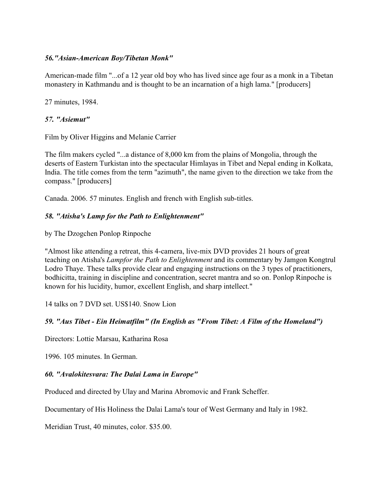#### *56."Asian-American Boy/Tibetan Monk"*

American-made film "...of a 12 year old boy who has lived since age four as a monk in a Tibetan monastery in Kathmandu and is thought to be an incarnation of a high lama." [producers]

27 minutes, 1984.

## *57. "Asiemut"*

Film by Oliver Higgins and Melanie Carrier

The film makers cycled "...a distance of 8,000 km from the plains of Mongolia, through the deserts of Eastern Turkistan into the spectacular Himlayas in Tibet and Nepal ending in Kolkata, India. The title comes from the term "azimuth", the name given to the direction we take from the compass." [producers]

Canada. 2006. 57 minutes. English and french with English sub-titles.

## *58. "Atisha's Lamp for the Path to Enlightenment"*

by The Dzogchen Ponlop Rinpoche

"Almost like attending a retreat, this 4-camera, live-mix DVD provides 21 hours of great teaching on Atisha's *Lampfor the Path to Enlightenment* and its commentary by Jamgon Kongtrul Lodro Thaye. These talks provide clear and engaging instructions on the 3 types of practitioners, bodhicitta, training in discipline and concentration, secret mantra and so on. Ponlop Rinpoche is known for his lucidity, humor, excellent English, and sharp intellect."

14 talks on 7 DVD set. US\$140. Snow Lion

## *59. "Aus Tibet - Ein Heimatfilm" (In English as "From Tibet: A Film of the Homeland")*

Directors: Lottie Marsau, Katharina Rosa

1996. 105 minutes. In German.

## *60. "Avalokitesvara: The Dalai Lama in Europe"*

Produced and directed by Ulay and Marina Abromovic and Frank Scheffer.

Documentary of His Holiness the Dalai Lama's tour of West Germany and Italy in 1982.

Meridian Trust, 40 minutes, color. \$35.00.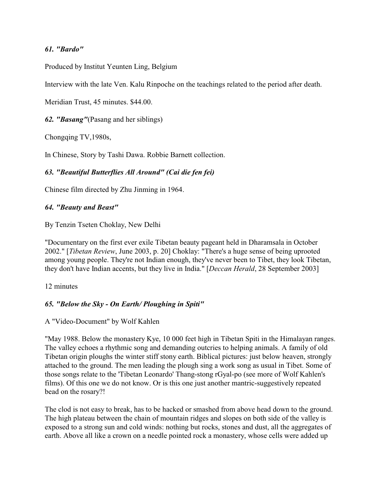#### *61. "Bardo"*

Produced by Institut Yeunten Ling, Belgium

Interview with the late Ven. Kalu Rinpoche on the teachings related to the period after death.

Meridian Trust, 45 minutes. \$44.00.

*62. "Basang"*(Pasang and her siblings)

Chongqing TV,1980s,

In Chinese, Story by Tashi Dawa. Robbie Barnett collection.

#### *63. "Beautiful Butterflies All Around" (Cai die fen fei)*

Chinese film directed by Zhu Jinming in 1964.

#### *64. "Beauty and Beast"*

By Tenzin Tseten Choklay, New Delhi

"Documentary on the first ever exile Tibetan beauty pageant held in Dharamsala in October 2002." [*Tibetan Review*, June 2003, p. 20] Choklay: "There's a huge sense of being uprooted among young people. They're not Indian enough, they've never been to Tibet, they look Tibetan, they don't have Indian accents, but they live in India." [*Deccan Herald*, 28 September 2003]

#### 12 minutes

#### *65. "Below the Sky - On Earth/ Ploughing in Spiti"*

A "Video-Document" by Wolf Kahlen

"May 1988. Below the monastery Kye, 10 000 feet high in Tibetan Spiti in the Himalayan ranges. The valley echoes a rhythmic song and demanding outcries to helping animals. A family of old Tibetan origin ploughs the winter stiff stony earth. Biblical pictures: just below heaven, strongly attached to the ground. The men leading the plough sing a work song as usual in Tibet. Some of those songs relate to the 'Tibetan Leonardo' Thang-stong rGyal-po (see more of Wolf Kahlen's films). Of this one we do not know. Or is this one just another mantric-suggestively repeated bead on the rosary?!

The clod is not easy to break, has to be hacked or smashed from above head down to the ground. The high plateau between the chain of mountain ridges and slopes on both side of the valley is exposed to a strong sun and cold winds: nothing but rocks, stones and dust, all the aggregates of earth. Above all like a crown on a needle pointed rock a monastery, whose cells were added up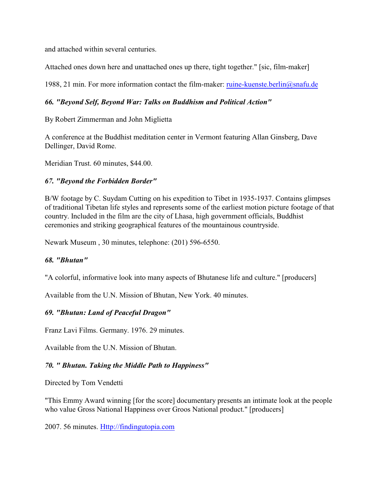and attached within several centuries.

Attached ones down here and unattached ones up there, tight together." [sic, film-maker]

1988, 21 min. For more information contact the film-maker: [ruine-kuenste.berlin@snafu.de](mailto:ruine-kuenste.berlin@snafu.de)

#### *66. "Beyond Self, Beyond War: Talks on Buddhism and Political Action"*

By Robert Zimmerman and John Miglietta

A conference at the Buddhist meditation center in Vermont featuring Allan Ginsberg, Dave Dellinger, David Rome.

Meridian Trust. 60 minutes, \$44.00.

#### *67. "Beyond the Forbidden Border"*

B/W footage by C. Suydam Cutting on his expedition to Tibet in 1935-1937. Contains glimpses of traditional Tibetan life styles and represents some of the earliest motion picture footage of that country. Included in the film are the city of Lhasa, high government officials, Buddhist ceremonies and striking geographical features of the mountainous countryside.

Newark Museum , 30 minutes, telephone: (201) 596-6550.

#### *68. "Bhutan"*

"A colorful, informative look into many aspects of Bhutanese life and culture." [producers]

Available from the U.N. Mission of Bhutan, New York. 40 minutes.

#### *69. "Bhutan: Land of Peaceful Dragon"*

Franz Lavi Films. Germany. 1976. 29 minutes.

Available from the U.N. Mission of Bhutan.

#### *70. " Bhutan. Taking the Middle Path to Happiness"*

Directed by Tom Vendetti

"This Emmy Award winning [for the score] documentary presents an intimate look at the people who value Gross National Happiness over Groos National product." [producers]

2007. 56 minutes.<Http://findingutopia.com>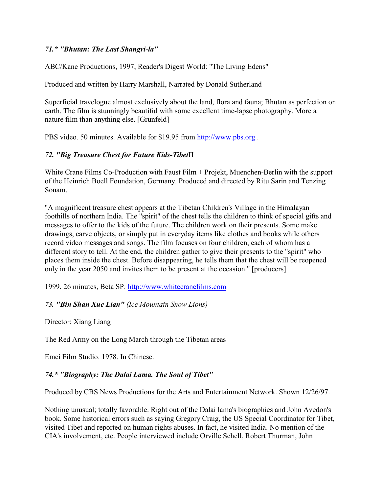#### *71.\* "Bhutan: The Last Shangri-la"*

ABC/Kane Productions, 1997, Reader's Digest World: "The Living Edens"

Produced and written by Harry Marshall, Narrated by Donald Sutherland

Superficial travelogue almost exclusively about the land, flora and fauna; Bhutan as perfection on earth. The film is stunningly beautiful with some excellent time-lapse photography. More a nature film than anything else. [Grunfeld]

PBS video. 50 minutes. Available for \$19.95 from<http://www.pbs.org> .

## 72. "Big Treasure Chest for Future Kids-Tibet<sup>II</sup>

White Crane Films Co-Production with Faust Film + Projekt, Muenchen-Berlin with the support of the Heinrich Boell Foundation, Germany. Produced and directed by Ritu Sarin and Tenzing Sonam.

"A magnificent treasure chest appears at the Tibetan Children's Village in the Himalayan foothills of northern India. The "spirit" of the chest tells the children to think of special gifts and messages to offer to the kids of the future. The children work on their presents. Some make drawings, carve objects, or simply put in everyday items like clothes and books while others record video messages and songs. The film focuses on four children, each of whom has a different story to tell. At the end, the children gather to give their presents to the "spirit" who places them inside the chest. Before disappearing, he tells them that the chest will be reopened only in the year 2050 and invites them to be present at the occasion." [producers]

1999, 26 minutes, Beta SP.<http://www.whitecranefilms.com>

## *73. "Bin Shan Xue Lian" (Ice Mountain Snow Lions)*

Director: Xiang Liang

The Red Army on the Long March through the Tibetan areas

Emei Film Studio. 1978. In Chinese.

## *74.\* "Biography: The Dalai Lama. The Soul of Tibet"*

Produced by CBS News Productions for the Arts and Entertainment Network. Shown 12/26/97.

Nothing unusual; totally favorable. Right out of the Dalai lama's biographies and John Avedon's book. Some historical errors such as saying Gregory Craig, the US Special Coordinator for Tibet, visited Tibet and reported on human rights abuses. In fact, he visited India. No mention of the CIA's involvement, etc. People interviewed include Orville Schell, Robert Thurman, John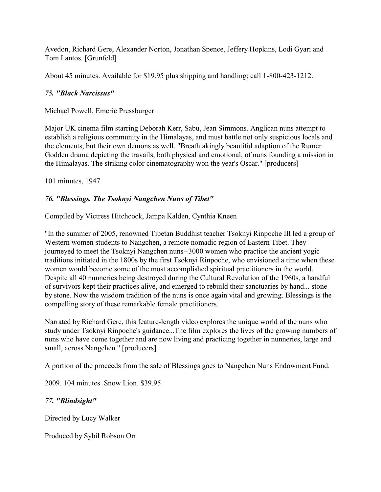Avedon, Richard Gere, Alexander Norton, Jonathan Spence, Jeffery Hopkins, Lodi Gyari and Tom Lantos. [Grunfeld]

About 45 minutes. Available for \$19.95 plus shipping and handling; call 1-800-423-1212.

### *75. "Black Narcissus"*

Michael Powell, Emeric Pressburger

Major UK cinema film starring Deborah Kerr, Sabu, Jean Simmons. Anglican nuns attempt to establish a religious community in the Himalayas, and must battle not only suspicious locals and the elements, but their own demons as well. "Breathtakingly beautiful adaption of the Rumer Godden drama depicting the travails, both physical and emotional, of nuns founding a mission in the Himalayas. The striking color cinematography won the year's Oscar." [producers]

101 minutes, 1947.

## *76. "Blessings. The Tsoknyi Nangchen Nuns of Tibet"*

Compiled by Victress Hitchcock, Jampa Kalden, Cynthia Kneen

"In the summer of 2005, renowned Tibetan Buddhist teacher Tsoknyi Rinpoche III led a group of Western women students to Nangchen, a remote nomadic region of Eastern Tibet. They journeyed to meet the Tsoknyi Nangchen nuns--3000 women who practice the ancient yogic traditions initiated in the 1800s by the first Tsoknyi Rinpoche, who envisioned a time when these women would become some of the most accomplished spiritual practitioners in the world. Despite all 40 nunneries being destroyed during the Cultural Revolution of the 1960s, a handful of survivors kept their practices alive, and emerged to rebuild their sanctuaries by hand... stone by stone. Now the wisdom tradition of the nuns is once again vital and growing. Blessings is the compelling story of these remarkable female practitioners.

Narrated by Richard Gere, this feature-length video explores the unique world of the nuns who study under Tsoknyi Rinpoche's guidance...The film explores the lives of the growing numbers of nuns who have come together and are now living and practicing together in nunneries, large and small, across Nangchen." [producers]

A portion of the proceeds from the sale of Blessings goes to Nangchen Nuns Endowment Fund.

2009. 104 minutes. Snow Lion. \$39.95.

## *77. "Blindsight"*

Directed by Lucy Walker

Produced by Sybil Robson Orr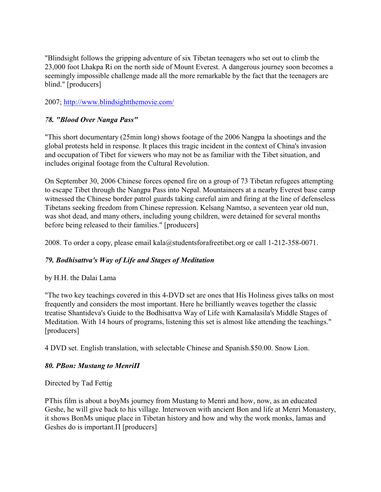"Blindsight follows the gripping adventure of six Tibetan teenagers who set out to climb the 23,000 foot Lhakpa Ri on the north side of Mount Everest. A dangerous journey soon becomes a seemingly impossible challenge made all the more remarkable by the fact that the teenagers are blind." [producers]

#### 2007;<http://www.blindsightthemovie.com/>

#### *78. "Blood Over Nanga Pass"*

"This short documentary (25min long) shows footage of the 2006 Nangpa la shootings and the global protests held in response. It places this tragic incident in the context of China's invasion and occupation of Tibet for viewers who may not be as familiar with the Tibet situation, and includes original footage from the Cultural Revolution.

On September 30, 2006 Chinese forces opened fire on a group of 73 Tibetan refugees attempting to escape Tibet through the Nangpa Pass into Nepal. Mountaineers at a nearby Everest base camp witnessed the Chinese border patrol guards taking careful aim and firing at the line of defenseless Tibetans seeking freedom from Chinese repression. Kelsang Namtso, a seventeen year old nun, was shot dead, and many others, including young children, were detained for several months before being released to their families." [producers]

2008. To order a copy, please email kala@studentsforafreetibet.org or call 1-212-358-0071.

#### *79. Bodhisattva's Way of Life and Stages of Meditation*

#### by H.H. the Dalai Lama

"The two key teachings covered in this 4-DVD set are ones that His Holiness gives talks on most frequently and considers the most important. Here he brilliantly weaves together the classic treatise Shantideva's Guide to the Bodhisattva Way of Life with Kamalasila's Middle Stages of Meditation. With 14 hours of programs, listening this set is almost like attending the teachings." [producers]

4 DVD set. English translation, with selectable Chinese and Spanish.\$50.00. Snow Lion.

#### *80. ÐBon: Mustang to MenriÏ*

Directed by Tad Fettig

PThis film is about a boyMs journey from Mustang to Menri and how, now, as an educated Geshe, he will give back to his village. Interwoven with ancient Bon and life at Menri Monastery, it shows BonMs unique place in Tibetan history and how and why the work monks, lamas and Geshes do is important. $\Pi$  [producers]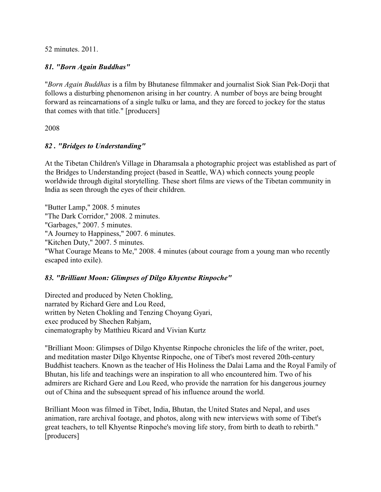52 minutes. 2011.

#### *81. "Born Again Buddhas"*

"*Born Again Buddhas* is a film by Bhutanese filmmaker and journalist Siok Sian Pek-Dorji that follows a disturbing phenomenon arising in her country. A number of boys are being brought forward as reincarnations of a single tulku or lama, and they are forced to jockey for the status that comes with that title." [producers]

2008

#### *82 . "Bridges to Understanding"*

At the Tibetan Children's Village in Dharamsala a photographic project was established as part of the Bridges to Understanding project (based in Seattle, WA) which connects young people worldwide through digital storytelling. These short films are views of the Tibetan community in India as seen through the eyes of their children.

"Butter Lamp," 2008. 5 minutes "The Dark Corridor," 2008. 2 minutes. "Garbages," 2007. 5 minutes. "A Journey to Happiness," 2007. 6 minutes. "Kitchen Duty," 2007. 5 minutes. "What Courage Means to Me," 2008. 4 minutes (about courage from a young man who recently escaped into exile).

#### *83. "Brilliant Moon: Glimpses of Dilgo Khyentse Rinpoche"*

Directed and produced by Neten Chokling, narrated by Richard Gere and Lou Reed, written by Neten Chokling and Tenzing Choyang Gyari, exec produced by Shechen Rabjam, cinematography by Matthieu Ricard and Vivian Kurtz

"Brilliant Moon: Glimpses of Dilgo Khyentse Rinpoche chronicles the life of the writer, poet, and meditation master Dilgo Khyentse Rinpoche, one of Tibet's most revered 20th-century Buddhist teachers. Known as the teacher of His Holiness the Dalai Lama and the Royal Family of Bhutan, his life and teachings were an inspiration to all who encountered him. Two of his admirers are Richard Gere and Lou Reed, who provide the narration for his dangerous journey out of China and the subsequent spread of his influence around the world.

Brilliant Moon was filmed in Tibet, India, Bhutan, the United States and Nepal, and uses animation, rare archival footage, and photos, along with new interviews with some of Tibet's great teachers, to tell Khyentse Rinpoche's moving life story, from birth to death to rebirth." [producers]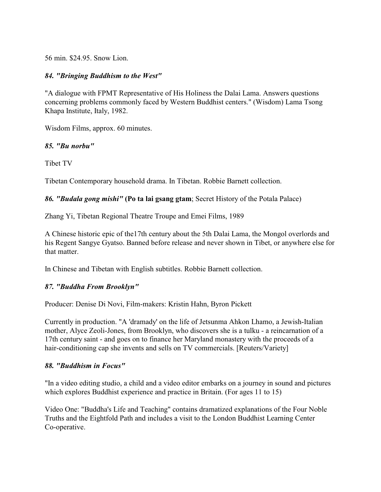56 min. \$24.95. Snow Lion.

#### *84. "Bringing Buddhism to the West"*

"A dialogue with FPMT Representative of His Holiness the Dalai Lama. Answers questions concerning problems commonly faced by Western Buddhist centers." (Wisdom) Lama Tsong Khapa Institute, Italy, 1982.

Wisdom Films, approx. 60 minutes.

#### *85. "Bu norbu"*

Tibet TV

Tibetan Contemporary household drama. In Tibetan. Robbie Barnett collection.

*86. "Budala gong mishi"* **(Po ta lai gsang gtam**; Secret History of the Potala Palace)

Zhang Yi, Tibetan Regional Theatre Troupe and Emei Films, 1989

A Chinese historic epic of the17th century about the 5th Dalai Lama, the Mongol overlords and his Regent Sangye Gyatso. Banned before release and never shown in Tibet, or anywhere else for that matter.

In Chinese and Tibetan with English subtitles. Robbie Barnett collection.

#### *87. "Buddha From Brooklyn"*

Producer: Denise Di Novi, Film-makers: Kristin Hahn, Byron Pickett

Currently in production. "A 'dramady' on the life of Jetsunma Ahkon Lhamo, a Jewish-Italian mother, Alyce Zeoli-Jones, from Brooklyn, who discovers she is a tulku - a reincarnation of a 17th century saint - and goes on to finance her Maryland monastery with the proceeds of a hair-conditioning cap she invents and sells on TV commercials. [Reuters/Variety]

#### *88. "Buddhism in Focus"*

"In a video editing studio, a child and a video editor embarks on a journey in sound and pictures which explores Buddhist experience and practice in Britain. (For ages 11 to 15)

Video One: "Buddha's Life and Teaching" contains dramatized explanations of the Four Noble Truths and the Eightfold Path and includes a visit to the London Buddhist Learning Center Co-operative.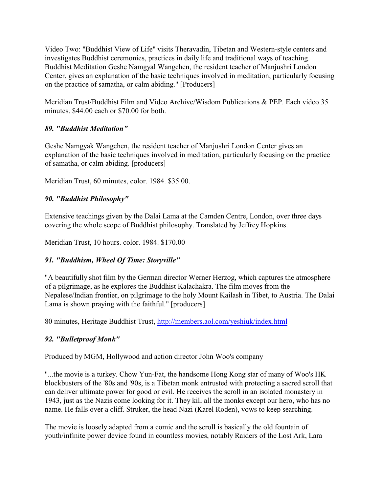Video Two: "Buddhist View of Life" visits Theravadin, Tibetan and Western-style centers and investigates Buddhist ceremonies, practices in daily life and traditional ways of teaching. Buddhist Meditation Geshe Namgyal Wangchen, the resident teacher of Manjushri London Center, gives an explanation of the basic techniques involved in meditation, particularly focusing on the practice of samatha, or calm abiding." [Producers]

Meridian Trust/Buddhist Film and Video Archive/Wisdom Publications & PEP. Each video 35 minutes. \$44.00 each or \$70.00 for both.

## *89. "Buddhist Meditation"*

Geshe Namgyak Wangchen, the resident teacher of Manjushri London Center gives an explanation of the basic techniques involved in meditation, particularly focusing on the practice of samatha, or calm abiding. [producers]

Meridian Trust, 60 minutes, color. 1984. \$35.00.

## *90. "Buddhist Philosophy"*

Extensive teachings given by the Dalai Lama at the Camden Centre, London, over three days covering the whole scope of Buddhist philosophy. Translated by Jeffrey Hopkins.

Meridian Trust, 10 hours. color. 1984. \$170.00

## *91. "Buddhism, Wheel Of Time: Storyville"*

"A beautifully shot film by the German director Werner Herzog, which captures the atmosphere of a pilgrimage, as he explores the Buddhist Kalachakra. The film moves from the Nepalese/Indian frontier, on pilgrimage to the holy Mount Kailash in Tibet, to Austria. The Dalai Lama is shown praying with the faithful." [producers]

80 minutes, Heritage Buddhist Trust,<http://members.aol.com/yeshiuk/index.html>

## *92. "Bulletproof Monk"*

Produced by MGM, Hollywood and action director John Woo's company

"...the movie is a turkey. Chow Yun-Fat, the handsome Hong Kong star of many of Woo's HK blockbusters of the '80s and '90s, is a Tibetan monk entrusted with protecting a sacred scroll that can deliver ultimate power for good or evil. He receives the scroll in an isolated monastery in 1943, just as the Nazis come looking for it. They kill all the monks except our hero, who has no name. He falls over a cliff. Struker, the head Nazi (Karel Roden), vows to keep searching.

The movie is loosely adapted from a comic and the scroll is basically the old fountain of youth/infinite power device found in countless movies, notably Raiders of the Lost Ark, Lara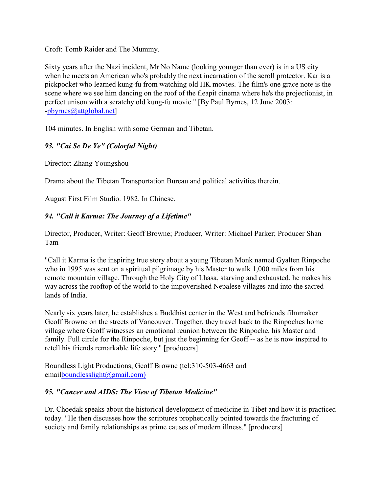Croft: Tomb Raider and The Mummy.

Sixty years after the Nazi incident, Mr No Name (looking younger than ever) is in a US city when he meets an American who's probably the next incarnation of the scroll protector. Kar is a pickpocket who learned kung-fu from watching old HK movies. The film's one grace note is the scene where we see him dancing on the roof of the fleapit cinema where he's the projectionist, in perfect unison with a scratchy old kung-fu movie." [By Paul Byrnes, 12 June 2003: [-pbyrnes@attglobal.net](mailto:pbyrnes@attglobal.net)]

104 minutes. In English with some German and Tibetan.

## *93. "Cai Se De Ye" (Colorful Night)*

Director: Zhang Youngshou

Drama about the Tibetan Transportation Bureau and political activities therein.

August First Film Studio. 1982. In Chinese.

### *94. "Call it Karma: The Journey of a Lifetime"*

Director, Producer, Writer: Geoff Browne; Producer, Writer: Michael Parker; Producer Shan Tam

"Call it Karma is the inspiring true story about a young Tibetan Monk named Gyalten Rinpoche who in 1995 was sent on a spiritual pilgrimage by his Master to walk 1,000 miles from his remote mountain village. Through the Holy City of Lhasa, starving and exhausted, he makes his way across the rooftop of the world to the impoverished Nepalese villages and into the sacred lands of India.

Nearly six years later, he establishes a Buddhist center in the West and befriends filmmaker Geoff Browne on the streets of Vancouver. Together, they travel back to the Rinpoches home village where Geoff witnesses an emotional reunion between the Rinpoche, his Master and family. Full circle for the Rinpoche, but just the beginning for Geoff -- as he is now inspired to retell his friends remarkable life story." [producers]

Boundless Light Productions, Geoff Browne (tel:310-503-4663 and emai[lboundlesslight@gmail.com\)](mailto:boundlesslight@gmail.com)

#### *95. "Cancer and AIDS: The View of Tibetan Medicine"*

Dr. Choedak speaks about the historical development of medicine in Tibet and how it is practiced today. "He then discusses how the scriptures prophetically pointed towards the fracturing of society and family relationships as prime causes of modern illness." [producers]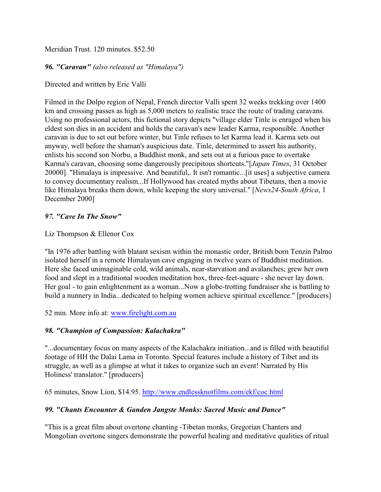Meridian Trust. 120 minutes. \$52.50

#### *96. "Caravan" (also released as "Himalaya")*

Directed and written by Eric Valli

Filmed in the Dolpo region of Nepal, French director Valli spent 32 weeks trekking over 1400 km and crossing passes as high as 5,000 meters to realistic trace the route of trading caravans. Using no professional actors, this fictional story depicts "village elder Tinle is enraged when his eldest son dies in an accident and holds the caravan's new leader Karma, responsible. Another caravan is due to set out before winter, but Tinle refuses to let Karma lead it. Karma sets out anyway, well before the shaman's auspicious date. Tinle, determined to assert his authority, enlists his second son Norbu, a Buddhist monk, and sets out at a furious pace to overtake Karma's caravan, choosing some dangerously precipitous shortcuts."[*Japan Times*, 31 October 20000]. "Himalaya is impressive. And beautiful,. It isn't romantic...[it uses] a subjective camera to convey documentary realism...If Hollywood has created myths about Tibetans, then a movie like Himalaya breaks them down, while keeping the story universal." [*News24-South Africa*, 1 December 2000]

#### *97. "Cave In The Snow"*

#### Liz Thompson & Ellenor Cox

"In 1976 after battling with blatant sexism within the monastic order, British born Tenzin Palmo isolated herself in a remote Himalayan cave engaging in twelve years of Buddhist meditation. Here she faced unimaginable cold, wild animals, near-starvation and avalanches; grew her own food and slept in a traditional wooden meditation box, three-feet-square - she never lay down. Her goal - to gain enlightenment as a woman...Now a globe-trotting fundraiser she is battling to build a nunnery in India...dedicated to helping women achieve spiritual excellence." [producers]

52 min. More info at: [www.firelight.com.au](http://www.firelight.com.au)

#### *98. "Champion of Compassion: Kalachakra"*

"...documentary focus on many aspects of the Kalachakra initiation...and is filled with beautiful footage of HH the Dalai Lama in Toronto. Special features include a history of Tibet and its struggle, as well as a glimpse at what it takes to organize such an event! Narrated by His Holiness' translator." [producers]

65 minutes, Snow Lion, \$14.95.<http://www.endlessknotfilms.com/ekf/coc.html>

#### *99. "Chants Encounter & Ganden Jangste Monks: Sacred Music and Dance"*

"This is a great film about overtone chanting -Tibetan monks, Gregorian Chanters and Mongolian overtone singers demonstrate the powerful healing and meditative qualities of ritual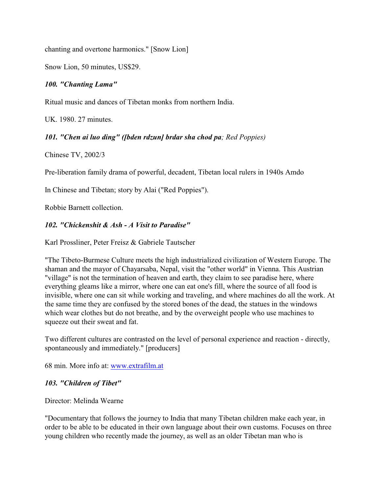chanting and overtone harmonics." [Snow Lion]

Snow Lion, 50 minutes, US\$29.

#### *100. "Chanting Lama"*

Ritual music and dances of Tibetan monks from northern India.

UK. 1980. 27 minutes.

#### *101. "Chen ai luo ding" ([bden rdzun] brdar sha chod pa; Red Poppies)*

Chinese TV, 2002/3

Pre-liberation family drama of powerful, decadent, Tibetan local rulers in 1940s Amdo

In Chinese and Tibetan; story by Alai ("Red Poppies").

Robbie Barnett collection.

#### *102. "Chickenshit & Ash - A Visit to Paradise"*

Karl Prossliner, Peter Freisz & Gabriele Tautscher

"The Tibeto-Burmese Culture meets the high industrialized civilization of Western Europe. The shaman and the mayor of Chayarsaba, Nepal, visit the "other world" in Vienna. This Austrian "village" is not the termination of heaven and earth, they claim to see paradise here, where everything gleams like a mirror, where one can eat one's fill, where the source of all food is invisible, where one can sit while working and traveling, and where machines do all the work. At the same time they are confused by the stored bones of the dead, the statues in the windows which wear clothes but do not breathe, and by the overweight people who use machines to squeeze out their sweat and fat.

Two different cultures are contrasted on the level of personal experience and reaction - directly, spontaneously and immediately." [producers]

68 min. More info at: [www.extrafilm.at](http://www.extrafilm.at)

#### *103. "Children of Tibet"*

Director: Melinda Wearne

"Documentary that follows the journey to India that many Tibetan children make each year, in order to be able to be educated in their own language about their own customs. Focuses on three young children who recently made the journey, as well as an older Tibetan man who is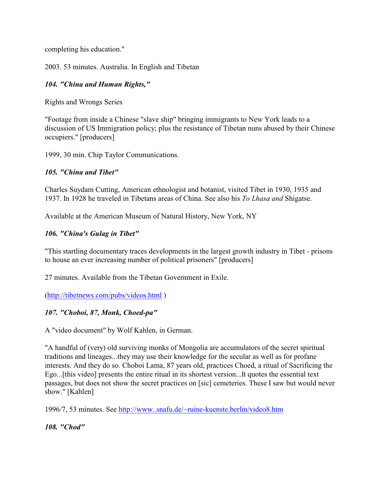completing his education."

2003. 53 minutes. Australia. In English and Tibetan

## *104. "China and Human Rights,"*

Rights and Wrongs Series

"Footage from inside a Chinese "slave ship" bringing immigrants to New York leads to a discussion of US Immigration policy; plus the resistance of Tibetan nuns abused by their Chinese occupiers." [producers]

1999, 30 min. Chip Taylor Communications.

#### *105. "China and Tibet"*

Charles Suydam Cutting, American ethnologist and botanist, visited Tibet in 1930, 1935 and 1937. In 1928 he traveled in Tibetans areas of China. See also his *To Lhasa and* Shigatse.

Available at the American Museum of Natural History, New York, NY

#### *106. "China's Gulag in Tibet"*

"This startling documentary traces developments in the largest growth industry in Tibet - prisons to house an ever increasing number of political prisoners" [producers]

27 minutes. Available from the Tibetan Government in Exile.

[\(http://tibetnews.com/pubs/videos.html]((http://tibetnews.com/pubs/videos.html) )

#### *107. "Choboi, 87, Monk, Choed-pa"*

A "video document" by Wolf Kahlen, in German.

"A handful of (very) old surviving monks of Mongolia are accumulators of the secret spiritual traditions and lineages...they may use their knowledge for the secular as well as for profane interests. And they do so. Choboi Lama, 87 years old, practices Choed, a ritual of Sacrificing the Ego...[this video] presents the entire ritual in its shortest version...It quotes the essential text passages, but does not show the secret practices on [sic] cemeteries. These I saw but would never show." [Kahlen]

1996/7, 53 minutes. See [http://www..snafu.de/~ruine-kuenste.berlin/video8.htm](http://www..snafu.de/~ruine-kuenste.berlin/video)

*108. "Chod"*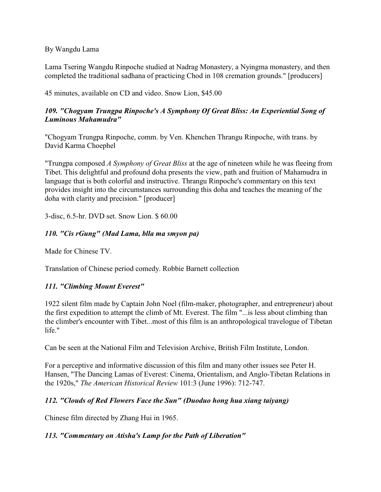By Wangdu Lama

Lama Tsering Wangdu Rinpoche studied at Nadrag Monastery, a Nyingma monastery, and then completed the traditional sadhana of practicing Chod in 108 cremation grounds." [producers]

45 minutes, available on CD and video. Snow Lion, \$45.00

### *109. "Chogyam Trungpa Rinpoche's A Symphony Of Great Bliss: An Experiential Song of Luminous Mahamudra"*

"Chogyam Trungpa Rinpoche, comm. by Ven. Khenchen Thrangu Rinpoche, with trans. by David Karma Choephel

"Trungpa composed *A Symphony of Great Bliss* at the age of nineteen while he was fleeing from Tibet. This delightful and profound doha presents the view, path and fruition of Mahamudra in language that is both colorful and instructive. Thrangu Rinpoche's commentary on this text provides insight into the circumstances surrounding this doha and teaches the meaning of the doha with clarity and precision." [producer]

3-disc, 6.5-hr. DVD set. Snow Lion. \$ 60.00

### *110. "Cis rGung" (Mad Lama, blla ma smyon pa)*

Made for Chinese TV

Translation of Chinese period comedy. Robbie Barnett collection

#### *111. "Climbing Mount Everest"*

1922 silent film made by Captain John Noel (film-maker, photographer, and entrepreneur) about the first expedition to attempt the climb of Mt. Everest. The film "...is less about climbing than the climber's encounter with Tibet...most of this film is an anthropological travelogue of Tibetan life."

Can be seen at the National Film and Television Archive, British Film Institute, London.

For a perceptive and informative discussion of this film and many other issues see Peter H. Hansen, "The Dancing Lamas of Everest: Cinema, Orientalism, and Anglo-Tibetan Relations in the 1920s," *The American Historical Review* 101:3 (June 1996): 712-747.

#### *112. "Clouds of Red Flowers Face the Sun" (Duoduo hong hua xiang taiyang)*

Chinese film directed by Zhang Hui in 1965.

#### *113. "Commentary on Atisha's Lamp for the Path of Liberation"*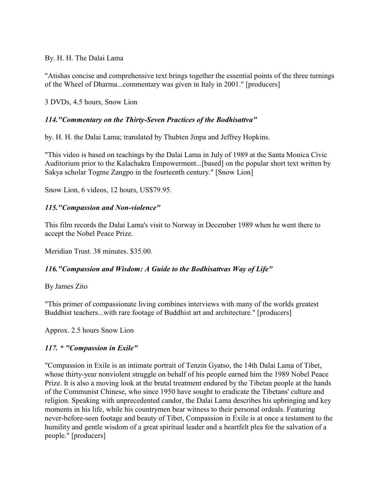#### By. H. H. The Dalai Lama

"Atishas concise and comprehensive text brings together the essential points of the three turnings of the Wheel of Dharma...commentary was given in Italy in 2001." [producers]

3 DVDs, 4.5 hours, Snow Lion

#### *114."Commentary on the Thirty-Seven Practices of the Bodhisattva"*

by. H. H. the Dalai Lama; translated by Thubten Jinpa and Jeffrey Hopkins.

"This video is based on teachings by the Dalai Lama in July of 1989 at the Santa Monica Civic Auditorium prior to the Kalachakra Empowerment...[based] on the popular short text written by Sakya scholar Togme Zangpo in the fourteenth century." [Snow Lion]

Snow Lion, 6 videos, 12 hours, US\$79.95.

#### *115."Compassion and Non-violence"*

This film records the Dalai Lama's visit to Norway in December 1989 when he went there to accept the Nobel Peace Prize.

Meridian Trust. 38 minutes. \$35.00.

#### *116."Compassion and Wisdom: A Guide to the Bodhisattvas Way of Life"*

#### By James Zito

"This primer of compassionate living combines interviews with many of the worlds greatest Buddhist teachers...with rare footage of Buddhist art and architecture." [producers]

Approx. 2.5 hours Snow Lion

#### *117. \* "Compassion in Exile"*

"Compassion in Exile is an intimate portrait of Tenzin Gyatso, the 14th Dalai Lama of Tibet, whose thirty-year nonviolent struggle on behalf of his people earned him the 1989 Nobel Peace Prize. It is also a moving look at the brutal treatment endured by the Tibetan people at the hands of the Communist Chinese, who since 1950 have sought to eradicate the Tibetans' culture and religion. Speaking with unprecedented candor, the Dalai Lama describes his upbringing and key moments in his life, while his countrymen bear witness to their personal ordeals. Featuring never-before-seen footage and beauty of Tibet, Compassion in Exile is at once a testament to the humility and gentle wisdom of a great spiritual leader and a heartfelt plea for the salvation of a people." [producers]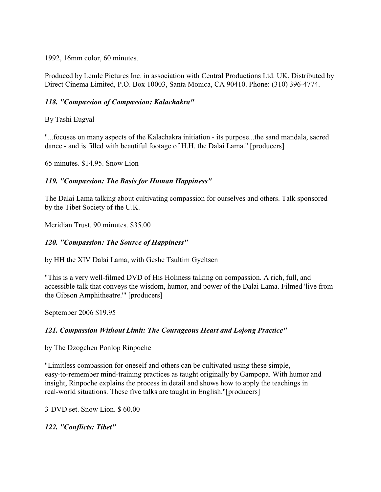1992, 16mm color, 60 minutes.

Produced by Lemle Pictures Inc. in association with Central Productions Ltd. UK. Distributed by Direct Cinema Limited, P.O. Box 10003, Santa Monica, CA 90410. Phone: (310) 396-4774.

#### *118. "Compassion of Compassion: Kalachakra"*

By Tashi Eugyal

"...focuses on many aspects of the Kalachakra initiation - its purpose...the sand mandala, sacred dance - and is filled with beautiful footage of H.H. the Dalai Lama." [producers]

65 minutes. \$14.95. Snow Lion

#### *119. "Compassion: The Basis for Human Happiness"*

The Dalai Lama talking about cultivating compassion for ourselves and others. Talk sponsored by the Tibet Society of the U.K.

Meridian Trust. 90 minutes. \$35.00

#### *120. "Compassion: The Source of Happiness"*

by HH the XIV Dalai Lama, with Geshe Tsultim Gyeltsen

"This is a very well-filmed DVD of His Holiness talking on compassion. A rich, full, and accessible talk that conveys the wisdom, humor, and power of the Dalai Lama. Filmed 'live from the Gibson Amphitheatre.'" [producers]

September 2006 \$19.95

#### *121. Compassion Without Limit: The Courageous Heart and Lojong Practice"*

by The Dzogchen Ponlop Rinpoche

"Limitless compassion for oneself and others can be cultivated using these simple, easy-to-remember mind-training practices as taught originally by Gampopa. With humor and insight, Rinpoche explains the process in detail and shows how to apply the teachings in real-world situations. These five talks are taught in English."[producers]

3-DVD set. Snow Lion. \$ 60.00

*122. "Conflicts: Tibet"*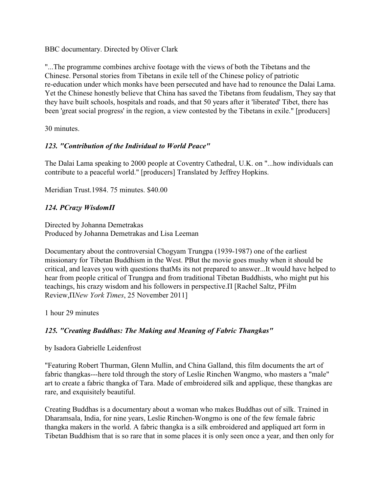BBC documentary. Directed by Oliver Clark

"...The programme combines archive footage with the views of both the Tibetans and the Chinese. Personal stories from Tibetans in exile tell of the Chinese policy of patriotic re-education under which monks have been persecuted and have had to renounce the Dalai Lama. Yet the Chinese honestly believe that China has saved the Tibetans from feudalism, They say that they have built schools, hospitals and roads, and that 50 years after it 'liberated' Tibet, there has been 'great social progress' in the region, a view contested by the Tibetans in exile." [producers]

30 minutes.

#### *123. "Contribution of the Individual to World Peace"*

The Dalai Lama speaking to 2000 people at Coventry Cathedral, U.K. on "...how individuals can contribute to a peaceful world." [producers] Translated by Jeffrey Hopkins.

Meridian Trust.1984. 75 minutes. \$40.00

#### *124. ÐCrazy WisdomÏ*

Directed by Johanna Demetrakas Produced by Johanna Demetrakas and Lisa Leeman

Documentary about the controversial Chogyam Trungpa (1939-1987) one of the earliest missionary for Tibetan Buddhism in the West. ÐBut the movie goes mushy when it should be critical, and leaves you with questions that Ms its not prepared to answer...It would have helped to hear from people critical of Trungpa and from traditional Tibetan Buddhists, who might put his teachings, his crazy wisdom and his followers in perspective. $\Pi$  [Rachel Saltz, PFilm Review,Ï*New York Times*, 25 November 2011]

1 hour 29 minutes

#### *125. "Creating Buddhas: The Making and Meaning of Fabric Thangkas"*

by Isadora Gabrielle Leidenfrost

"Featuring Robert Thurman, Glenn Mullin, and China Galland, this film documents the art of fabric thangkas---here told through the story of Leslie Rinchen Wangmo, who masters a "male" art to create a fabric thangka of Tara. Made of embroidered silk and applique, these thangkas are rare, and exquisitely beautiful.

Creating Buddhas is a documentary about a woman who makes Buddhas out of silk. Trained in Dharamsala, India, for nine years, Leslie Rinchen-Wongmo is one of the few female fabric thangka makers in the world. A fabric thangka is a silk embroidered and appliqued art form in Tibetan Buddhism that is so rare that in some places it is only seen once a year, and then only for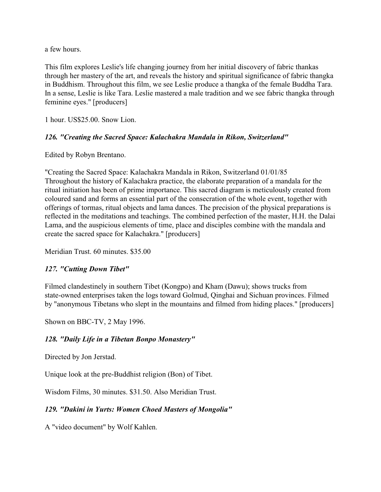a few hours.

This film explores Leslie's life changing journey from her initial discovery of fabric thankas through her mastery of the art, and reveals the history and spiritual significance of fabric thangka in Buddhism. Throughout this film, we see Leslie produce a thangka of the female Buddha Tara. In a sense, Leslie is like Tara. Leslie mastered a male tradition and we see fabric thangka through feminine eyes." [producers]

1 hour. US\$25.00. Snow Lion.

### *126. "Creating the Sacred Space: Kalachakra Mandala in Rikon, Switzerland"*

Edited by Robyn Brentano.

"Creating the Sacred Space: Kalachakra Mandala in Rikon, Switzerland 01/01/85 Throughout the history of Kalachakra practice, the elaborate preparation of a mandala for the ritual initiation has been of prime importance. This sacred diagram is meticulously created from coloured sand and forms an essential part of the consecration of the whole event, together with offerings of tormas, ritual objects and lama dances. The precision of the physical preparations is reflected in the meditations and teachings. The combined perfection of the master, H.H. the Dalai Lama, and the auspicious elements of time, place and disciples combine with the mandala and create the sacred space for Kalachakra." [producers]

Meridian Trust. 60 minutes. \$35.00

#### *127. "Cutting Down Tibet"*

Filmed clandestinely in southern Tibet (Kongpo) and Kham (Dawu); shows trucks from state-owned enterprises taken the logs toward Golmud, Qinghai and Sichuan provinces. Filmed by "anonymous Tibetans who slept in the mountains and filmed from hiding places." [producers]

Shown on BBC-TV, 2 May 1996.

#### *128. "Daily Life in a Tibetan Bonpo Monastery"*

Directed by Jon Jerstad.

Unique look at the pre-Buddhist religion (Bon) of Tibet.

Wisdom Films, 30 minutes. \$31.50. Also Meridian Trust.

## *129. "Dakini in Yurts: Women Choed Masters of Mongolia"*

A "video document" by Wolf Kahlen.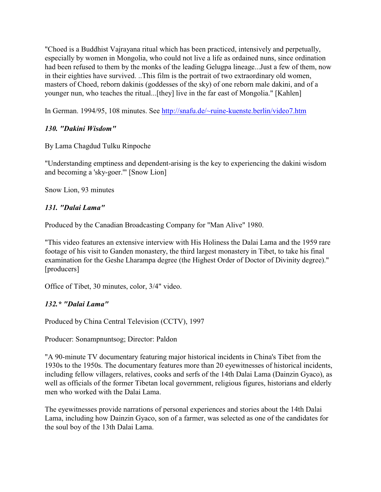"Choed is a Buddhist Vajrayana ritual which has been practiced, intensively and perpetually, especially by women in Mongolia, who could not live a life as ordained nuns, since ordination had been refused to them by the monks of the leading Gelugpa lineage...Just a few of them, now in their eighties have survived. ..This film is the portrait of two extraordinary old women, masters of Choed, reborn dakinis (goddesses of the sky) of one reborn male dakini, and of a younger nun, who teaches the ritual...[they] live in the far east of Mongolia." [Kahlen]

In German. 1994/95, 108 minutes. See [http://snafu.de/~ruine-kuenste.berlin/video7.htm](http://snafu.de/~ruine-kuenste.berlin/video)

### *130. "Dakini Wisdom"*

By Lama Chagdud Tulku Rinpoche

"Understanding emptiness and dependent-arising is the key to experiencing the dakini wisdom and becoming a 'sky-goer.'" [Snow Lion]

Snow Lion, 93 minutes

### *131. "Dalai Lama"*

Produced by the Canadian Broadcasting Company for "Man Alive" 1980.

"This video features an extensive interview with His Holiness the Dalai Lama and the 1959 rare footage of his visit to Ganden monastery, the third largest monastery in Tibet, to take his final examination for the Geshe Lharampa degree (the Highest Order of Doctor of Divinity degree)." [producers]

Office of Tibet, 30 minutes, color, 3/4" video.

## *132.\* "Dalai Lama"*

Produced by China Central Television (CCTV), 1997

Producer: Sonampnuntsog; Director: Paldon

"A 90-minute TV documentary featuring major historical incidents in China's Tibet from the 1930s to the 1950s. The documentary features more than 20 eyewitnesses of historical incidents, including fellow villagers, relatives, cooks and serfs of the 14th Dalai Lama (Dainzin Gyaco), as well as officials of the former Tibetan local government, religious figures, historians and elderly men who worked with the Dalai Lama.

The eyewitnesses provide narrations of personal experiences and stories about the 14th Dalai Lama, including how Dainzin Gyaco, son of a farmer, was selected as one of the candidates for the soul boy of the 13th Dalai Lama.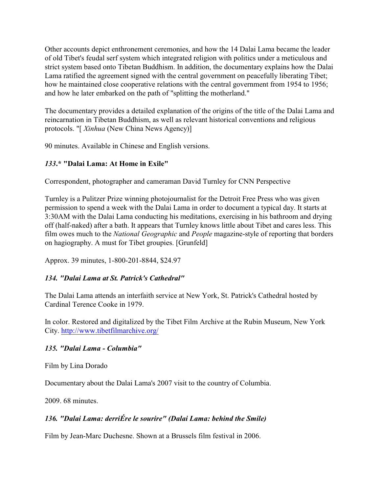Other accounts depict enthronement ceremonies, and how the 14 Dalai Lama became the leader of old Tibet's feudal serf system which integrated religion with politics under a meticulous and strict system based onto Tibetan Buddhism. In addition, the documentary explains how the Dalai Lama ratified the agreement signed with the central government on peacefully liberating Tibet; how he maintained close cooperative relations with the central government from 1954 to 1956; and how he later embarked on the path of "splitting the motherland."

The documentary provides a detailed explanation of the origins of the title of the Dalai Lama and reincarnation in Tibetan Buddhism, as well as relevant historical conventions and religious protocols. "[ *Xinhua* (New China News Agency)]

90 minutes. Available in Chinese and English versions.

## *133***.\* "Dalai Lama: At Home in Exile"**

Correspondent, photographer and cameraman David Turnley for CNN Perspective

Turnley is a Pulitzer Prize winning photojournalist for the Detroit Free Press who was given permission to spend a week with the Dalai Lama in order to document a typical day. It starts at 3:30AM with the Dalai Lama conducting his meditations, exercising in his bathroom and drying off (half-naked) after a bath. It appears that Turnley knows little about Tibet and cares less. This film owes much to the *National Geographic* and *People* magazine-style of reporting that borders on hagiography. A must for Tibet groupies. [Grunfeld]

Approx. 39 minutes, 1-800-201-8844, \$24.97

## *134. "Dalai Lama at St. Patrick's Cathedral"*

The Dalai Lama attends an interfaith service at New York, St. Patrick's Cathedral hosted by Cardinal Terence Cooke in 1979.

In color. Restored and digitalized by the Tibet Film Archive at the Rubin Museum, New York City. http://www.tibetfilmarchive.org/

#### *135. "Dalai Lama - Columbia"*

Film by Lina Dorado

Documentary about the Dalai Lama's 2007 visit to the country of Columbia.

2009. 68 minutes.

## *136. "Dalai Lama: derriÉre le sourire" (Dalai Lama: behind the Smile)*

Film by Jean-Marc Duchesne. Shown at a Brussels film festival in 2006.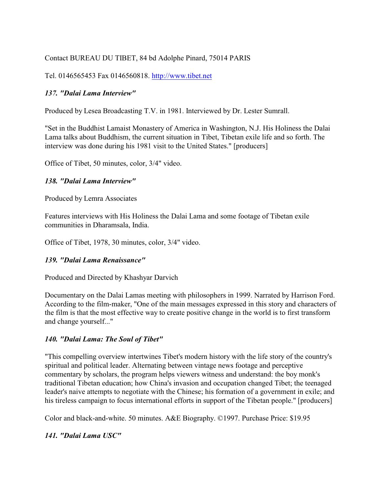### Contact BUREAU DU TIBET, 84 bd Adolphe Pinard, 75014 PARIS

Tel. 0146565453 Fax 0146560818.<http://www.tibet.net>

#### *137. "Dalai Lama Interview"*

Produced by Lesea Broadcasting T.V. in 1981. Interviewed by Dr. Lester Sumrall.

"Set in the Buddhist Lamaist Monastery of America in Washington, N.J. His Holiness the Dalai Lama talks about Buddhism, the current situation in Tibet, Tibetan exile life and so forth. The interview was done during his 1981 visit to the United States." [producers]

Office of Tibet, 50 minutes, color, 3/4" video.

#### *138. "Dalai Lama Interview"*

Produced by Lemra Associates

Features interviews with His Holiness the Dalai Lama and some footage of Tibetan exile communities in Dharamsala, India.

Office of Tibet, 1978, 30 minutes, color, 3/4" video.

#### *139. "Dalai Lama Renaissance"*

Produced and Directed by Khashyar Darvich

Documentary on the Dalai Lamas meeting with philosophers in 1999. Narrated by Harrison Ford. According to the film-maker, "One of the main messages expressed in this story and characters of the film is that the most effective way to create positive change in the world is to first transform and change yourself..."

#### *140. "Dalai Lama: The Soul of Tibet"*

"This compelling overview intertwines Tibet's modern history with the life story of the country's spiritual and political leader. Alternating between vintage news footage and perceptive commentary by scholars, the program helps viewers witness and understand: the boy monk's traditional Tibetan education; how China's invasion and occupation changed Tibet; the teenaged leader's naive attempts to negotiate with the Chinese; his formation of a government in exile; and his tireless campaign to focus international efforts in support of the Tibetan people." [producers]

Color and black-and-white. 50 minutes. A&E Biography. ©1997. Purchase Price: \$19.95

#### *141. "Dalai Lama USC"*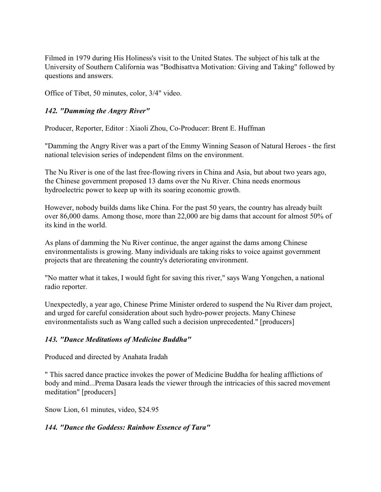Filmed in 1979 during His Holiness's visit to the United States. The subject of his talk at the University of Southern California was "Bodhisattva Motivation: Giving and Taking" followed by questions and answers.

Office of Tibet, 50 minutes, color, 3/4" video.

### *142. "Damming the Angry River"*

Producer, Reporter, Editor : Xiaoli Zhou, Co-Producer: Brent E. Huffman

"Damming the Angry River was a part of the Emmy Winning Season of Natural Heroes - the first national television series of independent films on the environment.

The Nu River is one of the last free-flowing rivers in China and Asia, but about two years ago, the Chinese government proposed 13 dams over the Nu River. China needs enormous hydroelectric power to keep up with its soaring economic growth.

However, nobody builds dams like China. For the past 50 years, the country has already built over 86,000 dams. Among those, more than 22,000 are big dams that account for almost 50% of its kind in the world.

As plans of damming the Nu River continue, the anger against the dams among Chinese environmentalists is growing. Many individuals are taking risks to voice against government projects that are threatening the country's deteriorating environment.

"No matter what it takes, I would fight for saving this river," says Wang Yongchen, a national radio reporter.

Unexpectedly, a year ago, Chinese Prime Minister ordered to suspend the Nu River dam project, and urged for careful consideration about such hydro-power projects. Many Chinese environmentalists such as Wang called such a decision unprecedented." [producers]

### *143. "Dance Meditations of Medicine Buddha"*

Produced and directed by Anahata Iradah

" This sacred dance practice invokes the power of Medicine Buddha for healing afflictions of body and mind...Prema Dasara leads the viewer through the intricacies of this sacred movement meditation" [producers]

Snow Lion, 61 minutes, video, \$24.95

### *144. "Dance the Goddess: Rainbow Essence of Tara"*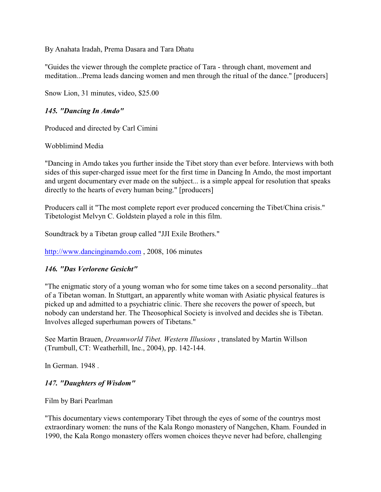By Anahata Iradah, Prema Dasara and Tara Dhatu

"Guides the viewer through the complete practice of Tara - through chant, movement and meditation...Prema leads dancing women and men through the ritual of the dance." [producers]

Snow Lion, 31 minutes, video, \$25.00

### *145. "Dancing In Amdo"*

Produced and directed by Carl Cimini

Wobblimind Media

"Dancing in Amdo takes you further inside the Tibet story than ever before. Interviews with both sides of this super-charged issue meet for the first time in Dancing In Amdo, the most important and urgent documentary ever made on the subject... is a simple appeal for resolution that speaks directly to the hearts of every human being." [producers]

Producers call it "The most complete report ever produced concerning the Tibet/China crisis." Tibetologist Melvyn C. Goldstein played a role in this film.

Soundtrack by a Tibetan group called "JJI Exile Brothers."

<http://www.dancinginamdo.com> , 2008, 106 minutes

### *146. "Das Verlorene Gesicht"*

"The enigmatic story of a young woman who for some time takes on a second personality...that of a Tibetan woman. In Stuttgart, an apparently white woman with Asiatic physical features is picked up and admitted to a psychiatric clinic. There she recovers the power of speech, but nobody can understand her. The Theosophical Society is involved and decides she is Tibetan. Involves alleged superhuman powers of Tibetans."

See Martin Brauen, *Dreamworld Tibet. Western Illusions* , translated by Martin Willson (Trumbull, CT: Weatherhill, Inc., 2004), pp. 142-144.

In German. 1948 .

### *147. "Daughters of Wisdom"*

Film by Bari Pearlman

"This documentary views contemporary Tibet through the eyes of some of the countrys most extraordinary women: the nuns of the Kala Rongo monastery of Nangchen, Kham. Founded in 1990, the Kala Rongo monastery offers women choices theyve never had before, challenging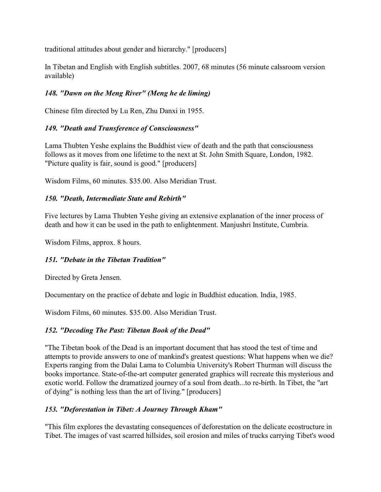traditional attitudes about gender and hierarchy." [producers]

In Tibetan and English with English subtitles. 2007, 68 minutes (56 minute calssroom version available)

# *148. "Dawn on the Meng River" (Meng he de liming)*

Chinese film directed by Lu Ren, Zhu Danxi in 1955.

# *149. "Death and Transference of Consciousness"*

Lama Thubten Yeshe explains the Buddhist view of death and the path that consciousness follows as it moves from one lifetime to the next at St. John Smith Square, London, 1982. "Picture quality is fair, sound is good." [producers]

Wisdom Films, 60 minutes. \$35.00. Also Meridian Trust.

## *150. "Death, Intermediate State and Rebirth"*

Five lectures by Lama Thubten Yeshe giving an extensive explanation of the inner process of death and how it can be used in the path to enlightenment. Manjushri Institute, Cumbria.

Wisdom Films, approx. 8 hours.

### *151. "Debate in the Tibetan Tradition"*

Directed by Greta Jensen.

Documentary on the practice of debate and logic in Buddhist education. India, 1985.

Wisdom Films, 60 minutes. \$35.00. Also Meridian Trust.

### *152. "Decoding The Past: Tibetan Book of the Dead"*

"The Tibetan book of the Dead is an important document that has stood the test of time and attempts to provide answers to one of mankind's greatest questions: What happens when we die? Experts ranging from the Dalai Lama to Columbia University's Robert Thurman will discuss the books importance. State-of-the-art computer generated graphics will recreate this mysterious and exotic world. Follow the dramatized journey of a soul from death...to re-birth. In Tibet, the "art of dying" is nothing less than the art of living." [producers]

# *153. "Deforestation in Tibet: A Journey Through Kham"*

"This film explores the devastating consequences of deforestation on the delicate ecostructure in Tibet. The images of vast scarred hillsides, soil erosion and miles of trucks carrying Tibet's wood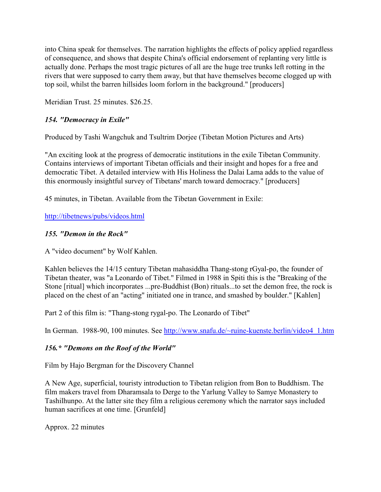into China speak for themselves. The narration highlights the effects of policy applied regardless of consequence, and shows that despite China's official endorsement of replanting very little is actually done. Perhaps the most tragic pictures of all are the huge tree trunks left rotting in the rivers that were supposed to carry them away, but that have themselves become clogged up with top soil, whilst the barren hillsides loom forlorn in the background." [producers]

Meridian Trust. 25 minutes. \$26.25.

# *154. "Democracy in Exile"*

Produced by Tashi Wangchuk and Tsultrim Dorjee (Tibetan Motion Pictures and Arts)

"An exciting look at the progress of democratic institutions in the exile Tibetan Community. Contains interviews of important Tibetan officials and their insight and hopes for a free and democratic Tibet. A detailed interview with His Holiness the Dalai Lama adds to the value of this enormously insightful survey of Tibetans' march toward democracy." [producers]

45 minutes, in Tibetan. Available from the Tibetan Government in Exile:

[http://tibetnews/pubs/videos.html]((http://tibetnews/pubs/videos.html)

## *155. "Demon in the Rock"*

A "video document" by Wolf Kahlen.

Kahlen believes the 14/15 century Tibetan mahasiddha Thang-stong rGyal-po, the founder of Tibetan theater, was "a Leonardo of Tibet." Filmed in 1988 in Spiti this is the "Breaking of the Stone [ritual] which incorporates ...pre-Buddhist (Bon) rituals...to set the demon free, the rock is placed on the chest of an "acting" initiated one in trance, and smashed by boulder." [Kahlen]

Part 2 of this film is: "Thang-stong rygal-po. The Leonardo of Tibet"

In German. 1988-90, 100 minutes. See [http://www.snafu.de/~ruine-kuenste.berlin/video4\\_1.htm](http://www.snafu.de/~ruine-kuenste.berlin/video)

# *156.\* "Demons on the Roof of the World"*

Film by Hajo Bergman for the Discovery Channel

A New Age, superficial, touristy introduction to Tibetan religion from Bon to Buddhism. The film makers travel from Dharamsala to Derge to the Yarlung Valley to Samye Monastery to Tashilhunpo. At the latter site they film a religious ceremony which the narrator says included human sacrifices at one time. [Grunfeld]

Approx. 22 minutes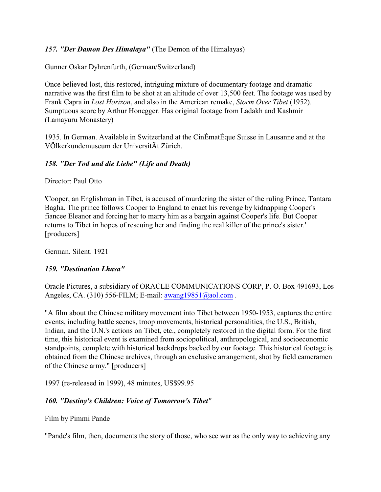### *157. "Der Damon Des Himalaya"* (The Demon of the Himalayas)

Gunner Oskar Dyhrenfurth, (German/Switzerland)

Once believed lost, this restored, intriguing mixture of documentary footage and dramatic narrative was the first film to be shot at an altitude of over 13,500 feet. The footage was used by Frank Capra in *Lost Horizon*, and also in the American remake, *Storm Over Tibet* (1952). Sumptuous score by Arthur Honegger. Has original footage from Ladakh and Kashmir (Lamayuru Monastery)

1935. In German. Available in Switzerland at the CinÉmatÉque Suisse in Lausanne and at the VÖlkerkundemuseum der UniversitÄt Zürich.

## *158. "Der Tod und die Liebe" (Life and Death)*

Director: Paul Otto

'Cooper, an Englishman in Tibet, is accused of murdering the sister of the ruling Prince, Tantara Bagha. The prince follows Cooper to England to enact his revenge by kidnapping Cooper's fiancee Eleanor and forcing her to marry him as a bargain against Cooper's life. But Cooper returns to Tibet in hopes of rescuing her and finding the real killer of the prince's sister.' [producers]

German. Silent. 1921

### *159. "Destination Lhasa"*

Oracle Pictures, a subsidiary of ORACLE COMMUNICATIONS CORP, P. O. Box 491693, Los Angeles, CA. (310) 556-FILM; E-mail: [awang19851@aol.com](mailto:awang19851@aol.com).

"A film about the Chinese military movement into Tibet between 1950-1953, captures the entire events, including battle scenes, troop movements, historical personalities, the U.S., British, Indian, and the U.N.'s actions on Tibet, etc., completely restored in the digital form. For the first time, this historical event is examined from sociopolitical, anthropological, and socioeconomic standpoints, complete with historical backdrops backed by our footage. This historical footage is obtained from the Chinese archives, through an exclusive arrangement, shot by field cameramen of the Chinese army." [producers]

1997 (re-released in 1999), 48 minutes, US\$99.95

# *160. "Destiny's Children: Voice of Tomorrow's Tibet"*

Film by Pimmi Pande

"Pande's film, then, documents the story of those, who see war as the only way to achieving any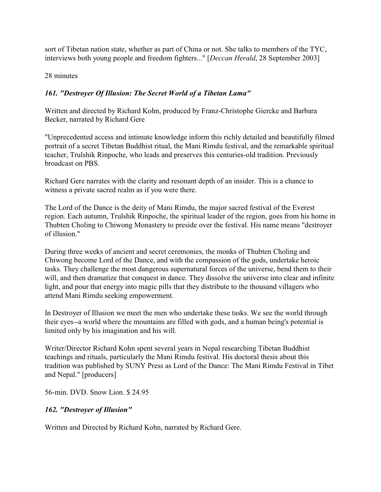sort of Tibetan nation state, whether as part of China or not. She talks to members of the TYC, interviews both young people and freedom fighters..." [*Deccan Herald*, 28 September 2003]

28 minutes

## *161. "Destroyer Of Illusion: The Secret World of a Tibetan Lama"*

Written and directed by Richard Kohn, produced by Franz-Christophe Giercke and Barbara Becker, narrated by Richard Gere

"Unprecedented access and intimate knowledge inform this richly detailed and beautifully filmed portrait of a secret Tibetan Buddhist ritual, the Mani Rimdu festival, and the remarkable spiritual teacher, Trulshik Rinpoche, who leads and preserves this centuries-old tradition. Previously broadcast on PBS.

Richard Gere narrates with the clarity and resonant depth of an insider. This is a chance to witness a private sacred realm as if you were there.

The Lord of the Dance is the deity of Mani Rimdu, the major sacred festival of the Everest region. Each autumn, Trulshik Rinpoche, the spiritual leader of the region, goes from his home in Thubten Choling to Chiwong Monastery to preside over the festival. His name means "destroyer of illusion."

During three weeks of ancient and secret ceremonies, the monks of Thubten Choling and Chiwong become Lord of the Dance, and with the compassion of the gods, undertake heroic tasks. They challenge the most dangerous supernatural forces of the universe, bend them to their will, and then dramatize that conquest in dance. They dissolve the universe into clear and infinite light, and pour that energy into magic pills that they distribute to the thousand villagers who attend Mani Rimdu seeking empowerment.

In Destroyer of Illusion we meet the men who undertake these tasks. We see the world through their eyes--a world where the mountains are filled with gods, and a human being's potential is limited only by his imagination and his will.

Writer/Director Richard Kohn spent several years in Nepal researching Tibetan Buddhist teachings and rituals, particularly the Mani Rimdu festival. His doctoral thesis about this tradition was published by SUNY Press as Lord of the Dance: The Mani Rimdu Festival in Tibet and Nepal." [producers]

56-min. DVD. Snow Lion. \$ 24.95

### *162. "Destroyer of Illusion"*

Written and Directed by Richard Kohn, narrated by Richard Gere.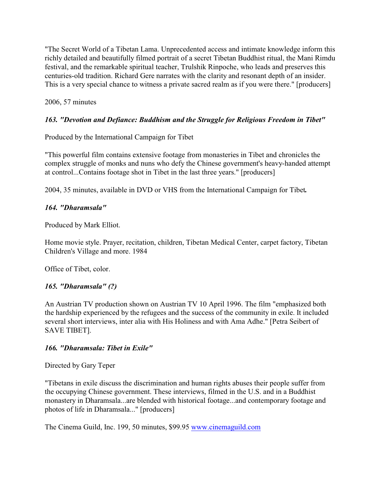"The Secret World of a Tibetan Lama. Unprecedented access and intimate knowledge inform this richly detailed and beautifully filmed portrait of a secret Tibetan Buddhist ritual, the Mani Rimdu festival, and the remarkable spiritual teacher, Trulshik Rinpoche, who leads and preserves this centuries-old tradition. Richard Gere narrates with the clarity and resonant depth of an insider. This is a very special chance to witness a private sacred realm as if you were there." [producers]

2006, 57 minutes

# *163. "Devotion and Defiance: Buddhism and the Struggle for Religious Freedom in Tibet"*

Produced by the International Campaign for Tibet

"This powerful film contains extensive footage from monasteries in Tibet and chronicles the complex struggle of monks and nuns who defy the Chinese government's heavy-handed attempt at control...Contains footage shot in Tibet in the last three years." [producers]

2004, 35 minutes, available in DVD or VHS from the International Campaign for Tibet*.*

### *164. "Dharamsala"*

Produced by Mark Elliot.

Home movie style. Prayer, recitation, children, Tibetan Medical Center, carpet factory, Tibetan Children's Village and more. 1984

Office of Tibet, color.

### *165. "Dharamsala" (?)*

An Austrian TV production shown on Austrian TV 10 April 1996. The film "emphasized both the hardship experienced by the refugees and the success of the community in exile. It included several short interviews, inter alia with His Holiness and with Ama Adhe." [Petra Seibert of SAVE TIBET].

### *166. "Dharamsala: Tibet in Exile"*

Directed by Gary Teper

"Tibetans in exile discuss the discrimination and human rights abuses their people suffer from the occupying Chinese government. These interviews, filmed in the U.S. and in a Buddhist monastery in Dharamsala...are blended with historical footage...and contemporary footage and photos of life in Dharamsala..." [producers]

The Cinema Guild, Inc. 199, 50 minutes, \$99.95 [www.cinemaguild.com](http://www.cinemaguild.com)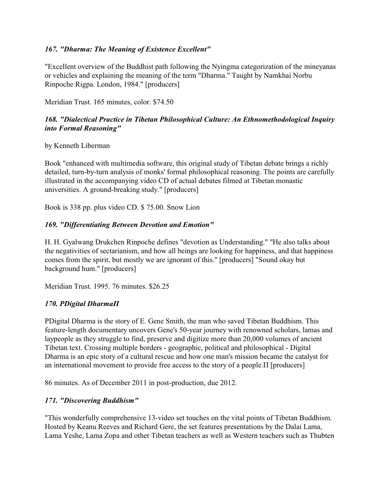### *167. "Dharma: The Meaning of Existence Excellent"*

"Excellent overview of the Buddhist path following the Nyingma categorization of the mineyanas or vehicles and explaining the meaning of the term "Dharma." Taught by Namkhai Norbu Rinpoche Rigpa. London, 1984." [producers]

Meridian Trust. 165 minutes, color. \$74.50

### *168. "Dialectical Practice in Tibetan Philosophical Culture: An Ethnomethodological Inquiry into Formal Reasoning"*

by Kenneth Liberman

Book "enhanced with multimedia software, this original study of Tibetan debate brings a richly detailed, turn-by-turn analysis of monks' formal philosophical reasoning. The points are carefully illustrated in the accompanying video CD of actual debates filmed at Tibetan monastic universities. A ground-breaking study." [producers]

Book is 338 pp. plus video CD. \$ 75.00. Snow Lion

### *169. "Differentiating Between Devotion and Emotion"*

H. H. Gyalwang Drukchen Rinpoche defines "devotion as Understanding." "He also talks about the negativities of sectarianism, and how all beings are looking for happiness, and that happiness comes from the spirit, but mostly we are ignorant of this." [producers] "Sound okay but background hum." [producers]

Meridian Trust. 1995. 76 minutes. \$26.25

### *170. ÐDigital DharmaÏ*

ÐDigital Dharma is the story of E. Gene Smith, the man who saved Tibetan Buddhism. This feature-length documentary uncovers Gene's 50-year journey with renowned scholars, lamas and laypeople as they struggle to find, preserve and digitize more than 20,000 volumes of ancient Tibetan text. Crossing multiple borders - geographic, political and philosophical - Digital Dharma is an epic story of a cultural rescue and how one man's mission became the catalyst for an international movement to provide free access to the story of a people. $\Pi$  [producers]

86 minutes. As of December 2011 in post-production, due 2012.

### *171. "Discovering Buddhism"*

"This wonderfully comprehensive 13-video set touches on the vital points of Tibetan Buddhism. Hosted by Keanu Reeves and Richard Gere, the set features presentations by the Dalai Lama, Lama Yeshe, Lama Zopa and other Tibetan teachers as well as Western teachers such as Thubten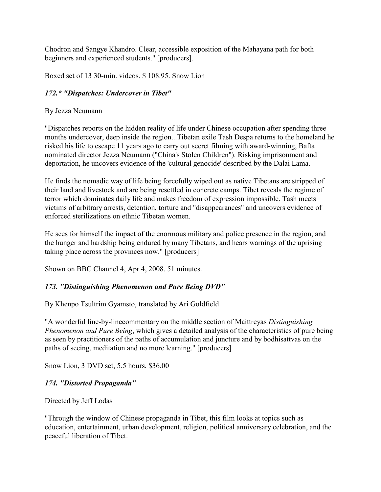Chodron and Sangye Khandro. Clear, accessible exposition of the Mahayana path for both beginners and experienced students." [producers].

Boxed set of 13 30-min. videos. \$ 108.95. Snow Lion

### *172.\* "Dispatches: Undercover in Tibet"*

By Jezza Neumann

"Dispatches reports on the hidden reality of life under Chinese occupation after spending three months undercover, deep inside the region...Tibetan exile Tash Despa returns to the homeland he risked his life to escape 11 years ago to carry out secret filming with award-winning, Bafta nominated director Jezza Neumann ("China's Stolen Children"). Risking imprisonment and deportation, he uncovers evidence of the 'cultural genocide' described by the Dalai Lama.

He finds the nomadic way of life being forcefully wiped out as native Tibetans are stripped of their land and livestock and are being resettled in concrete camps. Tibet reveals the regime of terror which dominates daily life and makes freedom of expression impossible. Tash meets victims of arbitrary arrests, detention, torture and "disappearances" and uncovers evidence of enforced sterilizations on ethnic Tibetan women.

He sees for himself the impact of the enormous military and police presence in the region, and the hunger and hardship being endured by many Tibetans, and hears warnings of the uprising taking place across the provinces now." [producers]

Shown on BBC Channel 4, Apr 4, 2008. 51 minutes.

### *173. "Distinguishing Phenomenon and Pure Being DVD"*

By Khenpo Tsultrim Gyamsto, translated by Ari Goldfield

"A wonderful line-by-linecommentary on the middle section of Maittreyas *Distinguishing Phenomenon and Pure Being*, which gives a detailed analysis of the characteristics of pure being as seen by practitioners of the paths of accumulation and juncture and by bodhisattvas on the paths of seeing, meditation and no more learning." [producers]

Snow Lion, 3 DVD set, 5.5 hours, \$36.00

### *174. "Distorted Propaganda"*

Directed by Jeff Lodas

"Through the window of Chinese propaganda in Tibet, this film looks at topics such as education, entertainment, urban development, religion, political anniversary celebration, and the peaceful liberation of Tibet.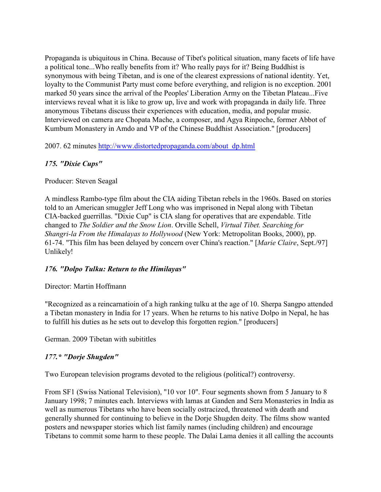Propaganda is ubiquitous in China. Because of Tibet's political situation, many facets of life have a political tone...Who really benefits from it? Who really pays for it? Being Buddhist is synonymous with being Tibetan, and is one of the clearest expressions of national identity. Yet, loyalty to the Communist Party must come before everything, and religion is no exception. 2001 marked 50 years since the arrival of the Peoples' Liberation Army on the Tibetan Plateau...Five interviews reveal what it is like to grow up, live and work with propaganda in daily life. Three anonymous Tibetans discuss their experiences with education, media, and popular music. Interviewed on camera are Chopata Mache, a composer, and Agya Rinpoche, former Abbot of Kumbum Monastery in Amdo and VP of the Chinese Buddhist Association." [producers]

2007. 62 minutes [http://www.distortedpropaganda.com/about\\_dp.html](http://www.distortedpropaganda.com/about_dp.html)

## *175. "Dixie Cups"*

#### Producer: Steven Seagal

A mindless Rambo-type film about the CIA aiding Tibetan rebels in the 1960s. Based on stories told to an American smuggler Jeff Long who was imprisoned in Nepal along with Tibetan CIA-backed guerrillas. "Dixie Cup" is CIA slang for operatives that are expendable. Title changed to *The Soldier and the Snow Lion*. Orville Schell, *Virtual Tibet. Searching for Shangri-la From the Himalayas to Hollywood* (New York: Metropolitan Books, 2000), pp. 61-74. "This film has been delayed by concern over China's reaction." [*Marie Claire*, Sept./97] Unlikely!

### *176. "Dolpo Tulku: Return to the Himilayas"*

#### Director: Martin Hoffmann

"Recognized as a reincarnatioin of a high ranking tulku at the age of 10. Sherpa Sangpo attended a Tibetan monastery in India for 17 years. When he returns to his native Dolpo in Nepal, he has to fulfill his duties as he sets out to develop this forgotten region." [producers]

German. 2009 Tibetan with subititles

### *177.\* "Dorje Shugden"*

Two European television programs devoted to the religious (political?) controversy.

From SF1 (Swiss National Television), "10 vor 10". Four segments shown from 5 January to 8 January 1998; 7 minutes each. Interviews with lamas at Ganden and Sera Monasteries in India as well as numerous Tibetans who have been socially ostracized, threatened with death and generally shunned for continuing to believe in the Dorje Shugden deity. The films show wanted posters and newspaper stories which list family names (including children) and encourage Tibetans to commit some harm to these people. The Dalai Lama denies it all calling the accounts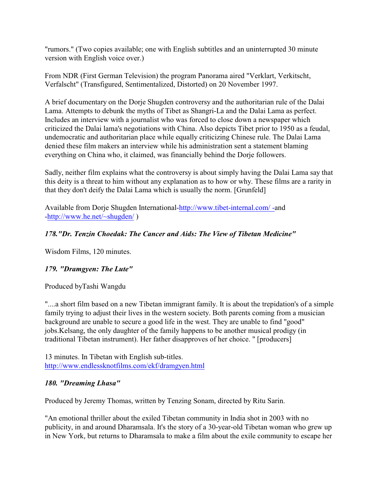"rumors." (Two copies available; one with English subtitles and an uninterrupted 30 minute version with English voice over.)

From NDR (First German Television) the program Panorama aired "Verklart, Verkitscht, Verfalscht" (Transfigured, Sentimentalized, Distorted) on 20 November 1997.

A brief documentary on the Dorje Shugden controversy and the authoritarian rule of the Dalai Lama. Attempts to debunk the myths of Tibet as Shangri-La and the Dalai Lama as perfect. Includes an interview with a journalist who was forced to close down a newspaper which criticized the Dalai lama's negotiations with China. Also depicts Tibet prior to 1950 as a feudal, undemocratic and authoritarian place while equally criticizing Chinese rule. The Dalai Lama denied these film makers an interview while his administration sent a statement blaming everything on China who, it claimed, was financially behind the Dorje followers.

Sadly, neither film explains what the controversy is about simply having the Dalai Lama say that this deity is a threat to him without any explanation as to how or why. These films are a rarity in that they don't deify the Dalai Lama which is usually the norm. [Grunfeld]

Available from Dorje Shugden International[-http://www.tibet-internal.com/ -](http://www.tibet-internal.com/)and [-http://www.he.net/~shugden/](http://www.he.net/~shugden/) )

## *178."Dr. Tenzin Choedak: The Cancer and Aids: The View of Tibetan Medicine"*

Wisdom Films, 120 minutes.

### *179. "Dramgyen: The Lute"*

Produced byTashi Wangdu

"....a short film based on a new Tibetan immigrant family. It is about the trepidation's of a simple family trying to adjust their lives in the western society. Both parents coming from a musician background are unable to secure a good life in the west. They are unable to find "good" jobs.Kelsang, the only daughter of the family happens to be another musical prodigy (in traditional Tibetan instrument). Her father disapproves of her choice. " [producers]

13 minutes. In Tibetan with English sub-titles. <http://www.endlessknotfilms.com/ekf/dramgyen.html>

#### *180. "Dreaming Lhasa"*

Produced by Jeremy Thomas, written by Tenzing Sonam, directed by Ritu Sarin.

"An emotional thriller about the exiled Tibetan community in India shot in 2003 with no publicity, in and around Dharamsala. It's the story of a 30-year-old Tibetan woman who grew up in New York, but returns to Dharamsala to make a film about the exile community to escape her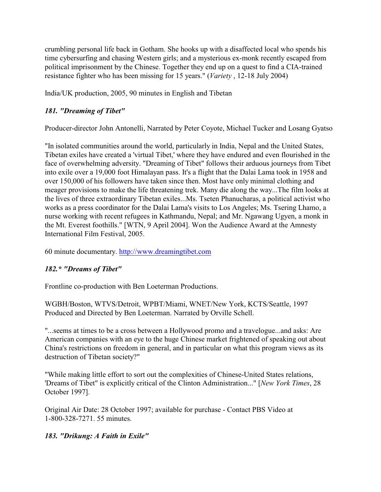crumbling personal life back in Gotham. She hooks up with a disaffected local who spends his time cybersurfing and chasing Western girls; and a mysterious ex-monk recently escaped from political imprisonment by the Chinese. Together they end up on a quest to find a CIA-trained resistance fighter who has been missing for 15 years." (*Variety* , 12-18 July 2004)

India/UK production, 2005, 90 minutes in English and Tibetan

# *181. "Dreaming of Tibet"*

Producer-director John Antonelli, Narrated by Peter Coyote, Michael Tucker and Losang Gyatso

"In isolated communities around the world, particularly in India, Nepal and the United States, Tibetan exiles have created a 'virtual Tibet,' where they have endured and even flourished in the face of overwhelming adversity. "Dreaming of Tibet" follows their arduous journeys from Tibet into exile over a 19,000 foot Himalayan pass. It's a flight that the Dalai Lama took in 1958 and over 150,000 of his followers have taken since then. Most have only minimal clothing and meager provisions to make the life threatening trek. Many die along the way...The film looks at the lives of three extraordinary Tibetan exiles...Ms. Tseten Phanucharas, a political activist who works as a press coordinator for the Dalai Lama's visits to Los Angeles; Ms. Tsering Lhamo, a nurse working with recent refugees in Kathmandu, Nepal; and Mr. Ngawang Ugyen, a monk in the Mt. Everest foothills." [WTN, 9 April 2004]. Won the Audience Award at the Amnesty International Film Festival, 2005.

60 minute documentary. [http://www.dreamingtibet.com](Http://www.dreamingtibet.com)

# *182.\* "Dreams of Tibet"*

Frontline co-production with Ben Loeterman Productions.

WGBH/Boston, WTVS/Detroit, WPBT/Miami, WNET/New York, KCTS/Seattle, 1997 Produced and Directed by Ben Loeterman. Narrated by Orville Schell.

"...seems at times to be a cross between a Hollywood promo and a travelogue...and asks: Are American companies with an eye to the huge Chinese market frightened of speaking out about China's restrictions on freedom in general, and in particular on what this program views as its destruction of Tibetan society?"

"While making little effort to sort out the complexities of Chinese-United States relations, 'Dreams of Tibet" is explicitly critical of the Clinton Administration..." [*New York Times*, 28 October 1997].

Original Air Date: 28 October 1997; available for purchase - Contact PBS Video at 1-800-328-7271. 55 minutes.

# *183. "Drikung: A Faith in Exile"*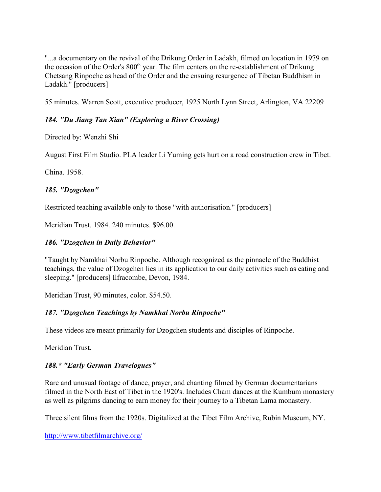"...a documentary on the revival of the Drikung Order in Ladakh, filmed on location in 1979 on the occasion of the Order's  $800<sup>th</sup>$  year. The film centers on the re-establishment of Drikung Chetsang Rinpoche as head of the Order and the ensuing resurgence of Tibetan Buddhism in Ladakh." [producers]

55 minutes. Warren Scott, executive producer, 1925 North Lynn Street, Arlington, VA 22209

## *184. "Du Jiang Tan Xian" (Exploring a River Crossing)*

Directed by: Wenzhi Shi

August First Film Studio. PLA leader Li Yuming gets hurt on a road construction crew in Tibet.

China. 1958.

#### *185. "Dzogchen"*

Restricted teaching available only to those "with authorisation." [producers]

Meridian Trust. 1984. 240 minutes. \$96.00.

### *186. "Dzogchen in Daily Behavior"*

"Taught by Namkhai Norbu Rinpoche. Although recognized as the pinnacle of the Buddhist teachings, the value of Dzogchen lies in its application to our daily activities such as eating and sleeping." [producers] Ilfracombe, Devon, 1984.

Meridian Trust, 90 minutes, color. \$54.50.

### *187. "Dzogchen Teachings by Namkhai Norbu Rinpoche"*

These videos are meant primarily for Dzogchen students and disciples of Rinpoche.

Meridian Trust.

### *188.\* "Early German Travelogues"*

Rare and unusual footage of dance, prayer, and chanting filmed by German documentarians filmed in the North East of Tibet in the 1920's. Includes Cham dances at the Kumbum monastery as well as pilgrims dancing to earn money for their journey to a Tibetan Lama monastery.

Three silent films from the 1920s. Digitalized at the Tibet Film Archive, Rubin Museum, NY.

<http://www.tibetfilmarchive.org/>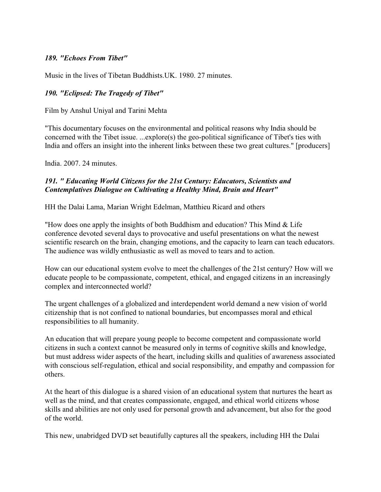### *189. "Echoes From Tibet"*

Music in the lives of Tibetan Buddhists.UK. 1980. 27 minutes.

#### *190. "Eclipsed: The Tragedy of Tibet"*

Film by Anshul Uniyal and Tarini Mehta

"This documentary focuses on the environmental and political reasons why India should be concerned with the Tibet issue. ...explore(s) the geo-political significance of Tibet's ties with India and offers an insight into the inherent links between these two great cultures." [producers]

India. 2007. 24 minutes.

#### *191. " Educating World Citizens for the 21st Century: Educators, Scientists and Contemplatives Dialogue on Cultivating a Healthy Mind, Brain and Heart"*

HH the Dalai Lama, Marian Wright Edelman, Matthieu Ricard and others

"How does one apply the insights of both Buddhism and education? This Mind & Life conference devoted several days to provocative and useful presentations on what the newest scientific research on the brain, changing emotions, and the capacity to learn can teach educators. The audience was wildly enthusiastic as well as moved to tears and to action.

How can our educational system evolve to meet the challenges of the 21st century? How will we educate people to be compassionate, competent, ethical, and engaged citizens in an increasingly complex and interconnected world?

The urgent challenges of a globalized and interdependent world demand a new vision of world citizenship that is not confined to national boundaries, but encompasses moral and ethical responsibilities to all humanity.

An education that will prepare young people to become competent and compassionate world citizens in such a context cannot be measured only in terms of cognitive skills and knowledge, but must address wider aspects of the heart, including skills and qualities of awareness associated with conscious self-regulation, ethical and social responsibility, and empathy and compassion for others.

At the heart of this dialogue is a shared vision of an educational system that nurtures the heart as well as the mind, and that creates compassionate, engaged, and ethical world citizens whose skills and abilities are not only used for personal growth and advancement, but also for the good of the world.

This new, unabridged DVD set beautifully captures all the speakers, including HH the Dalai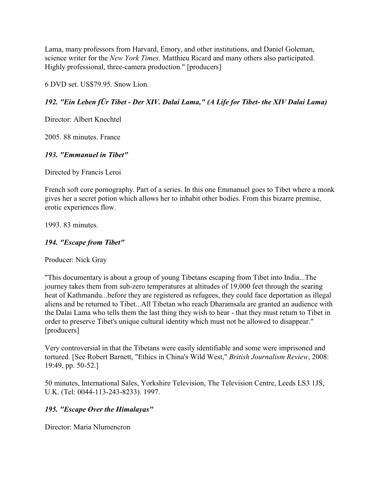Lama, many professors from Harvard, Emory, and other institutions, and Daniel Goleman, science writer for the *New York Times*. Matthieu Ricard and many others also participated. Highly professional, three-camera production." [producers]

6 DVD set. US\$79.95. Snow Lion.

## *192. "Ein Leben fÜr Tibet - Der XIV. Dalai Lama," (A Life for Tibet- the XIV Dalai Lama)*

Director: Albert Knechtel

2005. 88 minutes. France

### *193. "Emmanuel in Tibet"*

Directed by Francis Leroi

French soft core pornography. Part of a series. In this one Emmanuel goes to Tibet where a monk gives her a secret potion which allows her to inhabit other bodies. From this bizarre premise, erotic experiences flow.

1993. 83 minutes.

### *194. "Escape from Tibet"*

Producer: Nick Gray

"This documentary is about a group of young Tibetans escaping from Tibet into India...The journey takes them from sub-zero temperatures at altitudes of 19,000 feet through the searing heat of Kathmandu...before they are registered as refugees, they could face deportation as illegal aliens and be returned to Tibet...All Tibetan who reach Dharamsala are granted an audience with the Dalai Lama who tells them the last thing they wish to hear - that they must return to Tibet in order to preserve Tibet's unique cultural identity which must not be allowed to disappear." [producers]

Very controversial in that the Tibetans were easily identifiable and some were imprisoned and tortured. [See Robert Barnett, "Ethics in China's Wild West," *British Journalism Review*, 2008: 19:49, pp. 50-52.]

50 minutes, International Sales, Yorkshire Television, The Television Centre, Leeds LS3 1JS, U.K. (Tel: 0044-113-243-8233). 1997.

### *195. "Escape Over the Himalayas"*

Director: Maria Nlumencron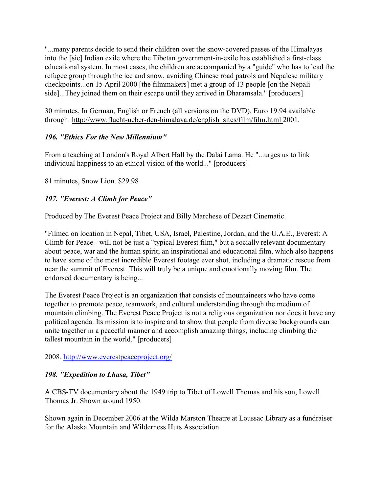"...many parents decide to send their children over the snow-covered passes of the Himalayas into the [sic] Indian exile where the Tibetan government-in-exile has established a first-class educational system. In most cases, the children are accompanied by a "guide" who has to lead the refugee group through the ice and snow, avoiding Chinese road patrols and Nepalese military checkpoints...on 15 April 2000 [the filmmakers] met a group of 13 people [on the Nepali side]...They joined them on their escape until they arrived in Dharamsala." [producers]

30 minutes, In German, English or French (all versions on the DVD). Euro 19.94 available through: http://www.flucht-ueber-den-himalaya.de/english\_sites/film/film.html 2001.

## *196. "Ethics For the New Millennium"*

From a teaching at London's Royal Albert Hall by the Dalai Lama. He "...urges us to link individual happiness to an ethical vision of the world..." [producers]

81 minutes, Snow Lion. \$29.98

# *197. "Everest: A Climb for Peace"*

Produced by The Everest Peace Project and Billy Marchese of Dezart Cinematic.

"Filmed on location in Nepal, Tibet, USA, Israel, Palestine, Jordan, and the U.A.E., Everest: A Climb for Peace - will not be just a "typical Everest film," but a socially relevant documentary about peace, war and the human spirit; an inspirational and educational film, which also happens to have some of the most incredible Everest footage ever shot, including a dramatic rescue from near the summit of Everest. This will truly be a unique and emotionally moving film. The endorsed documentary is being...

The Everest Peace Project is an organization that consists of mountaineers who have come together to promote peace, teamwork, and cultural understanding through the medium of mountain climbing. The Everest Peace Project is not a religious organization nor does it have any political agenda. Its mission is to inspire and to show that people from diverse backgrounds can unite together in a peaceful manner and accomplish amazing things, including climbing the tallest mountain in the world." [producers]

### 2008. <http://www.everestpeaceproject.org/>

# *198. "Expedition to Lhasa, Tibet"*

A CBS-TV documentary about the 1949 trip to Tibet of Lowell Thomas and his son, Lowell Thomas Jr. Shown around 1950.

Shown again in December 2006 at the Wilda Marston Theatre at Loussac Library as a fundraiser for the Alaska Mountain and Wilderness Huts Association.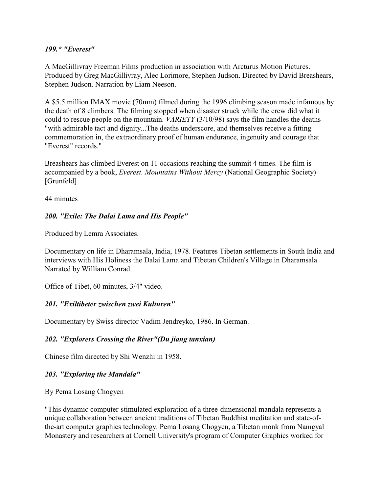#### *199.\* "Everest"*

A MacGillivray Freeman Films production in association with Arcturus Motion Pictures. Produced by Greg MacGillivray, Alec Lorimore, Stephen Judson. Directed by David Breashears, Stephen Judson. Narration by Liam Neeson.

A \$5.5 million IMAX movie (70mm) filmed during the 1996 climbing season made infamous by the death of 8 climbers. The filming stopped when disaster struck while the crew did what it could to rescue people on the mountain. *VARIETY* (3/10/98) says the film handles the deaths "with admirable tact and dignity...The deaths underscore, and themselves receive a fitting commemoration in, the extraordinary proof of human endurance, ingenuity and courage that "Everest" records."

Breashears has climbed Everest on 11 occasions reaching the summit 4 times. The film is accompanied by a book, *Everest. Mountains Without Mercy* (National Geographic Society) [Grunfeld]

44 minutes

### *200. "Exile: The Dalai Lama and His People"*

Produced by Lemra Associates.

Documentary on life in Dharamsala, India, 1978. Features Tibetan settlements in South India and interviews with His Holiness the Dalai Lama and Tibetan Children's Village in Dharamsala. Narrated by William Conrad.

Office of Tibet, 60 minutes, 3/4" video.

### *201. "Exiltibeter zwischen zwei Kulturen"*

Documentary by Swiss director Vadim Jendreyko, 1986. In German.

### *202. "Explorers Crossing the River"(Du jiang tanxian)*

Chinese film directed by Shi Wenzhi in 1958.

### *203. "Exploring the Mandala"*

By Pema Losang Chogyen

"This dynamic computer-stimulated exploration of a three-dimensional mandala represents a unique collaboration between ancient traditions of Tibetan Buddhist meditation and state-ofthe-art computer graphics technology. Pema Losang Chogyen, a Tibetan monk from Namgyal Monastery and researchers at Cornell University's program of Computer Graphics worked for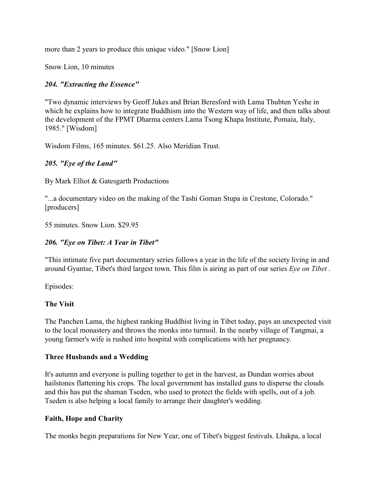more than 2 years to produce this unique video." [Snow Lion]

Snow Lion, 10 minutes

## *204. "Extracting the Essence"*

"Two dynamic interviews by Geoff Jukes and Brian Beresford with Lama Thubten Yeshe in which he explains how to integrate Buddhism into the Western way of life, and then talks about the development of the FPMT Dharma centers Lama Tsong Khapa Institute, Pomaia, Italy, 1985." [Wisdom]

Wisdom Films, 165 minutes. \$61.25. Also Meridian Trust.

### *205. "Eye of the Land"*

By Mark Elliot & Gatesgarth Productions

"...a documentary video on the making of the Tashi Goman Stupa in Crestone, Colorado." [producers]

55 minutes. Snow Lion. \$29.95

#### *206. "Eye on Tibet: A Year in Tibet"*

"This intimate five part documentary series follows a year in the life of the society living in and around Gyantse, Tibet's third largest town. This film is airing as part of our series *Eye on Tibet* .

Episodes:

#### **The Visit**

The Panchen Lama, the highest ranking Buddhist living in Tibet today, pays an unexpected visit to the local monastery and throws the monks into turmoil. In the nearby village of Tangmai, a young farmer's wife is rushed into hospital with complications with her pregnancy.

### **Three Husbands and a Wedding**

It's autumn and everyone is pulling together to get in the harvest, as Dundan worries about hailstones flattening his crops. The local government has installed guns to disperse the clouds and this has put the shaman Tseden, who used to protect the fields with spells, out of a job. Tseden is also helping a local family to arrange their daughter's wedding.

#### **Faith, Hope and Charity**

The monks begin preparations for New Year, one of Tibet's biggest festivals. Lhakpa, a local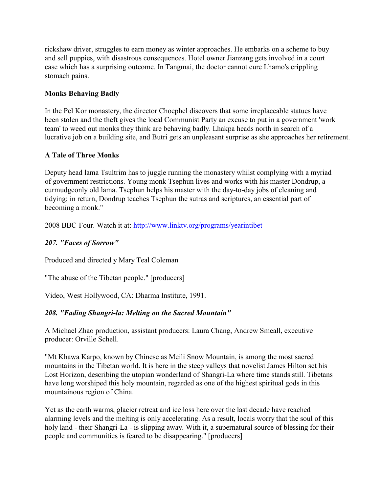rickshaw driver, struggles to earn money as winter approaches. He embarks on a scheme to buy and sell puppies, with disastrous consequences. Hotel owner Jianzang gets involved in a court case which has a surprising outcome. In Tangmai, the doctor cannot cure Lhamo's crippling stomach pains.

## **Monks Behaving Badly**

In the Pel Kor monastery, the director Choephel discovers that some irreplaceable statues have been stolen and the theft gives the local Communist Party an excuse to put in a government 'work team' to weed out monks they think are behaving badly. Lhakpa heads north in search of a lucrative job on a building site, and Butri gets an unpleasant surprise as she approaches her retirement.

## **A Tale of Three Monks**

Deputy head lama Tsultrim has to juggle running the monastery whilst complying with a myriad of government restrictions. Young monk Tsephun lives and works with his master Dondrup, a curmudgeonly old lama. Tsephun helps his master with the day-to-day jobs of cleaning and tidying; in return, Dondrup teaches Tsephun the sutras and scriptures, an essential part of becoming a monk."

2008 BBC-Four. Watch it at:<http://www.linktv.org/programs/yearintibet>

## *207. "Faces of Sorrow"*

Produced and directed y Mary Teal Coleman

"The abuse of the Tibetan people." [producers]

Video, West Hollywood, CA: Dharma Institute, 1991.

### *208. "Fading Shangri-la: Melting on the Sacred Mountain"*

A Michael Zhao production, assistant producers: Laura Chang, Andrew Smeall, executive producer: Orville Schell.

"Mt Khawa Karpo, known by Chinese as Meili Snow Mountain, is among the most sacred mountains in the Tibetan world. It is here in the steep valleys that novelist James Hilton set his Lost Horizon, describing the utopian wonderland of Shangri-La where time stands still. Tibetans have long worshiped this holy mountain, regarded as one of the highest spiritual gods in this mountainous region of China.

Yet as the earth warms, glacier retreat and ice loss here over the last decade have reached alarming levels and the melting is only accelerating. As a result, locals worry that the soul of this holy land - their Shangri-La - is slipping away. With it, a supernatural source of blessing for their people and communities is feared to be disappearing." [producers]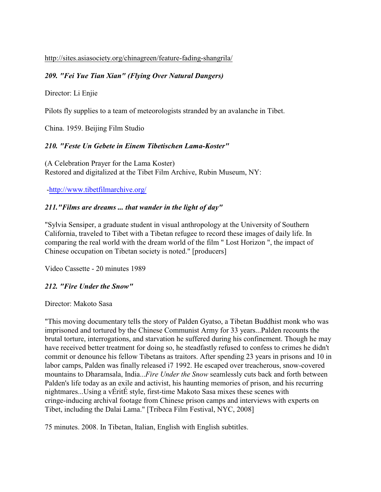http://sites.asiasociety.org/chinagreen/feature-fading-shangrila/

#### *209. "Fei Yue Tian Xian" (Flying Over Natural Dangers)*

Director: Li Enjie

Pilots fly supplies to a team of meteorologists stranded by an avalanche in Tibet.

China. 1959. Beijing Film Studio

#### *210. "Feste Un Gebete in Einem Tibetischen Lama-Koster"*

(A Celebration Prayer for the Lama Koster) Restored and digitalized at the Tibet Film Archive, Rubin Museum, NY:

[-http://www.tibetfilmarchive.org/](http://www.tibetfilmarchive.org/)

#### *211."Films are dreams ... that wander in the light of day"*

"Sylvia Sensiper, a graduate student in visual anthropology at the University of Southern California, traveled to Tibet with a Tibetan refugee to record these images of daily life. In comparing the real world with the dream world of the film " Lost Horizon ", the impact of Chinese occupation on Tibetan society is noted." [producers]

Video Cassette - 20 minutes 1989

#### *212. "Fire Under the Snow"*

Director: Makoto Sasa

"This moving documentary tells the story of Palden Gyatso, a Tibetan Buddhist monk who was imprisoned and tortured by the Chinese Communist Army for 33 years...Palden recounts the brutal torture, interrogations, and starvation he suffered during his confinement. Though he may have received better treatment for doing so, he steadfastly refused to confess to crimes he didn't commit or denounce his fellow Tibetans as traitors. After spending 23 years in prisons and 10 in labor camps, Palden was finally released i7 1992. He escaped over treacherous, snow-covered mountains to Dharamsala, India...*Fire Under the Snow* seamlessly cuts back and forth between Palden's life today as an exile and activist, his haunting memories of prison, and his recurring nightmares...Using a vÉritÉ style, first-time Makoto Sasa mixes these scenes with cringe-inducing archival footage from Chinese prison camps and interviews with experts on Tibet, including the Dalai Lama." [Tribeca Film Festival, NYC, 2008]

75 minutes. 2008. In Tibetan, Italian, English with English subtitles.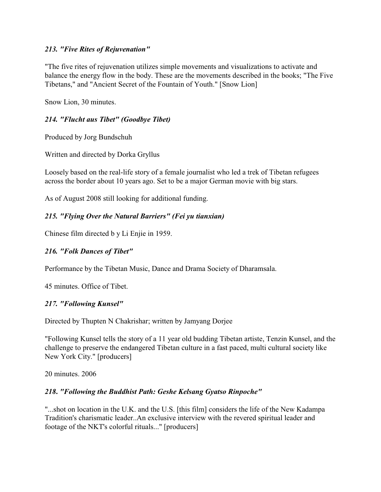### *213. "Five Rites of Rejuvenation"*

"The five rites of rejuvenation utilizes simple movements and visualizations to activate and balance the energy flow in the body. These are the movements described in the books; "The Five Tibetans," and "Ancient Secret of the Fountain of Youth." [Snow Lion]

Snow Lion, 30 minutes.

### *214. "Flucht aus Tibet" (Goodbye Tibet)*

Produced by Jorg Bundschuh

Written and directed by Dorka Gryllus

Loosely based on the real-life story of a female journalist who led a trek of Tibetan refugees across the border about 10 years ago. Set to be a major German movie with big stars.

As of August 2008 still looking for additional funding.

### *215. "Flying Over the Natural Barriers" (Fei yu tianxian)*

Chinese film directed b y Li Enjie in 1959.

### *216. "Folk Dances of Tibet"*

Performance by the Tibetan Music, Dance and Drama Society of Dharamsala.

45 minutes. Office of Tibet.

#### *217. "Following Kunsel"*

Directed by Thupten N Chakrishar; written by Jamyang Dorjee

"Following Kunsel tells the story of a 11 year old budding Tibetan artiste, Tenzin Kunsel, and the challenge to preserve the endangered Tibetan culture in a fast paced, multi cultural society like New York City." [producers]

20 minutes. 2006

#### *218***.** *"Following the Buddhist Path: Geshe Kelsang Gyatso Rinpoche"*

"...shot on location in the U.K. and the U.S. [this film] considers the life of the New Kadampa Tradition's charismatic leader..An exclusive interview with the revered spiritual leader and footage of the NKT's colorful rituals..." [producers]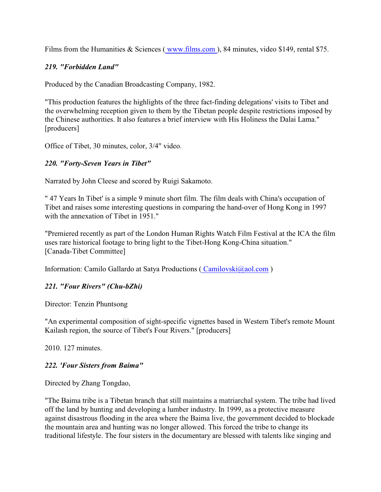Films from the Humanities & Sciences (www.films.com), 84 minutes, video \$149, rental \$75.

### *219. "Forbidden Land"*

Produced by the Canadian Broadcasting Company, 1982.

"This production features the highlights of the three fact-finding delegations' visits to Tibet and the overwhelming reception given to them by the Tibetan people despite restrictions imposed by the Chinese authorities. It also features a brief interview with His Holiness the Dalai Lama." [producers]

Office of Tibet, 30 minutes, color, 3/4" video.

## *220. "Forty-Seven Years in Tibet"*

Narrated by John Cleese and scored by Ruigi Sakamoto.

" 47 Years In Tibet' is a simple 9 minute short film. The film deals with China's occupation of Tibet and raises some interesting questions in comparing the hand-over of Hong Kong in 1997 with the annexation of Tibet in 1951."

"Premiered recently as part of the London Human Rights Watch Film Festival at the ICA the film uses rare historical footage to bring light to the Tibet-Hong Kong-China situation." [Canada-Tibet Committee]

Information: Camilo Gallardo at Satya Productions [\( Camilovski@aol.com](mailto:(Camilovski@aol.com) )

# *221. "Four Rivers" (Chu-bZhi)*

Director: Tenzin Phuntsong

"An experimental composition of sight-specific vignettes based in Western Tibet's remote Mount Kailash region, the source of Tibet's Four Rivers." [producers]

2010. 127 minutes.

# *222. 'Four Sisters from Baima"*

Directed by Zhang Tongdao,

"The Baima tribe is a Tibetan branch that still maintains a matriarchal system. The tribe had lived off the land by hunting and developing a lumber industry. In 1999, as a protective measure against disastrous flooding in the area where the Baima live, the government decided to blockade the mountain area and hunting was no longer allowed. This forced the tribe to change its traditional lifestyle. The four sisters in the documentary are blessed with talents like singing and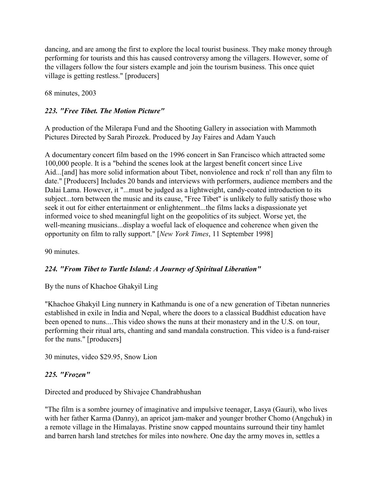dancing, and are among the first to explore the local tourist business. They make money through performing for tourists and this has caused controversy among the villagers. However, some of the villagers follow the four sisters example and join the tourism business. This once quiet village is getting restless." [producers]

68 minutes, 2003

### *223. "Free Tibet. The Motion Picture"*

A production of the Milerapa Fund and the Shooting Gallery in association with Mammoth Pictures Directed by Sarah Pirozek. Produced by Jay Faires and Adam Yauch

A documentary concert film based on the 1996 concert in San Francisco which attracted some 100,000 people. It is a "behind the scenes look at the largest benefit concert since Live Aid...[and] has more solid information about Tibet, nonviolence and rock n' roll than any film to date." [Producers] Includes 20 bands and interviews with performers, audience members and the Dalai Lama. However, it "...must be judged as a lightweight, candy-coated introduction to its subject...torn between the music and its cause, "Free Tibet" is unlikely to fully satisfy those who seek it out for either entertainment or enlightenment...the films lacks a dispassionate yet informed voice to shed meaningful light on the geopolitics of its subject. Worse yet, the well-meaning musicians...display a woeful lack of eloquence and coherence when given the opportunity on film to rally support." [*New York Times*, 11 September 1998]

90 minutes.

### *224. "From Tibet to Turtle Island: A Journey of Spiritual Liberation"*

By the nuns of Khachoe Ghakyil Ling

"Khachoe Ghakyil Ling nunnery in Kathmandu is one of a new generation of Tibetan nunneries established in exile in India and Nepal, where the doors to a classical Buddhist education have been opened to nuns....This video shows the nuns at their monastery and in the U.S. on tour, performing their ritual arts, chanting and sand mandala construction. This video is a fund-raiser for the nuns." [producers]

30 minutes, video \$29.95, Snow Lion

### *225. "Frozen"*

Directed and produced by Shivajee Chandrabhushan

"The film is a sombre journey of imaginative and impulsive teenager, Lasya (Gauri), who lives with her father Karma (Danny), an apricot jam-maker and younger brother Chomo (Angchuk) in a remote village in the Himalayas. Pristine snow capped mountains surround their tiny hamlet and barren harsh land stretches for miles into nowhere. One day the army moves in, settles a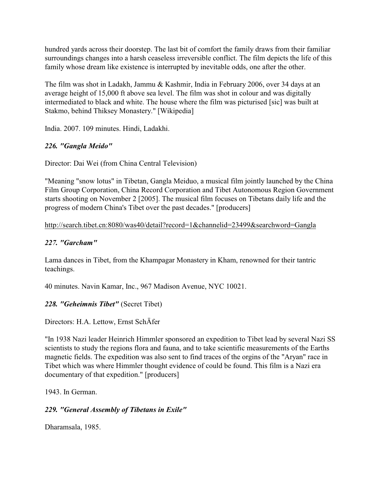hundred yards across their doorstep. The last bit of comfort the family draws from their familiar surroundings changes into a harsh ceaseless irreversible conflict. The film depicts the life of this family whose dream like existence is interrupted by inevitable odds, one after the other.

The film was shot in Ladakh, Jammu & Kashmir, India in February 2006, over 34 days at an average height of 15,000 ft above sea level. The film was shot in colour and was digitally intermediated to black and white. The house where the film was picturised [sic] was built at Stakmo, behind Thiksey Monastery." [Wikipedia]

India. 2007. 109 minutes. Hindi, Ladakhi.

# *226. "Gangla Meido"*

Director: Dai Wei (from China Central Television)

"Meaning "snow lotus" in Tibetan, Gangla Meiduo, a musical film jointly launched by the China Film Group Corporation, China Record Corporation and Tibet Autonomous Region Government starts shooting on November 2 [2005]. The musical film focuses on Tibetans daily life and the progress of modern China's Tibet over the past decades." [producers]

## http://search.tibet.cn:8080/was40/detail?record=1&channelid=23499&searchword=Gangla

## *227. "Garcham"*

Lama dances in Tibet, from the Khampagar Monastery in Kham, renowned for their tantric teachings.

40 minutes. Navin Kamar, Inc., 967 Madison Avenue, NYC 10021.

# *228. "Geheimnis Tibet"* (Secret Tibet)

Directors: H.A. Lettow, Ernst SchÄfer

"In 1938 Nazi leader Heinrich Himmler sponsored an expedition to Tibet lead by several Nazi SS scientists to study the regions flora and fauna, and to take scientific measurements of the Earths magnetic fields. The expedition was also sent to find traces of the orgins of the "Aryan" race in Tibet which was where Himmler thought evidence of could be found. This film is a Nazi era documentary of that expedition." [producers]

1943. In German.

# *229. "General Assembly of Tibetans in Exile"*

Dharamsala, 1985.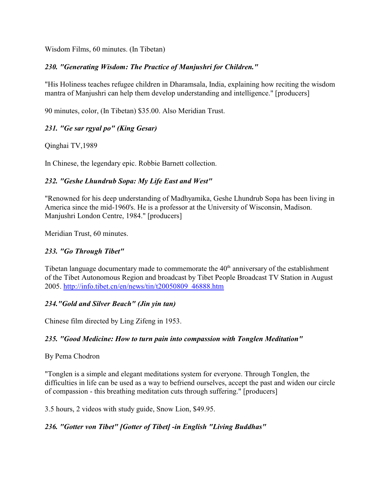Wisdom Films, 60 minutes. (In Tibetan)

### *230. "Generating Wisdom: The Practice of Manjushri for Children."*

"His Holiness teaches refugee children in Dharamsala, India, explaining how reciting the wisdom mantra of Manjushri can help them develop understanding and intelligence." [producers]

90 minutes, color, (In Tibetan) \$35.00. Also Meridian Trust.

# *231. "Ge sar rgyal po" (King Gesar)*

Qinghai TV,1989

In Chinese, the legendary epic. Robbie Barnett collection.

# *232. "Geshe Lhundrub Sopa: My Life East and West"*

"Renowned for his deep understanding of Madhyamika, Geshe Lhundrub Sopa has been living in America since the mid-1960's. He is a professor at the University of Wisconsin, Madison. Manjushri London Centre, 1984." [producers]

Meridian Trust, 60 minutes.

### *233. "Go Through Tibet"*

Tibetan language documentary made to commemorate the  $40<sup>th</sup>$  anniversary of the establishment of the Tibet Autonomous Region and broadcast by Tibet People Broadcast TV Station in August 2005. [http://info.tibet.cn/en/news/tin/t20050809\\_46888.htm](http://info.tibet.cn/en/news/tin/t20050809_46888.htm)

### *234."Gold and Silver Beach" (Jin yin tan)*

Chinese film directed by Ling Zifeng in 1953.

### *235. "Good Medicine: How to turn pain into compassion with Tonglen Meditation"*

### By Pema Chodron

"Tonglen is a simple and elegant meditations system for everyone. Through Tonglen, the difficulties in life can be used as a way to befriend ourselves, accept the past and widen our circle of compassion - this breathing meditation cuts through suffering." [producers]

3.5 hours, 2 videos with study guide, Snow Lion, \$49.95.

# *236. "Gotter von Tibet" [Gotter of Tibet] -in English "Living Buddhas"*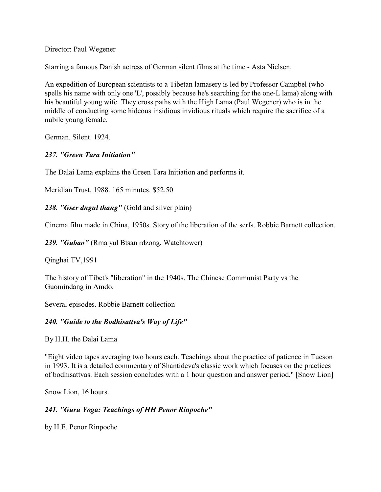Director: Paul Wegener

Starring a famous Danish actress of German silent films at the time - Asta Nielsen.

An expedition of European scientists to a Tibetan lamasery is led by Professor Campbel (who spells his name with only one 'L', possibly because he's searching for the one-L lama) along with his beautiful young wife. They cross paths with the High Lama (Paul Wegener) who is in the middle of conducting some hideous insidious invidious rituals which require the sacrifice of a nubile young female.

German. Silent. 1924.

### *237. "Green Tara Initiation"*

The Dalai Lama explains the Green Tara Initiation and performs it.

Meridian Trust. 1988. 165 minutes. \$52.50

*238. "Gser dngul thang"* (Gold and silver plain)

Cinema film made in China, 1950s. Story of the liberation of the serfs. Robbie Barnett collection.

*239. "Gubao"* (Rma yul Btsan rdzong, Watchtower)

Qinghai TV,1991

The history of Tibet's "liberation" in the 1940s. The Chinese Communist Party vs the Guomindang in Amdo.

Several episodes. Robbie Barnett collection

### *240. "Guide to the Bodhisattva's Way of Life"*

By H.H. the Dalai Lama

"Eight video tapes averaging two hours each. Teachings about the practice of patience in Tucson in 1993. It is a detailed commentary of Shantideva's classic work which focuses on the practices of bodhisattvas. Each session concludes with a 1 hour question and answer period." [Snow Lion]

Snow Lion, 16 hours.

### *241. "Guru Yoga: Teachings of HH Penor Rinpoche"*

by H.E. Penor Rinpoche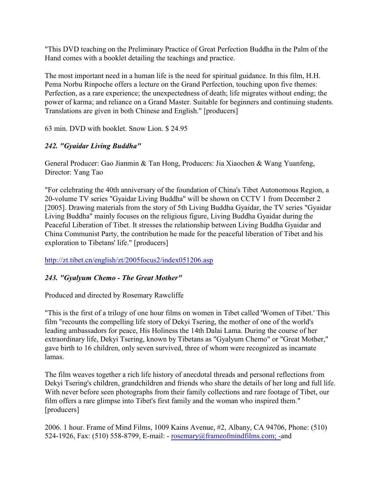"This DVD teaching on the Preliminary Practice of Great Perfection Buddha in the Palm of the Hand comes with a booklet detailing the teachings and practice.

The most important need in a human life is the need for spiritual guidance. In this film, H.H. Pema Norbu Rinpoche offers a lecture on the Grand Perfection, touching upon five themes: Perfection, as a rare experience; the unexpectedness of death; life migrates without ending; the power of karma; and reliance on a Grand Master. Suitable for beginners and continuing students. Translations are given in both Chinese and English." [producers]

63 min. DVD with booklet. Snow Lion. \$ 24.95

# *242. "Gyaidar Living Buddha"*

General Producer: Gao Jianmin & Tan Hong, Producers: Jia Xiaochen & Wang Yuanfeng, Director: Yang Tao

"For celebrating the 40th anniversary of the foundation of China's Tibet Autonomous Region, a 20-volume TV series "Gyaidar Living Buddha" will be shown on CCTV 1 from December 2 [2005]. Drawing materials from the story of 5th Living Buddha Gyaidar, the TV series "Gyaidar Living Buddha" mainly focuses on the religious figure, Living Buddha Gyaidar during the Peaceful Liberation of Tibet. It stresses the relationship between Living Buddha Gyaidar and China Communist Party, the contribution he made for the peaceful liberation of Tibet and his exploration to Tibetans' life." [producers]

<http://zt.tibet.cn/english/zt/2005focus2/index051206.asp>

# *243. "Gyalyum Chemo - The Great Mother"*

Produced and directed by Rosemary Rawcliffe

"This is the first of a trilogy of one hour films on women in Tibet called 'Women of Tibet.' This film "recounts the compelling life story of Dekyi Tsering, the mother of one of the world's leading ambassadors for peace, His Holiness the 14th Dalai Lama. During the course of her extraordinary life, Dekyi Tsering, known by Tibetans as "Gyalyum Chemo" or "Great Mother," gave birth to 16 children, only seven survived, three of whom were recognized as incarnate lamas.

The film weaves together a rich life history of anecdotal threads and personal reflections from Dekyi Tsering's children, grandchildren and friends who share the details of her long and full life. With never before seen photographs from their family collections and rare footage of Tibet, our film offers a rare glimpse into Tibet's first family and the woman who inspired them." [producers]

2006. 1 hour. Frame of Mind Films, 1009 Kains Avenue, #2, Albany, CA 94706, Phone: (510) 524-1926, Fax: (510) 558-8799, E-mail: - [rosemary@frameofmindfilms.com; -](mailto:rosemary@frameofmindfilms.com)and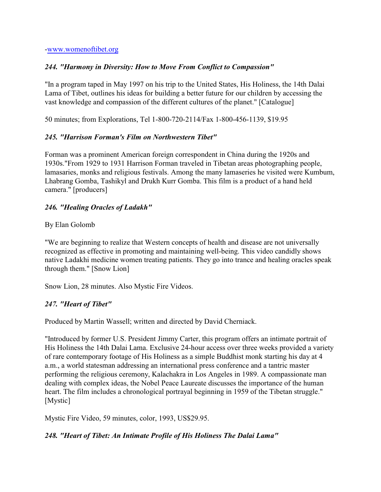[-www.womenoftibet.org](http://www.womenoftibet.org)

### *244. "Harmony in Diversity: How to Move From Conflict to Compassion"*

"In a program taped in May 1997 on his trip to the United States, His Holiness, the 14th Dalai Lama of Tibet, outlines his ideas for building a better future for our children by accessing the vast knowledge and compassion of the different cultures of the planet." [Catalogue]

50 minutes; from Explorations, Tel 1-800-720-2114/Fax 1-800-456-1139, \$19.95

### *245. "Harrison Forman's Film on Northwestern Tibet"*

Forman was a prominent American foreign correspondent in China during the 1920s and 1930s."From 1929 to 1931 Harrison Forman traveled in Tibetan areas photographing people, lamasaries, monks and religious festivals. Among the many lamaseries he visited were Kumbum, Lhabrang Gomba, Tashikyl and Drukh Kurr Gomba. This film is a product of a hand held camera." [producers]

## *246. "Healing Oracles of Ladakh"*

### By Elan Golomb

"We are beginning to realize that Western concepts of health and disease are not universally recognized as effective in promoting and maintaining well-being. This video candidly shows native Ladakhi medicine women treating patients. They go into trance and healing oracles speak through them." [Snow Lion]

Snow Lion, 28 minutes. Also Mystic Fire Videos.

# *247. "Heart of Tibet"*

Produced by Martin Wassell; written and directed by David Cherniack.

"Introduced by former U.S. President Jimmy Carter, this program offers an intimate portrait of His Holiness the 14th Dalai Lama. Exclusive 24-hour access over three weeks provided a variety of rare contemporary footage of His Holiness as a simple Buddhist monk starting his day at 4 a.m., a world statesman addressing an international press conference and a tantric master performing the religious ceremony, Kalachakra in Los Angeles in 1989. A compassionate man dealing with complex ideas, the Nobel Peace Laureate discusses the importance of the human heart. The film includes a chronological portrayal beginning in 1959 of the Tibetan struggle." [Mystic]

Mystic Fire Video, 59 minutes, color, 1993, US\$29.95.

# *248. "Heart of Tibet: An Intimate Profile of His Holiness The Dalai Lama"*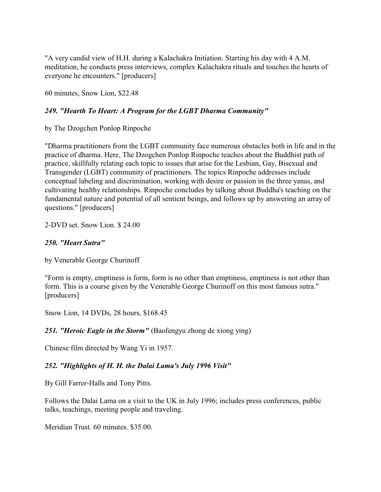"A very candid view of H.H. during a Kalachakra Initiation. Starting his day with 4 A.M. meditation, he conducts press interviews, complex Kalachakra rituals and touches the hearts of everyone he encounters." [producers]

60 minutes, Snow Lion, \$22.48

### *249. "Hearth To Heart: A Program for the LGBT Dharma Community"*

by The Dzogchen Ponlop Rinpoche

"Dharma practitioners from the LGBT community face numerous obstacles both in life and in the practice of dharma. Here, The Dzogchen Ponlop Rinpoche teaches about the Buddhist path of practice, skillfully relating each topic to issues that arise for the Lesbian, Gay, Bisexual and Transgender (LGBT) community of practitioners. The topics Rinpoche addresses include conceptual labeling and discrimination, working with desire or passion in the three yanas, and cultivating healthy relationships. Rinpoche concludes by talking about Buddha's teaching on the fundamental nature and potential of all sentient beings, and follows up by answering an array of questions." [producers]

2-DVD set. Snow Lion. \$ 24.00

### *250. "Heart Sutra"*

by Venerable George Churinoff

"Form is empty, emptiness is form, form is no other than emptiness, emptiness is not other than form. This is a course given by the Venerable George Churinoff on this most famous sutra." [producers]

Snow Lion, 14 DVDs, 28 hours, \$168.45

*251. "Heroic Eagle in the Storm"* (Baofengyu zhong de xiong ying)

Chinese film directed by Wang Yi in 1957.

### *252. "Highlights of H. H. the Dalai Lama's July 1996 Visit"*

By Gill Farrer-Halls and Tony Pitts.

Follows the Dalai Lama on a visit to the UK in July 1996; includes press conferences, public talks, teachings, meeting people and traveling.

Meridian Trust. 60 minutes. \$35.00.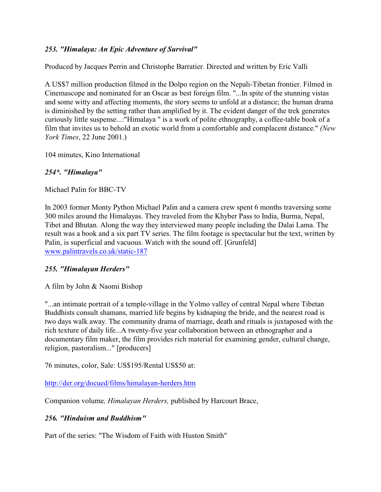### *253. "Himalaya: An Epic Adventure of Survival"*

Produced by Jacques Perrin and Christophe Barratier. Directed and written by Eric Valli

A US\$7 million production filmed in the Dolpo region on the Nepali-Tibetan frontier. Filmed in Cinemascope and nominated for an Oscar as best foreign film. "...In spite of the stunning vistas and some witty and affecting moments, the story seems to unfold at a distance; the human drama is diminished by the setting rather than amplified by it. The evident danger of the trek generates curiously little suspense...:"Himalaya " is a work of polite ethnography, a coffee-table book of a film that invites us to behold an exotic world from a comfortable and complacent distance." *(New York Times*, 22 June 2001.)

104 minutes, Kino International

### *254\*. "Himalaya"*

Michael Palin for BBC-TV

In 2003 former Monty Python Michael Palin and a camera crew spent 6 months traversing some 300 miles around the Himalayas. They traveled from the Khyber Pass to India, Burma, Nepal, Tibet and Bhutan. Along the way they interviewed many people including the Dalai Lama. The result was a book and a six part TV series. The film footage is spectacular but the text, written by Palin, is superficial and vacuous. Watch with the sound off. [Grunfeld] [www.palintravels.co.uk/static-187](http://www.palintravel.co.uk/static-187)

### *255. "Himalayan Herders"*

A film by John & Naomi Bishop

"...an intimate portrait of a temple-village in the Yolmo valley of central Nepal where Tibetan Buddhists consult shamans, married life begins by kidnaping the bride, and the nearest road is two days walk away. The community drama of marriage, death and rituals is juxtaposed with the rich texture of daily life...A twenty-five year collaboration between an ethnographer and a documentary film maker, the film provides rich material for examining gender, cultural change, religion, pastoralism..." [producers]

76 minutes, color, Sale: US\$195/Rental US\$50 at:

<http://der.org/docued/films/himalayan-herders.htm>

Companion volume*, Himalayan Herders,* published by Harcourt Brace,

# *256. "Hinduism and Buddhism"*

Part of the series: "The Wisdom of Faith with Huston Smith"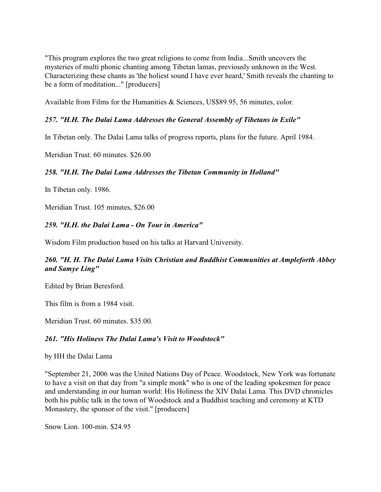"This program explores the two great religions to come from India...Smith uncovers the mysteries of multi phonic chanting among Tibetan lamas, previously unknown in the West. Characterizing these chants as 'the holiest sound I have ever heard,' Smith reveals the chanting to be a form of meditation..." [producers]

Available from Films for the Humanities & Sciences, US\$89.95, 56 minutes, color.

### *257. "H.H. The Dalai Lama Addresses the General Assembly of Tibetans in Exile"*

In Tibetan only. The Dalai Lama talks of progress reports, plans for the future. April 1984.

Meridian Trust. 60 minutes. \$26.00

#### *258. "H.H. The Dalai Lama Addresses the Tibetan Community in Holland"*

In Tibetan only. 1986.

Meridian Trust. 105 minutes, \$26.00

#### *259. "H.H. the Dalai Lama - On Tour in America"*

Wisdom Film production based on his talks at Harvard University.

#### *260. "H. H. The Dalai Lama Visits Christian and Buddhist Communities at Ampleforth Abbey and Samye Ling"*

Edited by Brian Beresford.

This film is from a 1984 visit.

Meridian Trust. 60 minutes. \$35.00.

#### *261. "His Holiness The Dalai Lama's Visit to Woodstock"*

by HH the Dalai Lama

"September 21, 2006 was the United Nations Day of Peace. Woodstock, New York was fortunate to have a visit on that day from "a simple monk" who is one of the leading spokesmen for peace and understanding in our human world: His Holiness the XIV Dalai Lama. This DVD chronicles both his public talk in the town of Woodstock and a Buddhist teaching and ceremony at KTD Monastery, the sponsor of the visit." [producers]

Snow Lion. 100-min. \$24.95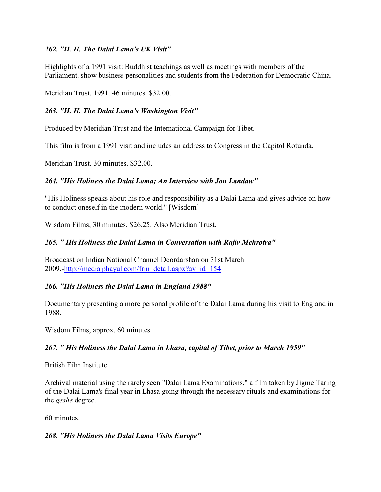### *262. "H. H. The Dalai Lama's UK Visit"*

Highlights of a 1991 visit: Buddhist teachings as well as meetings with members of the Parliament, show business personalities and students from the Federation for Democratic China.

Meridian Trust. 1991. 46 minutes. \$32.00.

### *263. "H. H. The Dalai Lama's Washington Visit"*

Produced by Meridian Trust and the International Campaign for Tibet.

This film is from a 1991 visit and includes an address to Congress in the Capitol Rotunda.

Meridian Trust. 30 minutes. \$32.00.

#### *264. "His Holiness the Dalai Lama; An Interview with Jon Landaw"*

"His Holiness speaks about his role and responsibility as a Dalai Lama and gives advice on how to conduct oneself in the modern world." [Wisdom]

Wisdom Films, 30 minutes. \$26.25. Also Meridian Trust.

#### *265. " His Holiness the Dalai Lama in Conversation with Rajiv Mehrotra"*

Broadcast on Indian National Channel Doordarshan on 31st March 2009.[-http://media.phayul.com/frm\\_detail.aspx?av\\_id=154](http://media.phayul.com/frm_detail.aspx?av_id=154)

#### *266. "His Holiness the Dalai Lama in England 1988"*

Documentary presenting a more personal profile of the Dalai Lama during his visit to England in 1988.

Wisdom Films, approx. 60 minutes.

### *267. " His Holiness the Dalai Lama in Lhasa, capital of Tibet, prior to March 1959"*

British Film Institute

Archival material using the rarely seen "Dalai Lama Examinations," a film taken by Jigme Taring of the Dalai Lama's final year in Lhasa going through the necessary rituals and examinations for the *geshe* degree.

60 minutes.

#### *268. "His Holiness the Dalai Lama Visits Europe"*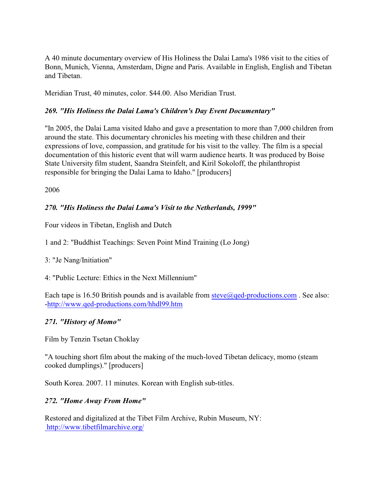A 40 minute documentary overview of His Holiness the Dalai Lama's 1986 visit to the cities of Bonn, Munich, Vienna, Amsterdam, Digne and Paris. Available in English, English and Tibetan and Tibetan.

Meridian Trust, 40 minutes, color. \$44.00. Also Meridian Trust.

### *269. "His Holiness the Dalai Lama's Children's Day Event Documentary"*

"In 2005, the Dalai Lama visited Idaho and gave a presentation to more than 7,000 children from around the state. This documentary chronicles his meeting with these children and their expressions of love, compassion, and gratitude for his visit to the valley. The film is a special documentation of this historic event that will warm audience hearts. It was produced by Boise State University film student, Saandra Steinfelt, and Kiril Sokoloff, the philanthropist responsible for bringing the Dalai Lama to Idaho." [producers]

2006

### *270. "His Holiness the Dalai Lama's Visit to the Netherlands, 1999"*

Four videos in Tibetan, English and Dutch

1 and 2: "Buddhist Teachings: Seven Point Mind Training (Lo Jong)

### 3: "Je Nang/Initiation"

4: "Public Lecture: Ethics in the Next Millennium"

Each tape is 16.50 British pounds and is available from [steve@qed-productions.com](mailto:steve@qed-productions.com). See also: [-http://www.qed-productions.com/hhdl99.htm](http://www.qed-productions.com/hhdl99.htm)

### *271. "History of Momo"*

Film by Tenzin Tsetan Choklay

"A touching short film about the making of the much-loved Tibetan delicacy, momo (steam cooked dumplings)." [producers]

South Korea. 2007. 11 minutes. Korean with English sub-titles.

### *272. "Home Away From Home"*

Restored and digitalized at the Tibet Film Archive, Rubin Museum, NY: <http://www.tibetfilmarchive.org/>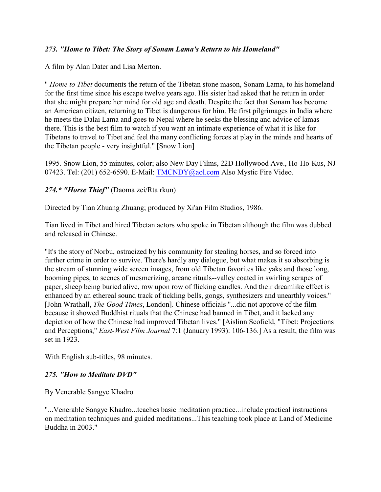### *273. "Home to Tibet: The Story of Sonam Lama's Return to his Homeland"*

A film by Alan Dater and Lisa Merton.

" *Home to Tibet* documents the return of the Tibetan stone mason, Sonam Lama, to his homeland for the first time since his escape twelve years ago. His sister had asked that he return in order that she might prepare her mind for old age and death. Despite the fact that Sonam has become an American citizen, returning to Tibet is dangerous for him. He first pilgrimages in India where he meets the Dalai Lama and goes to Nepal where he seeks the blessing and advice of lamas there. This is the best film to watch if you want an intimate experience of what it is like for Tibetans to travel to Tibet and feel the many conflicting forces at play in the minds and hearts of the Tibetan people - very insightful." [Snow Lion]

1995. Snow Lion, 55 minutes, color; also New Day Films, 22D Hollywood Ave., Ho-Ho-Kus, NJ 07423. Tel: (201) 652-6590. E-Mail: [TMCNDY@aol.com](mailto:TMCNDY@aol.com) Also Mystic Fire Video.

#### *274.\* "Horse Thief"* (Daoma zei/Rta rkun)

Directed by Tian Zhuang Zhuang; produced by Xi'an Film Studios, 1986.

Tian lived in Tibet and hired Tibetan actors who spoke in Tibetan although the film was dubbed and released in Chinese.

"It's the story of Norbu, ostracized by his community for stealing horses, and so forced into further crime in order to survive. There's hardly any dialogue, but what makes it so absorbing is the stream of stunning wide screen images, from old Tibetan favorites like yaks and those long, booming pipes, to scenes of mesmerizing, arcane rituals--valley coated in swirling scrapes of paper, sheep being buried alive, row upon row of flicking candles. And their dreamlike effect is enhanced by an ethereal sound track of tickling bells, gongs, synthesizers and unearthly voices." [John Wrathall, *The Good Times*, London]. Chinese officials "...did not approve of the film because it showed Buddhist rituals that the Chinese had banned in Tibet, and it lacked any depiction of how the Chinese had improved Tibetan lives." [Aislinn Scofield, "Tibet: Projections and Perceptions," *East-West Film Journal* 7:1 (January 1993): 106-136.] As a result, the film was set in 1923.

With English sub-titles, 98 minutes.

#### *275. "How to Meditate DVD"*

By Venerable Sangye Khadro

"...Venerable Sangye Khadro...teaches basic meditation practice...include practical instructions on meditation techniques and guided meditations...This teaching took place at Land of Medicine Buddha in 2003."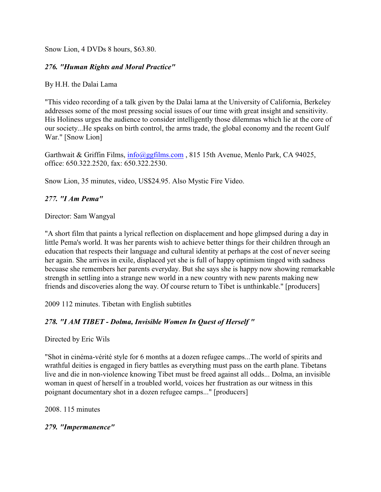Snow Lion, 4 DVDs 8 hours, \$63.80.

### *276. "Human Rights and Moral Practice"*

By H.H. the Dalai Lama

"This video recording of a talk given by the Dalai lama at the University of California, Berkeley addresses some of the most pressing social issues of our time with great insight and sensitivity. His Holiness urges the audience to consider intelligently those dilemmas which lie at the core of our society...He speaks on birth control, the arms trade, the global economy and the recent Gulf War." [Snow Lion]

Garthwait & Griffin Films, [info@ggfilms.com](mailto:info@ggfilms.com), 815 15th Avenue, Menlo Park, CA 94025, office: 650.322.2520, fax: 650.322.2530.

Snow Lion, 35 minutes, video, US\$24.95. Also Mystic Fire Video.

## *277. "I Am Pema"*

Director: Sam Wangyal

"A short film that paints a lyrical reflection on displacement and hope glimpsed during a day in little Pema's world. It was her parents wish to achieve better things for their children through an education that respects their language and cultural identity at perhaps at the cost of never seeing her again. She arrives in exile, displaced yet she is full of happy optimism tinged with sadness becuase she remembers her parents everyday. But she says she is happy now showing remarkable strength in settling into a strange new world in a new country with new parents making new friends and discoveries along the way. Of course return to Tibet is unthinkable." [producers]

2009 112 minutes. Tibetan with English subtitles

# *278. "I AM TIBET - Dolma, Invisible Women In Quest of Herself "*

Directed by Eric Wils

"Shot in cinéma-vérité style for 6 months at a dozen refugee camps...The world of spirits and wrathful deities is engaged in fiery battles as everything must pass on the earth plane. Tibetans live and die in non-violence knowing Tibet must be freed against all odds... Dolma, an invisible woman in quest of herself in a troubled world, voices her frustration as our witness in this poignant documentary shot in a dozen refugee camps..." [producers]

2008. 115 minutes

*279. "Impermanence"*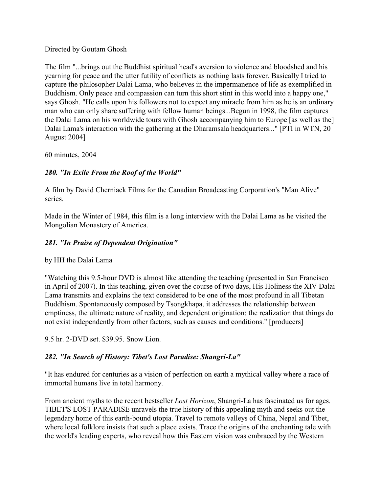Directed by Goutam Ghosh

The film "...brings out the Buddhist spiritual head's aversion to violence and bloodshed and his yearning for peace and the utter futility of conflicts as nothing lasts forever. Basically I tried to capture the philosopher Dalai Lama, who believes in the impermanence of life as exemplified in Buddhism. Only peace and compassion can turn this short stint in this world into a happy one," says Ghosh. "He calls upon his followers not to expect any miracle from him as he is an ordinary man who can only share suffering with fellow human beings...Begun in 1998, the film captures the Dalai Lama on his worldwide tours with Ghosh accompanying him to Europe [as well as the] Dalai Lama's interaction with the gathering at the Dharamsala headquarters..." [PTI in WTN, 20 August 2004]

60 minutes, 2004

# *280. "In Exile From the Roof of the World"*

A film by David Cherniack Films for the Canadian Broadcasting Corporation's "Man Alive" series.

Made in the Winter of 1984, this film is a long interview with the Dalai Lama as he visited the Mongolian Monastery of America.

# *281. "In Praise of Dependent Origination"*

by HH the Dalai Lama

"Watching this 9.5-hour DVD is almost like attending the teaching (presented in San Francisco in April of 2007). In this teaching, given over the course of two days, His Holiness the XIV Dalai Lama transmits and explains the text considered to be one of the most profound in all Tibetan Buddhism. Spontaneously composed by Tsongkhapa, it addresses the relationship between emptiness, the ultimate nature of reality, and dependent origination: the realization that things do not exist independently from other factors, such as causes and conditions." [producers]

9.5 hr. 2-DVD set. \$39.95. Snow Lion.

# *282. "In Search of History: Tibet's Lost Paradise: Shangri-La"*

"It has endured for centuries as a vision of perfection on earth a mythical valley where a race of immortal humans live in total harmony.

From ancient myths to the recent bestseller *Lost Horizon*, Shangri-La has fascinated us for ages. TIBET'S LOST PARADISE unravels the true history of this appealing myth and seeks out the legendary home of this earth-bound utopia. Travel to remote valleys of China, Nepal and Tibet, where local folklore insists that such a place exists. Trace the origins of the enchanting tale with the world's leading experts, who reveal how this Eastern vision was embraced by the Western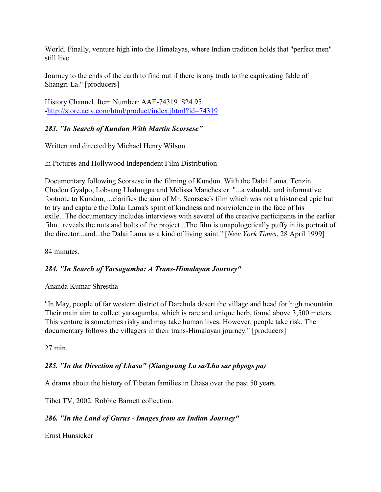World. Finally, venture high into the Himalayas, where Indian tradition holds that "perfect men" still live.

Journey to the ends of the earth to find out if there is any truth to the captivating fable of Shangri-La." [producers]

History Channel. Item Number: AAE-74319. \$24.95: [-http://store.aetv.com/html/product/index.jhtml?id=74319](http://store.aetv.com/html/product/index.jhtml?id=74319)

# *283. "In Search of Kundun With Martin Scorsese"*

Written and directed by Michael Henry Wilson

In Pictures and Hollywood Independent Film Distribution

Documentary following Scorsese in the filming of Kundun. With the Dalai Lama, Tenzin Chodon Gyalpo, Lobsang Lhalungpa and Melissa Manchester. "...a valuable and informative footnote to Kundun, ...clarifies the aim of Mr. Scorsese's film which was not a historical epic but to try and capture the Dalai Lama's spirit of kindness and nonviolence in the face of his exile...The documentary includes interviews with several of the creative participants in the earlier film...reveals the nuts and bolts of the project...The film is unapologetically puffy in its portrait of the director...and...the Dalai Lama as a kind of living saint." [*New York Times*, 28 April 1999]

84 minutes.

# *284. "In Search of Yarsagumba: A Trans-Himalayan Journey"*

Ananda Kumar Shrestha

"In May, people of far western district of Darchula desert the village and head for high mountain. Their main aim to collect yarsagumba, which is rare and unique herb, found above 3,500 meters. This venture is sometimes risky and may take human lives. However, people take risk. The documentary follows the villagers in their trans-Himalayan journey." [producers]

27 min.

# *285. "In the Direction of Lhasa" (Xiangwang La sa/Lha sar phyogs pa)*

A drama about the history of Tibetan families in Lhasa over the past 50 years.

Tibet TV, 2002. Robbie Barnett collection.

# *286. "In the Land of Gurus - Images from an Indian Journey"*

Ernst Hunsicker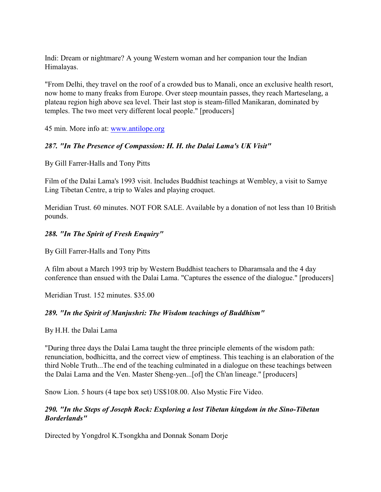Indi: Dream or nightmare? A young Western woman and her companion tour the Indian Himalayas.

"From Delhi, they travel on the roof of a crowded bus to Manali, once an exclusive health resort, now home to many freaks from Europe. Over steep mountain passes, they reach Marteselang, a plateau region high above sea level. Their last stop is steam-filled Manikaran, dominated by temples. The two meet very different local people." [producers]

45 min. More info at: [www.antilope.org](http://www.antilope.org)

### *287. "In The Presence of Compassion: H. H. the Dalai Lama's UK Visit"*

By Gill Farrer-Halls and Tony Pitts

Film of the Dalai Lama's 1993 visit. Includes Buddhist teachings at Wembley, a visit to Samye Ling Tibetan Centre, a trip to Wales and playing croquet.

Meridian Trust. 60 minutes. NOT FOR SALE. Available by a donation of not less than 10 British pounds.

### *288. "In The Spirit of Fresh Enquiry"*

By Gill Farrer-Halls and Tony Pitts

A film about a March 1993 trip by Western Buddhist teachers to Dharamsala and the 4 day conference than ensued with the Dalai Lama. "Captures the essence of the dialogue." [producers]

Meridian Trust. 152 minutes. \$35.00

### *289. "In the Spirit of Manjushri: The Wisdom teachings of Buddhism"*

By H.H. the Dalai Lama

"During three days the Dalai Lama taught the three principle elements of the wisdom path: renunciation, bodhicitta, and the correct view of emptiness. This teaching is an elaboration of the third Noble Truth...The end of the teaching culminated in a dialogue on these teachings between the Dalai Lama and the Ven. Master Sheng-yen...[of] the Ch'an lineage." [producers]

Snow Lion. 5 hours (4 tape box set) US\$108.00. Also Mystic Fire Video.

### *290. "In the Steps of Joseph Rock: Exploring a lost Tibetan kingdom in the Sino-Tibetan Borderlands"*

Directed by Yongdrol K.Tsongkha and Donnak Sonam Dorje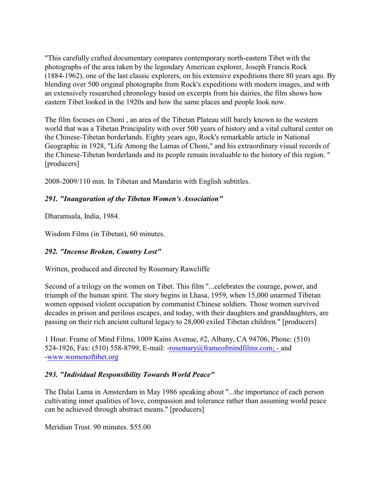"This carefully crafted documentary compares contemporary north-eastern Tibet with the photographs of the area taken by the legendary American explorer, Joseph Francis Rock (1884-1962), one of the last classic explorers, on his extensive expeditions there 80 years ago. By blending over 500 original photographs from Rock's expeditions with modern images, and with an extensively researched chronology based on excerpts from his dairies, the film shows how eastern Tibet looked in the 1920s and how the same places and people look now.

The film focuses on Choni , an area of the Tibetan Plateau still barely known to the western world that was a Tibetan Principality with over 500 years of history and a vital cultural center on the Chinese-Tibetan borderlands. Eighty years ago, Rock's remarkable article in National Geographic in 1928, "Life Among the Lamas of Choni," and his extraordinary visual records of the Chinese-Tibetan borderlands and its people remain invaluable to the history of this region. " [producers]

2008-2009/110 min. In Tibetan and Mandarin with English subtitles.

# *291. "Inauguration of the Tibetan Women's Association"*

Dharamsala, India, 1984.

Wisdom Films (in Tibetan), 60 minutes.

# *292. "Incense Broken, Country Lost"*

Written, produced and directed by Rosemary Rawcliffe

Second of a trilogy on the women on Tibet. This film "...celebrates the courage, power, and triumph of the human spirit. The story begins in Lhasa, 1959, when 15,000 unarmed Tibetan women opposed violent occupation by communist Chinese soldiers. Those women survived decades in prison and perilous escapes, and today, with their daughters and granddaughters, are passing on their rich ancient cultural legacy to 28,000 exiled Tibetan children." [producers]

1 Hour. Frame of Mind Films, 1009 Kains Avenue, #2, Albany, CA 94706, Phone: (510) 524-1926, Fax: (510) 558-8799, E-mail: [-rosemary@frameofmindfilms.com; -](mailto:rosemary@frameofmindfilms.com) and [-www.womenoftibet.org](http://www.womenoftibet.org)

### *293. "Individual Responsibility Towards World Peace"*

The Dalai Lama in Amsterdam in May 1986 speaking about "...the importance of each person cultivating inner qualities of love, compassion and tolerance rather than assuming world peace can be achieved through abstract means." [producers]

Meridian Trust. 90 minutes. \$55.00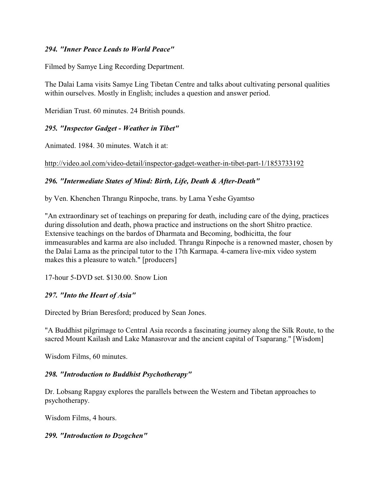### *294. "Inner Peace Leads to World Peace"*

Filmed by Samye Ling Recording Department.

The Dalai Lama visits Samye Ling Tibetan Centre and talks about cultivating personal qualities within ourselves. Mostly in English; includes a question and answer period.

Meridian Trust. 60 minutes. 24 British pounds.

### *295. "Inspector Gadget - Weather in Tibet"*

Animated. 1984. 30 minutes. Watch it at:

http://video.aol.com/video-detail/inspector-gadget-weather-in-tibet-part-1/1853733192

# *296. "Intermediate States of Mind: Birth, Life, Death & After-Death"*

by Ven. Khenchen Thrangu Rinpoche, trans. by Lama Yeshe Gyamtso

"An extraordinary set of teachings on preparing for death, including care of the dying, practices during dissolution and death, phowa practice and instructions on the short Shitro practice. Extensive teachings on the bardos of Dharmata and Becoming, bodhicitta, the four immeasurables and karma are also included. Thrangu Rinpoche is a renowned master, chosen by the Dalai Lama as the principal tutor to the 17th Karmapa. 4-camera live-mix video system makes this a pleasure to watch." [producers]

17-hour 5-DVD set. \$130.00. Snow Lion

# *297. "Into the Heart of Asia"*

Directed by Brian Beresford; produced by Sean Jones.

"A Buddhist pilgrimage to Central Asia records a fascinating journey along the Silk Route, to the sacred Mount Kailash and Lake Manasrovar and the ancient capital of Tsaparang." [Wisdom]

Wisdom Films, 60 minutes.

### *298. "Introduction to Buddhist Psychotherapy"*

Dr. Lobsang Rapgay explores the parallels between the Western and Tibetan approaches to psychotherapy.

Wisdom Films, 4 hours.

### *299. "Introduction to Dzogchen"*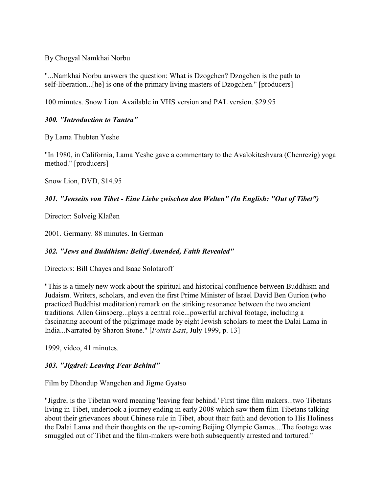By Chogyal Namkhai Norbu

"...Namkhai Norbu answers the question: What is Dzogchen? Dzogchen is the path to self-liberation...[he] is one of the primary living masters of Dzogchen." [producers]

100 minutes. Snow Lion. Available in VHS version and PAL version. \$29.95

### *300. "Introduction to Tantra"*

By Lama Thubten Yeshe

"In 1980, in California, Lama Yeshe gave a commentary to the Avalokiteshvara (Chenrezig) yoga method." [producers]

Snow Lion, DVD, \$14.95

### *301. "Jenseits von Tibet - Eine Liebe zwischen den Welten" (In English: "Out of Tibet")*

Director: Solveig Klaßen

2001. Germany. 88 minutes. In German

# *302. "Jews and Buddhism: Belief Amended, Faith Revealed"*

Directors: Bill Chayes and Isaac Solotaroff

"This is a timely new work about the spiritual and historical confluence between Buddhism and Judaism. Writers, scholars, and even the first Prime Minister of Israel David Ben Gurion (who practiced Buddhist meditation) remark on the striking resonance between the two ancient traditions. Allen Ginsberg...plays a central role...powerful archival footage, including a fascinating account of the pilgrimage made by eight Jewish scholars to meet the Dalai Lama in India...Narrated by Sharon Stone." [*Points East*, July 1999, p. 13]

1999, video, 41 minutes.

# *303. "Jigdrel: Leaving Fear Behind"*

Film by Dhondup Wangchen and Jigme Gyatso

"Jigdrel is the Tibetan word meaning 'leaving fear behind.' First time film makers...two Tibetans living in Tibet, undertook a journey ending in early 2008 which saw them film Tibetans talking about their grievances about Chinese rule in Tibet, about their faith and devotion to His Holiness the Dalai Lama and their thoughts on the up-coming Beijing Olympic Games....The footage was smuggled out of Tibet and the film-makers were both subsequently arrested and tortured."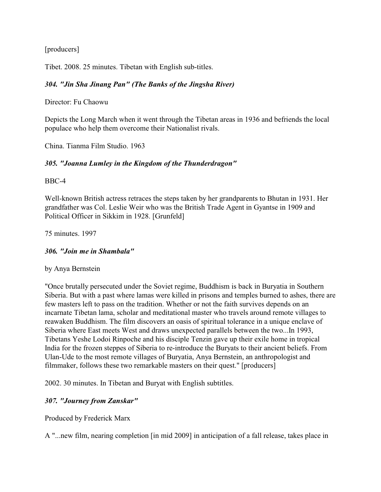[producers]

Tibet. 2008. 25 minutes. Tibetan with English sub-titles.

### *304. "Jin Sha Jinang Pan" (The Banks of the Jingsha River)*

Director: Fu Chaowu

Depicts the Long March when it went through the Tibetan areas in 1936 and befriends the local populace who help them overcome their Nationalist rivals.

China. Tianma Film Studio. 1963

### *305. "Joanna Lumley in the Kingdom of the Thunderdragon"*

BBC-4

Well-known British actress retraces the steps taken by her grandparents to Bhutan in 1931. Her grandfather was Col. Leslie Weir who was the British Trade Agent in Gyantse in 1909 and Political Officer in Sikkim in 1928. [Grunfeld]

75 minutes. 1997

### *306. "Join me in Shambala"*

by Anya Bernstein

"Once brutally persecuted under the Soviet regime, Buddhism is back in Buryatia in Southern Siberia. But with a past where lamas were killed in prisons and temples burned to ashes, there are few masters left to pass on the tradition. Whether or not the faith survives depends on an incarnate Tibetan lama, scholar and meditational master who travels around remote villages to reawaken Buddhism. The film discovers an oasis of spiritual tolerance in a unique enclave of Siberia where East meets West and draws unexpected parallels between the two...In 1993, Tibetans Yeshe Lodoi Rinpoche and his disciple Tenzin gave up their exile home in tropical India for the frozen steppes of Siberia to re-introduce the Buryats to their ancient beliefs. From Ulan-Ude to the most remote villages of Buryatia, Anya Bernstein, an anthropologist and filmmaker, follows these two remarkable masters on their quest." [producers]

2002. 30 minutes. In Tibetan and Buryat with English subtitles.

### *307. "Journey from Zanskar"*

Produced by Frederick Marx

A "...new film, nearing completion [in mid 2009] in anticipation of a fall release, takes place in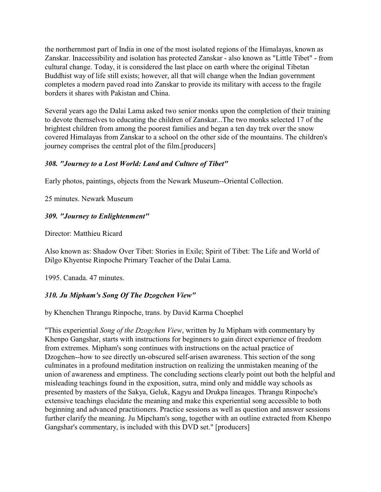the northernmost part of India in one of the most isolated regions of the Himalayas, known as Zanskar. Inaccessibility and isolation has protected Zanskar - also known as "Little Tibet" - from cultural change. Today, it is considered the last place on earth where the original Tibetan Buddhist way of life still exists; however, all that will change when the Indian government completes a modern paved road into Zanskar to provide its military with access to the fragile borders it shares with Pakistan and China.

Several years ago the Dalai Lama asked two senior monks upon the completion of their training to devote themselves to educating the children of Zanskar...The two monks selected 17 of the brightest children from among the poorest families and began a ten day trek over the snow covered Himalayas from Zanskar to a school on the other side of the mountains. The children's journey comprises the central plot of the film.[producers]

### *308. "Journey to a Lost World: Land and Culture of Tibet"*

Early photos, paintings, objects from the Newark Museum--Oriental Collection.

25 minutes. Newark Museum

# *309. "Journey to Enlightenment"*

Director: Matthieu Ricard

Also known as: Shadow Over Tibet: Stories in Exile; Spirit of Tibet: The Life and World of Dilgo Khyentse Rinpoche Primary Teacher of the Dalai Lama.

1995. Canada. 47 minutes.

# *310. Ju Mipham's Song Of The Dzogchen View"*

by Khenchen Thrangu Rinpoche, trans. by David Karma Choephel

"This experiential *Song of the Dzogchen View*, written by Ju Mipham with commentary by Khenpo Gangshar, starts with instructions for beginners to gain direct experience of freedom from extremes. Mipham's song continues with instructions on the actual practice of Dzogchen--how to see directly un-obscured self-arisen awareness. This section of the song culminates in a profound meditation instruction on realizing the unmistaken meaning of the union of awareness and emptiness. The concluding sections clearly point out both the helpful and misleading teachings found in the exposition, sutra, mind only and middle way schools as presented by masters of the Sakya, Geluk, Kagyu and Drukpa lineages. Thrangu Rinpoche's extensive teachings elucidate the meaning and make this experiential song accessible to both beginning and advanced practitioners. Practice sessions as well as question and answer sessions further clarify the meaning. Ju Mipcham's song, together with an outline extracted from Khenpo Gangshar's commentary, is included with this DVD set." [producers]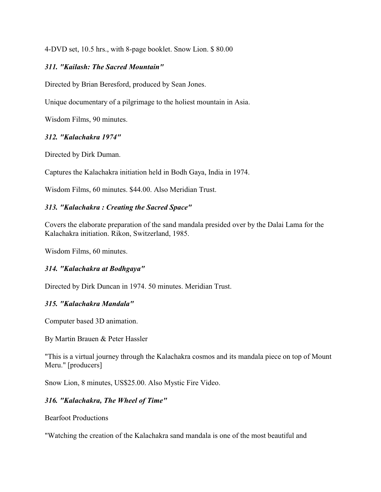4-DVD set, 10.5 hrs., with 8-page booklet. Snow Lion. \$ 80.00

#### *311. "Kailash: The Sacred Mountain"*

Directed by Brian Beresford, produced by Sean Jones.

Unique documentary of a pilgrimage to the holiest mountain in Asia.

Wisdom Films, 90 minutes.

#### *312. "Kalachakra 1974"*

Directed by Dirk Duman.

Captures the Kalachakra initiation held in Bodh Gaya, India in 1974.

Wisdom Films, 60 minutes. \$44.00. Also Meridian Trust.

#### *313. "Kalachakra : Creating the Sacred Space"*

Covers the elaborate preparation of the sand mandala presided over by the Dalai Lama for the Kalachakra initiation. Rikon, Switzerland, 1985.

Wisdom Films, 60 minutes.

### *314. "Kalachakra at Bodhgaya"*

Directed by Dirk Duncan in 1974. 50 minutes. Meridian Trust.

#### *315. "Kalachakra Mandala"*

Computer based 3D animation.

By Martin Brauen & Peter Hassler

"This is a virtual journey through the Kalachakra cosmos and its mandala piece on top of Mount Meru." [producers]

Snow Lion, 8 minutes, US\$25.00. Also Mystic Fire Video.

### *316. "Kalachakra, The Wheel of Time"*

Bearfoot Productions

"Watching the creation of the Kalachakra sand mandala is one of the most beautiful and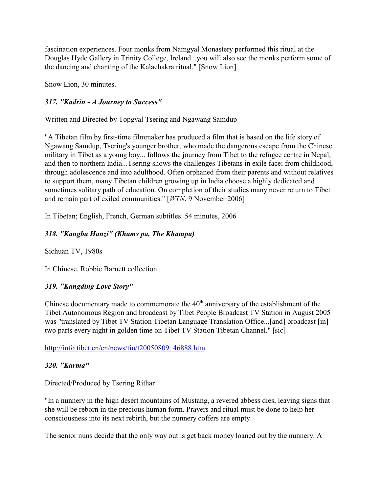fascination experiences. Four monks from Namgyal Monastery performed this ritual at the Douglas Hyde Gallery in Trinity College, Ireland...you will also see the monks perform some of the dancing and chanting of the Kalachakra ritual." [Snow Lion]

Snow Lion, 30 minutes.

### *317. "Kadrin - A Journey to Success"*

Written and Directed by Topgyal Tsering and Ngawang Samdup

"A Tibetan film by first-time filmmaker has produced a film that is based on the life story of Ngawang Samdup, Tsering's younger brother, who made the dangerous escape from the Chinese military in Tibet as a young boy... follows the journey from Tibet to the refugee centre in Nepal, and then to northern India...Tsering shows the challenges Tibetans in exile face; from childhood, through adolescence and into adulthood. Often orphaned from their parents and without relatives to support them, many Tibetan children growing up in India choose a highly dedicated and sometimes solitary path of education. On completion of their studies many never return to Tibet and remain part of exiled communities." [*WTN*, 9 November 2006]

In Tibetan; English, French, German subtitles. 54 minutes, 2006

### *318. "Kangba Hanzi" (Khams pa, The Khampa)*

Sichuan TV, 1980s

In Chinese. Robbie Barnett collection.

### *319. "Kangding Love Story"*

Chinese documentary made to commemorate the  $40<sup>th</sup>$  anniversary of the establishment of the Tibet Autonomous Region and broadcast by Tibet People Broadcast TV Station in August 2005 was "translated by Tibet TV Station Tibetan Language Translation Office...[and] broadcast [in] two parts every night in golden time on Tibet TV Station Tibetan Channel." [sic]

[http://info.tibet.cn/en/news/tin/t20050809\\_46888.htm](http://info.tibet.cn/en/news/tin/t20050809_46888.htm)

### *320. "Karma"*

Directed/Produced by Tsering Rithar

"In a nunnery in the high desert mountains of Mustang, a revered abbess dies, leaving signs that she will be reborn in the precious human form. Prayers and ritual must be done to help her consciousness into its next rebirth, but the nunnery coffers are empty.

The senior nuns decide that the only way out is get back money loaned out by the nunnery. A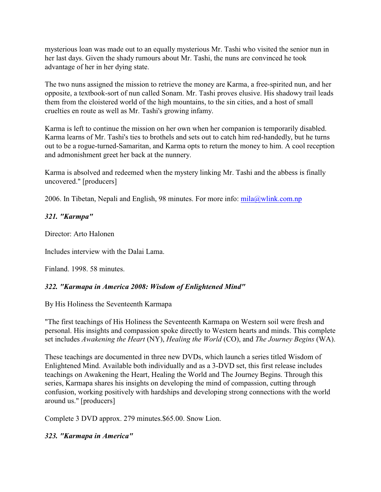mysterious loan was made out to an equally mysterious Mr. Tashi who visited the senior nun in her last days. Given the shady rumours about Mr. Tashi, the nuns are convinced he took advantage of her in her dying state.

The two nuns assigned the mission to retrieve the money are Karma, a free-spirited nun, and her opposite, a textbook-sort of nun called Sonam. Mr. Tashi proves elusive. His shadowy trail leads them from the cloistered world of the high mountains, to the sin cities, and a host of small cruelties en route as well as Mr. Tashi's growing infamy.

Karma is left to continue the mission on her own when her companion is temporarily disabled. Karma learns of Mr. Tashi's ties to brothels and sets out to catch him red-handedly, but he turns out to be a rogue-turned-Samaritan, and Karma opts to return the money to him. A cool reception and admonishment greet her back at the nunnery.

Karma is absolved and redeemed when the mystery linking Mr. Tashi and the abbess is finally uncovered." [producers]

2006. In Tibetan, Nepali and English, 98 minutes. For more info:  $mila@wlink.com,np$ 

### *321. "Karmpa"*

Director: Arto Halonen

Includes interview with the Dalai Lama.

Finland. 1998. 58 minutes.

### *322. "Karmapa in America 2008: Wisdom of Enlightened Mind"*

By His Holiness the Seventeenth Karmapa

"The first teachings of His Holiness the Seventeenth Karmapa on Western soil were fresh and personal. His insights and compassion spoke directly to Western hearts and minds. This complete set includes *Awakening the Heart* (NY), *Healing the World* (CO), and *The Journey Begins* (WA).

These teachings are documented in three new DVDs, which launch a series titled Wisdom of Enlightened Mind. Available both individually and as a 3-DVD set, this first release includes teachings on Awakening the Heart, Healing the World and The Journey Begins. Through this series, Karmapa shares his insights on developing the mind of compassion, cutting through confusion, working positively with hardships and developing strong connections with the world around us." [producers]

Complete 3 DVD approx. 279 minutes.\$65.00. Snow Lion.

### *323. "Karmapa in America"*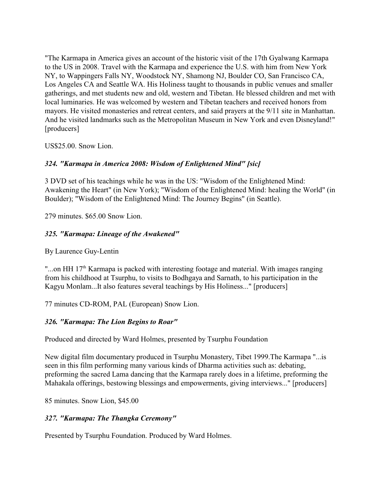"The Karmapa in America gives an account of the historic visit of the 17th Gyalwang Karmapa to the US in 2008. Travel with the Karmapa and experience the U.S. with him from New York NY, to Wappingers Falls NY, Woodstock NY, Shamong NJ, Boulder CO, San Francisco CA, Los Angeles CA and Seattle WA. His Holiness taught to thousands in public venues and smaller gatherings, and met students new and old, western and Tibetan. He blessed children and met with local luminaries. He was welcomed by western and Tibetan teachers and received honors from mayors. He visited monasteries and retreat centers, and said prayers at the 9/11 site in Manhattan. And he visited landmarks such as the Metropolitan Museum in New York and even Disneyland!" [producers]

US\$25.00. Snow Lion.

# *324. "Karmapa in America 2008: Wisdom of Enlightened Mind" [sic]*

3 DVD set of his teachings while he was in the US: "Wisdom of the Enlightened Mind: Awakening the Heart" (in New York); "Wisdom of the Enlightened Mind: healing the World" (in Boulder); "Wisdom of the Enlightened Mind: The Journey Begins" (in Seattle).

279 minutes. \$65.00 Snow Lion.

# *325. "Karmapa: Lineage of the Awakened"*

By Laurence Guy-Lentin

"...on HH  $17<sup>th</sup>$  Karmapa is packed with interesting footage and material. With images ranging from his childhood at Tsurphu, to visits to Bodhgaya and Sarnath, to his participation in the Kagyu Monlam...It also features several teachings by His Holiness..." [producers]

77 minutes CD-ROM, PAL (European) Snow Lion.

# *326. "Karmapa: The Lion Begins to Roar"*

Produced and directed by Ward Holmes, presented by Tsurphu Foundation

New digital film documentary produced in Tsurphu Monastery, Tibet 1999.The Karmapa "...is seen in this film performing many various kinds of Dharma activities such as: debating, preforming the sacred Lama dancing that the Karmapa rarely does in a lifetime, preforming the Mahakala offerings, bestowing blessings and empowerments, giving interviews..." [producers]

85 minutes. Snow Lion, \$45.00

# *327. "Karmapa: The Thangka Ceremony"*

Presented by Tsurphu Foundation. Produced by Ward Holmes.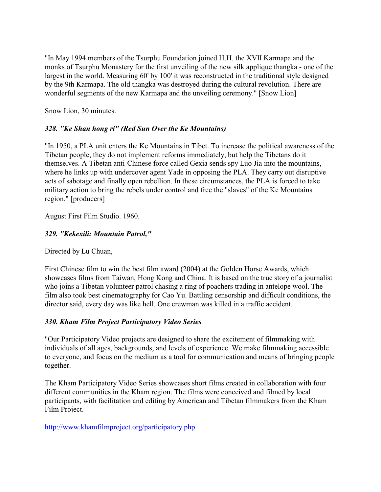"In May 1994 members of the Tsurphu Foundation joined H.H. the XVII Karmapa and the monks of Tsurphu Monastery for the first unveiling of the new silk applique thangka - one of the largest in the world. Measuring 60' by 100' it was reconstructed in the traditional style designed by the 9th Karmapa. The old thangka was destroyed during the cultural revolution. There are wonderful segments of the new Karmapa and the unveiling ceremony." [Snow Lion]

Snow Lion, 30 minutes.

# *328. "Ke Shan hong ri" (Red Sun Over the Ke Mountains)*

"In 1950, a PLA unit enters the Ke Mountains in Tibet. To increase the political awareness of the Tibetan people, they do not implement reforms immediately, but help the Tibetans do it themselves. A Tibetan anti-Chinese force called Gexia sends spy Luo Jia into the mountains, where he links up with undercover agent Yade in opposing the PLA. They carry out disruptive acts of sabotage and finally open rebellion. In these circumstances, the PLA is forced to take military action to bring the rebels under control and free the "slaves" of the Ke Mountains region." [producers]

August First Film Studio. 1960.

# *329. "Kekexili: Mountain Patrol,"*

Directed by Lu Chuan,

First Chinese film to win the best film award (2004) at the Golden Horse Awards, which showcases films from Taiwan, Hong Kong and China. It is based on the true story of a journalist who joins a Tibetan volunteer patrol chasing a ring of poachers trading in antelope wool. The film also took best cinematography for Cao Yu. Battling censorship and difficult conditions, the director said, every day was like hell. One crewman was killed in a traffic accident.

# *330. Kham Film Project Participatory Video Series*

"Our Participatory Video projects are designed to share the excitement of filmmaking with individuals of all ages, backgrounds, and levels of experience. We make filmmaking accessible to everyone, and focus on the medium as a tool for communication and means of bringing people together.

The Kham Participatory Video Series showcases short films created in collaboration with four different communities in the Kham region. The films were conceived and filmed by local participants, with facilitation and editing by American and Tibetan filmmakers from the Kham Film Project.

<http://www.khamfilmproject.org/participatory.php>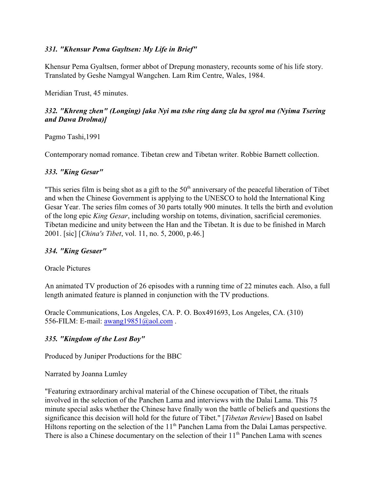### *331. "Khensur Pema Gayltsen: My Life in Brief"*

Khensur Pema Gyaltsen, former abbot of Drepung monastery, recounts some of his life story. Translated by Geshe Namgyal Wangchen. Lam Rim Centre, Wales, 1984.

Meridian Trust, 45 minutes.

### *332. "Khreng zhen" (Longing) [aka Nyi ma tshe ring dang zla ba sgrol ma (Nyima Tsering and Dawa Drolma)]*

Pagmo Tashi,1991

Contemporary nomad romance. Tibetan crew and Tibetan writer. Robbie Barnett collection.

#### *333. "King Gesar"*

"This series film is being shot as a gift to the  $50<sup>th</sup>$  anniversary of the peaceful liberation of Tibet and when the Chinese Government is applying to the UNESCO to hold the International King Gesar Year. The series film comes of 30 parts totally 900 minutes. It tells the birth and evolution of the long epic *King Gesar*, including worship on totems, divination, sacrificial ceremonies. Tibetan medicine and unity between the Han and the Tibetan. It is due to be finished in March 2001. [sic] [*China's Tibet*, vol. 11, no. 5, 2000, p.46.]

### *334. "King Gesaer"*

Oracle Pictures

An animated TV production of 26 episodes with a running time of 22 minutes each. Also, a full length animated feature is planned in conjunction with the TV productions.

Oracle Communications, Los Angeles, CA. P. O. Box491693, Los Angeles, CA. (310) 556-FILM: E-mail: [awang19851@aol.com](mailto:awang19851@aol.com).

### *335. "Kingdom of the Lost Boy"*

Produced by Juniper Productions for the BBC

Narrated by Joanna Lumley

"Featuring extraordinary archival material of the Chinese occupation of Tibet, the rituals involved in the selection of the Panchen Lama and interviews with the Dalai Lama. This 75 minute special asks whether the Chinese have finally won the battle of beliefs and questions the significance this decision will hold for the future of Tibet." [*Tibetan Review*] Based on Isabel Hiltons reporting on the selection of the 11<sup>th</sup> Panchen Lama from the Dalai Lamas perspective. There is also a Chinese documentary on the selection of their  $11<sup>th</sup>$  Panchen Lama with scenes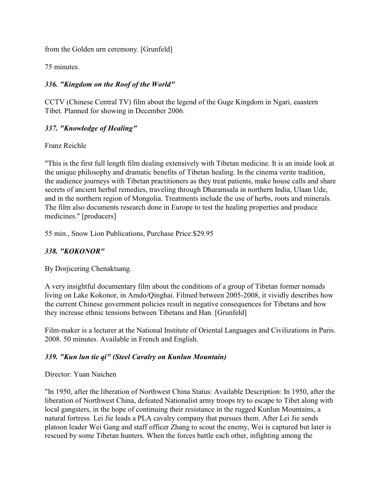from the Golden urn ceremony. [Grunfeld]

75 minutes.

# *336. "Kingdom on the Roof of the World"*

CCTV (Chinese Central TV) film about the legend of the Guge Kingdom in Ngari, eaastern Tibet. Planned for showing in December 2006.

### *337. "Knowledge of Healing"*

Franz Reichle

"This is the first full length film dealing extensively with Tibetan medicine. It is an inside look at the unique philosophy and dramatic benefits of Tibetan healing. In the cinema verite tradition, the audience journeys with Tibetan practitioners as they treat patients, make house calls and share secrets of ancient herbal remedies, traveling through Dharamsala in northern India, Ulaan Ude, and in the northern region of Mongolia. Treatments include the use of herbs, roots and minerals. The film also documents research done in Europe to test the healing properties and produce medicines." [producers]

55 min., Snow Lion Publications, Purchase Price:\$29.95

### *338. "KOKONOR"*

By Dorjicering Chenaktsang.

A very insightful documentary film about the conditions of a group of Tibetan former nomads living on Lake Kokonor, in Amdo/Qinghai. Filmed between 2005-2008, it vividly describes how the current Chinese government policies result in negative consequences for Tibetans and how they increase ethnic tensions between Tibetans and Han. [Grunfeld]

Film-maker is a lecturer at the National Institute of Oriental Languages and Civilizations in Paris. 2008. 50 minutes. Available in French and English.

### *339. "Kun lun tie qi" (Steel Cavalry on Kunlun Mountain)*

### Director: Yuan Naichen

"In 1950, after the liberation of Northwest China Status: Available Description: In 1950, after the liberation of Northwest China, defeated Nationalist army troops try to escape to Tibet along with local gangsters, in the hope of continuing their resistance in the rugged Kunlun Mountains, a natural fortress. Lei Jie leads a PLA cavalry company that pursues them. After Lei Jie sends platoon leader Wei Gang and staff officer Zhang to scout the enemy, Wei is captured but later is rescued by some Tibetan hunters. When the forces battle each other, infighting among the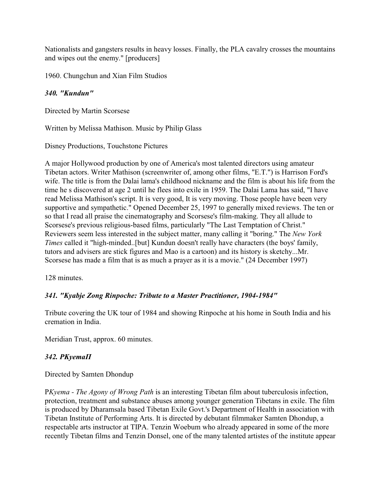Nationalists and gangsters results in heavy losses. Finally, the PLA cavalry crosses the mountains and wipes out the enemy." [producers]

1960. Chungchun and Xian Film Studios

### *340. "Kundun"*

Directed by Martin Scorsese

Written by Melissa Mathison. Music by Philip Glass

Disney Productions, Touchstone Pictures

A major Hollywood production by one of America's most talented directors using amateur Tibetan actors. Writer Mathison (screenwriter of, among other films, "E.T.") is Harrison Ford's wife. The title is from the Dalai lama's childhood nickname and the film is about his life from the time he s discovered at age 2 until he flees into exile in 1959. The Dalai Lama has said, "I have read Melissa Mathison's script. It is very good, It is very moving. Those people have been very supportive and sympathetic." Opened December 25, 1997 to generally mixed reviews. The ten or so that I read all praise the cinematography and Scorsese's film-making. They all allude to Scorsese's previous religious-based films, particularly "The Last Temptation of Christ." Reviewers seem less interested in the subject matter, many calling it "boring." The *New York Times* called it "high-minded..[but] Kundun doesn't really have characters (the boys' family, tutors and advisers are stick figures and Mao is a cartoon) and its history is sketchy...Mr. Scorsese has made a film that is as much a prayer as it is a movie." (24 December 1997)

128 minutes.

### *341. "Kyabje Zong Rinpoche: Tribute to a Master Practitioner, 1904-1984"*

Tribute covering the UK tour of 1984 and showing Rinpoche at his home in South India and his cremation in India.

Meridian Trust, approx. 60 minutes.

### *342. ÐKyemaÏ*

Directed by Samten Dhondup

Ð*Kyema - The Agony of Wrong Path* is an interesting Tibetan film about tuberculosis infection, protection, treatment and substance abuses among younger generation Tibetans in exile. The film is produced by Dharamsala based Tibetan Exile Govt.'s Department of Health in association with Tibetan Institute of Performing Arts. It is directed by debutant filmmaker Samten Dhondup, a respectable arts instructor at TIPA. Tenzin Woebum who already appeared in some of the more recently Tibetan films and Tenzin Donsel, one of the many talented artistes of the institute appear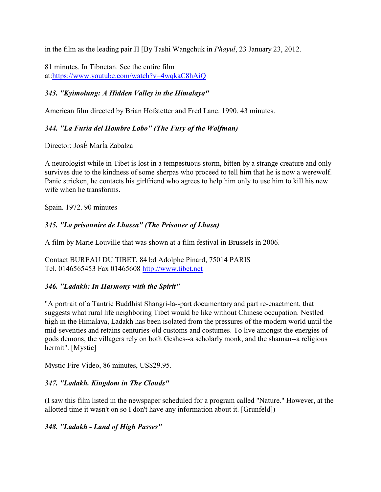in the film as the leading pair. I [By Tashi Wangchuk in *Phayul*, 23 January 23, 2012.

81 minutes. In Tibnetan. See the entire film at:<https://www.youtube.com/watch?v=4wqkaC8hAiQ>

# *343. "Kyimolung: A Hidden Valley in the Himalaya"*

American film directed by Brian Hofstetter and Fred Lane. 1990. 43 minutes.

# *344. "La Furia del Hombre Lobo" (The Fury of the Wolfman)*

Director: JosÉ MarÍa Zabalza

A neurologist while in Tibet is lost in a tempestuous storm, bitten by a strange creature and only survives due to the kindness of some sherpas who proceed to tell him that he is now a werewolf. Panic stricken, he contacts his girlfriend who agrees to help him only to use him to kill his new wife when he transforms.

Spain. 1972. 90 minutes

# *345. "La prisonnire de Lhassa" (The Prisoner of Lhasa)*

A film by Marie Louville that was shown at a film festival in Brussels in 2006.

Contact BUREAU DU TIBET, 84 bd Adolphe Pinard, 75014 PARIS Tel. 0146565453 Fax 01465608<http://www.tibet.net>

### *346. "Ladakh: In Harmony with the Spirit"*

"A portrait of a Tantric Buddhist Shangri-la--part documentary and part re-enactment, that suggests what rural life neighboring Tibet would be like without Chinese occupation. Nestled high in the Himalaya, Ladakh has been isolated from the pressures of the modern world until the mid-seventies and retains centuries-old customs and costumes. To live amongst the energies of gods demons, the villagers rely on both Geshes--a scholarly monk, and the shaman--a religious hermit". [Mystic]

Mystic Fire Video, 86 minutes, US\$29.95.

# *347. "Ladakh. Kingdom in The Clouds"*

(I saw this film listed in the newspaper scheduled for a program called "Nature." However, at the allotted time it wasn't on so I don't have any information about it. [Grunfeld])

# *348. "Ladakh - Land of High Passes"*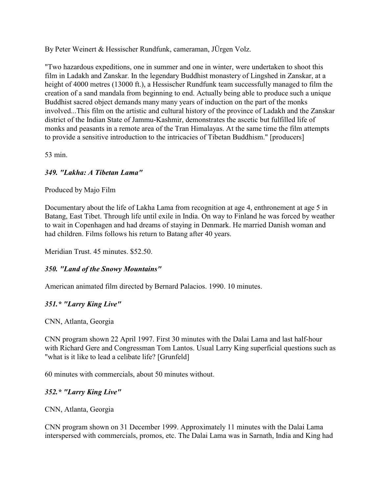By Peter Weinert & Hessischer Rundfunk, cameraman, JÜrgen Volz.

"Two hazardous expeditions, one in summer and one in winter, were undertaken to shoot this film in Ladakh and Zanskar. In the legendary Buddhist monastery of Lingshed in Zanskar, at a height of 4000 metres (13000 ft.), a Hessischer Rundfunk team successfully managed to film the creation of a sand mandala from beginning to end. Actually being able to produce such a unique Buddhist sacred object demands many many years of induction on the part of the monks involved...This film on the artistic and cultural history of the province of Ladakh and the Zanskar district of the Indian State of Jammu-Kashmir, demonstrates the ascetic but fulfilled life of monks and peasants in a remote area of the Tran Himalayas. At the same time the film attempts to provide a sensitive introduction to the intricacies of Tibetan Buddhism." [producers]

53 min.

# *349. "Lakha: A Tibetan Lama"*

Produced by Majo Film

Documentary about the life of Lakha Lama from recognition at age 4, enthronement at age 5 in Batang, East Tibet. Through life until exile in India. On way to Finland he was forced by weather to wait in Copenhagen and had dreams of staying in Denmark. He married Danish woman and had children. Films follows his return to Batang after 40 years.

Meridian Trust. 45 minutes. \$52.50.

### *350. "Land of the Snowy Mountains"*

American animated film directed by Bernard Palacios. 1990. 10 minutes.

### *351.\* "Larry King Live"*

CNN, Atlanta, Georgia

CNN program shown 22 April 1997. First 30 minutes with the Dalai Lama and last half-hour with Richard Gere and Congressman Tom Lantos. Usual Larry King superficial questions such as "what is it like to lead a celibate life? [Grunfeld]

60 minutes with commercials, about 50 minutes without.

### *352.\* "Larry King Live"*

CNN, Atlanta, Georgia

CNN program shown on 31 December 1999. Approximately 11 minutes with the Dalai Lama interspersed with commercials, promos, etc. The Dalai Lama was in Sarnath, India and King had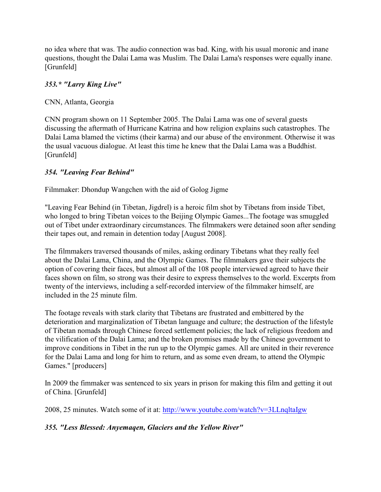no idea where that was. The audio connection was bad. King, with his usual moronic and inane questions, thought the Dalai Lama was Muslim. The Dalai Lama's responses were equally inane. [Grunfeld]

# *353.\* "Larry King Live"*

CNN, Atlanta, Georgia

CNN program shown on 11 September 2005. The Dalai Lama was one of several guests discussing the aftermath of Hurricane Katrina and how religion explains such catastrophes. The Dalai Lama blamed the victims (their karma) and our abuse of the environment. Otherwise it was the usual vacuous dialogue. At least this time he knew that the Dalai Lama was a Buddhist. [Grunfeld]

# *354. "Leaving Fear Behind"*

Filmmaker: Dhondup Wangchen with the aid of Golog Jigme

"Leaving Fear Behind (in Tibetan, Jigdrel) is a heroic film shot by Tibetans from inside Tibet, who longed to bring Tibetan voices to the Beijing Olympic Games...The footage was smuggled out of Tibet under extraordinary circumstances. The filmmakers were detained soon after sending their tapes out, and remain in detention today [August 2008].

The filmmakers traversed thousands of miles, asking ordinary Tibetans what they really feel about the Dalai Lama, China, and the Olympic Games. The filmmakers gave their subjects the option of covering their faces, but almost all of the 108 people interviewed agreed to have their faces shown on film, so strong was their desire to express themselves to the world. Excerpts from twenty of the interviews, including a self-recorded interview of the filmmaker himself, are included in the 25 minute film.

The footage reveals with stark clarity that Tibetans are frustrated and embittered by the deterioration and marginalization of Tibetan language and culture; the destruction of the lifestyle of Tibetan nomads through Chinese forced settlement policies; the lack of religious freedom and the vilification of the Dalai Lama; and the broken promises made by the Chinese government to improve conditions in Tibet in the run up to the Olympic games. All are united in their reverence for the Dalai Lama and long for him to return, and as some even dream, to attend the Olympic Games." [producers]

In 2009 the fimmaker was sentenced to six years in prison for making this film and getting it out of China. [Grunfeld]

2008, 25 minutes. Watch some of it at:<http://www.youtube.com/watch?v=3LLnqltaIgw>

*355. "Less Blessed: Anyemaqen, Glaciers and the Yellow River"*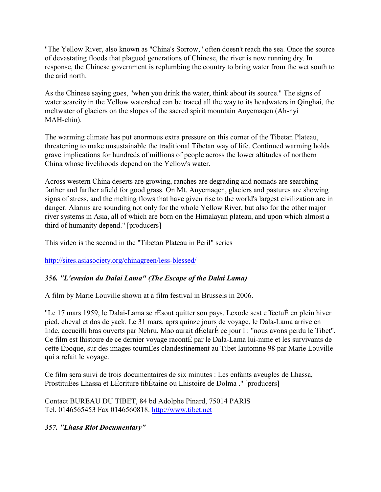"The Yellow River, also known as "China's Sorrow," often doesn't reach the sea. Once the source of devastating floods that plagued generations of Chinese, the river is now running dry. In response, the Chinese government is replumbing the country to bring water from the wet south to the arid north.

As the Chinese saying goes, "when you drink the water, think about its source." The signs of water scarcity in the Yellow watershed can be traced all the way to its headwaters in Qinghai, the meltwater of glaciers on the slopes of the sacred spirit mountain Anyemaqen (Ah-nyi MAH-chin).

The warming climate has put enormous extra pressure on this corner of the Tibetan Plateau, threatening to make unsustainable the traditional Tibetan way of life. Continued warming holds grave implications for hundreds of millions of people across the lower altitudes of northern China whose livelihoods depend on the Yellow's water.

Across western China deserts are growing, ranches are degrading and nomads are searching farther and farther afield for good grass. On Mt. Anyemaqen, glaciers and pastures are showing signs of stress, and the melting flows that have given rise to the world's largest civilization are in danger. Alarms are sounding not only for the whole Yellow River, but also for the other major river systems in Asia, all of which are born on the Himalayan plateau, and upon which almost a third of humanity depend." [producers]

This video is the second in the "Tibetan Plateau in Peril" series

<http://sites.asiasociety.org/chinagreen/less-blessed/>

# *356. "L'evasion du Dalai Lama" (The Escape of the Dalai Lama)*

A film by Marie Louville shown at a film festival in Brussels in 2006.

"Le 17 mars 1959, le Dalai-Lama se rÉsout quitter son pays. Lexode sest effectuÉ en plein hiver pied, cheval et dos de yack. Le 31 mars, aprs quinze jours de voyage, le Dala-Lama arrive en Inde, accueilli bras ouverts par Nehru. Mao aurait dÉclarÉ ce jour l : "nous avons perdu le Tibet". Ce film est lhistoire de ce dernier voyage racontÉ par le Dala-Lama lui-mme et les survivants de cette Époque, sur des images tournÉes clandestinement au Tibet lautomne 98 par Marie Louville qui a refait le voyage.

Ce film sera suivi de trois documentaires de six minutes : Les enfants aveugles de Lhassa, ProstituÉes Lhassa et LÉcriture tibÉtaine ou Lhistoire de Dolma ." [producers]

Contact BUREAU DU TIBET, 84 bd Adolphe Pinard, 75014 PARIS Tel. 0146565453 Fax 0146560818.<http://www.tibet.net>

# *357. "Lhasa Riot Documentary"*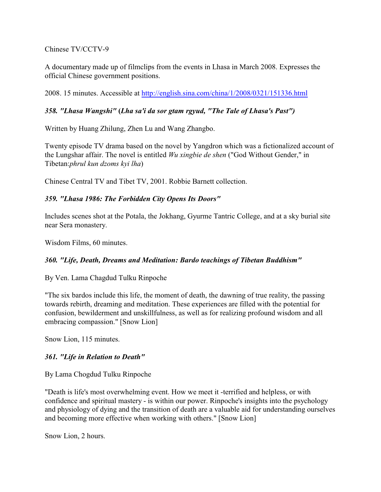Chinese TV/CCTV-9

A documentary made up of filmclips from the events in Lhasa in March 2008. Expresses the official Chinese government positions.

2008. 15 minutes. Accessible at<http://english.sina.com/china/1/2008/0321/151336.html>

### *358. "Lhasa Wangshi"* **(***Lha sa'i da sor gtam rgyud, "The Tale of Lhasa's Past")*

Written by Huang Zhilung, Zhen Lu and Wang Zhangbo.

Twenty episode TV drama based on the novel by Yangdron which was a fictionalized account of the Lungshar affair. The novel is entitled *Wu xingbie de shen* ("God Without Gender," in Tibetan:*phrul kun dzoms kyi lha*)

Chinese Central TV and Tibet TV, 2001. Robbie Barnett collection.

### *359. "Lhasa 1986: The Forbidden City Opens Its Doors"*

Includes scenes shot at the Potala, the Jokhang, Gyurme Tantric College, and at a sky burial site near Sera monastery.

Wisdom Films, 60 minutes.

### *360. "Life, Death, Dreams and Meditation: Bardo teachings of Tibetan Buddhism"*

By Ven. Lama Chagdud Tulku Rinpoche

"The six bardos include this life, the moment of death, the dawning of true reality, the passing towards rebirth, dreaming and meditation. These experiences are filled with the potential for confusion, bewilderment and unskillfulness, as well as for realizing profound wisdom and all embracing compassion." [Snow Lion]

Snow Lion, 115 minutes.

### *361. "Life in Relation to Death"*

By Lama Chogdud Tulku Rinpoche

"Death is life's most overwhelming event. How we meet it -terrified and helpless, or with confidence and spiritual mastery - is within our power. Rinpoche's insights into the psychology and physiology of dying and the transition of death are a valuable aid for understanding ourselves and becoming more effective when working with others." [Snow Lion]

Snow Lion, 2 hours.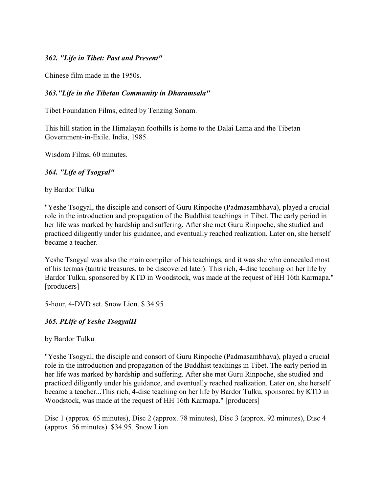#### *362. "Life in Tibet: Past and Present"*

Chinese film made in the 1950s.

#### *363."Life in the Tibetan Community in Dharamsala"*

Tibet Foundation Films, edited by Tenzing Sonam.

This hill station in the Himalayan foothills is home to the Dalai Lama and the Tibetan Government-in-Exile. India, 1985.

Wisdom Films, 60 minutes.

#### *364. "Life of Tsogyal"*

by Bardor Tulku

"Yeshe Tsogyal, the disciple and consort of Guru Rinpoche (Padmasambhava), played a crucial role in the introduction and propagation of the Buddhist teachings in Tibet. The early period in her life was marked by hardship and suffering. After she met Guru Rinpoche, she studied and practiced diligently under his guidance, and eventually reached realization. Later on, she herself became a teacher.

Yeshe Tsogyal was also the main compiler of his teachings, and it was she who concealed most of his termas (tantric treasures, to be discovered later). This rich, 4-disc teaching on her life by Bardor Tulku, sponsored by KTD in Woodstock, was made at the request of HH 16th Karmapa." [producers]

5-hour, 4-DVD set. Snow Lion. \$ 34.95

#### *365. ÐLife of Yeshe TsogyalÏ*

by Bardor Tulku

"Yeshe Tsogyal, the disciple and consort of Guru Rinpoche (Padmasambhava), played a crucial role in the introduction and propagation of the Buddhist teachings in Tibet. The early period in her life was marked by hardship and suffering. After she met Guru Rinpoche, she studied and practiced diligently under his guidance, and eventually reached realization. Later on, she herself became a teacher...This rich, 4-disc teaching on her life by Bardor Tulku, sponsored by KTD in Woodstock, was made at the request of HH 16th Karmapa." [producers]

Disc 1 (approx. 65 minutes), Disc 2 (approx. 78 minutes), Disc 3 (approx. 92 minutes), Disc 4 (approx. 56 minutes). \$34.95. Snow Lion.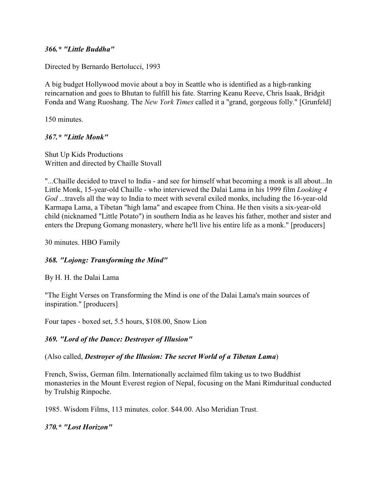#### *366.\* "Little Buddha"*

Directed by Bernardo Bertolucci, 1993

A big budget Hollywood movie about a boy in Seattle who is identified as a high-ranking reincarnation and goes to Bhutan to fulfill his fate. Starring Keanu Reeve, Chris Isaak, Bridgit Fonda and Wang Ruoshang. The *New York Times* called it a "grand, gorgeous folly." [Grunfeld]

150 minutes.

*367.\* "Little Monk"*

Shut Up Kids Productions Written and directed by Chaille Stovall

"...Chaille decided to travel to India - and see for himself what becoming a monk is all about...In Little Monk, 15-year-old Chaille - who interviewed the Dalai Lama in his 1999 film *Looking 4 God* ...travels all the way to India to meet with several exiled monks, including the 16-year-old Karmapa Lama, a Tibetan "high lama" and escapee from China. He then visits a six-year-old child (nicknamed "Little Potato") in southern India as he leaves his father, mother and sister and enters the Drepung Gomang monastery, where he'll live his entire life as a monk." [producers]

30 minutes. HBO Family

### *368. "Lojong: Transforming the Mind"*

By H. H. the Dalai Lama

"The Eight Verses on Transforming the Mind is one of the Dalai Lama's main sources of inspiration." [producers]

Four tapes - boxed set, 5.5 hours, \$108.00, Snow Lion

*369. "Lord of the Dance: Destroyer of Illusion"* 

(Also called, *Destroyer of the Illusion: The secret World of a Tibetan Lama*)

French, Swiss, German film. Internationally acclaimed film taking us to two Buddhist monasteries in the Mount Everest region of Nepal, focusing on the Mani Rimduritual conducted by Trulshig Rinpoche.

1985. Wisdom Films, 113 minutes. color. \$44.00. Also Meridian Trust.

*370.\* "Lost Horizon"*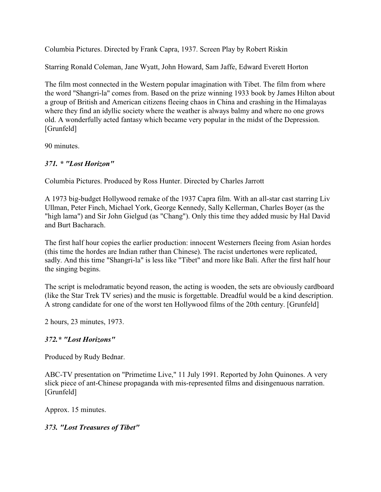Columbia Pictures. Directed by Frank Capra, 1937. Screen Play by Robert Riskin

Starring Ronald Coleman, Jane Wyatt, John Howard, Sam Jaffe, Edward Everett Horton

The film most connected in the Western popular imagination with Tibet. The film from where the word "Shangri-la" comes from. Based on the prize winning 1933 book by James Hilton about a group of British and American citizens fleeing chaos in China and crashing in the Himalayas where they find an idyllic society where the weather is always balmy and where no one grows old. A wonderfully acted fantasy which became very popular in the midst of the Depression. [Grunfeld]

90 minutes.

# *371. \* "Lost Horizon"*

Columbia Pictures. Produced by Ross Hunter. Directed by Charles Jarrott

A 1973 big-budget Hollywood remake of the 1937 Capra film. With an all-star cast starring Liv Ullman, Peter Finch, Michael York, George Kennedy, Sally Kellerman, Charles Boyer (as the "high lama") and Sir John Gielgud (as "Chang"). Only this time they added music by Hal David and Burt Bacharach.

The first half hour copies the earlier production: innocent Westerners fleeing from Asian hordes (this time the hordes are Indian rather than Chinese). The racist undertones were replicated, sadly. And this time "Shangri-la" is less like "Tibet" and more like Bali. After the first half hour the singing begins.

The script is melodramatic beyond reason, the acting is wooden, the sets are obviously cardboard (like the Star Trek TV series) and the music is forgettable. Dreadful would be a kind description. A strong candidate for one of the worst ten Hollywood films of the 20th century. [Grunfeld]

2 hours, 23 minutes, 1973.

# *372.\* "Lost Horizons"*

Produced by Rudy Bednar.

ABC-TV presentation on "Primetime Live," 11 July 1991. Reported by John Quinones. A very slick piece of ant-Chinese propaganda with mis-represented films and disingenuous narration. [Grunfeld]

Approx. 15 minutes.

# *373. "Lost Treasures of Tibet"*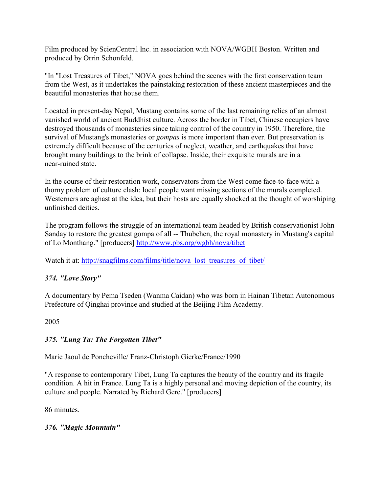Film produced by ScienCentral Inc. in association with NOVA/WGBH Boston. Written and produced by Orrin Schonfeld.

"In "Lost Treasures of Tibet," NOVA goes behind the scenes with the first conservation team from the West, as it undertakes the painstaking restoration of these ancient masterpieces and the beautiful monasteries that house them.

Located in present-day Nepal, Mustang contains some of the last remaining relics of an almost vanished world of ancient Buddhist culture. Across the border in Tibet, Chinese occupiers have destroyed thousands of monasteries since taking control of the country in 1950. Therefore, the survival of Mustang's monasteries or *gompas* is more important than ever. But preservation is extremely difficult because of the centuries of neglect, weather, and earthquakes that have brought many buildings to the brink of collapse. Inside, their exquisite murals are in a near-ruined state.

In the course of their restoration work, conservators from the West come face-to-face with a thorny problem of culture clash: local people want missing sections of the murals completed. Westerners are aghast at the idea, but their hosts are equally shocked at the thought of worshiping unfinished deities.

The program follows the struggle of an international team headed by British conservationist John Sanday to restore the greatest gompa of all -- Thubchen, the royal monastery in Mustang's capital of Lo Monthang." [producers]<http://www.pbs.org/wgbh/nova/tibet>

Watch it at: [http://snagfilms.com/films/title/nova\\_lost\\_treasures\\_of\\_tibet/](http://snagfilms.com/films/title/nova_lost_treasures_of_tibet/)

# *374. "Love Story"*

A documentary by Pema Tseden (Wanma Caidan) who was born in Hainan Tibetan Autonomous Prefecture of Qinghai province and studied at the Beijing Film Academy.

2005

# *375. "Lung Ta: The Forgotten Tibet"*

Marie Jaoul de Poncheville/ Franz-Christoph Gierke/France/1990

"A response to contemporary Tibet, Lung Ta captures the beauty of the country and its fragile condition. A hit in France. Lung Ta is a highly personal and moving depiction of the country, its culture and people. Narrated by Richard Gere." [producers]

86 minutes.

# *376. "Magic Mountain"*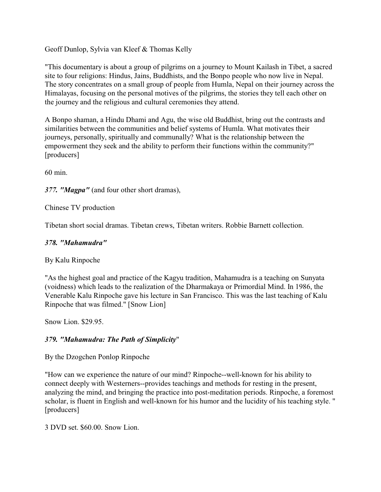Geoff Dunlop, Sylvia van Kleef & Thomas Kelly

"This documentary is about a group of pilgrims on a journey to Mount Kailash in Tibet, a sacred site to four religions: Hindus, Jains, Buddhists, and the Bonpo people who now live in Nepal. The story concentrates on a small group of people from Humla, Nepal on their journey across the Himalayas, focusing on the personal motives of the pilgrims, the stories they tell each other on the journey and the religious and cultural ceremonies they attend.

A Bonpo shaman, a Hindu Dhami and Agu, the wise old Buddhist, bring out the contrasts and similarities between the communities and belief systems of Humla. What motivates their journeys, personally, spiritually and communally? What is the relationship between the empowerment they seek and the ability to perform their functions within the community?" [producers]

60 min.

*377. "Magpa"* (and four other short dramas),

Chinese TV production

Tibetan short social dramas. Tibetan crews, Tibetan writers. Robbie Barnett collection.

# *378. "Mahamudra"*

By Kalu Rinpoche

"As the highest goal and practice of the Kagyu tradition, Mahamudra is a teaching on Sunyata (voidness) which leads to the realization of the Dharmakaya or Primordial Mind. In 1986, the Venerable Kalu Rinpoche gave his lecture in San Francisco. This was the last teaching of Kalu Rinpoche that was filmed." [Snow Lion]

Snow Lion. \$29.95.

# *379. "Mahamudra: The Path of Simplicity*"

By the Dzogchen Ponlop Rinpoche

"How can we experience the nature of our mind? Rinpoche--well-known for his ability to connect deeply with Westerners--provides teachings and methods for resting in the present, analyzing the mind, and bringing the practice into post-meditation periods. Rinpoche, a foremost scholar, is fluent in English and well-known for his humor and the lucidity of his teaching style. " [producers]

3 DVD set. \$60.00. Snow Lion.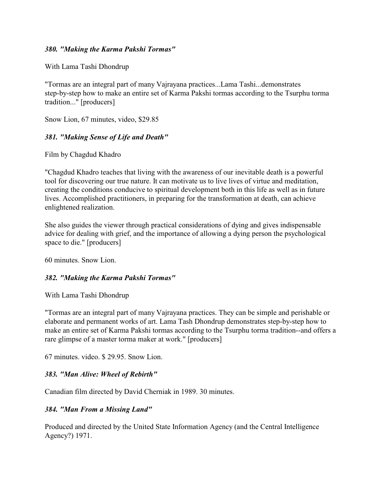#### *380. "Making the Karma Pakshi Tormas"*

With Lama Tashi Dhondrup

"Tormas are an integral part of many Vajrayana practices...Lama Tashi...demonstrates step-by-step how to make an entire set of Karma Pakshi tormas according to the Tsurphu torma tradition..." [producers]

Snow Lion, 67 minutes, video, \$29.85

### *381. "Making Sense of Life and Death"*

Film by Chagdud Khadro

"Chagdud Khadro teaches that living with the awareness of our inevitable death is a powerful tool for discovering our true nature. It can motivate us to live lives of virtue and meditation, creating the conditions conducive to spiritual development both in this life as well as in future lives. Accomplished practitioners, in preparing for the transformation at death, can achieve enlightened realization.

She also guides the viewer through practical considerations of dying and gives indispensable advice for dealing with grief, and the importance of allowing a dying person the psychological space to die." [producers]

60 minutes. Snow Lion.

### *382. "Making the Karma Pakshi Tormas"*

With Lama Tashi Dhondrup

"Tormas are an integral part of many Vajrayana practices. They can be simple and perishable or elaborate and permanent works of art. Lama Tash Dhondrup demonstrates step-by-step how to make an entire set of Karma Pakshi tormas according to the Tsurphu torma tradition--and offers a rare glimpse of a master torma maker at work." [producers]

67 minutes. video. \$ 29.95. Snow Lion.

### *383. "Man Alive: Wheel of Rebirth"*

Canadian film directed by David Cherniak in 1989. 30 minutes.

### *384. "Man From a Missing Land"*

Produced and directed by the United State Information Agency (and the Central Intelligence Agency?) 1971.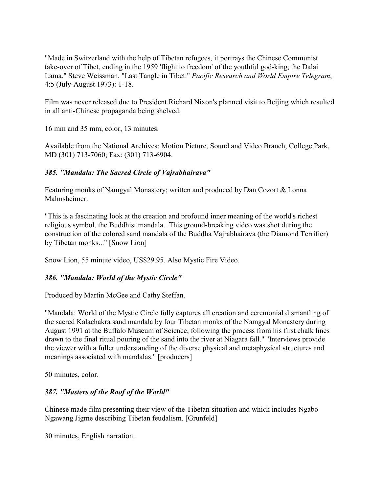"Made in Switzerland with the help of Tibetan refugees, it portrays the Chinese Communist take-over of Tibet, ending in the 1959 'flight to freedom' of the youthful god-king, the Dalai Lama." Steve Weissman, "Last Tangle in Tibet." *Pacific Research and World Empire Telegram*, 4:5 (July-August 1973): 1-18.

Film was never released due to President Richard Nixon's planned visit to Beijing which resulted in all anti-Chinese propaganda being shelved.

16 mm and 35 mm, color, 13 minutes.

Available from the National Archives; Motion Picture, Sound and Video Branch, College Park, MD (301) 713-7060; Fax: (301) 713-6904.

# *385. "Mandala: The Sacred Circle of Vajrabhairava"*

Featuring monks of Namgyal Monastery; written and produced by Dan Cozort & Lonna Malmsheimer.

"This is a fascinating look at the creation and profound inner meaning of the world's richest religious symbol, the Buddhist mandala...This ground-breaking video was shot during the construction of the colored sand mandala of the Buddha Vajrabhairava (the Diamond Terrifier) by Tibetan monks..." [Snow Lion]

Snow Lion, 55 minute video, US\$29.95. Also Mystic Fire Video.

# *386. "Mandala: World of the Mystic Circle"*

Produced by Martin McGee and Cathy Steffan.

"Mandala: World of the Mystic Circle fully captures all creation and ceremonial dismantling of the sacred Kalachakra sand mandala by four Tibetan monks of the Namgyal Monastery during August 1991 at the Buffalo Museum of Science, following the process from his first chalk lines drawn to the final ritual pouring of the sand into the river at Niagara fall." "Interviews provide the viewer with a fuller understanding of the diverse physical and metaphysical structures and meanings associated with mandalas." [producers]

50 minutes, color.

# *387. "Masters of the Roof of the World"*

Chinese made film presenting their view of the Tibetan situation and which includes Ngabo Ngawang Jigme describing Tibetan feudalism. [Grunfeld]

30 minutes, English narration.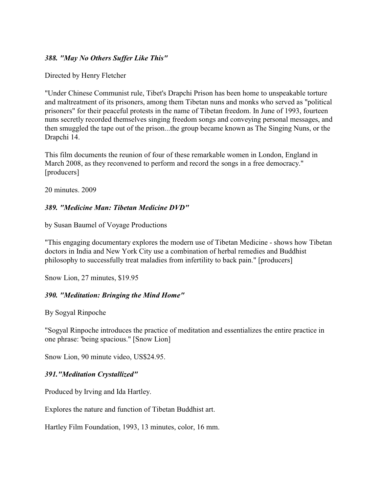#### *388. "May No Others Suffer Like This"*

Directed by Henry Fletcher

"Under Chinese Communist rule, Tibet's Drapchi Prison has been home to unspeakable torture and maltreatment of its prisoners, among them Tibetan nuns and monks who served as "political prisoners" for their peaceful protests in the name of Tibetan freedom. In June of 1993, fourteen nuns secretly recorded themselves singing freedom songs and conveying personal messages, and then smuggled the tape out of the prison...the group became known as The Singing Nuns, or the Drapchi 14.

This film documents the reunion of four of these remarkable women in London, England in March 2008, as they reconvened to perform and record the songs in a free democracy." [producers]

20 minutes. 2009

### *389. "Medicine Man: Tibetan Medicine DVD"*

by Susan Baumel of Voyage Productions

"This engaging documentary explores the modern use of Tibetan Medicine - shows how Tibetan doctors in India and New York City use a combination of herbal remedies and Buddhist philosophy to successfully treat maladies from infertility to back pain." [producers]

Snow Lion, 27 minutes, \$19.95

### *390. "Meditation: Bringing the Mind Home"*

By Sogyal Rinpoche

"Sogyal Rinpoche introduces the practice of meditation and essentializes the entire practice in one phrase: 'being spacious." [Snow Lion]

Snow Lion, 90 minute video, US\$24.95.

### *391."Meditation Crystallized"*

Produced by Irving and Ida Hartley.

Explores the nature and function of Tibetan Buddhist art.

Hartley Film Foundation, 1993, 13 minutes, color, 16 mm.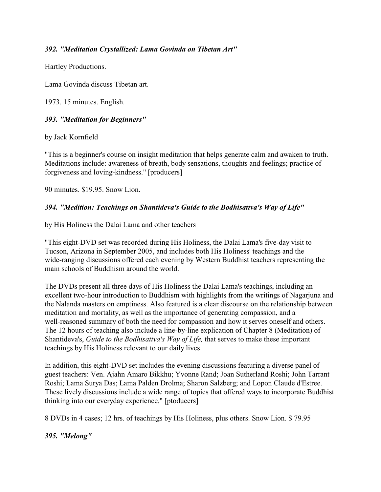### *392. "Meditation Crystallized: Lama Govinda on Tibetan Art"*

Hartley Productions.

Lama Govinda discuss Tibetan art.

1973. 15 minutes. English.

### *393. "Meditation for Beginners"*

by Jack Kornfield

"This is a beginner's course on insight meditation that helps generate calm and awaken to truth. Meditations include: awareness of breath, body sensations, thoughts and feelings; practice of forgiveness and loving-kindness." [producers]

90 minutes. \$19.95. Snow Lion.

### *394. "Medition: Teachings on Shantideva's Guide to the Bodhisattva's Way of Life"*

by His Holiness the Dalai Lama and other teachers

"This eight-DVD set was recorded during His Holiness, the Dalai Lama's five-day visit to Tucson, Arizona in September 2005, and includes both His Holiness' teachings and the wide-ranging discussions offered each evening by Western Buddhist teachers representing the main schools of Buddhism around the world.

The DVDs present all three days of His Holiness the Dalai Lama's teachings, including an excellent two-hour introduction to Buddhism with highlights from the writings of Nagarjuna and the Nalanda masters on emptiness. Also featured is a clear discourse on the relationship between meditation and mortality, as well as the importance of generating compassion, and a well-reasoned summary of both the need for compassion and how it serves oneself and others. The 12 hours of teaching also include a line-by-line explication of Chapter 8 (Meditation) of Shantideva's, *Guide to the Bodhisattva's Way of Life,* that serves to make these important teachings by His Holiness relevant to our daily lives.

In addition, this eight-DVD set includes the evening discussions featuring a diverse panel of guest teachers: Ven. Ajahn Amaro Bikkhu; Yvonne Rand; Joan Sutherland Roshi; John Tarrant Roshi; Lama Surya Das; Lama Palden Drolma; Sharon Salzberg; and Lopon Claude d'Estree. These lively discussions include a wide range of topics that offered ways to incorporate Buddhist thinking into our everyday experience." [ptoducers]

8 DVDs in 4 cases; 12 hrs. of teachings by His Holiness, plus others. Snow Lion. \$ 79.95

# *395. "Melong"*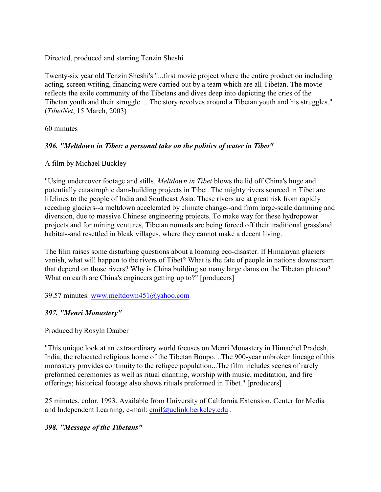Directed, produced and starring Tenzin Sheshi

Twenty-six year old Tenzin Sheshi's "...first movie project where the entire production including acting, screen writing, financing were carried out by a team which are all Tibetan. The movie reflects the exile community of the Tibetans and dives deep into depicting the cries of the Tibetan youth and their struggle. .. The story revolves around a Tibetan youth and his struggles." (*TibetNet*, 15 March, 2003)

60 minutes

#### *396. "Meltdown in Tibet: a personal take on the politics of water in Tibet"*

#### A film by Michael Buckley

"Using undercover footage and stills, *Meltdown in Tibet* blows the lid off China's huge and potentially catastrophic dam-building projects in Tibet. The mighty rivers sourced in Tibet are lifelines to the people of India and Southeast Asia. These rivers are at great risk from rapidly receding glaciers--a meltdown accelerated by climate change--and from large-scale damming and diversion, due to massive Chinese engineering projects. To make way for these hydropower projects and for mining ventures, Tibetan nomads are being forced off their traditional grassland habitat--and resettled in bleak villages, where they cannot make a decent living.

The film raises some disturbing questions about a looming eco-disaster. If Himalayan glaciers vanish, what will happen to the rivers of Tibet? What is the fate of people in nations downstream that depend on those rivers? Why is China building so many large dams on the Tibetan plateau? What on earth are China's engineers getting up to?" [producers]

39.57 minutes. [www.meltdown451@yahoo.com](mailto:Www.meltdown451@yahoo.com)

### *397. "Menri Monastery"*

### Produced by Rosyln Dauber

"This unique look at an extraordinary world focuses on Menri Monastery in Himachel Pradesh, India, the relocated religious home of the Tibetan Bonpo. ..The 900-year unbroken lineage of this monastery provides continuity to the refugee population...The film includes scenes of rarely preformed ceremonies as well as ritual chanting, worship with music, meditation, and fire offerings; historical footage also shows rituals preformed in Tibet." [producers]

25 minutes, color, 1993. Available from University of California Extension, Center for Media and Independent Learning, e-mail: [cmil@uclink.berkeley.edu](mailto:cmil@uclink.berkeley.edu).

### *398. "Message of the Tibetans"*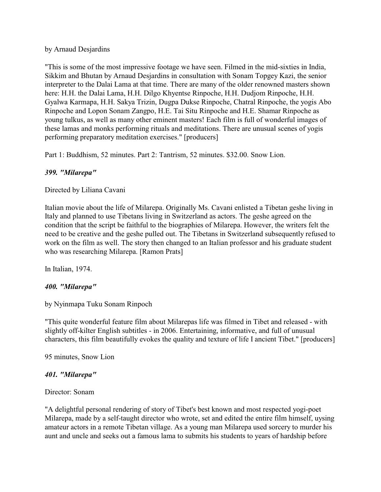#### by Arnaud Desjardins

"This is some of the most impressive footage we have seen. Filmed in the mid-sixties in India, Sikkim and Bhutan by Arnaud Desjardins in consultation with Sonam Topgey Kazi, the senior interpreter to the Dalai Lama at that time. There are many of the older renowned masters shown here: H.H. the Dalai Lama, H.H. Dilgo Khyentse Rinpoche, H.H. Dudjom Rinpoche, H.H. Gyalwa Karmapa, H.H. Sakya Trizin, Dugpa Dukse Rinpoche, Chatral Rinpoche, the yogis Abo Rinpoche and Lopon Sonam Zangpo, H.E. Tai Situ Rinpoche and H.E. Shamar Rinpoche as young tulkus, as well as many other eminent masters! Each film is full of wonderful images of these lamas and monks performing rituals and meditations. There are unusual scenes of yogis performing preparatory meditation exercises." [producers]

Part 1: Buddhism, 52 minutes. Part 2: Tantrism, 52 minutes. \$32.00. Snow Lion.

#### *399. "Milarepa"*

Directed by Liliana Cavani

Italian movie about the life of Milarepa. Originally Ms. Cavani enlisted a Tibetan geshe living in Italy and planned to use Tibetans living in Switzerland as actors. The geshe agreed on the condition that the script be faithful to the biographies of Milarepa. However, the writers felt the need to be creative and the geshe pulled out. The Tibetans in Switzerland subsequently refused to work on the film as well. The story then changed to an Italian professor and his graduate student who was researching Milarepa. [Ramon Prats]

In Italian, 1974.

### *400. "Milarepa"*

by Nyinmapa Tuku Sonam Rinpoch

"This quite wonderful feature film about Milarepas life was filmed in Tibet and released - with slightly off-kilter English subtitles - in 2006. Entertaining, informative, and full of unusual characters, this film beautifully evokes the quality and texture of life I ancient Tibet." [producers]

95 minutes, Snow Lion

#### *401. "Milarepa"*

#### Director: Sonam

"A delightful personal rendering of story of Tibet's best known and most respected yogi-poet Milarepa, made by a self-taught director who wrote, set and edited the entire film himself, uysing amateur actors in a remote Tibetan village. As a young man Milarepa used sorcery to murder his aunt and uncle and seeks out a famous lama to submits his students to years of hardship before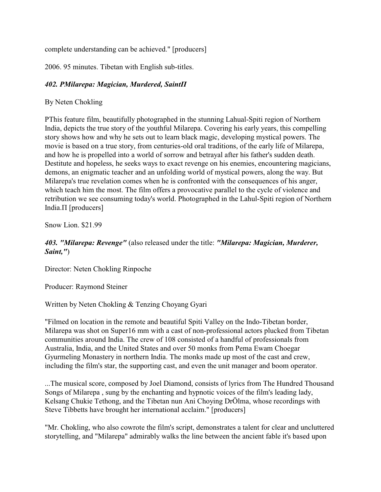complete understanding can be achieved." [producers]

2006. 95 minutes. Tibetan with English sub-titles.

# *402. ÐMilarepa: Magician, Murdered, SaintÏ*

By Neten Chokling

ÐThis feature film, beautifully photographed in the stunning Lahual-Spiti region of Northern India, depicts the true story of the youthful Milarepa. Covering his early years, this compelling story shows how and why he sets out to learn black magic, developing mystical powers. The movie is based on a true story, from centuries-old oral traditions, of the early life of Milarepa, and how he is propelled into a world of sorrow and betrayal after his father's sudden death. Destitute and hopeless, he seeks ways to exact revenge on his enemies, encountering magicians, demons, an enigmatic teacher and an unfolding world of mystical powers, along the way. But Milarepa's true revelation comes when he is confronted with the consequences of his anger, which teach him the most. The film offers a provocative parallel to the cycle of violence and retribution we see consuming today's world. Photographed in the Lahul-Spiti region of Northern India. $\Pi$  [producers]

Snow Lion. \$21.99

### *403. "Milarepa: Revenge"* (also released under the title: *"Milarepa: Magician, Murderer, Saint,"*)

Director: Neten Chokling Rinpoche

Producer: Raymond Steiner

Written by Neten Chokling & Tenzing Choyang Gyari

"Filmed on location in the remote and beautiful Spiti Valley on the Indo-Tibetan border, Milarepa was shot on Super16 mm with a cast of non-professional actors plucked from Tibetan communities around India. The crew of 108 consisted of a handful of professionals from Australia, India, and the United States and over 50 monks from Pema Ewam Choegar Gyurmeling Monastery in northern India. The monks made up most of the cast and crew, including the film's star, the supporting cast, and even the unit manager and boom operator.

...The musical score, composed by Joel Diamond, consists of lyrics from The Hundred Thousand Songs of Milarepa , sung by the enchanting and hypnotic voices of the film's leading lady, Kelsang Chukie Tethong, and the Tibetan nun Ani Choying DrÖlma, whose recordings with Steve Tibbetts have brought her international acclaim." [producers]

"Mr. Chokling, who also cowrote the film's script, demonstrates a talent for clear and uncluttered storytelling, and "Milarepa" admirably walks the line between the ancient fable it's based upon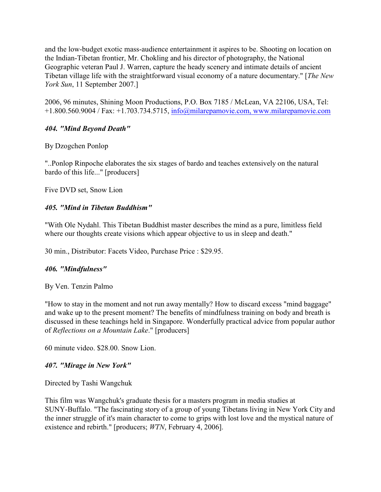and the low-budget exotic mass-audience entertainment it aspires to be. Shooting on location on the Indian-Tibetan frontier, Mr. Chokling and his director of photography, the National Geographic veteran Paul J. Warren, capture the heady scenery and intimate details of ancient Tibetan village life with the straightforward visual economy of a nature documentary." [*The New York Sun*, 11 September 2007.]

2006, 96 minutes, Shining Moon Productions, P.O. Box 7185 / McLean, VA 22106, USA, Tel: +1.800.560.9004 / Fax: +1.703.734.5715, [info@milarepamovie.com,](mailto:info@milarepamovie.com,) [www.milarepamovie.com](http://www.milarepamovie.com)

### *404. "Mind Beyond Death"*

By Dzogchen Ponlop

"..Ponlop Rinpoche elaborates the six stages of bardo and teaches extensively on the natural bardo of this life..." [producers]

Five DVD set, Snow Lion

### *405. "Mind in Tibetan Buddhism"*

"With Ole Nydahl. This Tibetan Buddhist master describes the mind as a pure, limitless field where our thoughts create visions which appear objective to us in sleep and death."

30 min., Distributor: Facets Video, Purchase Price : \$29.95.

# *406. "Mindfulness"*

By Ven. Tenzin Palmo

"How to stay in the moment and not run away mentally? How to discard excess "mind baggage" and wake up to the present moment? The benefits of mindfulness training on body and breath is discussed in these teachings held in Singapore. Wonderfully practical advice from popular author of *Reflections on a Mountain Lake*." [producers]

60 minute video. \$28.00. Snow Lion.

# *407. "Mirage in New York"*

Directed by Tashi Wangchuk

This film was Wangchuk's graduate thesis for a masters program in media studies at SUNY-Buffalo. "The fascinating story of a group of young Tibetans living in New York City and the inner struggle of it's main character to come to grips with lost love and the mystical nature of existence and rebirth." [producers; *WTN*, February 4, 2006].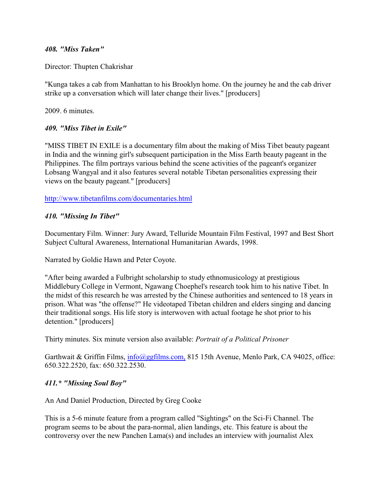#### *408. "Miss Taken"*

Director: Thupten Chakrishar

"Kunga takes a cab from Manhattan to his Brooklyn home. On the journey he and the cab driver strike up a conversation which will later change their lives." [producers]

2009. 6 minutes.

#### *409. "Miss Tibet in Exile"*

"MISS TIBET IN EXILE is a documentary film about the making of Miss Tibet beauty pageant in India and the winning girl's subsequent participation in the Miss Earth beauty pageant in the Philippines. The film portrays various behind the scene activities of the pageant's organizer Lobsang Wangyal and it also features several notable Tibetan personalities expressing their views on the beauty pageant." [producers]

<http://www.tibetanfilms.com/documentaries.html>

#### *410. "Missing In Tibet"*

Documentary Film. Winner: Jury Award, Telluride Mountain Film Festival, 1997 and Best Short Subject Cultural Awareness, International Humanitarian Awards, 1998.

Narrated by Goldie Hawn and Peter Coyote.

"After being awarded a Fulbright scholarship to study ethnomusicology at prestigious Middlebury College in Vermont, Ngawang Choephel's research took him to his native Tibet. In the midst of this research he was arrested by the Chinese authorities and sentenced to 18 years in prison. What was "the offense?" He videotaped Tibetan children and elders singing and dancing their traditional songs. His life story is interwoven with actual footage he shot prior to his detention." [producers]

Thirty minutes. Six minute version also available: *Portrait of a Political Prisoner*

Garthwait & Griffin Films, [info@ggfilms.com,](mailto:info@ggfilms.com,) 815 15th Avenue, Menlo Park, CA 94025, office: 650.322.2520, fax: 650.322.2530.

### *411.\* "Missing Soul Boy"*

An And Daniel Production, Directed by Greg Cooke

This is a 5-6 minute feature from a program called "Sightings" on the Sci-Fi Channel. The program seems to be about the para-normal, alien landings, etc. This feature is about the controversy over the new Panchen Lama(s) and includes an interview with journalist Alex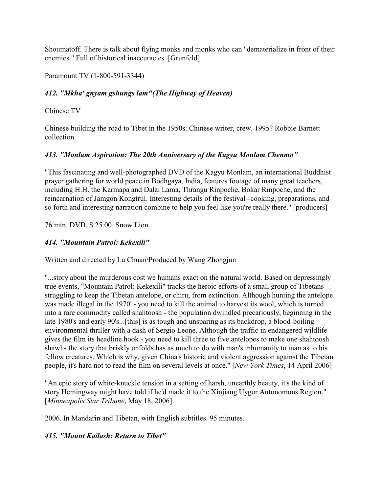Shoumatoff. There is talk about flying monks and monks who can "dematerialize in front of their enemies." Full of historical inaccuracies. [Grunfeld]

Paramount TV (1-800-591-3344)

# *412. "Mkha' gnyam gshungs lam"(The Highway of Heaven)*

Chinese TV

Chinese building the road to Tibet in the 1950s. Chinese writer, crew. 1995? Robbie Barnett collection.

# *413. "Monlam Aspiration: The 20th Anniversary of the Kagyu Monlam Chenmo"*

"This fascinating and well-photographed DVD of the Kagyu Monlam, an international Buddhist prayer gathering for world peace in Bodhgaya, India, features footage of many great teachers, including H.H. the Karmapa and Dalai Lama, Thrangu Rinpoche, Bokar Rinpoche, and the reincarnation of Jamgon Kongtrul. Interesting details of the festival--cooking, preparations, and so forth and interesting narration combine to help you feel like you're really there." [producers]

### 76 min. DVD. \$ 25.00. Snow Lion*.*

# *414. "Mountain Patrol: Kekexili"*

Written and directed by Lu Chuan\Produced by Wang Zhongjun

"...story about the murderous cost we humans exact on the natural world. Based on depressingly true events, "Mountain Patrol: Kekexili" tracks the heroic efforts of a small group of Tibetans struggling to keep the Tibetan antelope, or chiru, from extinction. Although hunting the antelope was made illegal in the 1970' - you need to kill the animal to harvest its wool, which is turned into a rare commodity called shahtoosh - the population dwindled precariously, beginning in the late 1980's and early 90's...[this] is as tough and unsparing as its backdrop, a blood-boiling environmental thriller with a dash of Sergio Leone. Although the traffic in endangered wildlife gives the film its headline hook - you need to kill three to five antelopes to make one shahtoosh shawl - the story that briskly unfolds has as much to do with man's inhumanity to man as to his fellow creatures. Which is why, given China's historic and violent aggression against the Tibetan people, it's hard not to read the film on several levels at once." [*New York Times*, 14 April 2006]

"An epic story of white-knuckle tension in a setting of harsh, unearthly beauty, it's the kind of story Hemingway might have told if he'd made it to the Xinjiang Uygur Autonomous Region." [*Minneapolis Star Tribune*, May 18, 2006]

2006. In Mandarin and Tibetan, with English subtitles. 95 minutes.

# *415. "Mount Kailash: Return to Tibet"*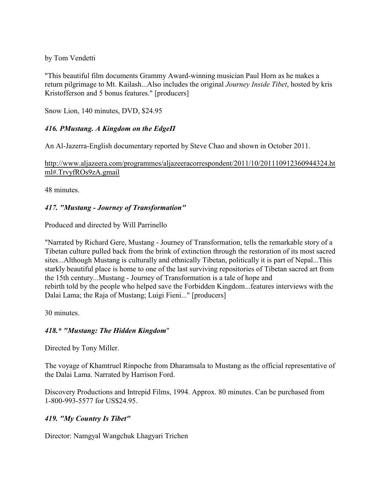### by Tom Vendetti

"This beautiful film documents Grammy Award-winning musician Paul Horn as he makes a return pilgrimage to Mt. Kailash...Also includes the original *Journey Inside Tibet*, hosted by kris Kristofferson and 5 bonus features." [producers]

Snow Lion, 140 minutes, DVD, \$24.95

# **416. PMustang. A Kingdom on the EdgeII**

An Al-Jazerra-English documentary reported by Steve Chao and shown in October 2011.

http://www.aljazeera.com/programmes/aljazeeracorrespondent/2011/10/201110912360944324.ht ml#.TrvyfROs9zA.gmail

48 minutes.

# *417. "Mustang - Journey of Transformation"*

Produced and directed by Will Parrinello

"Narrated by Richard Gere, Mustang - Journey of Transformation, tells the remarkable story of a Tibetan culture pulled back from the brink of extinction through the restoration of its most sacred sites...Although Mustang is culturally and ethnically Tibetan, politically it is part of Nepal...This starkly beautiful place is home to one of the last surviving repositories of Tibetan sacred art from the 15th century...Mustang - Journey of Transformation is a tale of hope and rebirth told by the people who helped save the Forbidden Kingdom...features interviews with the Dalai Lama; the Raja of Mustang; Luigi Fieni..." [producers]

30 minutes.

# *418.\* "Mustang: The Hidden Kingdom*"

Directed by Tony Miller.

The voyage of Khamtruel Rinpoche from Dharamsala to Mustang as the official representative of the Dalai Lama. Narrated by Harrison Ford.

Discovery Productions and Intrepid Films, 1994. Approx. 80 minutes. Can be purchased from 1-800-993-5577 for US\$24.95.

# *419. "My Country Is Tibet"*

Director: Namgyal Wangchuk Lhagyari Trichen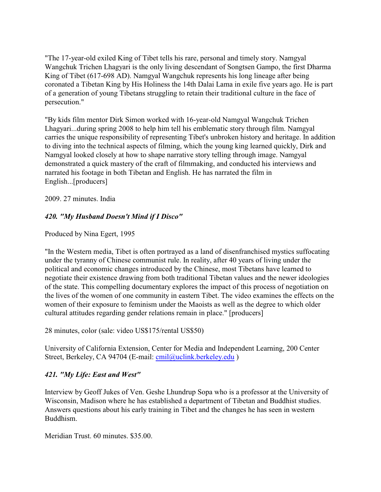"The 17-year-old exiled King of Tibet tells his rare, personal and timely story. Namgyal Wangchuk Trichen Lhagyari is the only living descendant of Songtsen Gampo, the first Dharma King of Tibet (617-698 AD). Namgyal Wangchuk represents his long lineage after being coronated a Tibetan King by His Holiness the 14th Dalai Lama in exile five years ago. He is part of a generation of young Tibetans struggling to retain their traditional culture in the face of persecution."

"By kids film mentor Dirk Simon worked with 16-year-old Namgyal Wangchuk Trichen Lhagyari...during spring 2008 to help him tell his emblematic story through film. Namgyal carries the unique responsibility of representing Tibet's unbroken history and heritage. In addition to diving into the technical aspects of filming, which the young king learned quickly, Dirk and Namgyal looked closely at how to shape narrative story telling through image. Namgyal demonstrated a quick mastery of the craft of filmmaking, and conducted his interviews and narrated his footage in both Tibetan and English. He has narrated the film in English...[producers]

2009. 27 minutes. India

### *420. "My Husband Doesn't Mind if I Disco"*

Produced by Nina Egert, 1995

"In the Western media, Tibet is often portrayed as a land of disenfranchised mystics suffocating under the tyranny of Chinese communist rule. In reality, after 40 years of living under the political and economic changes introduced by the Chinese, most Tibetans have learned to negotiate their existence drawing from both traditional Tibetan values and the newer ideologies of the state. This compelling documentary explores the impact of this process of negotiation on the lives of the women of one community in eastern Tibet. The video examines the effects on the women of their exposure to feminism under the Maoists as well as the degree to which older cultural attitudes regarding gender relations remain in place." [producers]

28 minutes, color (sale: video US\$175/rental US\$50)

University of California Extension, Center for Media and Independent Learning, 200 Center Street, Berkeley, CA 94704 (E-mail: [cmil@uclink.berkeley.edu](mailto:cmil@uclink.berkeley.edu))

### *421. "My Life: East and West"*

Interview by Geoff Jukes of Ven. Geshe Lhundrup Sopa who is a professor at the University of Wisconsin, Madison where he has established a department of Tibetan and Buddhist studies. Answers questions about his early training in Tibet and the changes he has seen in western Buddhism.

Meridian Trust. 60 minutes. \$35.00.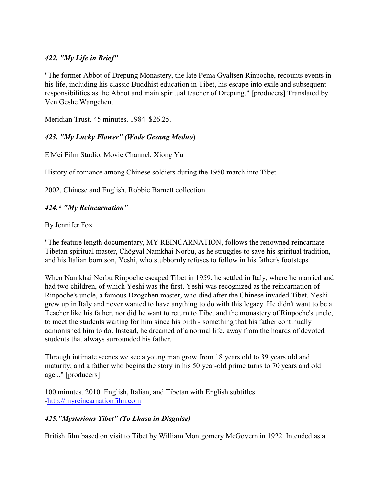### *422. "My Life in Brief"*

"The former Abbot of Drepung Monastery, the late Pema Gyaltsen Rinpoche, recounts events in his life, including his classic Buddhist education in Tibet, his escape into exile and subsequent responsibilities as the Abbot and main spiritual teacher of Drepung." [producers] Translated by Ven Geshe Wangchen.

Meridian Trust. 45 minutes. 1984. \$26.25.

# *423. "My Lucky Flower" (Wode Gesang Meduo***)**

E'Mei Film Studio, Movie Channel, Xiong Yu

History of romance among Chinese soldiers during the 1950 march into Tibet.

2002. Chinese and English. Robbie Barnett collection.

### *424.\* "My Reincarnation"*

### By Jennifer Fox

"The feature length documentary, MY REINCARNATION, follows the renowned reincarnate Tibetan spiritual master, Chögyal Namkhai Norbu, as he struggles to save his spiritual tradition, and his Italian born son, Yeshi, who stubbornly refuses to follow in his father's footsteps.

When Namkhai Norbu Rinpoche escaped Tibet in 1959, he settled in Italy, where he married and had two children, of which Yeshi was the first. Yeshi was recognized as the reincarnation of Rinpoche's uncle, a famous Dzogchen master, who died after the Chinese invaded Tibet. Yeshi grew up in Italy and never wanted to have anything to do with this legacy. He didn't want to be a Teacher like his father, nor did he want to return to Tibet and the monastery of Rinpoche's uncle, to meet the students waiting for him since his birth - something that his father continually admonished him to do. Instead, he dreamed of a normal life, away from the hoards of devoted students that always surrounded his father.

Through intimate scenes we see a young man grow from 18 years old to 39 years old and maturity; and a father who begins the story in his 50 year-old prime turns to 70 years and old age..." [producers]

100 minutes. 2010. English, Italian, and Tibetan with English subtitles. [-http://myreincarnationfilm.com](http://myreincarnationfilm.com)

### *425."Mysterious Tibet" (To Lhasa in Disguise)*

British film based on visit to Tibet by William Montgomery McGovern in 1922. Intended as a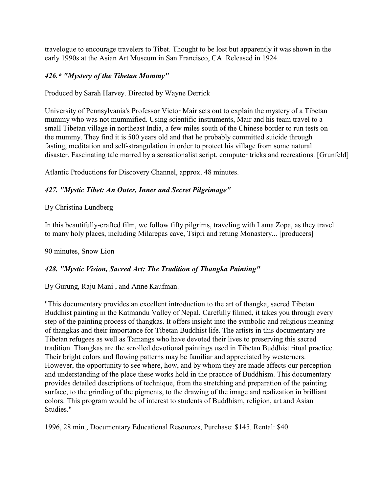travelogue to encourage travelers to Tibet. Thought to be lost but apparently it was shown in the early 1990s at the Asian Art Museum in San Francisco, CA. Released in 1924.

## *426.\* "Mystery of the Tibetan Mummy"*

Produced by Sarah Harvey. Directed by Wayne Derrick

University of Pennsylvania's Professor Victor Mair sets out to explain the mystery of a Tibetan mummy who was not mummified. Using scientific instruments, Mair and his team travel to a small Tibetan village in northeast India, a few miles south of the Chinese border to run tests on the mummy. They find it is 500 years old and that he probably committed suicide through fasting, meditation and self-strangulation in order to protect his village from some natural disaster. Fascinating tale marred by a sensationalist script, computer tricks and recreations. [Grunfeld]

Atlantic Productions for Discovery Channel, approx. 48 minutes.

## *427. "Mystic Tibet: An Outer, Inner and Secret Pilgrimage"*

## By Christina Lundberg

In this beautifully-crafted film, we follow fifty pilgrims, traveling with Lama Zopa, as they travel to many holy places, including Milarepas cave, Tsipri and retung Monastery... [producers]

90 minutes, Snow Lion

# *428. "Mystic Vision, Sacred Art: The Tradition of Thangka Painting"*

### By Gurung, Raju Mani , and Anne Kaufman.

"This documentary provides an excellent introduction to the art of thangka, sacred Tibetan Buddhist painting in the Katmandu Valley of Nepal. Carefully filmed, it takes you through every step of the painting process of thangkas. It offers insight into the symbolic and religious meaning of thangkas and their importance for Tibetan Buddhist life. The artists in this documentary are Tibetan refugees as well as Tamangs who have devoted their lives to preserving this sacred tradition. Thangkas are the scrolled devotional paintings used in Tibetan Buddhist ritual practice. Their bright colors and flowing patterns may be familiar and appreciated by westerners. However, the opportunity to see where, how, and by whom they are made affects our perception and understanding of the place these works hold in the practice of Buddhism. This documentary provides detailed descriptions of technique, from the stretching and preparation of the painting surface, to the grinding of the pigments, to the drawing of the image and realization in brilliant colors. This program would be of interest to students of Buddhism, religion, art and Asian Studies."

1996, 28 min., Documentary Educational Resources, Purchase: \$145. Rental: \$40.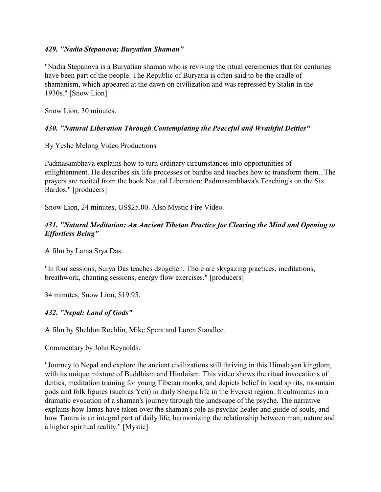#### *429. "Nadia Stepanova; Buryatian Shaman"*

"Nadia Stepanova is a Buryatian shaman who is reviving the ritual ceremonies that for centuries have been part of the people. The Republic of Buryatia is often said to be the cradle of shamanism, which appeared at the dawn on civilization and was repressed by Stalin in the 1930s." [Snow Lion]

Snow Lion, 30 minutes.

### *430. "Natural Liberation Through Contemplating the Peaceful and Wrathful Deities"*

By Yeshe Melong Video Productions

Padmasambhava explains how to turn ordinary circumstances into opportunities of enlightenment. He describes six life processes or bardos and teaches how to transform them...The prayers are recited from the book Natural Liberation: Padmasambhava's Teaching's on the Six Bardos." [producers]

Snow Lion, 24 minutes, US\$25.00. Also Mystic Fire Video.

### *431. "Natural Meditation: An Ancient Tibetan Practice for Clearing the Mind and Opening to Effortless Being"*

A film by Lama Srya Das

"In four sessions, Surya Das teaches dzogchen. There are skygazing practices, meditations, breathwork, chanting sessions, energy flow exercises." [producers]

34 minutes, Snow Lion, \$19.95.

### *432. "Nepal: Land of Gods"*

A film by Sheldon Rochlin, Mike Spera and Loren Standlee.

Commentary by John Reynolds.

"Journey to Nepal and explore the ancient civilizations still thriving in this Himalayan kingdom, with its unique mixture of Buddhism and Hinduism. This video shows the ritual invocations of deities, meditation training for young Tibetan monks, and depicts belief in local spirits, mountain gods and folk figures (such as Yeti) in daily Sherpa life in the Everest region. It culminates in a dramatic evocation of a shaman's journey through the landscape of the psyche. The narrative explains how lamas have taken over the shaman's role as psychic healer and guide of souls, and how Tantra is an integral part of daily life, harmonizing the relationship between man, nature and a higher spiritual reality." [Mystic]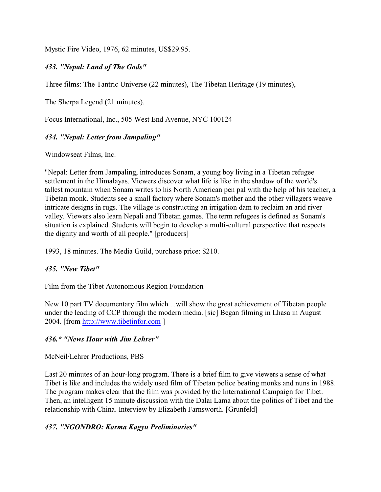Mystic Fire Video, 1976, 62 minutes, US\$29.95.

## *433. "Nepal: Land of The Gods"*

Three films: The Tantric Universe (22 minutes), The Tibetan Heritage (19 minutes),

The Sherpa Legend (21 minutes).

Focus International, Inc., 505 West End Avenue, NYC 100124

# *434. "Nepal: Letter from Jampaling"*

Windowseat Films, Inc.

"Nepal: Letter from Jampaling, introduces Sonam, a young boy living in a Tibetan refugee settlement in the Himalayas. Viewers discover what life is like in the shadow of the world's tallest mountain when Sonam writes to his North American pen pal with the help of his teacher, a Tibetan monk. Students see a small factory where Sonam's mother and the other villagers weave intricate designs in rugs. The village is constructing an irrigation dam to reclaim an arid river valley. Viewers also learn Nepali and Tibetan games. The term refugees is defined as Sonam's situation is explained. Students will begin to develop a multi-cultural perspective that respects the dignity and worth of all people." [producers]

1993, 18 minutes. The Media Guild, purchase price: \$210.

### *435. "New Tibet"*

Film from the Tibet Autonomous Region Foundation

New 10 part TV documentary film which ...will show the great achievement of Tibetan people under the leading of CCP through the modern media. [sic] Began filming in Lhasa in August 2004. [from<http://www.tibetinfor.com> ]

### *436.\* "News Hour with Jim Lehrer"*

McNeil/Lehrer Productions, PBS

Last 20 minutes of an hour-long program. There is a brief film to give viewers a sense of what Tibet is like and includes the widely used film of Tibetan police beating monks and nuns in 1988. The program makes clear that the film was provided by the International Campaign for Tibet. Then, an intelligent 15 minute discussion with the Dalai Lama about the politics of Tibet and the relationship with China. Interview by Elizabeth Farnsworth. [Grunfeld]

### *437. "NGONDRO: Karma Kagyu Preliminaries"*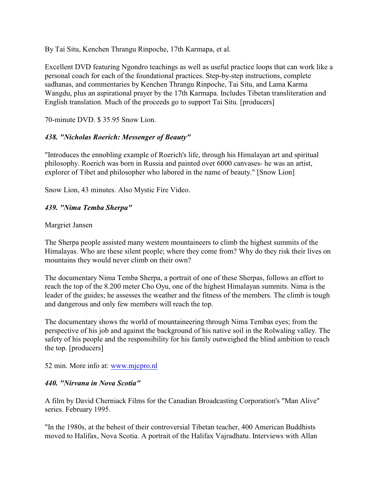By Tai Situ, Kenchen Thrangu Rinpoche, 17th Karmapa, et al.

Excellent DVD featuring Ngondro teachings as well as useful practice loops that can work like a personal coach for each of the foundational practices. Step-by-step instructions, complete sadhanas, and commentaries by Kenchen Thrangu Rinpoche, Tai Situ, and Lama Karma Wangdu, plus an aspirational prayer by the 17th Karmapa. Includes Tibetan transliteration and English translation. Much of the proceeds go to support Tai Situ. [producers]

70-minute DVD. \$ 35.95 Snow Lion.

## *438. "Nicholas Roerich: Messenger of Beauty"*

"Introduces the ennobling example of Roerich's life, through his Himalayan art and spiritual philosophy. Roerich was born in Russia and painted over 6000 canvases- he was an artist, explorer of Tibet and philosopher who labored in the name of beauty." [Snow Lion]

Snow Lion, 43 minutes. Also Mystic Fire Video.

## *439. "Nima Temba Sherpa"*

### Margriet Jansen

The Sherpa people assisted many western mountaineers to climb the highest summits of the Himalayas. Who are these silent people; where they come from? Why do they risk their lives on mountains they would never climb on their own?

The documentary Nima Temba Sherpa, a portrait of one of these Sherpas, follows an effort to reach the top of the 8.200 meter Cho Oyu, one of the highest Himalayan summits. Nima is the leader of the guides; he assesses the weather and the fitness of the members. The climb is tough and dangerous and only few members will reach the top.

The documentary shows the world of mountaineering through Nima Tembas eyes; from the perspective of his job and against the background of his native soil in the Rolwaling valley. The safety of his people and the responsibility for his family outweighed the blind ambition to reach the top. [producers]

### 52 min. More info at: [www.mjcpro.nl](http://www.mjcpro.nl)

### *440. "Nirvana in Nova Scotia"*

A film by David Cherniack Films for the Canadian Broadcasting Corporation's "Man Alive" series. February 1995.

"In the 1980s, at the behest of their controversial Tibetan teacher, 400 American Buddhists moved to Halifax, Nova Scotia. A portrait of the Halifax Vajradhatu. Interviews with Allan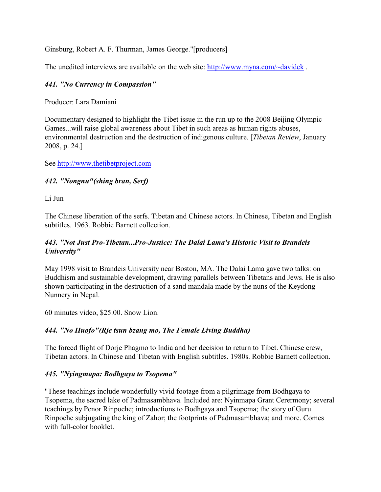Ginsburg, Robert A. F. Thurman, James George."[producers]

The unedited interviews are available on the web site:<http://www.myna.com/~davidck> .

# *441. "No Currency in Compassion"*

Producer: Lara Damiani

Documentary designed to highlight the Tibet issue in the run up to the 2008 Beijing Olympic Games...will raise global awareness about Tibet in such areas as human rights abuses, environmental destruction and the destruction of indigenous culture. [*Tibetan Review*, January 2008, p. 24.]

See<http://www.thetibetproject.com>

### *442. "Nongnu"(shing bran, Serf)*

Li Jun

The Chinese liberation of the serfs. Tibetan and Chinese actors. In Chinese, Tibetan and English subtitles. 1963. Robbie Barnett collection.

### *443. "Not Just Pro-Tibetan...Pro-Justice: The Dalai Lama's Historic Visit to Brandeis University"*

May 1998 visit to Brandeis University near Boston, MA. The Dalai Lama gave two talks: on Buddhism and sustainable development, drawing parallels between Tibetans and Jews. He is also shown participating in the destruction of a sand mandala made by the nuns of the Keydong Nunnery in Nepal.

60 minutes video, \$25.00. Snow Lion.

### *444. "No Huofo"(Rje tsun bzang mo, The Female Living Buddha)*

The forced flight of Dorje Phagmo to India and her decision to return to Tibet. Chinese crew, Tibetan actors. In Chinese and Tibetan with English subtitles. 1980s. Robbie Barnett collection.

### *445. "Nyingmapa: Bodhgaya to Tsopema"*

"These teachings include wonderfully vivid footage from a pilgrimage from Bodhgaya to Tsopema, the sacred lake of Padmasambhava. Included are: Nyinmapa Grant Cerermony; several teachings by Penor Rinpoche; introductions to Bodhgaya and Tsopema; the story of Guru Rinpoche subjugating the king of Zahor; the footprints of Padmasambhava; and more. Comes with full-color booklet.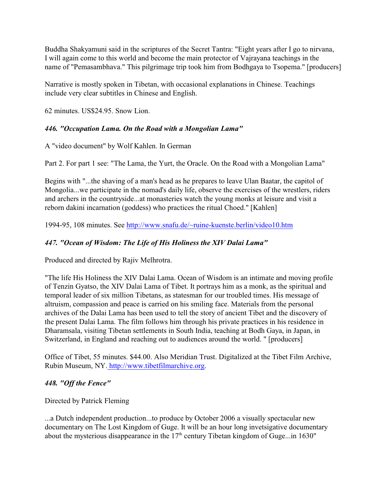Buddha Shakyamuni said in the scriptures of the Secret Tantra: "Eight years after I go to nirvana, I will again come to this world and become the main protector of Vajrayana teachings in the name of "Pemasambhava." This pilgrimage trip took him from Bodhgaya to Tsopema." [producers]

Narrative is mostly spoken in Tibetan, with occasional explanations in Chinese. Teachings include very clear subtitles in Chinese and English.

62 minutes. US\$24.95. Snow Lion.

## *446. "Occupation Lama. On the Road with a Mongolian Lama"*

A "video document" by Wolf Kahlen. In German

Part 2. For part 1 see: "The Lama, the Yurt, the Oracle. On the Road with a Mongolian Lama"

Begins with "...the shaving of a man's head as he prepares to leave Ulan Baatar, the capitol of Mongolia...we participate in the nomad's daily life, observe the exercises of the wrestlers, riders and archers in the countryside...at monasteries watch the young monks at leisure and visit a reborn dakini incarnation (goddess) who practices the ritual Choed." [Kahlen]

1994-95, 108 minutes. See<http://www.snafu.de/~ruine-kuenste.berlin/video10.htm>

# *447. "Ocean of Wisdom: The Life of His Holiness the XIV Dalai Lama"*

Produced and directed by Rajiv Melhrotra.

"The life His Holiness the XIV Dalai Lama. Ocean of Wisdom is an intimate and moving profile of Tenzin Gyatso, the XIV Dalai Lama of Tibet. It portrays him as a monk, as the spiritual and temporal leader of six million Tibetans, as statesman for our troubled times. His message of altruism, compassion and peace is carried on his smiling face. Materials from the personal archives of the Dalai Lama has been used to tell the story of ancient Tibet and the discovery of the present Dalai Lama. The film follows him through his private practices in his residence in Dharamsala, visiting Tibetan settlements in South India, teaching at Bodh Gaya, in Japan, in Switzerland, in England and reaching out to audiences around the world. " [producers]

Office of Tibet, 55 minutes. \$44.00. Also Meridian Trust. Digitalized at the Tibet Film Archive, Rubin Museum, NY[. http://www.tibetfilmarchive.org](http://www.tibetfilmarchive.org).

### *448. "Off the Fence"*

Directed by Patrick Fleming

...a Dutch independent production...to produce by October 2006 a visually spectacular new documentary on The Lost Kingdom of Guge. It will be an hour long invetsigative documentary about the mysterious disappearance in the  $17<sup>th</sup>$  century Tibetan kingdom of Guge...in 1630"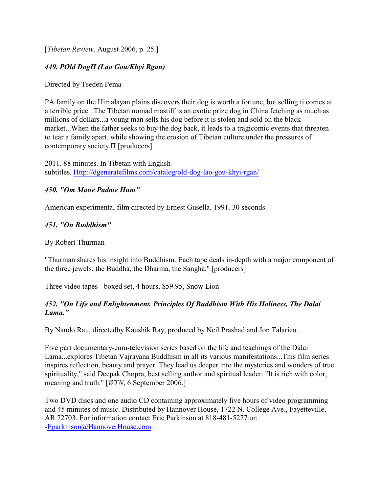[*Tibetan Review,* August 2006, p. 25.]

### *449. ÐOld DogÏ (Lao Gou/Khyi Rgan)*

Directed by Tseden Pema

PA family on the Himalayan plains discovers their dog is worth a fortune, but selling ti comes at a terrible price...The Tibetan nomad mastiff is an exotic prize dog in China fetching as much as millions of dollars...a young man sells his dog before it is stolen and sold on the black market...When the father seeks to buy the dog back, it leads to a tragicomic events that threaten to tear a family apart, while showing the erosion of Tibetan culture under the pressures of contemporary society. $\Pi$  [producers]

2011. 88 minutes. In Tibetan with English subtitles.<Http://dgeneratefilms.com/catalog/old-dog-lao-gou-khyi-rgan/>

#### *450. "Om Mane Padme Hum"*

American experimental film directed by Ernest Gusella. 1991. 30 seconds.

#### *451. "On Buddhism"*

By Robert Thurman

"Thurman shares his insight into Buddhism. Each tape deals in-depth with a major component of the three jewels: the Buddha, the Dharma, the Sangha." [producers]

Three video tapes - boxed set, 4 hours, \$59.95, Snow Lion

### *452. "On Life and Enlightenment. Principles Of Buddhism With His Holiness, The Dalai Lama."*

By Nando Rau, directedby Kaushik Ray, produced by Neil Prashad and Jon Talarico.

Five part documentary-cum-television series based on the life and teachings of the Dalai Lama...explores Tibetan Vajrayana Buddhism in all its various manifestations...This film series inspires reflection, beauty and prayer. They lead us deeper into the mysteries and wonders of true spirituality," said Deepak Chopra, best selling author and spiritual leader. "It is rich with color, meaning and truth." [*WTN*, 6 September 2006.]

Two DVD discs and one audio CD containing approximately five hours of video programming and 45 minutes of music. Distributed by Hannover House, 1722 N. College Ave., Fayetteville, AR 72703. For information contact Eric Parkinson at 818-481-5277 or: [-Eparkinson@HannoverHouse.com](mailto:Eparkinson@HannoverHouse.com).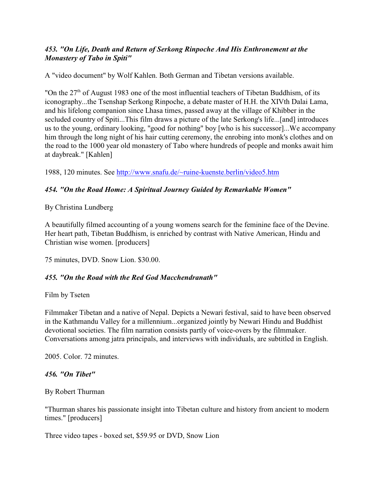## *453. "On Life, Death and Return of Serkong Rinpoche And His Enthronement at the Monastery of Tabo in Spiti"*

A "video document" by Wolf Kahlen. Both German and Tibetan versions available.

"On the  $27<sup>th</sup>$  of August 1983 one of the most influential teachers of Tibetan Buddhism, of its iconography...the Tsenshap Serkong Rinpoche, a debate master of H.H. the XIVth Dalai Lama, and his lifelong companion since Lhasa times, passed away at the village of Khibber in the secluded country of Spiti...This film draws a picture of the late Serkong's life...[and] introduces us to the young, ordinary looking, "good for nothing" boy [who is his successor]...We accompany him through the long night of his hair cutting ceremony, the enrobing into monk's clothes and on the road to the 1000 year old monastery of Tabo where hundreds of people and monks await him at daybreak." [Kahlen]

1988, 120 minutes. See<http://www.snafu.de/~ruine-kuenste.berlin/video5.htm>

### *454. "On the Road Home: A Spiritual Journey Guided by Remarkable Women"*

By Christina Lundberg

A beautifully filmed accounting of a young womens search for the feminine face of the Devine. Her heart path, Tibetan Buddhism, is enriched by contrast with Native American, Hindu and Christian wise women. [producers]

75 minutes, DVD. Snow Lion. \$30.00.

### *455. "On the Road with the Red God Macchendranath"*

Film by Tseten

Filmmaker Tibetan and a native of Nepal. Depicts a Newari festival, said to have been observed in the Kathmandu Valley for a millennium...organized jointly by Newari Hindu and Buddhist devotional societies. The film narration consists partly of voice-overs by the filmmaker. Conversations among jatra principals, and interviews with individuals, are subtitled in English.

2005. Color. 72 minutes.

#### *456. "On Tibet"*

By Robert Thurman

"Thurman shares his passionate insight into Tibetan culture and history from ancient to modern times." [producers]

Three video tapes - boxed set, \$59.95 or DVD, Snow Lion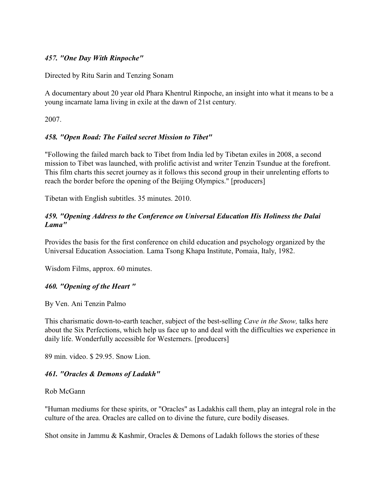#### *457. "One Day With Rinpoche"*

Directed by Ritu Sarin and Tenzing Sonam

A documentary about 20 year old Phara Khentrul Rinpoche, an insight into what it means to be a young incarnate lama living in exile at the dawn of 21st century.

2007.

### *458. "Open Road: The Failed secret Mission to Tibet"*

"Following the failed march back to Tibet from India led by Tibetan exiles in 2008, a second mission to Tibet was launched, with prolific activist and writer Tenzin Tsundue at the forefront. This film charts this secret journey as it follows this second group in their unrelenting efforts to reach the border before the opening of the Beijing Olympics." [producers]

Tibetan with English subtitles. 35 minutes. 2010.

#### *459. "Opening Address to the Conference on Universal Education His Holiness the Dalai Lama"*

Provides the basis for the first conference on child education and psychology organized by the Universal Education Association. Lama Tsong Khapa Institute, Pomaia, Italy, 1982.

Wisdom Films, approx. 60 minutes.

### *460. "Opening of the Heart "*

By Ven. Ani Tenzin Palmo

This charismatic down-to-earth teacher, subject of the best-selling *Cave in the Snow,* talks here about the Six Perfections, which help us face up to and deal with the difficulties we experience in daily life. Wonderfully accessible for Westerners. [producers]

89 min. video. \$ 29.95. Snow Lion.

#### *461. "Oracles & Demons of Ladakh"*

Rob McGann

"Human mediums for these spirits, or "Oracles" as Ladakhis call them, play an integral role in the culture of the area. Oracles are called on to divine the future, cure bodily diseases.

Shot onsite in Jammu & Kashmir, Oracles & Demons of Ladakh follows the stories of these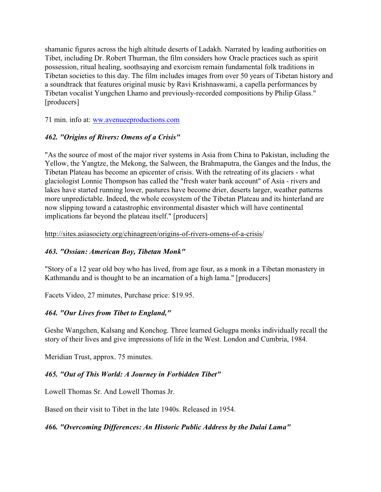shamanic figures across the high altitude deserts of Ladakh. Narrated by leading authorities on Tibet, including Dr. Robert Thurman, the film considers how Oracle practices such as spirit possession, ritual healing, soothsaying and exorcism remain fundamental folk traditions in Tibetan societies to this day. The film includes images from over 50 years of Tibetan history and a soundtrack that features original music by Ravi Krishnaswami, a capella performances by Tibetan vocalist Yungchen Lhamo and previously-recorded compositions by Philip Glass." [producers]

71 min. info at: [ww.avenueeproductions.com](http://www.avenueeproductions.com)

### *462. "Origins of Rivers: Omens of a Crisis"*

"As the source of most of the major river systems in Asia from China to Pakistan, including the Yellow, the Yangtze, the Mekong, the Salween, the Brahmaputra, the Ganges and the Indus, the Tibetan Plateau has become an epicenter of crisis. With the retreating of its glaciers - what glaciologist Lonnie Thompson has called the "fresh water bank account" of Asia - rivers and lakes have started running lower, pastures have become drier, deserts larger, weather patterns more unpredictable. Indeed, the whole ecosystem of the Tibetan Plateau and its hinterland are now slipping toward a catastrophic environmental disaster which will have continental implications far beyond the plateau itself." [producers]

http://sites.asiasociety.org/chinagreen/origins-of-rivers-omens-of-a-crisis/

### *463. "Ossian: American Boy, Tibetan Monk"*

"Story of a 12 year old boy who has lived, from age four, as a monk in a Tibetan monastery in Kathmandu and is thought to be an incarnation of a high lama." [producers]

Facets Video, 27 minutes, Purchase price: \$19.95.

### *464. "Our Lives from Tibet to England,"*

Geshe Wangchen, Kalsang and Konchog. Three learned Gelugpa monks individually recall the story of their lives and give impressions of life in the West. London and Cumbria, 1984.

Meridian Trust, approx. 75 minutes.

# *465. "Out of This World: A Journey in Forbidden Tibet"*

Lowell Thomas Sr. And Lowell Thomas Jr.

Based on their visit to Tibet in the late 1940s. Released in 1954.

*466. "Overcoming Differences: An Historic Public Address by the Dalai Lama"*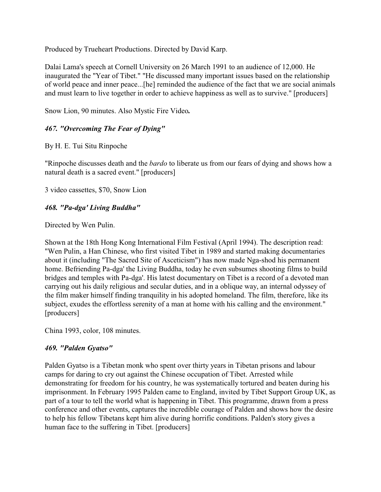Produced by Trueheart Productions. Directed by David Karp.

Dalai Lama's speech at Cornell University on 26 March 1991 to an audience of 12,000. He inaugurated the "Year of Tibet." "He discussed many important issues based on the relationship of world peace and inner peace...[he] reminded the audience of the fact that we are social animals and must learn to live together in order to achieve happiness as well as to survive." [producers]

Snow Lion, 90 minutes. Also Mystic Fire Video*.*

# *467. "Overcoming The Fear of Dying"*

By H. E. Tui Situ Rinpoche

"Rinpoche discusses death and the *bardo* to liberate us from our fears of dying and shows how a natural death is a sacred event." [producers]

3 video cassettes, \$70, Snow Lion

# *468. "Pa-dga' Living Buddha"*

Directed by Wen Pulin.

Shown at the 18th Hong Kong International Film Festival (April 1994). The description read: "Wen Pulin, a Han Chinese, who first visited Tibet in 1989 and started making documentaries about it (including "The Sacred Site of Asceticism") has now made Nga-shod his permanent home. Befriending Pa-dga' the Living Buddha, today he even subsumes shooting films to build bridges and temples with Pa-dga'. His latest documentary on Tibet is a record of a devoted man carrying out his daily religious and secular duties, and in a oblique way, an internal odyssey of the film maker himself finding tranquility in his adopted homeland. The film, therefore, like its subject, exudes the effortless serenity of a man at home with his calling and the environment." [producers]

China 1993, color, 108 minutes.

### *469. "Palden Gyatso"*

Palden Gyatso is a Tibetan monk who spent over thirty years in Tibetan prisons and labour camps for daring to cry out against the Chinese occupation of Tibet. Arrested while demonstrating for freedom for his country, he was systematically tortured and beaten during his imprisonment. In February 1995 Palden came to England, invited by Tibet Support Group UK, as part of a tour to tell the world what is happening in Tibet. This programme, drawn from a press conference and other events, captures the incredible courage of Palden and shows how the desire to help his fellow Tibetans kept him alive during horrific conditions. Palden's story gives a human face to the suffering in Tibet. [producers]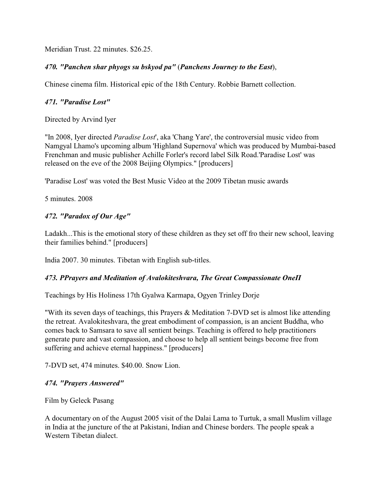Meridian Trust. 22 minutes. \$26.25.

### *470. "Panchen shar phyogs su bskyod pa"* (*Panchens Journey to the East*),

Chinese cinema film. Historical epic of the 18th Century. Robbie Barnett collection.

#### *471. "Paradise Lost"*

Directed by Arvind Iyer

"In 2008, Iyer directed *Paradise Lost*', aka 'Chang Yare', the controversial music video from Namgyal Lhamo's upcoming album 'Highland Supernova' which was produced by Mumbai-based Frenchman and music publisher Achille Forler's record label Silk Road.'Paradise Lost' was released on the eve of the 2008 Beijing Olympics." [producers]

'Paradise Lost' was voted the Best Music Video at the 2009 Tibetan music awards

5 minutes. 2008

#### *472. "Paradox of Our Age"*

Ladakh...This is the emotional story of these children as they set off fro their new school, leaving their families behind." [producers]

India 2007. 30 minutes. Tibetan with English sub-titles.

#### **473. PPrayers and Meditation of Avalokiteshvara, The Great Compassionate OneII**

Teachings by His Holiness 17th Gyalwa Karmapa, Ogyen Trinley Dorje

"With its seven days of teachings, this Prayers & Meditation 7-DVD set is almost like attending the retreat. Avalokiteshvara, the great embodiment of compassion, is an ancient Buddha, who comes back to Samsara to save all sentient beings. Teaching is offered to help practitioners generate pure and vast compassion, and choose to help all sentient beings become free from suffering and achieve eternal happiness." [producers]

7-DVD set, 474 minutes. \$40.00. Snow Lion.

#### *474. "Prayers Answered"*

Film by Geleck Pasang

A documentary on of the August 2005 visit of the Dalai Lama to Turtuk, a small Muslim village in India at the juncture of the at Pakistani, Indian and Chinese borders. The people speak a Western Tibetan dialect.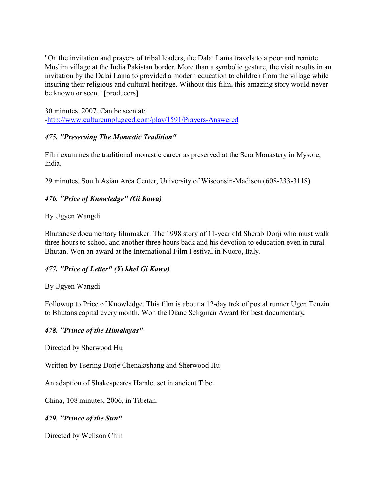"On the invitation and prayers of tribal leaders, the Dalai Lama travels to a poor and remote Muslim village at the India Pakistan border. More than a symbolic gesture, the visit results in an invitation by the Dalai Lama to provided a modern education to children from the village while insuring their religious and cultural heritage. Without this film, this amazing story would never be known or seen." [producers]

30 minutes. 2007. Can be seen at: [-http://www.cultureunplugged.com/play/1591/Prayers-Answered](http://www.cultureunplugged.com/play/1591/Prayers-Answered)

### *475. "Preserving The Monastic Tradition"*

Film examines the traditional monastic career as preserved at the Sera Monastery in Mysore, India.

29 minutes. South Asian Area Center, University of Wisconsin-Madison (608-233-3118)

# *476. "Price of Knowledge" (Gi Kawa)*

### By Ugyen Wangdi

Bhutanese documentary filmmaker. The 1998 story of 11-year old Sherab Dorji who must walk three hours to school and another three hours back and his devotion to education even in rural Bhutan. Won an award at the International Film Festival in Nuoro, Italy.

### *477. "Price of Letter" (Yi khel Gi Kawa)*

### By Ugyen Wangdi

Followup to Price of Knowledge. This film is about a 12-day trek of postal runner Ugen Tenzin to Bhutans capital every month. Won the Diane Seligman Award for best documentary*.*

### *478. "Prince of the Himalayas"*

Directed by Sherwood Hu

Written by Tsering Dorje Chenaktshang and Sherwood Hu

An adaption of Shakespeares Hamlet set in ancient Tibet.

China, 108 minutes, 2006, in Tibetan.

*479. "Prince of the Sun"*

Directed by Wellson Chin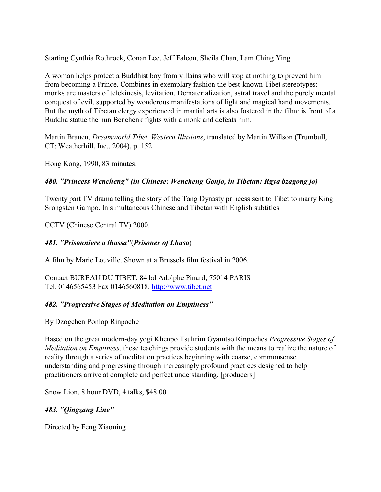Starting Cynthia Rothrock, Conan Lee, Jeff Falcon, Sheila Chan, Lam Ching Ying

A woman helps protect a Buddhist boy from villains who will stop at nothing to prevent him from becoming a Prince. Combines in exemplary fashion the best-known Tibet stereotypes: monks are masters of telekinesis, levitation. Dematerialization, astral travel and the purely mental conquest of evil, supported by wonderous manifestations of light and magical hand movements. But the myth of Tibetan clergy experienced in martial arts is also fostered in the film: is front of a Buddha statue the nun Benchenk fights with a monk and defeats him.

Martin Brauen, *Dreamworld Tibet. Western Illusions*, translated by Martin Willson (Trumbull, CT: Weatherhill, Inc., 2004), p. 152.

Hong Kong, 1990, 83 minutes.

## *480. "Princess Wencheng" (in Chinese: Wencheng Gonjo, in Tibetan: Rgya bzagong jo)*

Twenty part TV drama telling the story of the Tang Dynasty princess sent to Tibet to marry King Srongsten Gampo. In simultaneous Chinese and Tibetan with English subtitles.

CCTV (Chinese Central TV) 2000.

## *481. "Prisonniere a lhassa"*(*Prisoner of Lhasa*)

A film by Marie Louville. Shown at a Brussels film festival in 2006.

Contact BUREAU DU TIBET, 84 bd Adolphe Pinard, 75014 PARIS Tel. 0146565453 Fax 0146560818.<http://www.tibet.net>

# *482. "Progressive Stages of Meditation on Emptiness"*

By Dzogchen Ponlop Rinpoche

Based on the great modern-day yogi Khenpo Tsultrim Gyamtso Rinpoches *Progressive Stages of Meditation on Emptiness,* these teachings provide students with the means to realize the nature of reality through a series of meditation practices beginning with coarse, commonsense understanding and progressing through increasingly profound practices designed to help practitioners arrive at complete and perfect understanding. [producers]

Snow Lion, 8 hour DVD, 4 talks, \$48.00

### *483. "Qingzang Line"*

Directed by Feng Xiaoning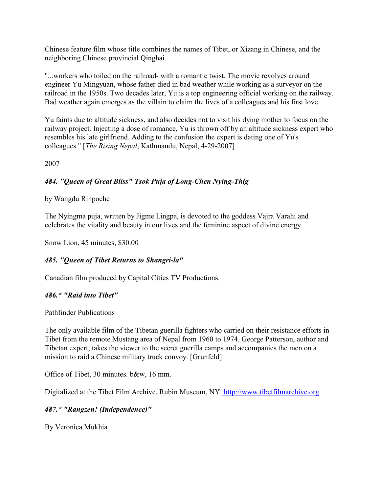Chinese feature film whose title combines the names of Tibet, or Xizang in Chinese, and the neighboring Chinese provincial Qinghai.

"...workers who toiled on the railroad- with a romantic twist. The movie revolves around engineer Yu Mingyuan, whose father died in bad weather while working as a surveyor on the railroad in the 1950s. Two decades later, Yu is a top engineering official working on the railway. Bad weather again emerges as the villain to claim the lives of a colleagues and his first love.

Yu faints due to altitude sickness, and also decides not to visit his dying mother to focus on the railway project. Injecting a dose of romance, Yu is thrown off by an altitude sickness expert who resembles his late girlfriend. Adding to the confusion the expert is dating one of Yu's colleagues." [*The Rising Nepal*, Kathmandu, Nepal, 4-29-2007]

2007

# *484. "Queen of Great Bliss" Tsok Puja of Long-Chen Nying-Thig*

by Wangdu Rinpoche

The Nyingma puja, written by Jigme Lingpa, is devoted to the goddess Vajra Varahi and celebrates the vitality and beauty in our lives and the feminine aspect of divine energy.

Snow Lion, 45 minutes, \$30.00

### *485. "Queen of Tibet Returns to Shangri-la"*

Canadian film produced by Capital Cities TV Productions.

### *486.\* "Raid into Tibet"*

Pathfinder Publications

The only available film of the Tibetan guerilla fighters who carried on their resistance efforts in Tibet from the remote Mustang area of Nepal from 1960 to 1974. George Patterson, author and Tibetan expert, takes the viewer to the secret guerilla camps and accompanies the men on a mission to raid a Chinese military truck convoy. [Grunfeld]

Office of Tibet, 30 minutes. b&w, 16 mm.

Digitalized at the Tibet Film Archive, Rubin Museum, NY[. http://www.tibetfilmarchive.org](http://www.tibetfilmarchive.org)

### *487.\* "Rangzen! (Independence)"*

By Veronica Mukhia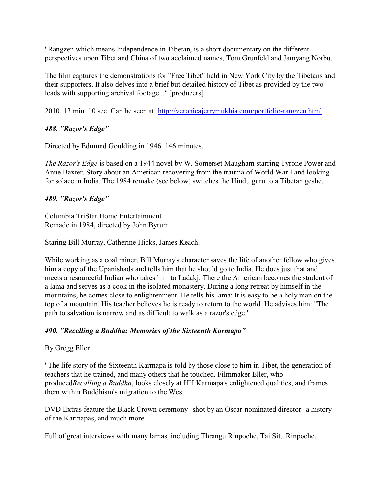"Rangzen which means Independence in Tibetan, is a short documentary on the different perspectives upon Tibet and China of two acclaimed names, Tom Grunfeld and Jamyang Norbu.

The film captures the demonstrations for "Free Tibet" held in New York City by the Tibetans and their supporters. It also delves into a brief but detailed history of Tibet as provided by the two leads with supporting archival footage..." [producers]

2010. 13 min. 10 sec. Can be seen at:<http://veronicajerrymukhia.com/portfolio-rangzen.html>

## *488. "Razor's Edge"*

Directed by Edmund Goulding in 1946. 146 minutes.

*The Razor's Edge* is based on a 1944 novel by W. Somerset Maugham starring Tyrone Power and Anne Baxter. Story about an American recovering from the trauma of World War I and looking for solace in India. The 1984 remake (see below) switches the Hindu guru to a Tibetan geshe.

## *489. "Razor's Edge"*

Columbia TriStar Home Entertainment Remade in 1984, directed by John Byrum

Staring Bill Murray, Catherine Hicks, James Keach.

While working as a coal miner, Bill Murray's character saves the life of another fellow who gives him a copy of the Upanishads and tells him that he should go to India. He does just that and meets a resourceful Indian who takes him to Ladakj. There the American becomes the student of a lama and serves as a cook in the isolated monastery. During a long retreat by himself in the mountains, he comes close to enlightenment. He tells his lama: It is easy to be a holy man on the top of a mountain. His teacher believes he is ready to return to the world. He advises him: "The path to salvation is narrow and as difficult to walk as a razor's edge."

# *490. "Recalling a Buddha: Memories of the Sixteenth Karmapa"*

# By Gregg Eller

"The life story of the Sixteenth Karmapa is told by those close to him in Tibet, the generation of teachers that he trained, and many others that he touched. Filmmaker Eller, who produced*Recalling a Buddha*, looks closely at HH Karmapa's enlightened qualities, and frames them within Buddhism's migration to the West.

DVD Extras feature the Black Crown ceremony--shot by an Oscar-nominated director--a history of the Karmapas, and much more.

Full of great interviews with many lamas, including Thrangu Rinpoche, Tai Situ Rinpoche,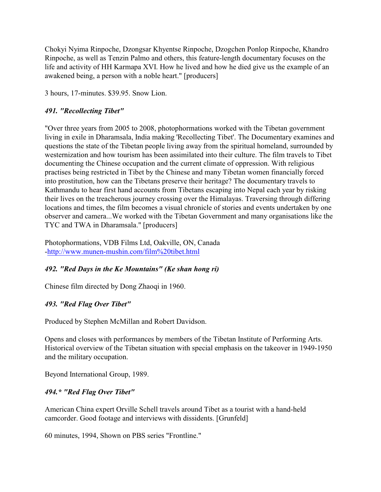Chokyi Nyima Rinpoche, Dzongsar Khyentse Rinpoche, Dzogchen Ponlop Rinpoche, Khandro Rinpoche, as well as Tenzin Palmo and others, this feature-length documentary focuses on the life and activity of HH Karmapa XVI. How he lived and how he died give us the example of an awakened being, a person with a noble heart." [producers]

3 hours, 17-minutes. \$39.95. Snow Lion.

### *491. "Recollecting Tibet"*

"Over three years from 2005 to 2008, photophormations worked with the Tibetan government living in exile in Dharamsala, India making 'Recollecting Tibet'. The Documentary examines and questions the state of the Tibetan people living away from the spiritual homeland, surrounded by westernization and how tourism has been assimilated into their culture. The film travels to Tibet documenting the Chinese occupation and the current climate of oppression. With religious practises being restricted in Tibet by the Chinese and many Tibetan women financially forced into prostitution, how can the Tibetans preserve their heritage? The documentary travels to Kathmandu to hear first hand accounts from Tibetans escaping into Nepal each year by risking their lives on the treacherous journey crossing over the Himalayas. Traversing through differing locations and times, the film becomes a visual chronicle of stories and events undertaken by one observer and camera...We worked with the Tibetan Government and many organisations like the TYC and TWA in Dharamsala." [producers]

Photophormations, VDB Films Ltd, Oakville, ON, Canada [-http://www.munen-mushin.com/film%20tibet.html](http://www.munen-mushin.com/film%20tibet.html)

### *492. "Red Days in the Ke Mountains" (Ke shan hong ri)*

Chinese film directed by Dong Zhaoqi in 1960.

### *493. "Red Flag Over Tibet"*

Produced by Stephen McMillan and Robert Davidson.

Opens and closes with performances by members of the Tibetan Institute of Performing Arts. Historical overview of the Tibetan situation with special emphasis on the takeover in 1949-1950 and the military occupation.

Beyond International Group, 1989.

### *494.\* "Red Flag Over Tibet"*

American China expert Orville Schell travels around Tibet as a tourist with a hand-held camcorder. Good footage and interviews with dissidents. [Grunfeld]

60 minutes, 1994, Shown on PBS series "Frontline."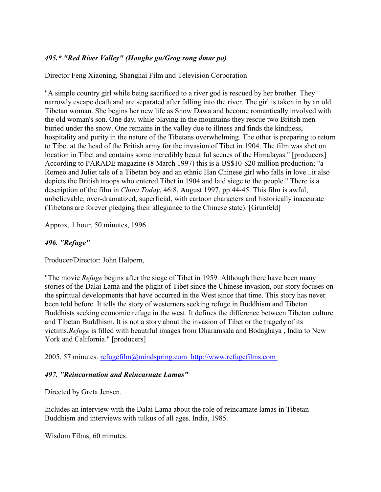## *495.\* "Red River Valley" (Honghe gu/Grog rong dmar po)*

Director Feng Xiaoning, Shanghai Film and Television Corporation

"A simple country girl while being sacrificed to a river god is rescued by her brother. They narrowly escape death and are separated after falling into the river. The girl is taken in by an old Tibetan woman. She begins her new life as Snow Dawa and become romantically involved with the old woman's son. One day, while playing in the mountains they rescue two British men buried under the snow. One remains in the valley due to illness and finds the kindness, hospitality and purity in the nature of the Tibetans overwhelming. The other is preparing to return to Tibet at the head of the British army for the invasion of Tibet in 1904. The film was shot on location in Tibet and contains some incredibly beautiful scenes of the Himalayas." [producers] According to PARADE magazine (8 March 1997) this is a US\$10-\$20 million production; "a Romeo and Juliet tale of a Tibetan boy and an ethnic Han Chinese girl who falls in love...it also depicts the British troops who entered Tibet in 1904 and laid siege to the people." There is a description of the film in *China Today*, 46:8, August 1997, pp.44-45. This film is awful, unbelievable, over-dramatized, superficial, with cartoon characters and historically inaccurate (Tibetans are forever pledging their allegiance to the Chinese state). [Grunfeld]

Approx, 1 hour, 50 minutes, 1996

### *496. "Refuge"*

Producer/Director: John Halpern,

"The movie *Refuge* begins after the siege of Tibet in 1959. Although there have been many stories of the Dalai Lama and the plight of Tibet since the Chinese invasion, our story focuses on the spiritual developments that have occurred in the West since that time. This story has never been told before. It tells the story of westerners seeking refuge in Buddhism and Tibetan Buddhists seeking economic refuge in the west. It defines the difference between Tibetan culture and Tibetan Buddhism. It is not a story about the invasion of Tibet or the tragedy of its victims.*Refuge* is filled with beautiful images from Dharamsala and Bodaghaya , India to New York and California." [producers]

2005, 57 minutes. [refugefilm@mindspring.com. http://www.refugefilms.com](mailto:refugefilm@mindspring.com) 

#### *497. "Reincarnation and Reincarnate Lamas"*

Directed by Greta Jensen.

Includes an interview with the Dalai Lama about the role of reincarnate lamas in Tibetan Buddhism and interviews with tulkus of all ages. India, 1985.

Wisdom Films, 60 minutes.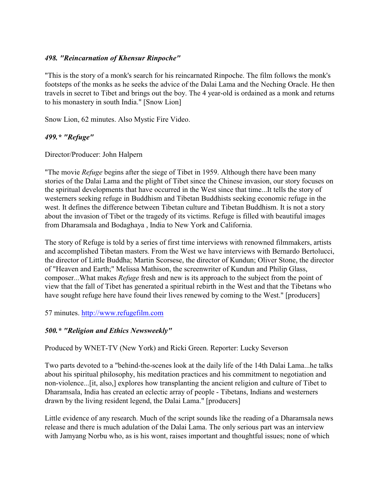#### *498. "Reincarnation of Khensur Rinpoche"*

"This is the story of a monk's search for his reincarnated Rinpoche. The film follows the monk's footsteps of the monks as he seeks the advice of the Dalai Lama and the Neching Oracle. He then travels in secret to Tibet and brings out the boy. The 4 year-old is ordained as a monk and returns to his monastery in south India." [Snow Lion]

Snow Lion, 62 minutes. Also Mystic Fire Video.

### *499.\* "Refuge"*

Director/Producer: John Halpern

"The movie *Refuge* begins after the siege of Tibet in 1959. Although there have been many stories of the Dalai Lama and the plight of Tibet since the Chinese invasion, our story focuses on the spiritual developments that have occurred in the West since that time...It tells the story of westerners seeking refuge in Buddhism and Tibetan Buddhists seeking economic refuge in the west. It defines the difference between Tibetan culture and Tibetan Buddhism. It is not a story about the invasion of Tibet or the tragedy of its victims. Refuge is filled with beautiful images from Dharamsala and Bodaghaya , India to New York and California.

The story of Refuge is told by a series of first time interviews with renowned filmmakers, artists and accomplished Tibetan masters. From the West we have interviews with Bernardo Bertolucci, the director of Little Buddha; Martin Scorsese, the director of Kundun; Oliver Stone, the director of "Heaven and Earth;" Melissa Mathison, the screenwriter of Kundun and Philip Glass, composer...What makes *Refuge* fresh and new is its approach to the subject from the point of view that the fall of Tibet has generated a spiritual rebirth in the West and that the Tibetans who have sought refuge here have found their lives renewed by coming to the West." [producers]

57 minutes. [http://www.refugefilm.com](Http://www.refugefilm.com)

### *500.\* "Religion and Ethics Newsweekly"*

Produced by WNET-TV (New York) and Ricki Green. Reporter: Lucky Severson

Two parts devoted to a "behind-the-scenes look at the daily life of the 14th Dalai Lama...he talks about his spiritual philosophy, his meditation practices and his commitment to negotiation and non-violence...[it, also,] explores how transplanting the ancient religion and culture of Tibet to Dharamsala, India has created an eclectic array of people - Tibetans, Indians and westerners drawn by the living resident legend, the Dalai Lama." [producers]

Little evidence of any research. Much of the script sounds like the reading of a Dharamsala news release and there is much adulation of the Dalai Lama. The only serious part was an interview with Jamyang Norbu who, as is his wont, raises important and thoughtful issues; none of which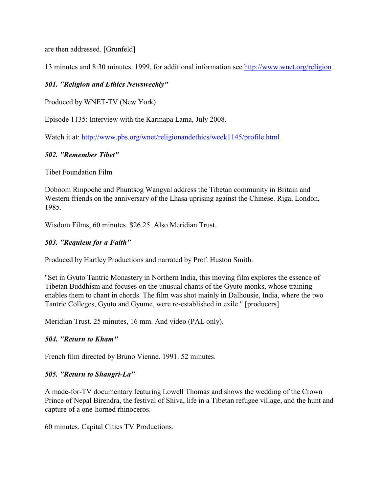are then addressed. [Grunfeld]

13 minutes and 8:30 minutes. 1999, for additional information see <http://www.wnet.org/religion>

### *501. "Religion and Ethics Newsweekly"*

Produced by WNET-TV (New York)

Episode 1135: Interview with the Karmapa Lama, July 2008.

Watch it at:<http://www.pbs.org/wnet/religionandethics/week1145/profile.html>

#### *502. "Remember Tibet"*

Tibet Foundation Film

Doboom Rinpoche and Phuntsog Wangyal address the Tibetan community in Britain and Western friends on the anniversary of the Lhasa uprising against the Chinese. Riga, London, 1985.

Wisdom Films, 60 minutes. \$26.25. Also Meridian Trust.

#### *503. "Requiem for a Faith"*

Produced by Hartley Productions and narrated by Prof. Huston Smith.

"Set in Gyuto Tantric Monastery in Northern India, this moving film explores the essence of Tibetan Buddhism and focuses on the unusual chants of the Gyuto monks, whose training enables them to chant in chords. The film was shot mainly in Dalhousie, India, where the two Tantric Colleges, Gyuto and Gyume, were re-established in exile." [producers]

Meridian Trust. 25 minutes, 16 mm. And video (PAL only).

#### *504. "Return to Kham"*

French film directed by Bruno Vienne. 1991. 52 minutes.

#### *505. "Return to Shangri-La"*

A made-for-TV documentary featuring Lowell Thomas and shows the wedding of the Crown Prince of Nepal Birendra, the festival of Shiva, life in a Tibetan refugee village, and the hunt and capture of a one-horned rhinoceros.

60 minutes. Capital Cities TV Productions*.*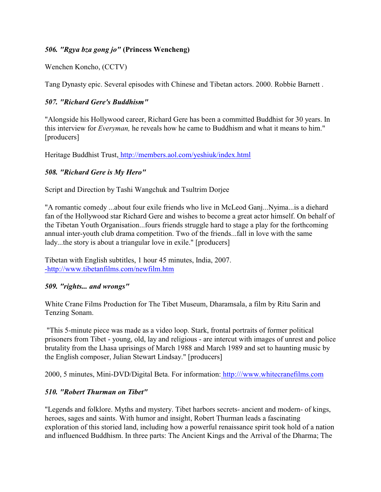### *506. "Rgya bza gong jo"* **(Princess Wencheng)**

Wenchen Koncho, (CCTV)

Tang Dynasty epic. Several episodes with Chinese and Tibetan actors. 2000. Robbie Barnett .

## *507. "Richard Gere's Buddhism"*

"Alongside his Hollywood career, Richard Gere has been a committed Buddhist for 30 years. In this interview for *Everyman,* he reveals how he came to Buddhism and what it means to him." [producers]

Heritage Buddhist Trust[, http://members.aol.com/yeshiuk/index.html](http://members.aol.com/yeshiuk/index.html)

## *508. "Richard Gere is My Hero"*

Script and Direction by Tashi Wangchuk and Tsultrim Dorjee

"A romantic comedy ...about four exile friends who live in McLeod Ganj...Nyima...is a diehard fan of the Hollywood star Richard Gere and wishes to become a great actor himself. On behalf of the Tibetan Youth Organisation...fours friends struggle hard to stage a play for the forthcoming annual inter-youth club drama competition. Two of the friends...fall in love with the same lady...the story is about a triangular love in exile." [producers]

Tibetan with English subtitles, 1 hour 45 minutes, India, 2007. [-http://www.tibetanfilms.com/newfilm.htm](http://www.tibetanfilms.com/newfilm.htm)

### *509. "rights... and wrongs"*

White Crane Films Production for The Tibet Museum, Dharamsala, a film by Ritu Sarin and Tenzing Sonam.

 "This 5-minute piece was made as a video loop. Stark, frontal portraits of former political prisoners from Tibet - young, old, lay and religious - are intercut with images of unrest and police brutality from the Lhasa uprisings of March 1988 and March 1989 and set to haunting music by the English composer, Julian Stewart Lindsay." [producers]

2000, 5 minutes, Mini-DVD/Digital Beta. For information[: http:///www.whitecranefilms.com](http:///www.whitecranefilms.com)

# *510. "Robert Thurman on Tibet"*

"Legends and folklore. Myths and mystery. Tibet harbors secrets- ancient and modern- of kings, heroes, sages and saints. With humor and insight, Robert Thurman leads a fascinating exploration of this storied land, including how a powerful renaissance spirit took hold of a nation and influenced Buddhism. In three parts: The Ancient Kings and the Arrival of the Dharma; The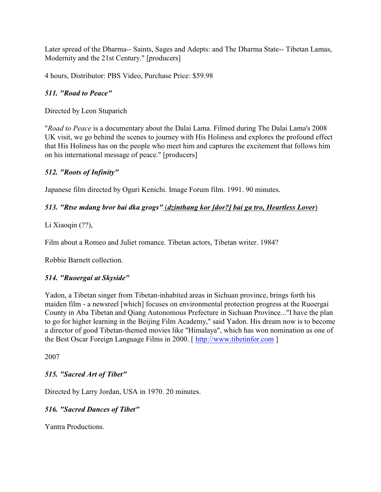Later spread of the Dharma-- Saints, Sages and Adepts: and The Dharma State-- Tibetan Lamas, Modernity and the 21st Century." [producers]

4 hours, Distributor: PBS Video, Purchase Price: \$59.98

## *511. "Road to Peace"*

Directed by Leon Stuparich

"*Road to Peace* is a documentary about the Dalai Lama. Filmed during The Dalai Lama's 2008 UK visit, we go behind the scenes to journey with His Holiness and explores the profound effect that His Holiness has on the people who meet him and captures the excitement that follows him on his international message of peace." [producers]

## *512. "Roots of Infinity"*

Japanese film directed by Oguri Kenichi. Image Forum film. 1991. 90 minutes.

## *513. "Rtse mdang bror bai dka grogs"* (*dzinthang kor [dor?] bai ga tro, Heartless Lover*)

Li Xiaoqin (??),

Film about a Romeo and Juliet romance. Tibetan actors, Tibetan writer. 1984?

Robbie Barnett collection.

### *514. "Ruoergai at Skyside"*

Yadon, a Tibetan singer from Tibetan-inhabited areas in Sichuan province, brings forth his maiden film - a newsreel [which] focuses on environmental protection progress at the Ruoergai County in Aba Tibetan and Qiang Autonomous Prefecture in Sichuan Province..."I have the plan to go for higher learning in the Beijing Film Academy," said Yadon. His dream now is to become a director of good Tibetan-themed movies like "Himalaya", which has won nomination as one of the Best Oscar Foreign Language Films in 2000. [<http://www.tibetinfor.com> ]

2007

# *515. "Sacred Art of Tibet"*

Directed by Larry Jordan, USA in 1970. 20 minutes.

# *516. "Sacred Dances of Tibet"*

Yantra Productions.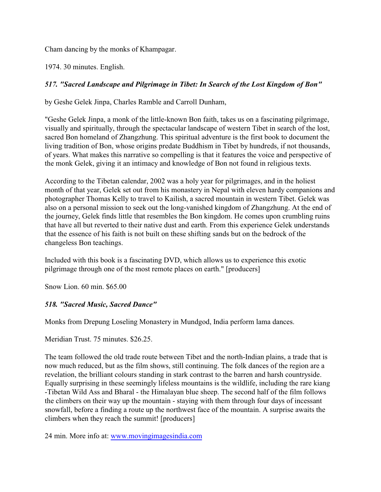Cham dancing by the monks of Khampagar.

1974. 30 minutes. English.

# *517. "Sacred Landscape and Pilgrimage in Tibet: In Search of the Lost Kingdom of Bon"*

by Geshe Gelek Jinpa, Charles Ramble and Carroll Dunham,

"Geshe Gelek Jinpa, a monk of the little-known Bon faith, takes us on a fascinating pilgrimage, visually and spiritually, through the spectacular landscape of western Tibet in search of the lost, sacred Bon homeland of Zhangzhung. This spiritual adventure is the first book to document the living tradition of Bon, whose origins predate Buddhism in Tibet by hundreds, if not thousands, of years. What makes this narrative so compelling is that it features the voice and perspective of the monk Gelek, giving it an intimacy and knowledge of Bon not found in religious texts.

According to the Tibetan calendar, 2002 was a holy year for pilgrimages, and in the holiest month of that year, Gelek set out from his monastery in Nepal with eleven hardy companions and photographer Thomas Kelly to travel to Kailish, a sacred mountain in western Tibet. Gelek was also on a personal mission to seek out the long-vanished kingdom of Zhangzhung. At the end of the journey, Gelek finds little that resembles the Bon kingdom. He comes upon crumbling ruins that have all but reverted to their native dust and earth. From this experience Gelek understands that the essence of his faith is not built on these shifting sands but on the bedrock of the changeless Bon teachings.

Included with this book is a fascinating DVD, which allows us to experience this exotic pilgrimage through one of the most remote places on earth." [producers]

Snow Lion. 60 min. \$65.00

# *518. "Sacred Music, Sacred Dance"*

Monks from Drepung Loseling Monastery in Mundgod, India perform lama dances.

Meridian Trust. 75 minutes. \$26.25.

The team followed the old trade route between Tibet and the north-Indian plains, a trade that is now much reduced, but as the film shows, still continuing. The folk dances of the region are a revelation, the brilliant colours standing in stark contrast to the barren and harsh countryside. Equally surprising in these seemingly lifeless mountains is the wildlife, including the rare kiang -Tibetan Wild Ass and Bharal - the Himalayan blue sheep. The second half of the film follows the climbers on their way up the mountain - staying with them through four days of incessant snowfall, before a finding a route up the northwest face of the mountain. A surprise awaits the climbers when they reach the summit! [producers]

24 min. More info at: [www.movingimagesindia.com](http://www.movingimagesindia.com)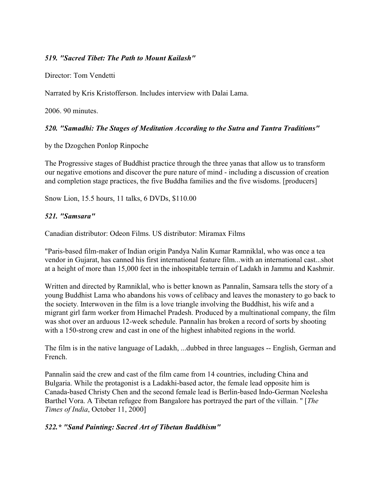### *519. "Sacred Tibet: The Path to Mount Kailash"*

Director: Tom Vendetti

Narrated by Kris Kristofferson. Includes interview with Dalai Lama.

2006. 90 minutes.

### *520. "Samadhi: The Stages of Meditation According to the Sutra and Tantra Traditions"*

by the Dzogchen Ponlop Rinpoche

The Progressive stages of Buddhist practice through the three yanas that allow us to transform our negative emotions and discover the pure nature of mind - including a discussion of creation and completion stage practices, the five Buddha families and the five wisdoms. [producers]

Snow Lion, 15.5 hours, 11 talks, 6 DVDs, \$110.00

### *521. "Samsara"*

Canadian distributor: Odeon Films. US distributor: Miramax Films

"Paris-based film-maker of Indian origin Pandya Nalin Kumar Ramniklal, who was once a tea vendor in Gujarat, has canned his first international feature film...with an international cast...shot at a height of more than 15,000 feet in the inhospitable terrain of Ladakh in Jammu and Kashmir.

Written and directed by Ramniklal, who is better known as Pannalin, Samsara tells the story of a young Buddhist Lama who abandons his vows of celibacy and leaves the monastery to go back to the society. Interwoven in the film is a love triangle involving the Buddhist, his wife and a migrant girl farm worker from Himachel Pradesh. Produced by a multinational company, the film was shot over an arduous 12-week schedule. Pannalin has broken a record of sorts by shooting with a 150-strong crew and cast in one of the highest inhabited regions in the world.

The film is in the native language of Ladakh, ...dubbed in three languages -- English, German and French.

Pannalin said the crew and cast of the film came from 14 countries, including China and Bulgaria. While the protagonist is a Ladakhi-based actor, the female lead opposite him is Canada-based Christy Chen and the second female lead is Berlin-based Indo-German Neelesha Barthel Vora. A Tibetan refugee from Bangalore has portrayed the part of the villain. " [*The Times of India*, October 11, 2000]

### *522.\* "Sand Painting: Sacred Art of Tibetan Buddhism"*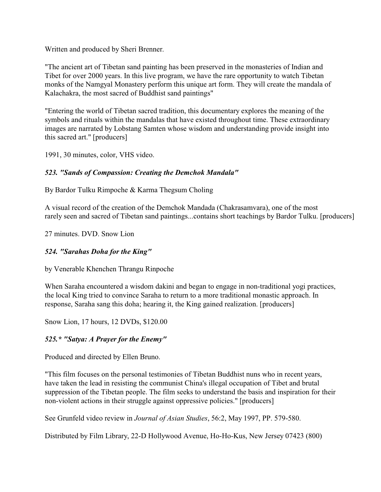Written and produced by Sheri Brenner.

"The ancient art of Tibetan sand painting has been preserved in the monasteries of Indian and Tibet for over 2000 years. In this live program, we have the rare opportunity to watch Tibetan monks of the Namgyal Monastery perform this unique art form. They will create the mandala of Kalachakra, the most sacred of Buddhist sand paintings"

"Entering the world of Tibetan sacred tradition, this documentary explores the meaning of the symbols and rituals within the mandalas that have existed throughout time. These extraordinary images are narrated by Lobstang Samten whose wisdom and understanding provide insight into this sacred art." [producers]

1991, 30 minutes, color, VHS video.

# *523. "Sands of Compassion: Creating the Demchok Mandala"*

By Bardor Tulku Rimpoche & Karma Thegsum Choling

A visual record of the creation of the Demchok Mandada (Chakrasamvara), one of the most rarely seen and sacred of Tibetan sand paintings...contains short teachings by Bardor Tulku. [producers]

27 minutes. DVD. Snow Lion

# *524. "Sarahas Doha for the King"*

by Venerable Khenchen Thrangu Rinpoche

When Saraha encountered a wisdom dakini and began to engage in non-traditional yogi practices, the local King tried to convince Saraha to return to a more traditional monastic approach. In response, Saraha sang this doha; hearing it, the King gained realization. [producers]

Snow Lion, 17 hours, 12 DVDs, \$120.00

# *525.\* "Satya: A Prayer for the Enemy"*

Produced and directed by Ellen Bruno.

"This film focuses on the personal testimonies of Tibetan Buddhist nuns who in recent years, have taken the lead in resisting the communist China's illegal occupation of Tibet and brutal suppression of the Tibetan people. The film seeks to understand the basis and inspiration for their non-violent actions in their struggle against oppressive policies." [producers]

See Grunfeld video review in *Journal of Asian Studies*, 56:2, May 1997, PP. 579-580.

Distributed by Film Library, 22-D Hollywood Avenue, Ho-Ho-Kus, New Jersey 07423 (800)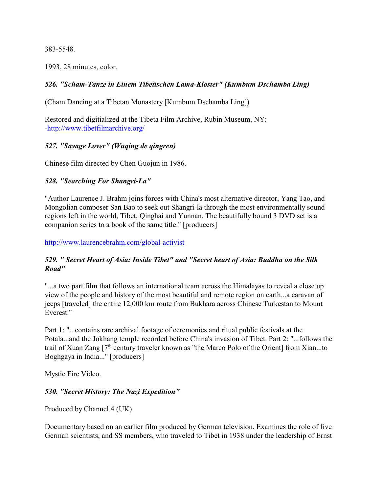383-5548.

1993, 28 minutes, color.

### *526. "Scham-Tanze in Einem Tibetischen Lama-Kloster" (Kumbum Dschamba Ling)*

(Cham Dancing at a Tibetan Monastery [Kumbum Dschamba Ling])

Restored and digitialized at the Tibeta Film Archive, Rubin Museum, NY: [-http://www.tibetfilmarchive.org/](http://www.tibetfilmarchive.org/)

### *527. "Savage Lover" (Wuqing de qingren)*

Chinese film directed by Chen Guojun in 1986.

## *528. "Searching For Shangri-La"*

"Author Laurence J. Brahm joins forces with China's most alternative director, Yang Tao, and Mongolian composer San Bao to seek out Shangri-la through the most environmentally sound regions left in the world, Tibet, Qinghai and Yunnan. The beautifully bound 3 DVD set is a companion series to a book of the same title." [producers]

<http://www.laurencebrahm.com/global-activist>

### *529. " Secret Heart of Asia: Inside Tibet" and "Secret heart of Asia: Buddha on the Silk Road"*

"...a two part film that follows an international team across the Himalayas to reveal a close up view of the people and history of the most beautiful and remote region on earth...a caravan of jeeps [traveled] the entire 12,000 km route from Bukhara across Chinese Turkestan to Mount Everest."

Part 1: "...contains rare archival footage of ceremonies and ritual public festivals at the Potala...and the Jokhang temple recorded before China's invasion of Tibet. Part 2: "...follows the trail of Xuan Zang  $[7<sup>th</sup>$  century traveler known as "the Marco Polo of the Orient] from Xian...to Boghgaya in India..." [producers]

Mystic Fire Video.

### *530. "Secret History: The Nazi Expedition"*

Produced by Channel 4 (UK)

Documentary based on an earlier film produced by German television. Examines the role of five German scientists, and SS members, who traveled to Tibet in 1938 under the leadership of Ernst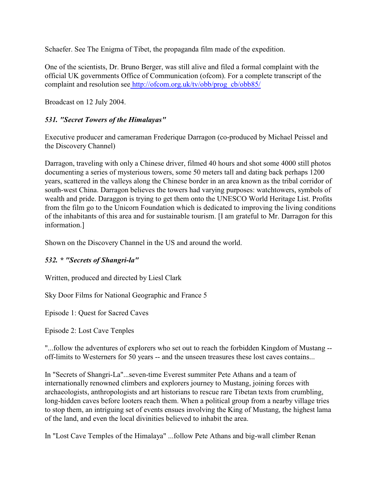Schaefer. See The Enigma of Tibet, the propaganda film made of the expedition.

One of the scientists, Dr. Bruno Berger, was still alive and filed a formal complaint with the official UK governments Office of Communication (ofcom). For a complete transcript of the complaint and resolution se[e http://ofcom.org.uk/tv/obb/prog\\_cb/obb85/](http://ofcom.org.uk/tv/obb/prog_cb/obb85/)

Broadcast on 12 July 2004.

# *531. "Secret Towers of the Himalayas"*

Executive producer and cameraman Frederique Darragon (co-produced by Michael Peissel and the Discovery Channel)

Darragon, traveling with only a Chinese driver, filmed 40 hours and shot some 4000 still photos documenting a series of mysterious towers, some 50 meters tall and dating back perhaps 1200 years, scattered in the valleys along the Chinese border in an area known as the tribal corridor of south-west China. Darragon believes the towers had varying purposes: watchtowers, symbols of wealth and pride. Daraggon is trying to get them onto the UNESCO World Heritage List. Profits from the film go to the Unicorn Foundation which is dedicated to improving the living conditions of the inhabitants of this area and for sustainable tourism. [I am grateful to Mr. Darragon for this information.]

Shown on the Discovery Channel in the US and around the world.

# *532. \* "Secrets of Shangri-la"*

Written, produced and directed by Liesl Clark

Sky Door Films for National Geographic and France 5

Episode 1: Quest for Sacred Caves

Episode 2: Lost Cave Tenples

"...follow the adventures of explorers who set out to reach the forbidden Kingdom of Mustang - off-limits to Westerners for 50 years -- and the unseen treasures these lost caves contains...

In "Secrets of Shangri-La"...seven-time Everest summiter Pete Athans and a team of internationally renowned climbers and explorers journey to Mustang, joining forces with archaeologists, anthropologists and art historians to rescue rare Tibetan texts from crumbling, long-hidden caves before looters reach them. When a political group from a nearby village tries to stop them, an intriguing set of events ensues involving the King of Mustang, the highest lama of the land, and even the local divinities believed to inhabit the area.

In "Lost Cave Temples of the Himalaya" ...follow Pete Athans and big-wall climber Renan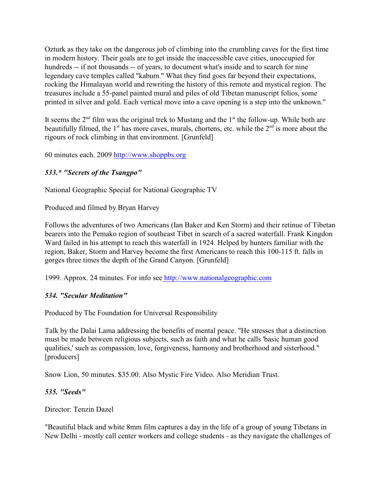Ozturk as they take on the dangerous job of climbing into the crumbling caves for the first time in modern history. Their goals are to get inside the inaccessible cave cities, unoccupied for hundreds -- if not thousands -- of years, to document what's inside and to search for nine legendary cave temples called "kabum." What they find goes far beyond their expectations, rocking the Himalayan world and rewriting the history of this remote and mystical region. The treasures include a 55-panel painted mural and piles of old Tibetan manuscript folios, some printed in silver and gold. Each vertical move into a cave opening is a step into the unknown."

It seems the  $2<sup>nd</sup>$  film was the original trek to Mustang and the  $1<sup>st</sup>$  the follow-up. While both are beautifully filmed, the 1<sup>st</sup> has more caves, murals, chortens, etc. while the  $2<sup>nd</sup>$  is more about the rigours of rock climbing in that environment. [Grunfeld]

60 minutes each. 2009<http://www.shoppbs.org>

# *533.\* "Secrets of the Tsangpo"*

National Geographic Special for National Geographic TV

Produced and filmed by Bryan Harvey

Follows the adventures of two Americans (Ian Baker and Ken Storm) and their retinue of Tibetan bearers into the Pemako region of southeast Tibet in search of a sacred waterfall. Frank Kingdon Ward failed in his attempt to reach this waterfall in 1924. Helped by hunters familiar with the region, Baker, Storm and Harvey become the first Americans to reach this 100-115 ft. falls in gorges three times the depth of the Grand Canyon. [Grunfeld]

1999. Approx. 24 minutes. For info se[e http://www.nationalgeographic.com](http://www.nationalgeographic.com)

# *534. "Secular Meditation"*

Produced by The Foundation for Universal Responsibility

Talk by the Dalai Lama addressing the benefits of mental peace. "He stresses that a distinction must be made between religious subjects, such as faith and what he calls 'basic human good qualities,' such as compassion, love, forgiveness, harmony and brotherhood and sisterhood." [producers]

Snow Lion, 50 minutes. \$35.00. Also Mystic Fire Video. Also Meridian Trust.

### *535. "Seeds"*

Director: Tenzin Dazel

"Beautiful black and white 8mm film captures a day in the life of a group of young Tibetans in New Delhi - mostly call center workers and college students - as they navigate the challenges of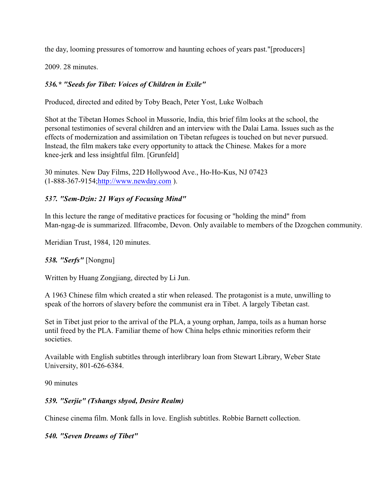the day, looming pressures of tomorrow and haunting echoes of years past."[producers]

2009. 28 minutes.

# *536.\* "Seeds for Tibet: Voices of Children in Exile"*

Produced, directed and edited by Toby Beach, Peter Yost, Luke Wolbach

Shot at the Tibetan Homes School in Mussorie, India, this brief film looks at the school, the personal testimonies of several children and an interview with the Dalai Lama. Issues such as the effects of modernization and assimilation on Tibetan refugees is touched on but never pursued. Instead, the film makers take every opportunity to attack the Chinese. Makes for a more knee-jerk and less insightful film. [Grunfeld]

30 minutes. New Day Films, 22D Hollywood Ave., Ho-Ho-Kus, NJ 07423 (1-888-367-9154[;http://www.newday.com](http://www.newday.com) ).

## *537. "Sem-Dzin: 21 Ways of Focusing Mind"*

In this lecture the range of meditative practices for focusing or "holding the mind" from Man-ngag-de is summarized. Ilfracombe, Devon. Only available to members of the Dzogchen community.

Meridian Trust, 1984, 120 minutes.

### *538. "Serfs"* [Nongnu]

Written by Huang Zongjiang, directed by Li Jun.

A 1963 Chinese film which created a stir when released. The protagonist is a mute, unwilling to speak of the horrors of slavery before the communist era in Tibet. A largely Tibetan cast.

Set in Tibet just prior to the arrival of the PLA, a young orphan, Jampa, toils as a human horse until freed by the PLA. Familiar theme of how China helps ethnic minorities reform their societies.

Available with English subtitles through interlibrary loan from Stewart Library, Weber State University, 801-626-6384.

90 minutes

# *539. "Serjie" (Tshangs sbyod, Desire Realm)*

Chinese cinema film. Monk falls in love. English subtitles. Robbie Barnett collection.

*540. "Seven Dreams of Tibet"*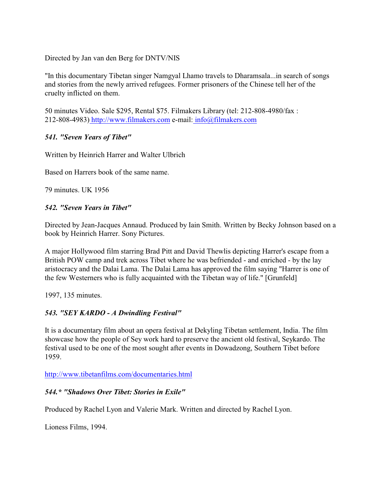Directed by Jan van den Berg for DNTV/NIS

"In this documentary Tibetan singer Namgyal Lhamo travels to Dharamsala...in search of songs and stories from the newly arrived refugees. Former prisoners of the Chinese tell her of the cruelty inflicted on them.

50 minutes Video. Sale \$295, Rental \$75. Filmakers Library (tel: 212-808-4980/fax : 212-808-4983[\) http://www.filmakers.com](http://www.filmakers.com) e-mail[: info@filmakers.com](mailto:info@filmakers.com)

#### *541. "Seven Years of Tibet"*

Written by Heinrich Harrer and Walter Ulbrich

Based on Harrers book of the same name.

79 minutes. UK 1956

#### *542. "Seven Years in Tibet"*

Directed by Jean-Jacques Annaud. Produced by Iain Smith. Written by Becky Johnson based on a book by Heinrich Harrer. Sony Pictures.

A major Hollywood film starring Brad Pitt and David Thewlis depicting Harrer's escape from a British POW camp and trek across Tibet where he was befriended - and enriched - by the lay aristocracy and the Dalai Lama. The Dalai Lama has approved the film saying "Harrer is one of the few Westerners who is fully acquainted with the Tibetan way of life." [Grunfeld]

1997, 135 minutes.

### *543. "SEY KARDO - A Dwindling Festival"*

It is a documentary film about an opera festival at Dekyling Tibetan settlement, India. The film showcase how the people of Sey work hard to preserve the ancient old festival, Seykardo. The festival used to be one of the most sought after events in Dowadzong, Southern Tibet before 1959.

<http://www.tibetanfilms.com/documentaries.html>

#### *544.\* "Shadows Over Tibet: Stories in Exile"*

Produced by Rachel Lyon and Valerie Mark. Written and directed by Rachel Lyon.

Lioness Films, 1994.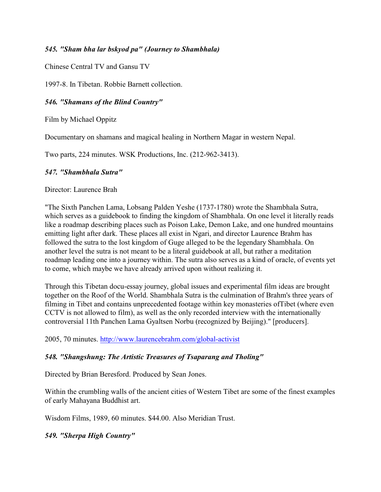### *545. "Sham bha lar bskyod pa" (Journey to Shambhala)*

Chinese Central TV and Gansu TV

1997-8. In Tibetan. Robbie Barnett collection.

### *546. "Shamans of the Blind Country"*

Film by Michael Oppitz

Documentary on shamans and magical healing in Northern Magar in western Nepal.

Two parts, 224 minutes. WSK Productions, Inc. (212-962-3413).

## *547. "Shambhala Sutra"*

Director: Laurence Brah

"The Sixth Panchen Lama, Lobsang Palden Yeshe (1737-1780) wrote the Shambhala Sutra, which serves as a guidebook to finding the kingdom of Shambhala. On one level it literally reads like a roadmap describing places such as Poison Lake, Demon Lake, and one hundred mountains emitting light after dark. These places all exist in Ngari, and director Laurence Brahm has followed the sutra to the lost kingdom of Guge alleged to be the legendary Shambhala. On another level the sutra is not meant to be a literal guidebook at all, but rather a meditation roadmap leading one into a journey within. The sutra also serves as a kind of oracle, of events yet to come, which maybe we have already arrived upon without realizing it.

Through this Tibetan docu-essay journey, global issues and experimental film ideas are brought together on the Roof of the World. Shambhala Sutra is the culmination of Brahm's three years of filming in Tibet and contains unprecedented footage within key monasteries ofTibet (where even CCTV is not allowed to film), as well as the only recorded interview with the internationally controversial 11th Panchen Lama Gyaltsen Norbu (recognized by Beijing)." [producers].

2005, 70 minutes.<http://www.laurencebrahm.com/global-activist>

# *548. "Shangshung: The Artistic Treasures of Tsaparang and Tholing"*

Directed by Brian Beresford. Produced by Sean Jones.

Within the crumbling walls of the ancient cities of Western Tibet are some of the finest examples of early Mahayana Buddhist art.

Wisdom Films, 1989, 60 minutes. \$44.00. Also Meridian Trust.

# *549. "Sherpa High Country"*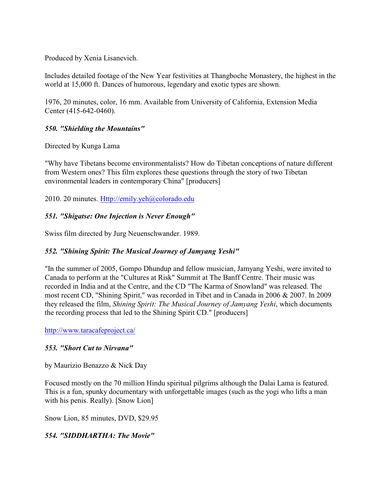Produced by Xenia Lisanevich.

Includes detailed footage of the New Year festivities at Thangboche Monastery, the highest in the world at 15,000 ft. Dances of humorous, legendary and exotic types are shown.

1976, 20 minutes, color, 16 mm. Available from University of California, Extension Media Center (415-642-0460).

## *550. "Shielding the Mountains"*

Directed by Kunga Lama

"Why have Tibetans become environmentalists? How do Tibetan conceptions of nature different from Western ones? This film explores these questions through the story of two Tibetan environmental leaders in contemporary China" [producers]

2010. 20 minutes.<Http://emily.yeh@colorado.edu>

## *551. "Shigatse: One Injection is Never Enough"*

Swiss film directed by Jurg Neuenschwander. 1989.

# *552. "Shining Spirit: The Musical Journey of Jamyang Yeshi"*

"In the summer of 2005, Gompo Dhundup and fellow musician, Jamyang Yeshi, were invited to Canada to perform at the "Cultures at Risk" Summit at The Banff Centre. Their music was recorded in India and at the Centre, and the CD "The Karma of Snowland" was released. The most recent CD, "Shining Spirit," was recorded in Tibet and in Canada in 2006 & 2007. In 2009 they released the film, *Shining Spirit: The Musical Journey of Jamyang Yeshi*, which documents the recording process that led to the Shining Spirit CD." [producers]

<http://www.taracafeproject.ca/>

### *553. "Short Cut to Nirvana"*

by Maurizio Benazzo & Nick Day

Focused mostly on the 70 million Hindu spiritual pilgrims although the Dalai Lama is featured. This is a fun, spunky documentary with unforgettable images (such as the yogi who lifts a man with his penis. Really). [Snow Lion]

Snow Lion, 85 minutes, DVD, \$29.95

# *554. "SIDDHARTHA: The Movie"*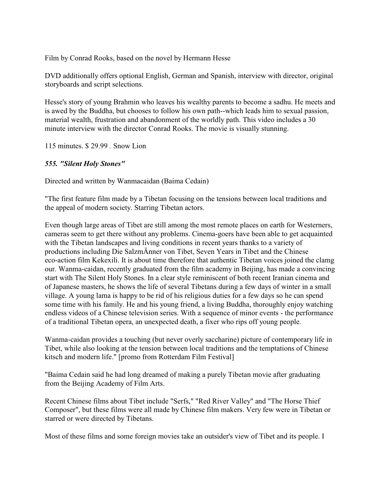Film by Conrad Rooks, based on the novel by Hermann Hesse

DVD additionally offers optional English, German and Spanish, interview with director, original storyboards and script selections.

Hesse's story of young Brahmin who leaves his wealthy parents to become a sadhu. He meets and is awed by the Buddha, but chooses to follow his own path--which leads him to sexual passion, material wealth, frustration and abandonment of the worldly path. This video includes a 30 minute interview with the director Conrad Rooks. The movie is visually stunning.

115 minutes. \$ 29.99 *.* Snow Lion

### *555. "Silent Holy Stones"*

Directed and written by Wanmacaidan (Baima Cedain)

"The first feature film made by a Tibetan focusing on the tensions between local traditions and the appeal of modern society. Starring Tibetan actors.

Even though large areas of Tibet are still among the most remote places on earth for Westerners, cameras seem to get there without any problems. Cinema-goers have been able to get acquainted with the Tibetan landscapes and living conditions in recent years thanks to a variety of productions including Die SalzmÄnner von Tibet, Seven Years in Tibet and the Chinese eco-action film Kekexili. It is about time therefore that authentic Tibetan voices joined the clamg our. Wanma-caidan, recently graduated from the film academy in Beijing, has made a convincing start with The Silent Holy Stones. In a clear style reminiscent of both recent Iranian cinema and of Japanese masters, he shows the life of several Tibetans during a few days of winter in a small village. A young lama is happy to be rid of his religious duties for a few days so he can spend some time with his family. He and his young friend, a living Buddha, thoroughly enjoy watching endless videos of a Chinese television series. With a sequence of minor events - the performance of a traditional Tibetan opera, an unexpected death, a fixer who rips off young people.

Wanma-caidan provides a touching (but never overly saccharine) picture of contemporary life in Tibet, while also looking at the tension between local traditions and the temptations of Chinese kitsch and modern life." [promo from Rotterdam Film Festival]

"Baima Cedain said he had long dreamed of making a purely Tibetan movie after graduating from the Beijing Academy of Film Arts.

Recent Chinese films about Tibet include "Serfs," "Red River Valley" and "The Horse Thief Composer", but these films were all made by Chinese film makers. Very few were in Tibetan or starred or were directed by Tibetans.

Most of these films and some foreign movies take an outsider's view of Tibet and its people. I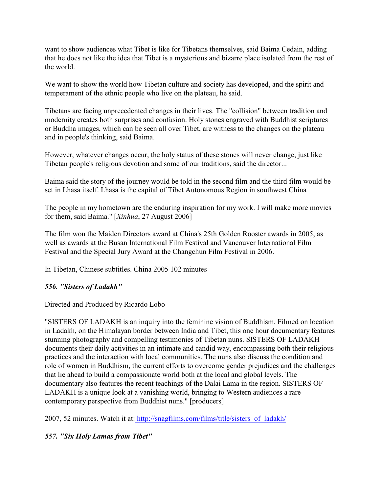want to show audiences what Tibet is like for Tibetans themselves, said Baima Cedain, adding that he does not like the idea that Tibet is a mysterious and bizarre place isolated from the rest of the world.

We want to show the world how Tibetan culture and society has developed, and the spirit and temperament of the ethnic people who live on the plateau, he said.

Tibetans are facing unprecedented changes in their lives. The "collision" between tradition and modernity creates both surprises and confusion. Holy stones engraved with Buddhist scriptures or Buddha images, which can be seen all over Tibet, are witness to the changes on the plateau and in people's thinking, said Baima.

However, whatever changes occur, the holy status of these stones will never change, just like Tibetan people's religious devotion and some of our traditions, said the director...

Baima said the story of the journey would be told in the second film and the third film would be set in Lhasa itself. Lhasa is the capital of Tibet Autonomous Region in southwest China

The people in my hometown are the enduring inspiration for my work. I will make more movies for them, said Baima." [*Xinhua*, 27 August 2006]

The film won the Maiden Directors award at China's 25th Golden Rooster awards in 2005, as well as awards at the Busan International Film Festival and Vancouver International Film Festival and the Special Jury Award at the Changchun Film Festival in 2006.

In Tibetan, Chinese subtitles. China 2005 102 minutes

### *556. "Sisters of Ladakh"*

Directed and Produced by Ricardo Lobo

"SISTERS OF LADAKH is an inquiry into the feminine vision of Buddhism. Filmed on location in Ladakh, on the Himalayan border between India and Tibet, this one hour documentary features stunning photography and compelling testimonies of Tibetan nuns. SISTERS OF LADAKH documents their daily activities in an intimate and candid way, encompassing both their religious practices and the interaction with local communities. The nuns also discuss the condition and role of women in Buddhism, the current efforts to overcome gender prejudices and the challenges that lie ahead to build a compassionate world both at the local and global levels. The documentary also features the recent teachings of the Dalai Lama in the region. SISTERS OF LADAKH is a unique look at a vanishing world, bringing to Western audiences a rare contemporary perspective from Buddhist nuns." [producers]

2007, 52 minutes. Watch it at[: http://snagfilms.com/films/title/sisters\\_of\\_ladakh/](http://snagfilms.com/films/title/sisters_of_ladakh/)

### *557. "Six Holy Lamas from Tibet"*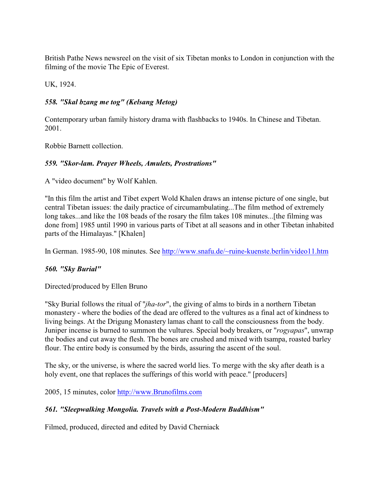British Pathe News newsreel on the visit of six Tibetan monks to London in conjunction with the filming of the movie The Epic of Everest.

UK, 1924.

# *558. "Skal bzang me tog" (Kelsang Metog)*

Contemporary urban family history drama with flashbacks to 1940s. In Chinese and Tibetan. 2001.

Robbie Barnett collection.

### *559. "Skor-lam. Prayer Wheels, Amulets, Prostrations"*

A "video document" by Wolf Kahlen.

"In this film the artist and Tibet expert Wold Khalen draws an intense picture of one single, but central Tibetan issues: the daily practice of circumambulating...The film method of extremely long takes...and like the 108 beads of the rosary the film takes 108 minutes...[the filming was done from] 1985 until 1990 in various parts of Tibet at all seasons and in other Tibetan inhabited parts of the Himalayas." [Khalen]

In German. 1985-90, 108 minutes. See<http://www.snafu.de/~ruine-kuenste.berlin/video11.htm>

# *560. "Sky Burial"*

Directed/produced by Ellen Bruno

"Sky Burial follows the ritual of "*jha-tor*", the giving of alms to birds in a northern Tibetan monastery - where the bodies of the dead are offered to the vultures as a final act of kindness to living beings. At the Drigung Monastery lamas chant to call the consciousness from the body. Juniper incense is burned to summon the vultures. Special body breakers, or "*rogyapas*", unwrap the bodies and cut away the flesh. The bones are crushed and mixed with tsampa, roasted barley flour. The entire body is consumed by the birds, assuring the ascent of the soul.

The sky, or the universe, is where the sacred world lies. To merge with the sky after death is a holy event, one that replaces the sufferings of this world with peace." [producers]

2005, 15 minutes, color<http://www.Brunofilms.com>

# *561. "Sleepwalking Mongolia. Travels with a Post-Modern Buddhism"*

Filmed, produced, directed and edited by David Cherniack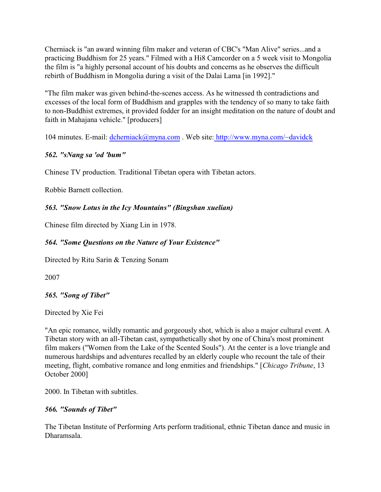Cherniack is "an award winning film maker and veteran of CBC's "Man Alive" series...and a practicing Buddhism for 25 years." Filmed with a Hi8 Camcorder on a 5 week visit to Mongolia the film is "a highly personal account of his doubts and concerns as he observes the difficult rebirth of Buddhism in Mongolia during a visit of the Dalai Lama [in 1992]."

"The film maker was given behind-the-scenes access. As he witnessed th contradictions and excesses of the local form of Buddhism and grapples with the tendency of so many to take faith to non-Buddhist extremes, it provided fodder for an insight meditation on the nature of doubt and faith in Mahajana vehicle." [producers]

104 minutes. E-mail: [dcherniack@myna.com](mailto:dcherniack@myna.com) . Web site[: http://www.myna.com/~davidck](http://www.myna.com/~davidck)

# *562. "sNang sa 'od 'bum"*

Chinese TV production. Traditional Tibetan opera with Tibetan actors.

Robbie Barnett collection.

### *563. "Snow Lotus in the Icy Mountains" (Bingshan xuelian)*

Chinese film directed by Xiang Lin in 1978.

# *564. "Some Questions on the Nature of Your Existence"*

Directed by Ritu Sarin & Tenzing Sonam

2007

### *565. "Song of Tibet"*

Directed by Xie Fei

"An epic romance, wildly romantic and gorgeously shot, which is also a major cultural event. A Tibetan story with an all-Tibetan cast, sympathetically shot by one of China's most prominent film makers ("Women from the Lake of the Scented Souls"). At the center is a love triangle and numerous hardships and adventures recalled by an elderly couple who recount the tale of their meeting, flight, combative romance and long enmities and friendships." [*Chicago Tribune*, 13 October 2000]

2000. In Tibetan with subtitles.

### *566. "Sounds of Tibet"*

The Tibetan Institute of Performing Arts perform traditional, ethnic Tibetan dance and music in Dharamsala.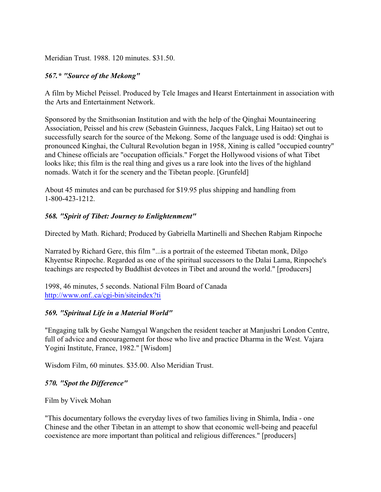Meridian Trust. 1988. 120 minutes. \$31.50.

#### *567.\* "Source of the Mekong"*

A film by Michel Peissel. Produced by Tele Images and Hearst Entertainment in association with the Arts and Entertainment Network.

Sponsored by the Smithsonian Institution and with the help of the Qinghai Mountaineering Association, Peissel and his crew (Sebastein Guinness, Jacques Falck, Ling Haitao) set out to successfully search for the source of the Mekong. Some of the language used is odd: Qinghai is pronounced Kinghai, the Cultural Revolution began in 1958, Xining is called "occupied country" and Chinese officials are "occupation officials." Forget the Hollywood visions of what Tibet looks like; this film is the real thing and gives us a rare look into the lives of the highland nomads. Watch it for the scenery and the Tibetan people. [Grunfeld]

About 45 minutes and can be purchased for \$19.95 plus shipping and handling from 1-800-423-1212.

#### *568. "Spirit of Tibet: Journey to Enlightenment"*

Directed by Math. Richard; Produced by Gabriella Martinelli and Shechen Rabjam Rinpoche

Narrated by Richard Gere, this film "...is a portrait of the esteemed Tibetan monk, Dilgo Khyentse Rinpoche. Regarded as one of the spiritual successors to the Dalai Lama, Rinpoche's teachings are respected by Buddhist devotees in Tibet and around the world." [producers]

1998, 46 minutes, 5 seconds. National Film Board of Canada [http://www.onf..ca/cgi-bin/siteindex?ti]((http://www.onf..ca/cgi-bin/siteindex?ti)

### *569. "Spiritual Life in a Material World"*

"Engaging talk by Geshe Namgyal Wangchen the resident teacher at Manjushri London Centre, full of advice and encouragement for those who live and practice Dharma in the West. Vajara Yogini Institute, France, 1982." [Wisdom]

Wisdom Film, 60 minutes. \$35.00. Also Meridian Trust.

#### *570. "Spot the Difference"*

Film by Vivek Mohan

"This documentary follows the everyday lives of two families living in Shimla, India - one Chinese and the other Tibetan in an attempt to show that economic well-being and peaceful coexistence are more important than political and religious differences." [producers]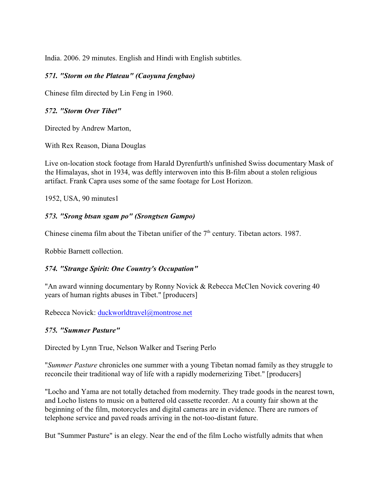India. 2006. 29 minutes. English and Hindi with English subtitles.

#### *571. "Storm on the Plateau" (Caoyuna fengbao)*

Chinese film directed by Lin Feng in 1960.

#### *572. "Storm Over Tibet"*

Directed by Andrew Marton,

With Rex Reason, Diana Douglas

Live on-location stock footage from Harald Dyrenfurth's unfinished Swiss documentary Mask of the Himalayas, shot in 1934, was deftly interwoven into this B-film about a stolen religious artifact. Frank Capra uses some of the same footage for Lost Horizon.

1952, USA, 90 minutes1

#### *573. "Srong btsan sgam po" (Srongtsen Gampo)*

Chinese cinema film about the Tibetan unifier of the  $7<sup>th</sup>$  century. Tibetan actors. 1987.

Robbie Barnett collection.

### *574. "Strange Spirit: One Country's Occupation"*

"An award winning documentary by Ronny Novick & Rebecca McClen Novick covering 40 years of human rights abuses in Tibet." [producers]

Rebecca Novick: [duckworldtravel@montrose.net](mailto:duckworldtravel@montrose.net)

### *575. "Summer Pasture"*

Directed by Lynn True, Nelson Walker and Tsering Perlo

"*Summer Pasture* chronicles one summer with a young Tibetan nomad family as they struggle to reconcile their traditional way of life with a rapidly modernerizing Tibet." [producers]

"Locho and Yama are not totally detached from modernity. They trade goods in the nearest town, and Locho listens to music on a battered old cassette recorder. At a county fair shown at the beginning of the film, motorcycles and digital cameras are in evidence. There are rumors of telephone service and paved roads arriving in the not-too-distant future.

But "Summer Pasture" is an elegy. Near the end of the film Locho wistfully admits that when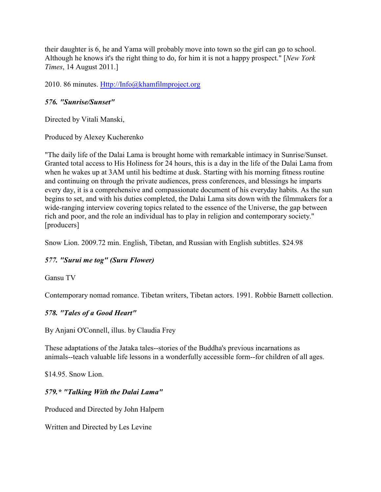their daughter is 6, he and Yama will probably move into town so the girl can go to school. Although he knows it's the right thing to do, for him it is not a happy prospect." [*New York Times*, 14 August 2011.]

2010. 86 minutes.<Http://Info@khamfilmproject.org>

### *576. "Sunrise/Sunset"*

Directed by Vitali Manski,

Produced by Alexey Kucherenko

"The daily life of the Dalai Lama is brought home with remarkable intimacy in Sunrise/Sunset. Granted total access to His Holiness for 24 hours, this is a day in the life of the Dalai Lama from when he wakes up at 3AM until his bedtime at dusk. Starting with his morning fitness routine and continuing on through the private audiences, press conferences, and blessings he imparts every day, it is a comprehensive and compassionate document of his everyday habits. As the sun begins to set, and with his duties completed, the Dalai Lama sits down with the filmmakers for a wide-ranging interview covering topics related to the essence of the Universe, the gap between rich and poor, and the role an individual has to play in religion and contemporary society." [producers]

Snow Lion. 2009.72 min. English, Tibetan, and Russian with English subtitles. \$24.98

### *577. "Surui me tog" (Suru Flower)*

Gansu TV

Contemporary nomad romance. Tibetan writers, Tibetan actors. 1991. Robbie Barnett collection.

# *578. "Tales of a Good Heart"*

By Anjani O'Connell, illus. by Claudia Frey

These adaptations of the Jataka tales--stories of the Buddha's previous incarnations as animals--teach valuable life lessons in a wonderfully accessible form--for children of all ages.

\$14.95. Snow Lion.

### *579.\* "Talking With the Dalai Lama"*

Produced and Directed by John Halpern

Written and Directed by Les Levine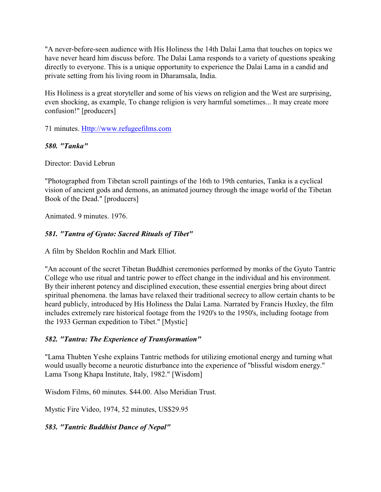"A never-before-seen audience with His Holiness the 14th Dalai Lama that touches on topics we have never heard him discuss before. The Dalai Lama responds to a variety of questions speaking directly to everyone. This is a unique opportunity to experience the Dalai Lama in a candid and private setting from his living room in Dharamsala, India.

His Holiness is a great storyteller and some of his views on religion and the West are surprising, even shocking, as example, To change religion is very harmful sometimes... It may create more confusion!" [producers]

71 minutes.<Http://www.refugeefilms.com>

### *580. "Tanka"*

Director: David Lebrun

"Photographed from Tibetan scroll paintings of the 16th to 19th centuries, Tanka is a cyclical vision of ancient gods and demons, an animated journey through the image world of the Tibetan Book of the Dead." [producers]

Animated. 9 minutes. 1976.

# *581. "Tantra of Gyuto: Sacred Rituals of Tibet"*

A film by Sheldon Rochlin and Mark Elliot.

"An account of the secret Tibetan Buddhist ceremonies performed by monks of the Gyuto Tantric College who use ritual and tantric power to effect change in the individual and his environment. By their inherent potency and disciplined execution, these essential energies bring about direct spiritual phenomena. the lamas have relaxed their traditional secrecy to allow certain chants to be heard publicly, introduced by His Holiness the Dalai Lama. Narrated by Francis Huxley, the film includes extremely rare historical footage from the 1920's to the 1950's, including footage from the 1933 German expedition to Tibet." [Mystic]

### *582. "Tantra: The Experience of Transformation"*

"Lama Thubten Yeshe explains Tantric methods for utilizing emotional energy and turning what would usually become a neurotic disturbance into the experience of "blissful wisdom energy." Lama Tsong Khapa Institute, Italy, 1982." [Wisdom]

Wisdom Films, 60 minutes. \$44.00. Also Meridian Trust.

Mystic Fire Video, 1974, 52 minutes, US\$29.95

*583. "Tantric Buddhist Dance of Nepal"*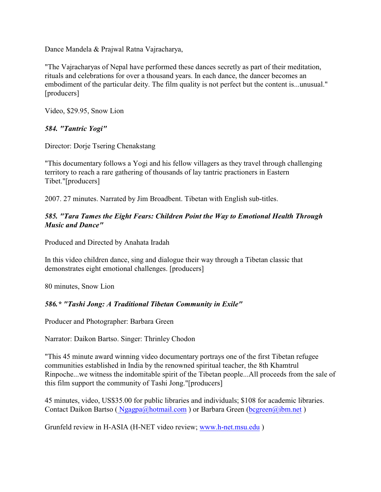Dance Mandela & Prajwal Ratna Vajracharya,

"The Vajracharyas of Nepal have performed these dances secretly as part of their meditation, rituals and celebrations for over a thousand years. In each dance, the dancer becomes an embodiment of the particular deity. The film quality is not perfect but the content is...unusual." [producers]

Video, \$29.95, Snow Lion

### *584. "Tantric Yogi"*

Director: Dorje Tsering Chenakstang

"This documentary follows a Yogi and his fellow villagers as they travel through challenging territory to reach a rare gathering of thousands of lay tantric practioners in Eastern Tibet."[producers]

2007. 27 minutes. Narrated by Jim Broadbent. Tibetan with English sub-titles.

### *585. "Tara Tames the Eight Fears: Children Point the Way to Emotional Health Through Music and Dance"*

Produced and Directed by Anahata Iradah

In this video children dance, sing and dialogue their way through a Tibetan classic that demonstrates eight emotional challenges. [producers]

80 minutes, Snow Lion

### *586.\* "Tashi Jong: A Traditional Tibetan Community in Exile"*

Producer and Photographer: Barbara Green

Narrator: Daikon Bartso. Singer: Thrinley Chodon

"This 45 minute award winning video documentary portrays one of the first Tibetan refugee communities established in India by the renowned spiritual teacher, the 8th Khamtrul Rinpoche...we witness the indomitable spirit of the Tibetan people...All proceeds from the sale of this film support the community of Tashi Jong."[producers]

45 minutes, video, US\$35.00 for public libraries and individuals; \$108 for academic libraries. Contact Daikon Bartso (  $Ngappa(a)$ hotmail.com ) or Barbara Green (bcgreen $(a)$ ibm.net )

Grunfeld review in H-ASIA (H-NET video review; [www.h-net.msu.edu](http://www.h-net.msu.edu) )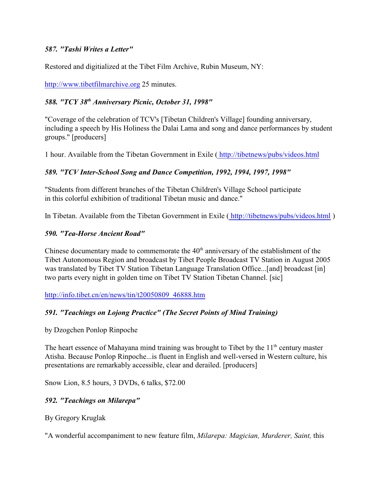### *587. "Tashi Writes a Letter"*

Restored and digitialized at the Tibet Film Archive, Rubin Museum, NY:

<http://www.tibetfilmarchive.org> 25 minutes.

# 588. "TCY 38<sup>th</sup> Anniversary Picnic, October 31, 1998"

"Coverage of the celebration of TCV's [Tibetan Children's Village] founding anniversary, including a speech by His Holiness the Dalai Lama and song and dance performances by student groups." [producers]

1 hour. Available from the Tibetan Government in Exile [\( http://tibetnews/pubs/videos.html]((http://tibetnews/pubs/videos.html)

# *589. "TCV Inter-School Song and Dance Competition, 1992, 1994, 1997, 1998"*

"Students from different branches of the Tibetan Children's Village School participate in this colorful exhibition of traditional Tibetan music and dance."

In Tibetan. Available from the Tibetan Government in Exile [\( http://tibetnews/pubs/videos.html]((http://tibetnews/pubs/videos.html) )

### *590. "Tea-Horse Ancient Road"*

Chinese documentary made to commemorate the  $40<sup>th</sup>$  anniversary of the establishment of the Tibet Autonomous Region and broadcast by Tibet People Broadcast TV Station in August 2005 was translated by Tibet TV Station Tibetan Language Translation Office...[and] broadcast [in] two parts every night in golden time on Tibet TV Station Tibetan Channel. [sic]

[http://info.tibet.cn/en/news/tin/t20050809\\_46888.htm](http://info.tibet.cn/en/news/tin/t20050809_46888.htm)

# *591. "Teachings on Lojong Practice" (The Secret Points of Mind Training)*

by Dzogchen Ponlop Rinpoche

The heart essence of Mahayana mind training was brought to Tibet by the  $11<sup>th</sup>$  century master Atisha. Because Ponlop Rinpoche...is fluent in English and well-versed in Western culture, his presentations are remarkably accessible, clear and derailed. [producers]

Snow Lion, 8.5 hours, 3 DVDs, 6 talks, \$72.00

# *592. "Teachings on Milarepa"*

By Gregory Kruglak

"A wonderful accompaniment to new feature film, *Milarepa: Magician, Murderer, Saint,* this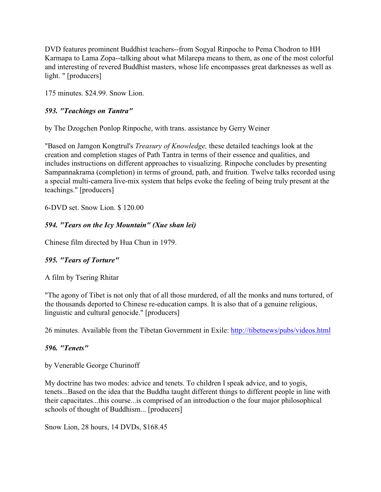DVD features prominent Buddhist teachers--from Sogyal Rinpoche to Pema Chodron to HH Karmapa to Lama Zopa--talking about what Milarepa means to them, as one of the most colorful and interesting of revered Buddhist masters, whose life encompasses great darknesses as well as light. " [producers]

175 minutes. \$24.99. Snow Lion.

### *593. "Teachings on Tantra"*

by The Dzogchen Ponlop Rinpoche, with trans. assistance by Gerry Weiner

"Based on Jamgon Kongtrul's *Treasury of Knowledge,* these detailed teachings look at the creation and completion stages of Path Tantra in terms of their essence and qualities, and includes instructions on different approaches to visualizing. Rinpoche concludes by presenting Sampannakrama (completion) in terms of ground, path, and fruition. Twelve talks recorded using a special multi-camera live-mix system that helps evoke the feeling of being truly present at the teachings." [producers]

6-DVD set. Snow Lion. \$ 120.00

# *594. "Tears on the Icy Mountain" (Xue shan lei)*

Chinese film directed by Hua Chun in 1979.

### *595. "Tears of Torture"*

A film by Tsering Rhitar

"The agony of Tibet is not only that of all those murdered, of all the monks and nuns tortured, of the thousands deported to Chinese re-education camps. It is also that of a genuine religious, linguistic and cultural genocide." [producers]

26 minutes. Available from the Tibetan Government in Exile: [http://tibetnews/pubs/videos.html]((http://tibetnews/pubs/videos.html)

### *596. "Tenets"*

by Venerable George Churinoff

My doctrine has two modes: advice and tenets. To children I speak advice, and to yogis, tenets...Based on the idea that the Buddha taught different things to different people in line with their capacitates...this course...is comprised of an introduction o the four major philosophical schools of thought of Buddhism... [producers]

Snow Lion, 28 hours, 14 DVDs, \$168.45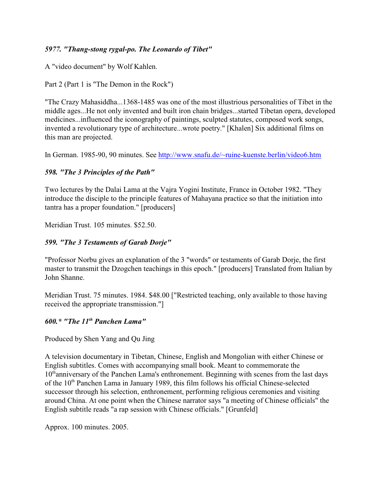### *5977. "Thang-stong rygal-po. The Leonardo of Tibet"*

A "video document" by Wolf Kahlen.

Part 2 (Part 1 is "The Demon in the Rock")

"The Crazy Mahasiddha...1368-1485 was one of the most illustrious personalities of Tibet in the middle ages...He not only invented and built iron chain bridges...started Tibetan opera, developed medicines...influenced the iconography of paintings, sculpted statutes, composed work songs, invented a revolutionary type of architecture...wrote poetry." [Khalen] Six additional films on this man are projected.

In German. 1985-90, 90 minutes. See<http://www.snafu.de/~ruine-kuenste.berlin/video6.htm>

### *598. "The 3 Principles of the Path"*

Two lectures by the Dalai Lama at the Vajra Yogini Institute, France in October 1982. "They introduce the disciple to the principle features of Mahayana practice so that the initiation into tantra has a proper foundation." [producers]

Meridian Trust. 105 minutes. \$52.50.

### *599. "The 3 Testaments of Garab Dorje"*

"Professor Norbu gives an explanation of the 3 "words" or testaments of Garab Dorje, the first master to transmit the Dzogchen teachings in this epoch." [producers] Translated from Italian by John Shanne.

Meridian Trust. 75 minutes. 1984. \$48.00 ["Restricted teaching, only available to those having received the appropriate transmission."]

### *600.\* "The 11 Panchen Lama" th*

Produced by Shen Yang and Qu Jing

A television documentary in Tibetan, Chinese, English and Mongolian with either Chinese or English subtitles. Comes with accompanying small book. Meant to commemorate the 10<sup>th</sup>anniversary of the Panchen Lama's enthronement. Beginning with scenes from the last days of the  $10<sup>th</sup>$  Panchen Lama in January 1989, this film follows his official Chinese-selected successor through his selection, enthronement, performing religious ceremonies and visiting around China. At one point when the Chinese narrator says "a meeting of Chinese officials" the English subtitle reads "a rap session with Chinese officials." [Grunfeld]

Approx. 100 minutes. 2005.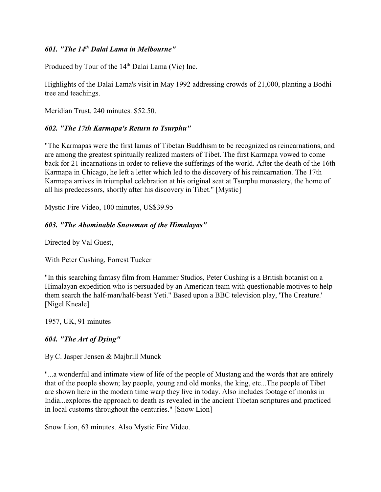### *601. "The 14<sup>th</sup> Dalai Lama in Melbourne"*

Produced by Tour of the  $14<sup>th</sup>$  Dalai Lama (Vic) Inc.

Highlights of the Dalai Lama's visit in May 1992 addressing crowds of 21,000, planting a Bodhi tree and teachings.

Meridian Trust. 240 minutes. \$52.50.

#### *602. "The 17th Karmapa's Return to Tsurphu"*

"The Karmapas were the first lamas of Tibetan Buddhism to be recognized as reincarnations, and are among the greatest spiritually realized masters of Tibet. The first Karmapa vowed to come back for 21 incarnations in order to relieve the sufferings of the world. After the death of the 16th Karmapa in Chicago, he left a letter which led to the discovery of his reincarnation. The 17th Karmapa arrives in triumphal celebration at his original seat at Tsurphu monastery, the home of all his predecessors, shortly after his discovery in Tibet." [Mystic]

Mystic Fire Video, 100 minutes, US\$39.95

### *603. "The Abominable Snowman of the Himalayas"*

Directed by Val Guest,

With Peter Cushing, Forrest Tucker

"In this searching fantasy film from Hammer Studios, Peter Cushing is a British botanist on a Himalayan expedition who is persuaded by an American team with questionable motives to help them search the half-man/half-beast Yeti." Based upon a BBC television play, 'The Creature.' [Nigel Kneale]

1957, UK, 91 minutes

#### *604. "The Art of Dying"*

By C. Jasper Jensen & Majbrill Munck

"...a wonderful and intimate view of life of the people of Mustang and the words that are entirely that of the people shown; lay people, young and old monks, the king, etc...The people of Tibet are shown here in the modern time warp they live in today. Also includes footage of monks in India...explores the approach to death as revealed in the ancient Tibetan scriptures and practiced in local customs throughout the centuries." [Snow Lion]

Snow Lion, 63 minutes. Also Mystic Fire Video.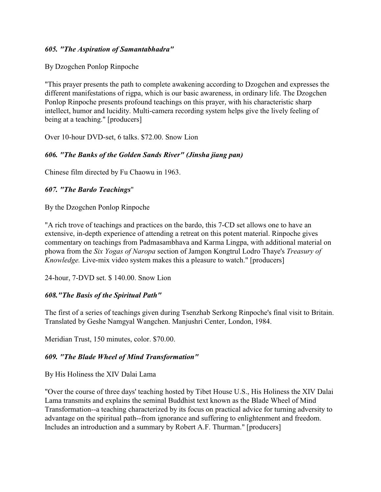#### *605. "The Aspiration of Samantabhadra"*

By Dzogchen Ponlop Rinpoche

"This prayer presents the path to complete awakening according to Dzogchen and expresses the different manifestations of rigpa, which is our basic awareness, in ordinary life. The Dzogchen Ponlop Rinpoche presents profound teachings on this prayer, with his characteristic sharp intellect, humor and lucidity. Multi-camera recording system helps give the lively feeling of being at a teaching." [producers]

Over 10-hour DVD-set, 6 talks. \$72.00. Snow Lion

### *606. "The Banks of the Golden Sands River" (Jinsha jiang pan)*

Chinese film directed by Fu Chaowu in 1963.

#### *607. "The Bardo Teachings*"

By the Dzogchen Ponlop Rinpoche

"A rich trove of teachings and practices on the bardo, this 7-CD set allows one to have an extensive, in-depth experience of attending a retreat on this potent material. Rinpoche gives commentary on teachings from Padmasambhava and Karma Lingpa, with additional material on phowa from the *Six Yogas of Naropa* section of Jamgon Kongtrul Lodro Thaye's *Treasury of Knowledge.* Live-mix video system makes this a pleasure to watch." [producers]

24-hour, 7-DVD set. \$ 140.00. Snow Lion

### *608."The Basis of the Spiritual Path"*

The first of a series of teachings given during Tsenzhab Serkong Rinpoche's final visit to Britain. Translated by Geshe Namgyal Wangchen. Manjushri Center, London, 1984.

Meridian Trust, 150 minutes, color. \$70.00.

### *609. "The Blade Wheel of Mind Transformation"*

By His Holiness the XIV Dalai Lama

"Over the course of three days' teaching hosted by Tibet House U.S., His Holiness the XIV Dalai Lama transmits and explains the seminal Buddhist text known as the Blade Wheel of Mind Transformation--a teaching characterized by its focus on practical advice for turning adversity to advantage on the spiritual path--from ignorance and suffering to enlightenment and freedom. Includes an introduction and a summary by Robert A.F. Thurman." [producers]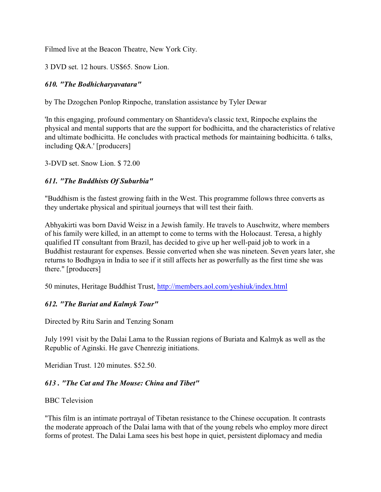Filmed live at the Beacon Theatre, New York City.

3 DVD set. 12 hours. US\$65. Snow Lion.

## *610. "The Bodhicharyavatara"*

by The Dzogchen Ponlop Rinpoche, translation assistance by Tyler Dewar

'In this engaging, profound commentary on Shantideva's classic text, Rinpoche explains the physical and mental supports that are the support for bodhicitta, and the characteristics of relative and ultimate bodhicitta. He concludes with practical methods for maintaining bodhicitta. 6 talks, including Q&A.' [producers]

3-DVD set. Snow Lion. \$ 72.00

### *611. "The Buddhists Of Suburbia"*

"Buddhism is the fastest growing faith in the West. This programme follows three converts as they undertake physical and spiritual journeys that will test their faith.

Abhyakirti was born David Weisz in a Jewish family. He travels to Auschwitz, where members of his family were killed, in an attempt to come to terms with the Holocaust. Teresa, a highly qualified IT consultant from Brazil, has decided to give up her well-paid job to work in a Buddhist restaurant for expenses. Bessie converted when she was nineteen. Seven years later, she returns to Bodhgaya in India to see if it still affects her as powerfully as the first time she was there." [producers]

50 minutes, Heritage Buddhist Trust,<http://members.aol.com/yeshiuk/index.html>

### *612. "The Buriat and Kalmyk Tour"*

Directed by Ritu Sarin and Tenzing Sonam

July 1991 visit by the Dalai Lama to the Russian regions of Buriata and Kalmyk as well as the Republic of Aginski. He gave Chenrezig initiations.

Meridian Trust. 120 minutes. \$52.50.

### *613 . "The Cat and The Mouse: China and Tibet"*

#### BBC Television

"This film is an intimate portrayal of Tibetan resistance to the Chinese occupation. It contrasts the moderate approach of the Dalai lama with that of the young rebels who employ more direct forms of protest. The Dalai Lama sees his best hope in quiet, persistent diplomacy and media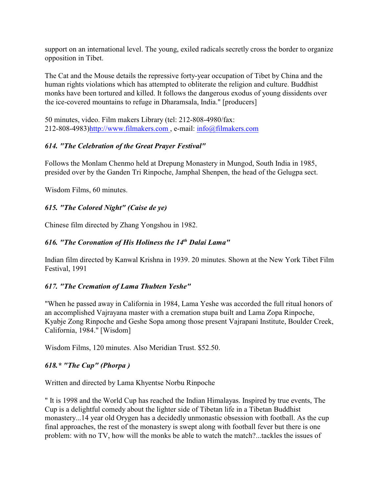support on an international level. The young, exiled radicals secretly cross the border to organize opposition in Tibet.

The Cat and the Mouse details the repressive forty-year occupation of Tibet by China and the human rights violations which has attempted to obliterate the religion and culture. Buddhist monks have been tortured and killed. It follows the dangerous exodus of young dissidents over the ice-covered mountains to refuge in Dharamsala, India." [producers]

50 minutes, video. Film makers Library (tel: 212-808-4980/fax: 212-808-4983[\)http://www.filmakers.com](http://www.filmakers.com) , e-mail: [info@filmakers.com](mailto:info@filmakers.com)

### *614. "The Celebration of the Great Prayer Festival"*

Follows the Monlam Chenmo held at Drepung Monastery in Mungod, South India in 1985, presided over by the Ganden Tri Rinpoche, Jamphal Shenpen, the head of the Gelugpa sect.

Wisdom Films, 60 minutes.

# *615. "The Colored Night" (Caise de ye)*

Chinese film directed by Zhang Yongshou in 1982.

# *616. "The Coronation of His Holiness the 14<sup>th</sup> Dalai Lama"*

Indian film directed by Kanwal Krishna in 1939. 20 minutes. Shown at the New York Tibet Film Festival, 1991

# *617. "The Cremation of Lama Thubten Yeshe"*

"When he passed away in California in 1984, Lama Yeshe was accorded the full ritual honors of an accomplished Vajrayana master with a cremation stupa built and Lama Zopa Rinpoche, Kyabje Zong Rinpoche and Geshe Sopa among those present Vajrapani Institute, Boulder Creek, California, 1984." [Wisdom]

Wisdom Films, 120 minutes. Also Meridian Trust. \$52.50.

# *618.\* "The Cup" (Phorpa )*

Written and directed by Lama Khyentse Norbu Rinpoche

" It is 1998 and the World Cup has reached the Indian Himalayas. Inspired by true events, The Cup is a delightful comedy about the lighter side of Tibetan life in a Tibetan Buddhist monastery...14 year old Orygen has a decidedly unmonastic obsession with football. As the cup final approaches, the rest of the monastery is swept along with football fever but there is one problem: with no TV, how will the monks be able to watch the match?...tackles the issues of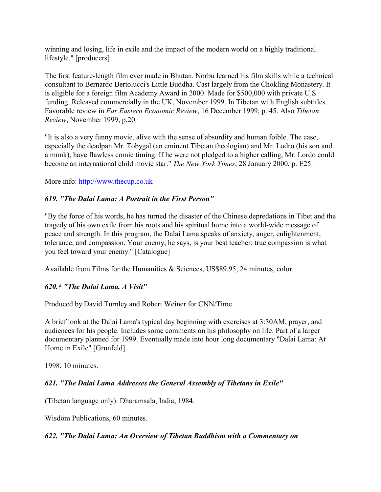winning and losing, life in exile and the impact of the modern world on a highly traditional lifestyle." [producers]

The first feature-length film ever made in Bhutan. Norbu learned his film skills while a technical consultant to Bernardo Bertolucci's Little Buddha. Cast largely from the Chokling Monastery. It is eligible for a foreign film Academy Award in 2000. Made for \$500,000 with private U.S. funding. Released commercially in the UK, November 1999. In Tibetan with English subtitles. Favorable review in *Far Eastern Economic Review*, 16 December 1999, p. 45. Also *Tibetan Review*, November 1999, p.20.

"It is also a very funny movie, alive with the sense of absurdity and human foible. The case, especially the deadpan Mr. Tobygal (an eminent Tibetan theologian) and Mr. Lodro (his son and a monk), have flawless comic timing. If he were not pledged to a higher calling, Mr. Lordo could become an international child movie star." *The New York Times*, 28 January 2000, p. E25.

More info:<http://www.thecup.co.uk>

### *619. "The Dalai Lama: A Portrait in the First Person"*

"By the force of his words, he has turned the disaster of the Chinese depredations in Tibet and the tragedy of his own exile from his roots and his spiritual home into a world-wide message of peace and strength. In this program, the Dalai Lama speaks of anxiety, anger, enlightenment, tolerance, and compassion. Your enemy, he says, is your best teacher: true compassion is what you feel toward your enemy." [Catalogue]

Available from Films for the Humanities & Sciences, US\$89.95, 24 minutes, color.

### *620.\* "The Dalai Lama. A Visit"*

Produced by David Turnley and Robert Weiner for CNN/Time

A brief look at the Dalai Lama's typical day beginning with exercises at 3:30AM, prayer, and audiences for his people. Includes some comments on his philosophy on life. Part of a larger documentary planned for 1999. Eventually made into hour long documentary "Dalai Lama: At Home in Exile" [Grunfeld]

1998, 10 minutes.

### *621. "The Dalai Lama Addresses the General Assembly of Tibetans in Exile"*

(Tibetan language only). Dharamsala, India, 1984.

Wisdom Publications, 60 minutes.

### *622. "The Dalai Lama: An Overview of Tibetan Buddhism with a Commentary on*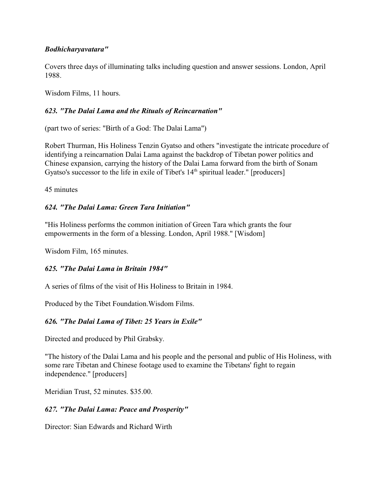### *Bodhicharyavatara"*

Covers three days of illuminating talks including question and answer sessions. London, April 1988.

Wisdom Films, 11 hours.

## *623. "The Dalai Lama and the Rituals of Reincarnation"*

(part two of series: "Birth of a God: The Dalai Lama")

Robert Thurman, His Holiness Tenzin Gyatso and others "investigate the intricate procedure of identifying a reincarnation Dalai Lama against the backdrop of Tibetan power politics and Chinese expansion, carrying the history of the Dalai Lama forward from the birth of Sonam Gyatso's successor to the life in exile of Tibet's  $14<sup>th</sup>$  spiritual leader." [producers]

45 minutes

### *624. "The Dalai Lama: Green Tara Initiation"*

"His Holiness performs the common initiation of Green Tara which grants the four empowerments in the form of a blessing. London, April 1988." [Wisdom]

Wisdom Film, 165 minutes.

# *625. "The Dalai Lama in Britain 1984"*

A series of films of the visit of His Holiness to Britain in 1984.

Produced by the Tibet Foundation.Wisdom Films.

# *626. "The Dalai Lama of Tibet: 25 Years in Exile"*

Directed and produced by Phil Grabsky.

"The history of the Dalai Lama and his people and the personal and public of His Holiness, with some rare Tibetan and Chinese footage used to examine the Tibetans' fight to regain independence." [producers]

Meridian Trust, 52 minutes. \$35.00.

# *627. "The Dalai Lama: Peace and Prosperity"*

Director: Sian Edwards and Richard Wirth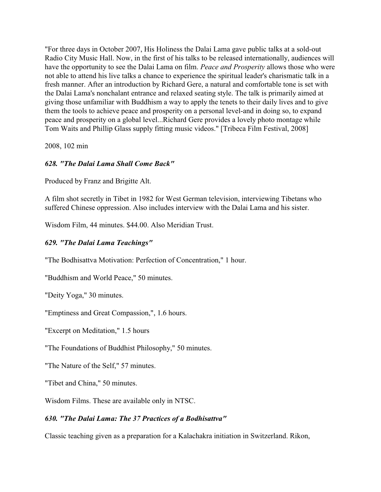"For three days in October 2007, His Holiness the Dalai Lama gave public talks at a sold-out Radio City Music Hall. Now, in the first of his talks to be released internationally, audiences will have the opportunity to see the Dalai Lama on film. *Peace and Prosperity* allows those who were not able to attend his live talks a chance to experience the spiritual leader's charismatic talk in a fresh manner. After an introduction by Richard Gere, a natural and comfortable tone is set with the Dalai Lama's nonchalant entrance and relaxed seating style. The talk is primarily aimed at giving those unfamiliar with Buddhism a way to apply the tenets to their daily lives and to give them the tools to achieve peace and prosperity on a personal level-and in doing so, to expand peace and prosperity on a global level...Richard Gere provides a lovely photo montage while Tom Waits and Phillip Glass supply fitting music videos." [Tribeca Film Festival, 2008]

2008, 102 min

### *628. "The Dalai Lama Shall Come Back"*

Produced by Franz and Brigitte Alt.

A film shot secretly in Tibet in 1982 for West German television, interviewing Tibetans who suffered Chinese oppression. Also includes interview with the Dalai Lama and his sister.

Wisdom Film, 44 minutes. \$44.00. Also Meridian Trust.

### *629. "The Dalai Lama Teachings"*

"The Bodhisattva Motivation: Perfection of Concentration," 1 hour.

"Buddhism and World Peace," 50 minutes.

"Deity Yoga," 30 minutes.

"Emptiness and Great Compassion,", 1.6 hours.

"Excerpt on Meditation," 1.5 hours

"The Foundations of Buddhist Philosophy," 50 minutes.

"The Nature of the Self," 57 minutes.

"Tibet and China," 50 minutes.

Wisdom Films. These are available only in NTSC.

### *630. "The Dalai Lama: The 37 Practices of a Bodhisattva"*

Classic teaching given as a preparation for a Kalachakra initiation in Switzerland. Rikon,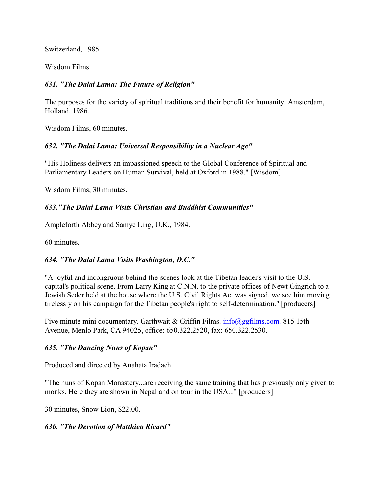Switzerland, 1985.

Wisdom Films.

### *631. "The Dalai Lama: The Future of Religion"*

The purposes for the variety of spiritual traditions and their benefit for humanity. Amsterdam, Holland, 1986.

Wisdom Films, 60 minutes.

### *632. "The Dalai Lama: Universal Responsibility in a Nuclear Age"*

"His Holiness delivers an impassioned speech to the Global Conference of Spiritual and Parliamentary Leaders on Human Survival, held at Oxford in 1988." [Wisdom]

Wisdom Films, 30 minutes.

### *633."The Dalai Lama Visits Christian and Buddhist Communities"*

Ampleforth Abbey and Samye Ling, U.K., 1984.

60 minutes.

### *634. "The Dalai Lama Visits Washington, D.C."*

"A joyful and incongruous behind-the-scenes look at the Tibetan leader's visit to the U.S. capital's political scene. From Larry King at C.N.N. to the private offices of Newt Gingrich to a Jewish Seder held at the house where the U.S. Civil Rights Act was signed, we see him moving tirelessly on his campaign for the Tibetan people's right to self-determination." [producers]

Five minute mini documentary. Garthwait & Griffin Films. [info@ggfilms.com.](mailto:info@ggfilms.com.) 815 15th Avenue, Menlo Park, CA 94025, office: 650.322.2520, fax: 650.322.2530.

### *635. "The Dancing Nuns of Kopan"*

Produced and directed by Anahata Iradach

"The nuns of Kopan Monastery...are receiving the same training that has previously only given to monks. Here they are shown in Nepal and on tour in the USA..." [producers]

30 minutes, Snow Lion, \$22.00.

#### *636. "The Devotion of Matthieu Ricard"*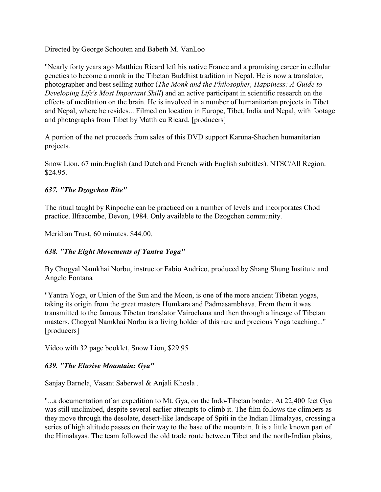Directed by George Schouten and Babeth M. VanLoo

"Nearly forty years ago Matthieu Ricard left his native France and a promising career in cellular genetics to become a monk in the Tibetan Buddhist tradition in Nepal. He is now a translator, photographer and best selling author (*The Monk and the Philosopher, Happiness: A Guide to Developing Life's Most Important Skill*) and an active participant in scientific research on the effects of meditation on the brain. He is involved in a number of humanitarian projects in Tibet and Nepal, where he resides... Filmed on location in Europe, Tibet, India and Nepal, with footage and photographs from Tibet by Matthieu Ricard. [producers]

A portion of the net proceeds from sales of this DVD support Karuna-Shechen humanitarian projects.

Snow Lion. 67 min.English (and Dutch and French with English subtitles). NTSC/All Region. \$24.95.

### *637. "The Dzogchen Rite"*

The ritual taught by Rinpoche can be practiced on a number of levels and incorporates Chod practice. Ilfracombe, Devon, 1984. Only available to the Dzogchen community.

Meridian Trust, 60 minutes. \$44.00.

### *638. "The Eight Movements of Yantra Yoga"*

By Chogyal Namkhai Norbu, instructor Fabio Andrico, produced by Shang Shung Institute and Angelo Fontana

"Yantra Yoga, or Union of the Sun and the Moon, is one of the more ancient Tibetan yogas, taking its origin from the great masters Humkara and Padmasambhava. From them it was transmitted to the famous Tibetan translator Vairochana and then through a lineage of Tibetan masters. Chogyal Namkhai Norbu is a living holder of this rare and precious Yoga teaching..." [producers]

Video with 32 page booklet, Snow Lion, \$29.95

# *639. "The Elusive Mountain: Gya"*

Sanjay Barnela, Vasant Saberwal & Anjali Khosla .

"...a documentation of an expedition to Mt. Gya, on the Indo-Tibetan border. At 22,400 feet Gya was still unclimbed, despite several earlier attempts to climb it. The film follows the climbers as they move through the desolate, desert-like landscape of Spiti in the Indian Himalayas, crossing a series of high altitude passes on their way to the base of the mountain. It is a little known part of the Himalayas. The team followed the old trade route between Tibet and the north-Indian plains,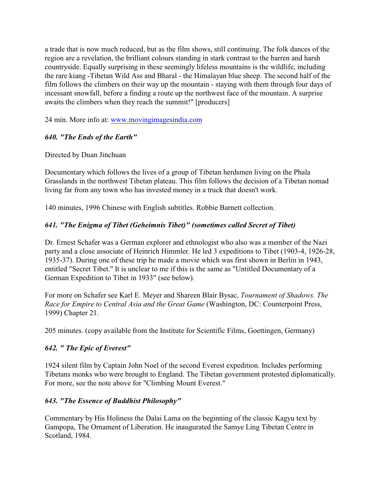a trade that is now much reduced, but as the film shows, still continuing. The folk dances of the region are a revelation, the brilliant colours standing in stark contrast to the barren and harsh countryside. Equally surprising in these seemingly lifeless mountains is the wildlife, including the rare kiang -Tibetan Wild Ass and Bharal - the Himalayan blue sheep. The second half of the film follows the climbers on their way up the mountain - staying with them through four days of incessant snowfall, before a finding a route up the northwest face of the mountain. A surprise awaits the climbers when they reach the summit!" [producers]

24 min. More info at: [www.movingimagesindia.com](http://www.movingimagesindia.com)

# *640. "The Ends of the Earth"*

### Directed by Duan Jinchuan

Documentary which follows the lives of a group of Tibetan herdsmen living on the Phala Grasslands in the northwest Tibetan plateau. This film follows the decision of a Tibetan nomad living far from any town who has invested money in a truck that doesn't work.

140 minutes, 1996 Chinese with English subtitles. Robbie Barnett collection.

# *641. "The Enigma of Tibet (Geheimnis Tibet)" (sometimes called Secret of Tibet)*

Dr. Ernest Schafer was a German explorer and ethnologist who also was a member of the Nazi party and a close associate of Heinrich Himmler. He led 3 expeditions to Tibet (1903-4, 1926-28, 1935-37). During one of these trip he made a movie which was first shown in Berlin in 1943, entitled "Secret Tibet." It is unclear to me if this is the same as "Untitled Documentary of a German Expedition to Tibet in 1933" (see below).

For more on Schafer see Karl E. Meyer and Shareen Blair Bysac, *Tournament of Shadows. The Race for Empire to Central Asia and the Great Game* (Washington, DC: Counterpoint Press, 1999) Chapter 21.

205 minutes. (copy available from the Institute for Scientific Films, Goettingen, Germany)

# *642. " The Epic of Everest"*

1924 silent film by Captain John Noel of the second Everest expedition. Includes performing Tibetans monks who were brought to England. The Tibetan government protested diplomatically. For more, see the note above for "Climbing Mount Everest."

# *643. "The Essence of Buddhist Philosophy"*

Commentary by His Holiness the Dalai Lama on the beginning of the classic Kagyu text by Gampopa, The Ornament of Liberation. He inaugurated the Samye Ling Tibetan Centre in Scotland, 1984.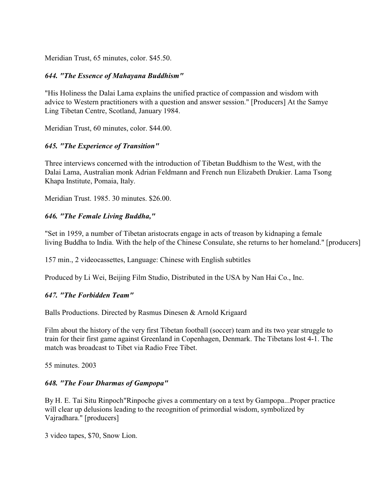Meridian Trust, 65 minutes, color. \$45.50.

#### *644. "The Essence of Mahayana Buddhism"*

"His Holiness the Dalai Lama explains the unified practice of compassion and wisdom with advice to Western practitioners with a question and answer session." [Producers] At the Samye Ling Tibetan Centre, Scotland, January 1984.

Meridian Trust, 60 minutes, color. \$44.00.

### *645. "The Experience of Transition"*

Three interviews concerned with the introduction of Tibetan Buddhism to the West, with the Dalai Lama, Australian monk Adrian Feldmann and French nun Elizabeth Drukier. Lama Tsong Khapa Institute, Pomaia, Italy.

Meridian Trust. 1985. 30 minutes. \$26.00.

#### *646. "The Female Living Buddha,"*

"Set in 1959, a number of Tibetan aristocrats engage in acts of treason by kidnaping a female living Buddha to India. With the help of the Chinese Consulate, she returns to her homeland." [producers]

157 min., 2 videocassettes, Language: Chinese with English subtitles

Produced by Li Wei, Beijing Film Studio, Distributed in the USA by Nan Hai Co., Inc.

#### *647. "The Forbidden Team"*

Balls Productions. Directed by Rasmus Dinesen & Arnold Krigaard

Film about the history of the very first Tibetan football (soccer) team and its two year struggle to train for their first game against Greenland in Copenhagen, Denmark. The Tibetans lost 4-1. The match was broadcast to Tibet via Radio Free Tibet.

55 minutes. 2003

#### *648. "The Four Dharmas of Gampopa"*

By H. E. Tai Situ Rinpoch"Rinpoche gives a commentary on a text by Gampopa...Proper practice will clear up delusions leading to the recognition of primordial wisdom, symbolized by Vajradhara." [producers]

3 video tapes, \$70, Snow Lion.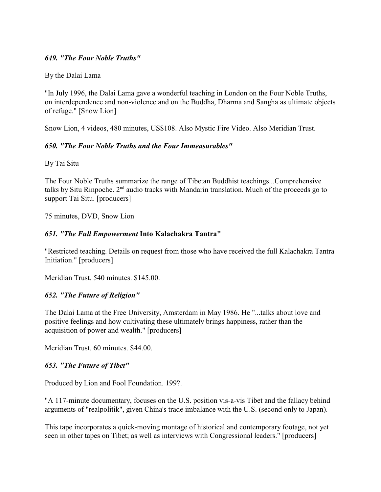#### *649. "The Four Noble Truths"*

By the Dalai Lama

"In July 1996, the Dalai Lama gave a wonderful teaching in London on the Four Noble Truths, on interdependence and non-violence and on the Buddha, Dharma and Sangha as ultimate objects of refuge." [Snow Lion]

Snow Lion, 4 videos, 480 minutes, US\$108. Also Mystic Fire Video. Also Meridian Trust.

#### *650. "The Four Noble Truths and the Four Immeasurables"*

By Tai Situ

The Four Noble Truths summarize the range of Tibetan Buddhist teachings...Comprehensive talks by Situ Rinpoche.  $2<sup>nd</sup>$  audio tracks with Mandarin translation. Much of the proceeds go to support Tai Situ. [producers]

75 minutes, DVD, Snow Lion

### *651. "The Full Empowerment* **Into Kalachakra Tantra"**

"Restricted teaching. Details on request from those who have received the full Kalachakra Tantra Initiation." [producers]

Meridian Trust. 540 minutes. \$145.00.

### *652. "The Future of Religion"*

The Dalai Lama at the Free University, Amsterdam in May 1986. He "...talks about love and positive feelings and how cultivating these ultimately brings happiness, rather than the acquisition of power and wealth." [producers]

Meridian Trust. 60 minutes. \$44.00.

### *653. "The Future of Tibet"*

Produced by Lion and Fool Foundation. 199?.

"A 117-minute documentary, focuses on the U.S. position vis-a-vis Tibet and the fallacy behind arguments of "realpolitik", given China's trade imbalance with the U.S. (second only to Japan).

This tape incorporates a quick-moving montage of historical and contemporary footage, not yet seen in other tapes on Tibet; as well as interviews with Congressional leaders." [producers]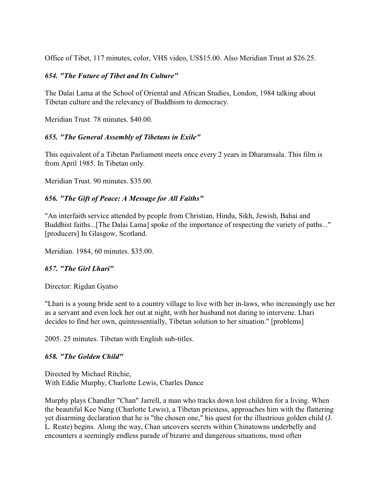Office of Tibet, 117 minutes, color, VHS video, US\$15.00. Also Meridian Trust at \$26.25.

### *654. "The Future of Tibet and Its Culture"*

The Dalai Lama at the School of Oriental and African Studies, London, 1984 talking about Tibetan culture and the relevancy of Buddhism to democracy.

Meridian Trust. 78 minutes. \$40.00.

### *655. "The General Assembly of Tibetans in Exile"*

This equivalent of a Tibetan Parliament meets once every 2 years in Dharamsala. This film is from April 1985. In Tibetan only.

Meridian Trust. 90 minutes. \$35.00.

### *656. "The Gift of Peace: A Message for All Faiths"*

"An interfaith service attended by people from Christian, Hindu, Sikh, Jewish, Bahai and Buddhist faiths...[The Dalai Lama] spoke of the importance of respecting the variety of paths..." [producers] In Glasgow, Scotland.

Meridian. 1984, 60 minutes. \$35.00.

### *657. "The Girl Lhari"*

Director: Rigdan Gyatso

"Lhari is a young bride sent to a country village to live with her in-laws, who increasingly use her as a servant and even lock her out at night, with her husband not daring to intervene. Lhari decides to find her own, quintessentially, Tibetan solution to her situation." [problems]

2005. 25 minutes. Tibetan with English sub-titles.

### *658. "The Golden Child"*

Directed by Michael Ritchie, With Eddie Murphy, Charlotte Lewis, Charles Dance

Murphy plays Chandler "Chan" Jarrell, a man who tracks down lost children for a living. When the beautiful Kee Nang (Charlotte Lewis), a Tibetan priestess, approaches him with the flattering yet disarming declaration that he is "the chosen one," his quest for the illustrious golden child (J. L. Reate) begins. Along the way, Chan uncovers secrets within Chinatowns underbelly and encounters a seemingly endless parade of bizarre and dangerous situations, most often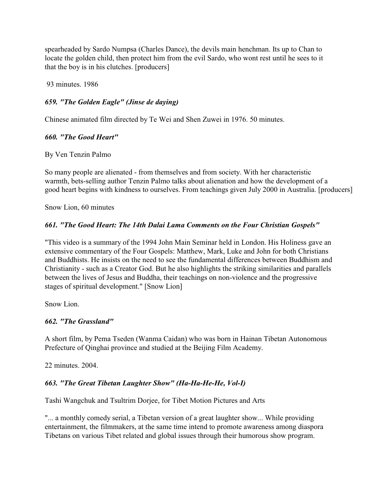spearheaded by Sardo Numpsa (Charles Dance), the devils main henchman. Its up to Chan to locate the golden child, then protect him from the evil Sardo, who wont rest until he sees to it that the boy is in his clutches. [producers]

93 minutes. 1986

### *659. "The Golden Eagle" (Jinse de daying)*

Chinese animated film directed by Te Wei and Shen Zuwei in 1976. 50 minutes.

### *660. "The Good Heart"*

By Ven Tenzin Palmo

So many people are alienated - from themselves and from society. With her characteristic warmth, bets-selling author Tenzin Palmo talks about alienation and how the development of a good heart begins with kindness to ourselves. From teachings given July 2000 in Australia. [producers]

Snow Lion, 60 minutes

### *661. "The Good Heart: The 14th Dalai Lama Comments on the Four Christian Gospels"*

"This video is a summary of the 1994 John Main Seminar held in London. His Holiness gave an extensive commentary of the Four Gospels: Matthew, Mark, Luke and John for both Christians and Buddhists. He insists on the need to see the fundamental differences between Buddhism and Christianity - such as a Creator God. But he also highlights the striking similarities and parallels between the lives of Jesus and Buddha, their teachings on non-violence and the progressive stages of spiritual development." [Snow Lion]

Snow Lion.

### *662. "The Grassland"*

A short film, by Pema Tseden (Wanma Caidan) who was born in Hainan Tibetan Autonomous Prefecture of Qinghai province and studied at the Beijing Film Academy.

22 minutes. 2004.

### *663. "The Great Tibetan Laughter Show" (Ha-Ha-He-He, Vol-I)*

Tashi Wangchuk and Tsultrim Dorjee, for Tibet Motion Pictures and Arts

"... a monthly comedy serial, a Tibetan version of a great laughter show... While providing entertainment, the filmmakers, at the same time intend to promote awareness among diaspora Tibetans on various Tibet related and global issues through their humorous show program.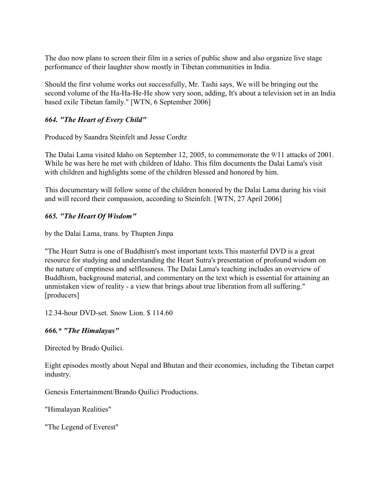The duo now plans to screen their film in a series of public show and also organize live stage performance of their laughter show mostly in Tibetan communities in India.

Should the first volume works out successfully, Mr. Tashi says, We will be bringing out the second volume of the Ha-Ha-He-He show very soon, adding, It's about a television set in an India based exile Tibetan family." [WTN, 6 September 2006]

# *664. "The Heart of Every Child"*

Produced by Saandra Steinfelt and Jesse Cordtz

The Dalai Lama visited Idaho on September 12, 2005, to commemorate the 9/11 attacks of 2001. While he was here he met with children of Idaho. This film documents the Dalai Lama's visit with children and highlights some of the children blessed and honored by him.

This documentary will follow some of the children honored by the Dalai Lama during his visit and will record their compassion, according to Steinfelt. [WTN, 27 April 2006]

### *665. "The Heart Of Wisdom"*

by the Dalai Lama, trans. by Thupten Jinpa

"The Heart Sutra is one of Buddhism's most important texts.This masterful DVD is a great resource for studying and understanding the Heart Sutra's presentation of profound wisdom on the nature of emptiness and selflessness. The Dalai Lama's teaching includes an overview of Buddhism, background material, and commentary on the text which is essential for attaining an unmistaken view of reality - a view that brings about true liberation from all suffering." [producers]

12.34-hour DVD-set. Snow Lion. \$ 114.60

### *666.\* "The Himalayas"*

Directed by Brado Quilici.

Eight episodes mostly about Nepal and Bhutan and their economies, including the Tibetan carpet industry.

Genesis Entertainment/Brando Quilici Productions.

"Himalayan Realities"

"The Legend of Everest"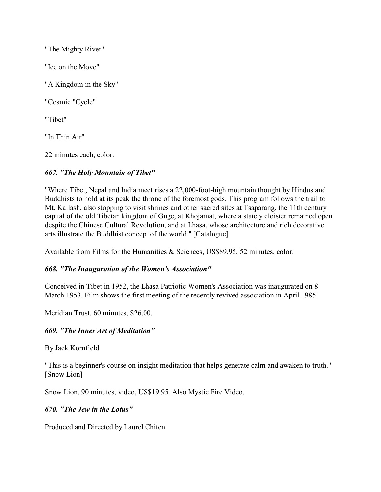"The Mighty River" "Ice on the Move" "A Kingdom in the Sky" "Cosmic "Cycle" "Tibet" "In Thin Air" 22 minutes each, color.

# *667. "The Holy Mountain of Tibet"*

"Where Tibet, Nepal and India meet rises a 22,000-foot-high mountain thought by Hindus and Buddhists to hold at its peak the throne of the foremost gods. This program follows the trail to Mt. Kailash, also stopping to visit shrines and other sacred sites at Tsaparang, the 11th century capital of the old Tibetan kingdom of Guge, at Khojamat, where a stately cloister remained open despite the Chinese Cultural Revolution, and at Lhasa, whose architecture and rich decorative arts illustrate the Buddhist concept of the world." [Catalogue]

Available from Films for the Humanities & Sciences, US\$89.95, 52 minutes, color.

### *668. "The Inauguration of the Women's Association"*

Conceived in Tibet in 1952, the Lhasa Patriotic Women's Association was inaugurated on 8 March 1953. Film shows the first meeting of the recently revived association in April 1985.

Meridian Trust. 60 minutes, \$26.00.

### *669. "The Inner Art of Meditation"*

By Jack Kornfield

"This is a beginner's course on insight meditation that helps generate calm and awaken to truth." [Snow Lion]

Snow Lion, 90 minutes, video, US\$19.95. Also Mystic Fire Video.

### *670. "The Jew in the Lotus"*

Produced and Directed by Laurel Chiten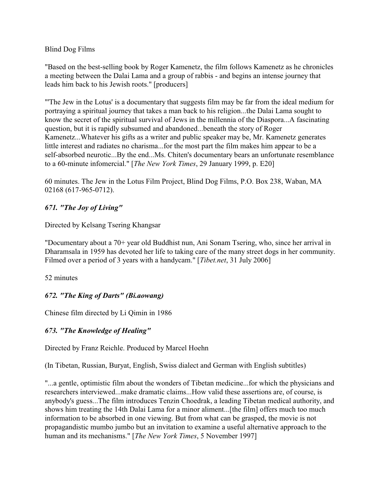### Blind Dog Films

"Based on the best-selling book by Roger Kamenetz, the film follows Kamenetz as he chronicles a meeting between the Dalai Lama and a group of rabbis - and begins an intense journey that leads him back to his Jewish roots." [producers]

"'The Jew in the Lotus' is a documentary that suggests film may be far from the ideal medium for portraying a spiritual journey that takes a man back to his religion...the Dalai Lama sought to know the secret of the spiritual survival of Jews in the millennia of the Diaspora...A fascinating question, but it is rapidly subsumed and abandoned...beneath the story of Roger Kamenetz...Whatever his gifts as a writer and public speaker may be, Mr. Kamenetz generates little interest and radiates no charisma...for the most part the film makes him appear to be a self-absorbed neurotic...By the end...Ms. Chiten's documentary bears an unfortunate resemblance to a 60-minute infomercial." [*The New York Times*, 29 January 1999, p. E20]

60 minutes. The Jew in the Lotus Film Project, Blind Dog Films, P.O. Box 238, Waban, MA 02168 (617-965-0712).

### *671. "The Joy of Living"*

Directed by Kelsang Tsering Khangsar

"Documentary about a 70+ year old Buddhist nun, Ani Sonam Tsering, who, since her arrival in Dharamsala in 1959 has devoted her life to taking care of the many street dogs in her community. Filmed over a period of 3 years with a handycam." [*Tibet.net*, 31 July 2006]

52 minutes

# *672. "The King of Darts" (Bi.aowang)*

Chinese film directed by Li Qimin in 1986

# *673. "The Knowledge of Healing"*

Directed by Franz Reichle. Produced by Marcel Hoehn

(In Tibetan, Russian, Buryat, English, Swiss dialect and German with English subtitles)

"...a gentle, optimistic film about the wonders of Tibetan medicine...for which the physicians and researchers interviewed...make dramatic claims...How valid these assertions are, of course, is anybody's guess...The film introduces Tenzin Choedrak, a leading Tibetan medical authority, and shows him treating the 14th Dalai Lama for a minor aliment...[the film] offers much too much information to be absorbed in one viewing. But from what can be grasped, the movie is not propagandistic mumbo jumbo but an invitation to examine a useful alternative approach to the human and its mechanisms." [*The New York Times*, 5 November 1997]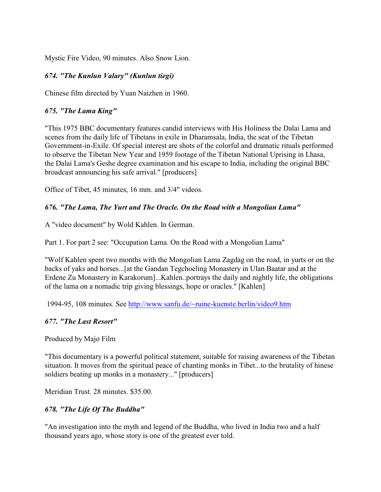Mystic Fire Video, 90 minutes. Also Snow Lion.

### *674. "The Kunlun Valary" (Kunlun tiegi)*

Chinese film directed by Yuan Naizhen in 1960.

### *675. "The Lama King"*

"This 1975 BBC documentary features candid interviews with His Holiness the Dalai Lama and scenes from the daily life of Tibetans in exile in Dharamsala, India, the seat of the Tibetan Government-in-Exile. Of special interest are shots of the colorful and dramatic rituals performed to observe the Tibetan New Year and 1959 footage of the Tibetan National Uprising in Lhasa, the Dalai Lama's Geshe degree examination and his escape to India, including the original BBC broadcast announcing his safe arrival." [producers]

Office of Tibet, 45 minutes, 16 mm. and 3/4" videos.

### *676. "The Lama, The Yurt and The Oracle. On the Road with a Mongolian Lama"*

A "video document" by Wold Kahlen. In German.

Part 1. For part 2 see: "Occupation Lama. On the Road with a Mongolian Lama"

"Wolf Kahlen spent two months with the Mongolian Lama Zagdag on the road, in yurts or on the backs of yaks and horses...[at the Gandan Tegchoeling Monastery in Ulan Baatar and at the Erdene Zu Monastery in Karakorum]...Kahlen..portrays the daily and nightly life, the obligations of the lama on a nomadic trip giving blessings, hope or oracles." [Kahlen]

1994-95, 108 minutes. See<http://www.sanfu.de/~ruine-kuenste.berlin/video9.htm>

### *677. "The Last Resort"*

Produced by Majo Film

"This documentary is a powerful political statement, suitable for raising awareness of the Tibetan situation. It moves from the spiritual peace of chanting monks in Tibet...to the brutality of hinese soldiers beating up monks in a monastery..." [producers]

Meridian Trust. 28 minutes. \$35.00.

### *678. "The Life Of The Buddha"*

"An investigation into the myth and legend of the Buddha, who lived in India two and a half thousand years ago, whose story is one of the greatest ever told.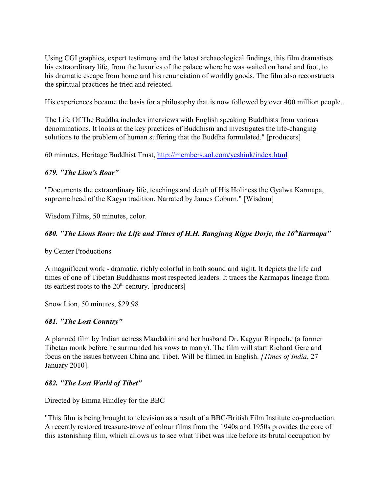Using CGI graphics, expert testimony and the latest archaeological findings, this film dramatises his extraordinary life, from the luxuries of the palace where he was waited on hand and foot, to his dramatic escape from home and his renunciation of worldly goods. The film also reconstructs the spiritual practices he tried and rejected.

His experiences became the basis for a philosophy that is now followed by over 400 million people...

The Life Of The Buddha includes interviews with English speaking Buddhists from various denominations. It looks at the key practices of Buddhism and investigates the life-changing solutions to the problem of human suffering that the Buddha formulated." [producers]

60 minutes, Heritage Buddhist Trust,<http://members.aol.com/yeshiuk/index.html>

#### *679. "The Lion's Roar"*

"Documents the extraordinary life, teachings and death of His Holiness the Gyalwa Karmapa, supreme head of the Kagyu tradition. Narrated by James Coburn." [Wisdom]

Wisdom Films, 50 minutes, color.

### *680. "The Lions Roar: the Life and Times of H.H. Rangjung Rigpe Dorje, the 16 Karmapa" th*

by Center Productions

A magnificent work - dramatic, richly colorful in both sound and sight. It depicts the life and times of one of Tibetan Buddhisms most respected leaders. It traces the Karmapas lineage from its earliest roots to the  $20<sup>th</sup>$  century. [producers]

Snow Lion, 50 minutes, \$29.98

#### *681. "The Lost Country"*

A planned film by Indian actress Mandakini and her husband Dr. Kagyur Rinpoche (a former Tibetan monk before he surrounded his vows to marry). The film will start Richard Gere and focus on the issues between China and Tibet. Will be filmed in English. *[Times of India*, 27 January 2010].

#### *682. "The Lost World of Tibet"*

Directed by Emma Hindley for the BBC

"This film is being brought to television as a result of a BBC/British Film Institute co-production. A recently restored treasure-trove of colour films from the 1940s and 1950s provides the core of this astonishing film, which allows us to see what Tibet was like before its brutal occupation by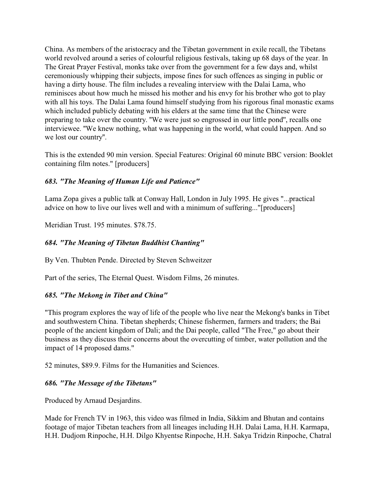China. As members of the aristocracy and the Tibetan government in exile recall, the Tibetans world revolved around a series of colourful religious festivals, taking up 68 days of the year. In The Great Prayer Festival, monks take over from the government for a few days and, whilst ceremoniously whipping their subjects, impose fines for such offences as singing in public or having a dirty house. The film includes a revealing interview with the Dalai Lama, who reminisces about how much he missed his mother and his envy for his brother who got to play with all his toys. The Dalai Lama found himself studying from his rigorous final monastic exams which included publicly debating with his elders at the same time that the Chinese were preparing to take over the country. ''We were just so engrossed in our little pond'', recalls one interviewee. ''We knew nothing, what was happening in the world, what could happen. And so we lost our country''.

This is the extended 90 min version. Special Features: Original 60 minute BBC version: Booklet containing film notes." [producers]

### *683. "The Meaning of Human Life and Patience"*

Lama Zopa gives a public talk at Conway Hall, London in July 1995. He gives "...practical advice on how to live our lives well and with a minimum of suffering..."[producers]

Meridian Trust. 195 minutes. \$78.75.

### *684. "The Meaning of Tibetan Buddhist Chanting"*

By Ven. Thubten Pende. Directed by Steven Schweitzer

Part of the series, The Eternal Quest. Wisdom Films, 26 minutes.

### *685. "The Mekong in Tibet and China"*

"This program explores the way of life of the people who live near the Mekong's banks in Tibet and southwestern China. Tibetan shepherds; Chinese fishermen, farmers and traders; the Bai people of the ancient kingdom of Dali; and the Dai people, called "The Free," go about their business as they discuss their concerns about the overcutting of timber, water pollution and the impact of 14 proposed dams."

52 minutes, \$89.9. Films for the Humanities and Sciences.

### *686. "The Message of the Tibetans"*

Produced by Arnaud Desjardins.

Made for French TV in 1963, this video was filmed in India, Sikkim and Bhutan and contains footage of major Tibetan teachers from all lineages including H.H. Dalai Lama, H.H. Karmapa, H.H. Dudjom Rinpoche, H.H. Dilgo Khyentse Rinpoche, H.H. Sakya Tridzin Rinpoche, Chatral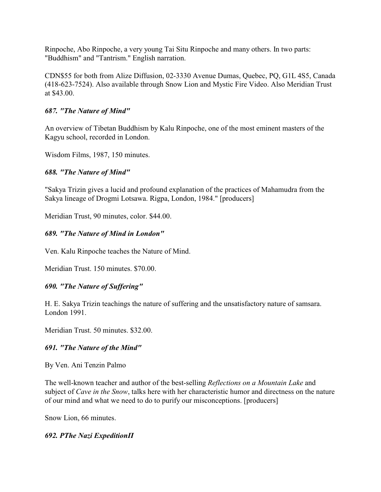Rinpoche, Abo Rinpoche, a very young Tai Situ Rinpoche and many others. In two parts: "Buddhism" and "Tantrism." English narration.

CDN\$55 for both from Alize Diffusion, 02-3330 Avenue Dumas, Quebec, PQ, G1L 4S5, Canada (418-623-7524). Also available through Snow Lion and Mystic Fire Video. Also Meridian Trust at \$43.00.

### *687. "The Nature of Mind"*

An overview of Tibetan Buddhism by Kalu Rinpoche, one of the most eminent masters of the Kagyu school, recorded in London.

Wisdom Films, 1987, 150 minutes.

### *688. "The Nature of Mind"*

"Sakya Trizin gives a lucid and profound explanation of the practices of Mahamudra from the Sakya lineage of Drogmi Lotsawa. Rigpa, London, 1984." [producers]

Meridian Trust, 90 minutes, color. \$44.00.

### *689. "The Nature of Mind in London"*

Ven. Kalu Rinpoche teaches the Nature of Mind.

Meridian Trust. 150 minutes. \$70.00.

# *690. "The Nature of Suffering"*

H. E. Sakya Trizin teachings the nature of suffering and the unsatisfactory nature of samsara. London 1991.

Meridian Trust. 50 minutes. \$32.00.

### *691. "The Nature of the Mind"*

By Ven. Ani Tenzin Palmo

The well-known teacher and author of the best-selling *Reflections on a Mountain Lake* and subject of *Cave in the Snow*, talks here with her characteristic humor and directness on the nature of our mind and what we need to do to purify our misconceptions. [producers]

Snow Lion, 66 minutes.

### *692. ÐThe Nazi ExpeditionÏ*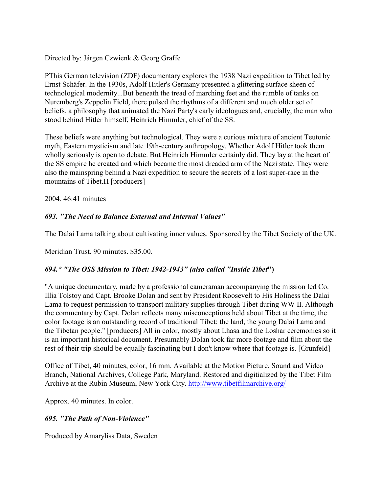Directed by: Járgen Czwienk & Georg Graffe

ÐThis German television (ZDF) documentary explores the 1938 Nazi expedition to Tibet led by Ernst Schäfer. In the 1930s, Adolf Hitler's Germany presented a glittering surface sheen of technological modernity...But beneath the tread of marching feet and the rumble of tanks on Nuremberg's Zeppelin Field, there pulsed the rhythms of a different and much older set of beliefs, a philosophy that animated the Nazi Party's early ideologues and, crucially, the man who stood behind Hitler himself, Heinrich Himmler, chief of the SS.

These beliefs were anything but technological. They were a curious mixture of ancient Teutonic myth, Eastern mysticism and late 19th-century anthropology. Whether Adolf Hitler took them wholly seriously is open to debate. But Heinrich Himmler certainly did. They lay at the heart of the SS empire he created and which became the most dreaded arm of the Nazi state. They were also the mainspring behind a Nazi expedition to secure the secrets of a lost super-race in the mountains of Tibet. $\Pi$  [producers]

2004. 46:41 minutes

### *693. "The Need to Balance External and Internal Values"*

The Dalai Lama talking about cultivating inner values. Sponsored by the Tibet Society of the UK.

Meridian Trust. 90 minutes. \$35.00.

### *694.\* "The OSS Mission to Tibet: 1942-1943" (also called "Inside Tibet***")**

"A unique documentary, made by a professional cameraman accompanying the mission led Co. Illia Tolstoy and Capt. Brooke Dolan and sent by President Roosevelt to His Holiness the Dalai Lama to request permission to transport military supplies through Tibet during WW II. Although the commentary by Capt. Dolan reflects many misconceptions held about Tibet at the time, the color footage is an outstanding record of traditional Tibet: the land, the young Dalai Lama and the Tibetan people." [producers] All in color, mostly about Lhasa and the Loshar ceremonies so it is an important historical document. Presumably Dolan took far more footage and film about the rest of their trip should be equally fascinating but I don't know where that footage is. [Grunfeld]

Office of Tibet, 40 minutes, color, 16 mm. Available at the Motion Picture, Sound and Video Branch, National Archives, College Park, Maryland. Restored and digitialized by the Tibet Film Archive at the Rubin Museum, New York City. http://www.tibetfilmarchive.org/

Approx. 40 minutes. In color.

# *695. "The Path of Non-Violence"*

Produced by Amaryliss Data, Sweden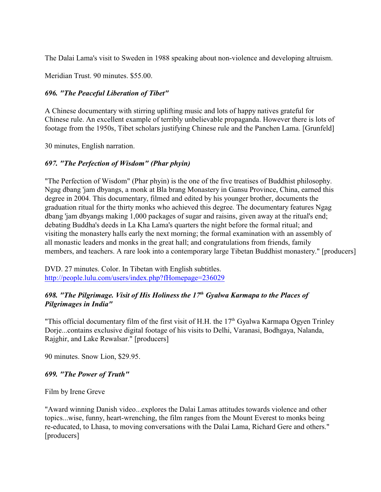The Dalai Lama's visit to Sweden in 1988 speaking about non-violence and developing altruism.

Meridian Trust. 90 minutes. \$55.00.

### *696. "The Peaceful Liberation of Tibet"*

A Chinese documentary with stirring uplifting music and lots of happy natives grateful for Chinese rule. An excellent example of terribly unbelievable propaganda. However there is lots of footage from the 1950s, Tibet scholars justifying Chinese rule and the Panchen Lama. [Grunfeld]

30 minutes, English narration.

### *697. "The Perfection of Wisdom" (Phar phyin)*

"The Perfection of Wisdom" (Phar phyin) is the one of the five treatises of Buddhist philosophy. Ngag dbang 'jam dbyangs, a monk at Bla brang Monastery in Gansu Province, China, earned this degree in 2004. This documentary, filmed and edited by his younger brother, documents the graduation ritual for the thirty monks who achieved this degree. The documentary features Ngag dbang 'jam dbyangs making 1,000 packages of sugar and raisins, given away at the ritual's end; debating Buddha's deeds in La Kha Lama's quarters the night before the formal ritual; and visiting the monastery halls early the next morning; the formal examination with an assembly of all monastic leaders and monks in the great hall; and congratulations from friends, family members, and teachers. A rare look into a contemporary large Tibetan Buddhist monastery." [producers]

DVD. 27 minutes. Color. In Tibetan with English subtitles. <http://people.lulu.com/users/index.php?fHomepage=236029>

### *698. "The Pilgrimage. Visit of His Holiness the 17 Gyalwa Karmapa to the Places of th Pilgrimages in India"*

"This official documentary film of the first visit of H.H. the  $17<sup>th</sup>$  Gyalwa Karmapa Ogyen Trinley Dorje...contains exclusive digital footage of his visits to Delhi, Varanasi, Bodhgaya, Nalanda, Rajghir, and Lake Rewalsar." [producers]

90 minutes. Snow Lion, \$29.95.

### *699. "The Power of Truth"*

Film by Irene Greve

"Award winning Danish video...explores the Dalai Lamas attitudes towards violence and other topics...wise, funny, heart-wrenching, the film ranges from the Mount Everest to monks being re-educated, to Lhasa, to moving conversations with the Dalai Lama, Richard Gere and others." [producers]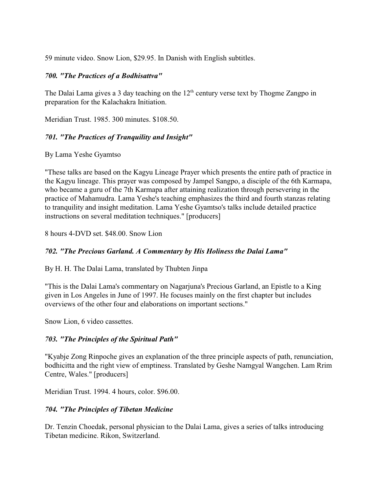59 minute video. Snow Lion, \$29.95. In Danish with English subtitles.

#### *700. "The Practices of a Bodhisattva"*

The Dalai Lama gives a 3 day teaching on the  $12<sup>th</sup>$  century verse text by Thogme Zangpo in preparation for the Kalachakra Initiation.

Meridian Trust. 1985. 300 minutes. \$108.50.

### *701. "The Practices of Tranquility and Insight"*

By Lama Yeshe Gyamtso

"These talks are based on the Kagyu Lineage Prayer which presents the entire path of practice in the Kagyu lineage. This prayer was composed by Jampel Sangpo, a disciple of the 6th Karmapa, who became a guru of the 7th Karmapa after attaining realization through persevering in the practice of Mahamudra. Lama Yeshe's teaching emphasizes the third and fourth stanzas relating to tranquility and insight meditation. Lama Yeshe Gyamtso's talks include detailed practice instructions on several meditation techniques." [producers]

8 hours 4-DVD set. \$48.00. Snow Lion

### *702. "The Precious Garland. A Commentary by His Holiness the Dalai Lama"*

By H. H. The Dalai Lama, translated by Thubten Jinpa

"This is the Dalai Lama's commentary on Nagarjuna's Precious Garland, an Epistle to a King given in Los Angeles in June of 1997. He focuses mainly on the first chapter but includes overviews of the other four and elaborations on important sections."

Snow Lion, 6 video cassettes.

### *703. "The Principles of the Spiritual Path"*

"Kyabje Zong Rinpoche gives an explanation of the three principle aspects of path, renunciation, bodhicitta and the right view of emptiness. Translated by Geshe Namgyal Wangchen. Lam Rrim Centre, Wales." [producers]

Meridian Trust. 1994. 4 hours, color. \$96.00.

### *704. "The Principles of Tibetan Medicine*

Dr. Tenzin Choedak, personal physician to the Dalai Lama, gives a series of talks introducing Tibetan medicine. Rikon, Switzerland.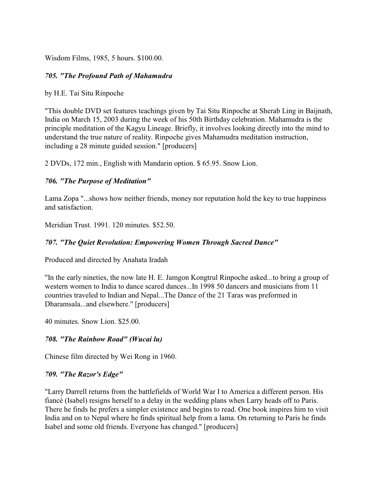Wisdom Films, 1985, 5 hours. \$100.00.

#### *705. "The Profound Path of Mahamudra*

by H.E. Tai Situ Rinpoche

"This double DVD set features teachings given by Tai Situ Rinpoche at Sherab Ling in Baijnath, India on March 15, 2003 during the week of his 50th Birthday celebration. Mahamudra is the principle meditation of the Kagyu Lineage. Briefly, it involves looking directly into the mind to understand the true nature of reality. Rinpoche gives Mahamudra meditation instruction, including a 28 minute guided session." [producers]

2 DVDs, 172 min., English with Mandarin option. \$ 65.95. Snow Lion.

#### *706. "The Purpose of Meditation"*

Lama Zopa "...shows how neither friends, money nor reputation hold the key to true happiness and satisfaction.

Meridian Trust. 1991. 120 minutes. \$52.50.

#### *707. "The Quiet Revolution: Empowering Women Through Sacred Dance"*

Produced and directed by Anahata Iradah

"In the early nineties, the now late H. E. Jamgon Kongtrul Rinpoche asked...to bring a group of western women to India to dance scared dances...In 1998 50 dancers and musicians from 11 countries traveled to Indian and Nepal...The Dance of the 21 Taras was preformed in Dharamsala...and elsewhere." [producers]

40 minutes. Snow Lion. \$25.00.

#### *708. "The Rainbow Road" (Wucai lu)*

Chinese film directed by Wei Rong in 1960.

#### *709. "The Razor's Edge"*

"Larry Darrell returns from the battlefields of World War I to America a different person. His fiancé (Isabel) resigns herself to a delay in the wedding plans when Larry heads off to Paris. There he finds he prefers a simpler existence and begins to read. One book inspires him to visit India and on to Nepal where he finds spiritual help from a lama. On returning to Paris he finds Isabel and some old friends. Everyone has changed." [producers]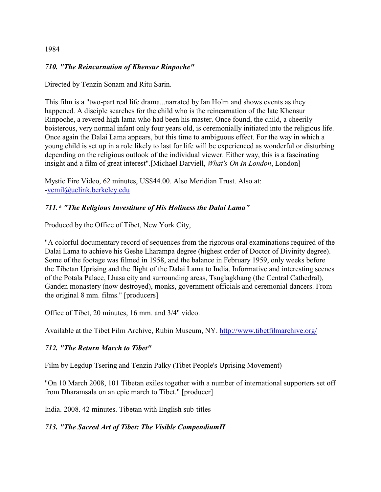#### 1984

#### *710. "The Reincarnation of Khensur Rinpoche"*

Directed by Tenzin Sonam and Ritu Sarin.

This film is a "two-part real life drama...narrated by Ian Holm and shows events as they happened. A disciple searches for the child who is the reincarnation of the late Khensur Rinpoche, a revered high lama who had been his master. Once found, the child, a cheerily boisterous, very normal infant only four years old, is ceremonially initiated into the religious life. Once again the Dalai Lama appears, but this time to ambiguous effect. For the way in which a young child is set up in a role likely to last for life will be experienced as wonderful or disturbing depending on the religious outlook of the individual viewer. Either way, this is a fascinating insight and a film of great interest".[Michael Darviell, *What's On In London*, London]

Mystic Fire Video, 62 minutes, US\$44.00. Also Meridian Trust. Also at: [-vcmil@uclink.berkeley.edu](mailto:vcmil@uclink.berkeley.edu)

#### *711.\* "The Religious Investiture of His Holiness the Dalai Lama"*

Produced by the Office of Tibet, New York City,

"A colorful documentary record of sequences from the rigorous oral examinations required of the Dalai Lama to achieve his Geshe Lharampa degree (highest order of Doctor of Divinity degree). Some of the footage was filmed in 1958, and the balance in February 1959, only weeks before the Tibetan Uprising and the flight of the Dalai Lama to India. Informative and interesting scenes of the Potala Palace, Lhasa city and surrounding areas, Tsuglagkhang (the Central Cathedral), Ganden monastery (now destroyed), monks, government officials and ceremonial dancers. From the original 8 mm. films." [producers]

Office of Tibet, 20 minutes, 16 mm. and 3/4" video.

Available at the Tibet Film Archive, Rubin Museum, NY.<http://www.tibetfilmarchive.org/>

#### *712. "The Return March to Tibet"*

Film by Legdup Tsering and Tenzin Palky (Tibet People's Uprising Movement)

"On 10 March 2008, 101 Tibetan exiles together with a number of international supporters set off from Dharamsala on an epic march to Tibet." [producer]

India. 2008. 42 minutes. Tibetan with English sub-titles

### 713. "The Sacred Art of Tibet: The Visible Compendium<sub>II</sub>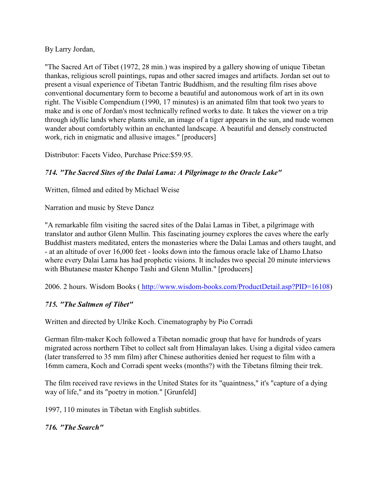By Larry Jordan,

"The Sacred Art of Tibet (1972, 28 min.) was inspired by a gallery showing of unique Tibetan thankas, religious scroll paintings, rupas and other sacred images and artifacts. Jordan set out to present a visual experience of Tibetan Tantric Buddhism, and the resulting film rises above conventional documentary form to become a beautiful and autonomous work of art in its own right. The Visible Compendium (1990, 17 minutes) is an animated film that took two years to make and is one of Jordan's most technically refined works to date. It takes the viewer on a trip through idyllic lands where plants smile, an image of a tiger appears in the sun, and nude women wander about comfortably within an enchanted landscape. A beautiful and densely constructed work, rich in enigmatic and allusive images." [producers]

Distributor: Facets Video, Purchase Price:\$59.95.

# *714. "The Sacred Sites of the Dalai Lama: A Pilgrimage to the Oracle Lake"*

Written, filmed and edited by Michael Weise

Narration and music by Steve Dancz

"A remarkable film visiting the sacred sites of the Dalai Lamas in Tibet, a pilgrimage with translator and author Glenn Mullin. This fascinating journey explores the caves where the early Buddhist masters meditated, enters the monasteries where the Dalai Lamas and others taught, and - at an altitude of over 16,000 feet - looks down into the famous oracle lake of Lhamo Lhatso where every Dalai Lama has had prophetic visions. It includes two special 20 minute interviews with Bhutanese master Khenpo Tashi and Glenn Mullin." [producers]

2006. 2 hours. Wisdom Books [\( http://www.wisdom-books.com/ProductDetail.asp?PID=16108]((http://www.wisdom-books.com/ProductDetail.asp?PID=16108))

# *715. "The Saltmen of Tibet"*

Written and directed by Ulrike Koch. Cinematography by Pio Corradi

German film-maker Koch followed a Tibetan nomadic group that have for hundreds of years migrated across northern Tibet to collect salt from Himalayan lakes. Using a digital video camera (later transferred to 35 mm film) after Chinese authorities denied her request to film with a 16mm camera, Koch and Corradi spent weeks (months?) with the Tibetans filming their trek.

The film received rave reviews in the United States for its "quaintness," it's "capture of a dying way of life," and its "poetry in motion." [Grunfeld]

1997, 110 minutes in Tibetan with English subtitles.

# *716. "The Search"*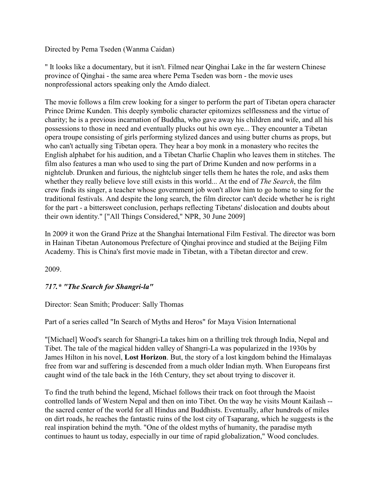Directed by Pema Tseden (Wanma Caidan)

" It looks like a documentary, but it isn't. Filmed near Qinghai Lake in the far western Chinese province of Qinghai - the same area where Pema Tseden was born - the movie uses nonprofessional actors speaking only the Amdo dialect.

The movie follows a film crew looking for a singer to perform the part of Tibetan opera character Prince Drime Kunden. This deeply symbolic character epitomizes selflessness and the virtue of charity; he is a previous incarnation of Buddha, who gave away his children and wife, and all his possessions to those in need and eventually plucks out his own eye... They encounter a Tibetan opera troupe consisting of girls performing stylized dances and using butter churns as props, but who can't actually sing Tibetan opera. They hear a boy monk in a monastery who recites the English alphabet for his audition, and a Tibetan Charlie Chaplin who leaves them in stitches. The film also features a man who used to sing the part of Drime Kunden and now performs in a nightclub. Drunken and furious, the nightclub singer tells them he hates the role, and asks them whether they really believe love still exists in this world... At the end of *The Search*, the film crew finds its singer, a teacher whose government job won't allow him to go home to sing for the traditional festivals. And despite the long search, the film director can't decide whether he is right for the part - a bittersweet conclusion, perhaps reflecting Tibetans' dislocation and doubts about their own identity." ["All Things Considered," NPR, 30 June 2009]

In 2009 it won the Grand Prize at the Shanghai International Film Festival. The director was born in Hainan Tibetan Autonomous Prefecture of Qinghai province and studied at the Beijing Film Academy. This is China's first movie made in Tibetan, with a Tibetan director and crew.

2009.

### *717.\* "The Search for Shangri-la"*

Director: Sean Smith; Producer: Sally Thomas

Part of a series called "In Search of Myths and Heros" for Maya Vision International

"[Michael] Wood's search for Shangri-La takes him on a thrilling trek through India, Nepal and Tibet. The tale of the magical hidden valley of Shangri-La was popularized in the 1930s by James Hilton in his novel, **Lost Horizon**. But, the story of a lost kingdom behind the Himalayas free from war and suffering is descended from a much older Indian myth. When Europeans first caught wind of the tale back in the 16th Century, they set about trying to discover it.

To find the truth behind the legend, Michael follows their track on foot through the Maoist controlled lands of Western Nepal and then on into Tibet. On the way he visits Mount Kailash - the sacred center of the world for all Hindus and Buddhists. Eventually, after hundreds of miles on dirt roads, he reaches the fantastic ruins of the lost city of Tsaparang, which he suggests is the real inspiration behind the myth. "One of the oldest myths of humanity, the paradise myth continues to haunt us today, especially in our time of rapid globalization," Wood concludes.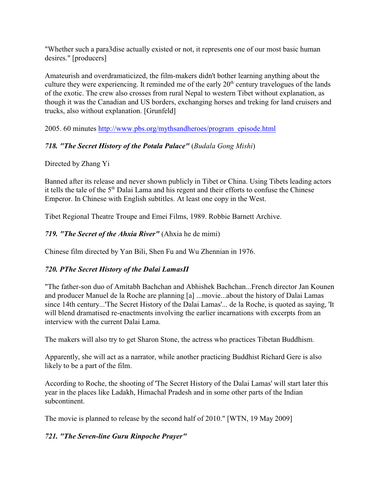"Whether such a para3dise actually existed or not, it represents one of our most basic human desires." [producers]

Amateurish and overdramaticized, the film-makers didn't bother learning anything about the culture they were experiencing. It reminded me of the early  $20<sup>th</sup>$  century travelogues of the lands of the exotic. The crew also crosses from rural Nepal to western Tibet without explanation, as though it was the Canadian and US borders, exchanging horses and treking for land cruisers and trucks, also without explanation. [Grunfeld]

2005. 60 minutes [http://www.pbs.org/mythsandheroes/program\\_episode.html](http://www.pbs.org/mythsandheroes/program_episode.html)

# *718. "The Secret History of the Potala Palace"* (*Budala Gong Mishi*)

# Directed by Zhang Yi

Banned after its release and never shown publicly in Tibet or China. Using Tibets leading actors it tells the tale of the 5<sup>th</sup> Dalai Lama and his regent and their efforts to confuse the Chinese Emperor. In Chinese with English subtitles. At least one copy in the West.

Tibet Regional Theatre Troupe and Emei Films, 1989. Robbie Barnett Archive.

# *719. "The Secret of the Ahxia River"* (Ahxia he de mimi)

Chinese film directed by Yan Bili, Shen Fu and Wu Zhennian in 1976.

# 720. PThe Secret History of the Dalai Lamas<sub>II</sub>

"The father-son duo of Amitabh Bachchan and Abhishek Bachchan...French director Jan Kounen and producer Manuel de la Roche are planning [a] ...movie...about the history of Dalai Lamas since 14th century...'The Secret History of the Dalai Lamas'... de la Roche, is quoted as saying, 'It will blend dramatised re-enactments involving the earlier incarnations with excerpts from an interview with the current Dalai Lama.

The makers will also try to get Sharon Stone, the actress who practices Tibetan Buddhism.

Apparently, she will act as a narrator, while another practicing Buddhist Richard Gere is also likely to be a part of the film.

According to Roche, the shooting of 'The Secret History of the Dalai Lamas' will start later this year in the places like Ladakh, Himachal Pradesh and in some other parts of the Indian subcontinent.

The movie is planned to release by the second half of 2010." [WTN, 19 May 2009]

# *721. "The Seven-line Guru Rinpoche Prayer"*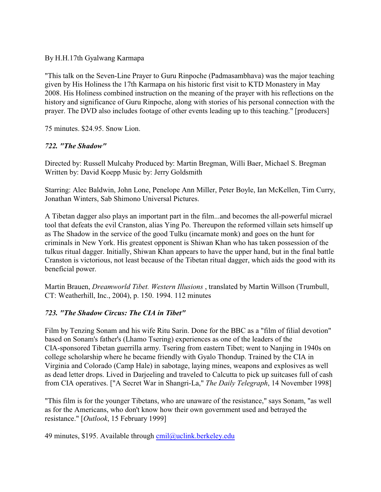By H.H.17th Gyalwang Karmapa

"This talk on the Seven-Line Prayer to Guru Rinpoche (Padmasambhava) was the major teaching given by His Holiness the 17th Karmapa on his historic first visit to KTD Monastery in May 2008. His Holiness combined instruction on the meaning of the prayer with his reflections on the history and significance of Guru Rinpoche, along with stories of his personal connection with the prayer. The DVD also includes footage of other events leading up to this teaching." [producers]

75 minutes. \$24.95. Snow Lion.

# *722. "The Shadow"*

Directed by: Russell Mulcahy Produced by: Martin Bregman, Willi Baer, Michael S. Bregman Written by: David Koepp Music by: Jerry Goldsmith

Starring: Alec Baldwin, John Lone, Penelope Ann Miller, Peter Boyle, Ian McKellen, Tim Curry, Jonathan Winters, Sab Shimono Universal Pictures.

A Tibetan dagger also plays an important part in the film...and becomes the all-powerful micrael tool that defeats the evil Cranston, alias Ying Po. Thereupon the reformed villain sets himself up as The Shadow in the service of the good Tulku (incarnate monk) and goes on the hunt for criminals in New York. His greatest opponent is Shiwan Khan who has taken possession of the tulkus ritual dagger. Initially, Shiwan Khan appears to have the upper hand, but in the final battle Cranston is victorious, not least because of the Tibetan ritual dagger, which aids the good with its beneficial power.

Martin Brauen, *Dreamworld Tibet. Western Illusions* , translated by Martin Willson (Trumbull, CT: Weatherhill, Inc., 2004), p. 150. 1994. 112 minutes

# *723. "The Shadow Circus: The CIA in Tibet"*

Film by Tenzing Sonam and his wife Ritu Sarin. Done for the BBC as a "film of filial devotion" based on Sonam's father's (Lhamo Tsering) experiences as one of the leaders of the CIA-sponsored Tibetan guerrilla army. Tsering from eastern Tibet; went to Nanjing in 1940s on college scholarship where he became friendly with Gyalo Thondup. Trained by the CIA in Virginia and Colorado (Camp Hale) in sabotage, laying mines, weapons and explosives as well as dead letter drops. Lived in Darjeeling and traveled to Calcutta to pick up suitcases full of cash from CIA operatives. ["A Secret War in Shangri-La," *The Daily Telegraph*, 14 November 1998]

"This film is for the younger Tibetans, who are unaware of the resistance," says Sonam, "as well as for the Americans, who don't know how their own government used and betrayed the resistance." [*Outlook*, 15 February 1999]

49 minutes, \$195. Available through  $cmil@uclink.berkeley.edu$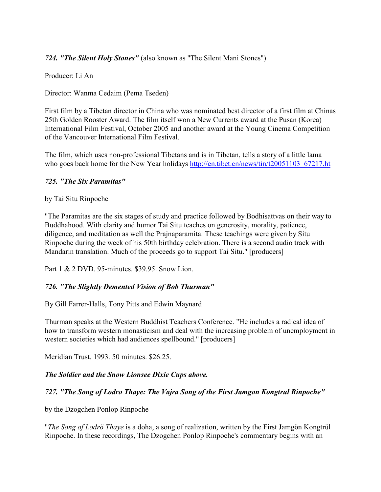## *724. "The Silent Holy Stones"* (also known as "The Silent Mani Stones")

Producer: Li An

Director: Wanma Cedaim (Pema Tseden)

First film by a Tibetan director in China who was nominated best director of a first film at Chinas 25th Golden Rooster Award. The film itself won a New Currents award at the Pusan (Korea) International Film Festival, October 2005 and another award at the Young Cinema Competition of the Vancouver International Film Festival.

The film, which uses non-professional Tibetans and is in Tibetan, tells a story of a little lama who goes back home for the New Year holidays http://en.tibet.cn/news/tin/t20051103 67217.ht

#### *725. "The Six Paramitas"*

by Tai Situ Rinpoche

"The Paramitas are the six stages of study and practice followed by Bodhisattvas on their way to Buddhahood. With clarity and humor Tai Situ teaches on generosity, morality, patience, diligence, and meditation as well the Prajnaparamita. These teachings were given by Situ Rinpoche during the week of his 50th birthday celebration. There is a second audio track with Mandarin translation. Much of the proceeds go to support Tai Situ." [producers]

Part 1 & 2 DVD. 95-minutes. \$39.95. Snow Lion.

### *726. "The Slightly Demented Vision of Bob Thurman"*

By Gill Farrer-Halls, Tony Pitts and Edwin Maynard

Thurman speaks at the Western Buddhist Teachers Conference. "He includes a radical idea of how to transform western monasticism and deal with the increasing problem of unemployment in western societies which had audiences spellbound." [producers]

Meridian Trust. 1993. 50 minutes. \$26.25.

### *The Soldier and the Snow Lionsee Dixie Cups above.*

### *727. "The Song of Lodro Thaye: The Vajra Song of the First Jamgon Kongtrul Rinpoche"*

by the Dzogchen Ponlop Rinpoche

"*The Song of Lodrö Thaye* is a doha, a song of realization, written by the First Jamgön Kongtrül Rinpoche. In these recordings, The Dzogchen Ponlop Rinpoche's commentary begins with an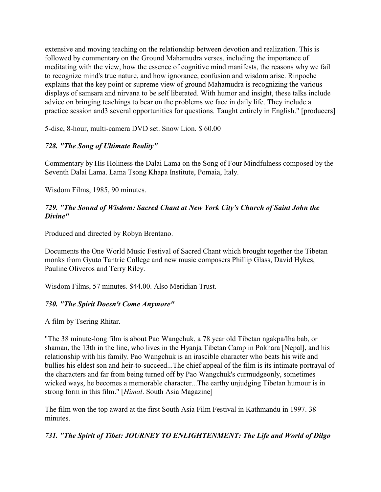extensive and moving teaching on the relationship between devotion and realization. This is followed by commentary on the Ground Mahamudra verses, including the importance of meditating with the view, how the essence of cognitive mind manifests, the reasons why we fail to recognize mind's true nature, and how ignorance, confusion and wisdom arise. Rinpoche explains that the key point or supreme view of ground Mahamudra is recognizing the various displays of samsara and nirvana to be self liberated. With humor and insight, these talks include advice on bringing teachings to bear on the problems we face in daily life. They include a practice session and3 several opportunities for questions. Taught entirely in English." [producers]

5-disc, 8-hour, multi-camera DVD set. Snow Lion. \$ 60.00

## *728. "The Song of Ultimate Reality"*

Commentary by His Holiness the Dalai Lama on the Song of Four Mindfulness composed by the Seventh Dalai Lama. Lama Tsong Khapa Institute, Pomaia, Italy.

Wisdom Films, 1985, 90 minutes.

### *729. "The Sound of Wisdom: Sacred Chant at New York City's Church of Saint John the Divine"*

Produced and directed by Robyn Brentano.

Documents the One World Music Festival of Sacred Chant which brought together the Tibetan monks from Gyuto Tantric College and new music composers Phillip Glass, David Hykes, Pauline Oliveros and Terry Riley.

Wisdom Films, 57 minutes. \$44.00. Also Meridian Trust.

### *730. "The Spirit Doesn't Come Anymore"*

A film by Tsering Rhitar.

"The 38 minute-long film is about Pao Wangchuk, a 78 year old Tibetan ngakpa/lha bab, or shaman, the 13th in the line, who lives in the Hyanja Tibetan Camp in Pokhara [Nepal], and his relationship with his family. Pao Wangchuk is an irascible character who beats his wife and bullies his eldest son and heir-to-succeed...The chief appeal of the film is its intimate portrayal of the characters and far from being turned off by Pao Wangchuk's curmudgeonly, sometimes wicked ways, he becomes a memorable character...The earthy unjudging Tibetan humour is in strong form in this film." [*Himal*. South Asia Magazine]

The film won the top award at the first South Asia Film Festival in Kathmandu in 1997. 38 minutes.

*731. "The Spirit of Tibet: JOURNEY TO ENLIGHTENMENT: The Life and World of Dilgo*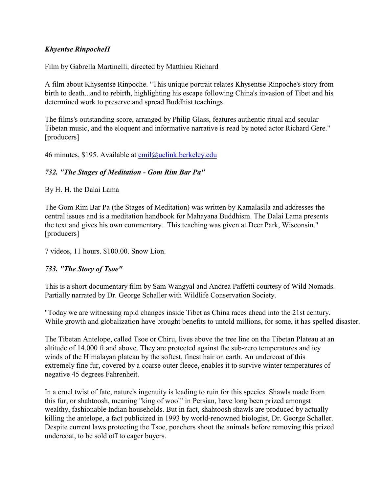### *Khyentse Rinpoche* $\Pi$

Film by Gabrella Martinelli, directed by Matthieu Richard

A film about Khysentse Rinpoche. "This unique portrait relates Khysentse Rinpoche's story from birth to death...and to rebirth, highlighting his escape following China's invasion of Tibet and his determined work to preserve and spread Buddhist teachings.

The films's outstanding score, arranged by Philip Glass, features authentic ritual and secular Tibetan music, and the eloquent and informative narrative is read by noted actor Richard Gere." [producers]

46 minutes, \$195. Available at [cmil@uclink.berkeley.edu](mailto:cmil@uclink.berkeley.edu)

## *732. "The Stages of Meditation - Gom Rim Bar Pa"*

By H. H. the Dalai Lama

The Gom Rim Bar Pa (the Stages of Meditation) was written by Kamalasila and addresses the central issues and is a meditation handbook for Mahayana Buddhism. The Dalai Lama presents the text and gives his own commentary...This teaching was given at Deer Park, Wisconsin." [producers]

7 videos, 11 hours. \$100.00. Snow Lion.

# *733. "The Story of Tsoe"*

This is a short documentary film by Sam Wangyal and Andrea Paffetti courtesy of Wild Nomads. Partially narrated by Dr. George Schaller with Wildlife Conservation Society.

"Today we are witnessing rapid changes inside Tibet as China races ahead into the 21st century. While growth and globalization have brought benefits to untold millions, for some, it has spelled disaster.

The Tibetan Antelope, called Tsoe or Chiru, lives above the tree line on the Tibetan Plateau at an altitude of 14,000 ft and above. They are protected against the sub-zero temperatures and icy winds of the Himalayan plateau by the softest, finest hair on earth. An undercoat of this extremely fine fur, covered by a coarse outer fleece, enables it to survive winter temperatures of negative 45 degrees Fahrenheit.

In a cruel twist of fate, nature's ingenuity is leading to ruin for this species. Shawls made from this fur, or shahtoosh, meaning "king of wool" in Persian, have long been prized amongst wealthy, fashionable Indian households. But in fact, shahtoosh shawls are produced by actually killing the antelope, a fact publicized in 1993 by world-renowned biologist, Dr. George Schaller. Despite current laws protecting the Tsoe, poachers shoot the animals before removing this prized undercoat, to be sold off to eager buyers.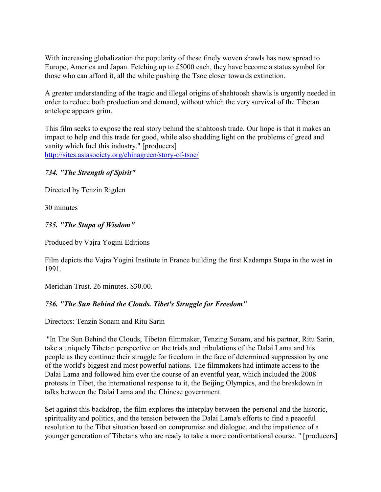With increasing globalization the popularity of these finely woven shawls has now spread to Europe, America and Japan. Fetching up to £5000 each, they have become a status symbol for those who can afford it, all the while pushing the Tsoe closer towards extinction.

A greater understanding of the tragic and illegal origins of shahtoosh shawls is urgently needed in order to reduce both production and demand, without which the very survival of the Tibetan antelope appears grim.

This film seeks to expose the real story behind the shahtoosh trade. Our hope is that it makes an impact to help end this trade for good, while also shedding light on the problems of greed and vanity which fuel this industry." [producers] <http://sites.asiasociety.org/chinagreen/story-of-tsoe/>

### *734. "The Strength of Spirit"*

Directed by Tenzin Rigden

30 minutes

### *735. "The Stupa of Wisdom"*

Produced by Vajra Yogini Editions

Film depicts the Vajra Yogini Institute in France building the first Kadampa Stupa in the west in 1991.

Meridian Trust. 26 minutes. \$30.00.

### *736. "The Sun Behind the Clouds. Tibet's Struggle for Freedom"*

Directors: Tenzin Sonam and Ritu Sarin

 "In The Sun Behind the Clouds, Tibetan filmmaker, Tenzing Sonam, and his partner, Ritu Sarin, take a uniquely Tibetan perspective on the trials and tribulations of the Dalai Lama and his people as they continue their struggle for freedom in the face of determined suppression by one of the world's biggest and most powerful nations. The filmmakers had intimate access to the Dalai Lama and followed him over the course of an eventful year, which included the 2008 protests in Tibet, the international response to it, the Beijing Olympics, and the breakdown in talks between the Dalai Lama and the Chinese government.

Set against this backdrop, the film explores the interplay between the personal and the historic, spirituality and politics, and the tension between the Dalai Lama's efforts to find a peaceful resolution to the Tibet situation based on compromise and dialogue, and the impatience of a younger generation of Tibetans who are ready to take a more confrontational course. " [producers]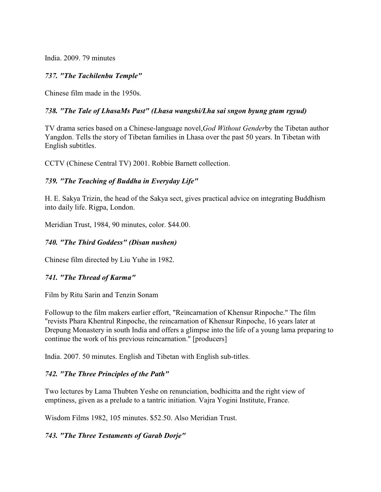India. 2009. 79 minutes

### *737. "The Tachilenbu Temple"*

Chinese film made in the 1950s.

### 738. "The Tale of LhasaMs Past" (Lhasa wangshi/Lha sai sngon byung gtam rgyud)

TV drama series based on a Chinese-language novel,*God Without Gender*by the Tibetan author Yangdon. Tells the story of Tibetan families in Lhasa over the past 50 years. In Tibetan with English subtitles.

CCTV (Chinese Central TV) 2001. Robbie Barnett collection.

### *739. "The Teaching of Buddha in Everyday Life"*

H. E. Sakya Trizin, the head of the Sakya sect, gives practical advice on integrating Buddhism into daily life. Rigpa, London.

Meridian Trust, 1984, 90 minutes, color. \$44.00.

### *740. "The Third Goddess" (Disan nushen)*

Chinese film directed by Liu Yuhe in 1982.

#### *741. "The Thread of Karma"*

Film by Ritu Sarin and Tenzin Sonam

Followup to the film makers earlier effort, "Reincarnation of Khensur Rinpoche." The film "revists Phara Khentrul Rinpoche, the reincarnation of Khensur Rinpoche, 16 years later at Drepung Monastery in south India and offers a glimpse into the life of a young lama preparing to continue the work of his previous reincarnation." [producers]

India. 2007. 50 minutes. English and Tibetan with English sub-titles.

### *742. "The Three Principles of the Path"*

Two lectures by Lama Thubten Yeshe on renunciation, bodhicitta and the right view of emptiness, given as a prelude to a tantric initiation. Vajra Yogini Institute, France.

Wisdom Films 1982, 105 minutes. \$52.50. Also Meridian Trust.

### *743. "The Three Testaments of Garab Dorje"*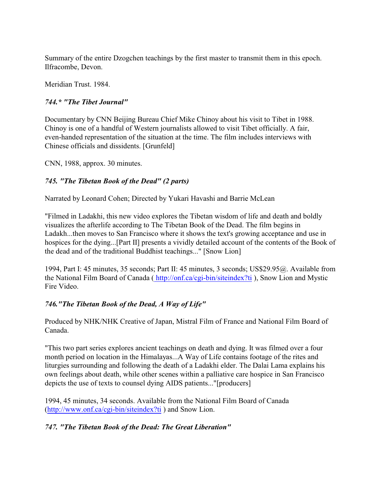Summary of the entire Dzogchen teachings by the first master to transmit them in this epoch. Ilfracombe, Devon.

Meridian Trust. 1984.

# *744.\* "The Tibet Journal"*

Documentary by CNN Beijing Bureau Chief Mike Chinoy about his visit to Tibet in 1988. Chinoy is one of a handful of Western journalists allowed to visit Tibet officially. A fair, even-handed representation of the situation at the time. The film includes interviews with Chinese officials and dissidents. [Grunfeld]

CNN, 1988, approx. 30 minutes.

# *745. "The Tibetan Book of the Dead" (2 parts)*

Narrated by Leonard Cohen; Directed by Yukari Havashi and Barrie McLean

"Filmed in Ladakhi, this new video explores the Tibetan wisdom of life and death and boldly visualizes the afterlife according to The Tibetan Book of the Dead. The film begins in Ladakh...then moves to San Francisco where it shows the text's growing acceptance and use in hospices for the dying...[Part II] presents a vividly detailed account of the contents of the Book of the dead and of the traditional Buddhist teachings..." [Snow Lion]

1994, Part I: 45 minutes, 35 seconds; Part II: 45 minutes, 3 seconds; US\$29.95@. Available from the National Film Board of Canada [\( http://onf.ca/cgi-bin/siteindex?ti]((http://onf.ca/cgi-bin/siteindex?ti) ), Snow Lion and Mystic Fire Video.

# *746."The Tibetan Book of the Dead, A Way of Life"*

Produced by NHK/NHK Creative of Japan, Mistral Film of France and National Film Board of Canada.

"This two part series explores ancient teachings on death and dying. It was filmed over a four month period on location in the Himalayas...A Way of Life contains footage of the rites and liturgies surrounding and following the death of a Ladakhi elder. The Dalai Lama explains his own feelings about death, while other scenes within a palliative care hospice in San Francisco depicts the use of texts to counsel dying AIDS patients..."[producers]

1994, 45 minutes, 34 seconds. Available from the National Film Board of Canada [\(http://www.onf.ca/cgi-bin/siteindex?ti]((http://www.onf.ca/cgi-bin/siteindex?ti) ) and Snow Lion.

# *747. "The Tibetan Book of the Dead: The Great Liberation"*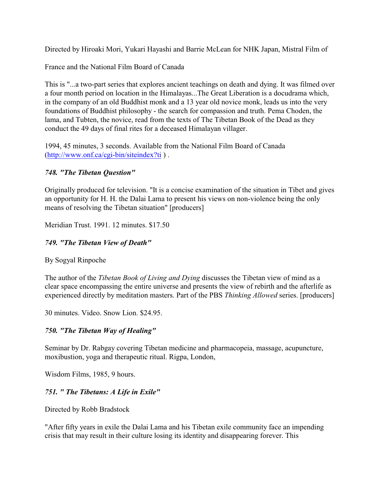Directed by Hiroaki Mori, Yukari Hayashi and Barrie McLean for NHK Japan, Mistral Film of

France and the National Film Board of Canada

This is "...a two-part series that explores ancient teachings on death and dying. It was filmed over a four month period on location in the Himalayas...The Great Liberation is a docudrama which, in the company of an old Buddhist monk and a 13 year old novice monk, leads us into the very foundations of Buddhist philosophy - the search for compassion and truth. Pema Choden, the lama, and Tubten, the novice, read from the texts of The Tibetan Book of the Dead as they conduct the 49 days of final rites for a deceased Himalayan villager.

1994, 45 minutes, 3 seconds. Available from the National Film Board of Canada [\(http://www.onf.ca/cgi-bin/siteindex?ti]((http://www.onf.ca/cgi-bin/siteindex?ti) ) .

# *748. "The Tibetan Question"*

Originally produced for television. "It is a concise examination of the situation in Tibet and gives an opportunity for H. H. the Dalai Lama to present his views on non-violence being the only means of resolving the Tibetan situation" [producers]

Meridian Trust. 1991. 12 minutes. \$17.50

# *749. "The Tibetan View of Death"*

By Sogyal Rinpoche

The author of the *Tibetan Book of Living and Dying* discusses the Tibetan view of mind as a clear space encompassing the entire universe and presents the view of rebirth and the afterlife as experienced directly by meditation masters. Part of the PBS *Thinking Allowed* series. [producers]

30 minutes. Video. Snow Lion. \$24.95.

# *750. "The Tibetan Way of Healing"*

Seminar by Dr. Rabgay covering Tibetan medicine and pharmacopeia, massage, acupuncture, moxibustion, yoga and therapeutic ritual. Rigpa, London,

Wisdom Films, 1985, 9 hours.

# *751. " The Tibetans: A Life in Exile"*

Directed by Robb Bradstock

"After fifty years in exile the Dalai Lama and his Tibetan exile community face an impending crisis that may result in their culture losing its identity and disappearing forever. This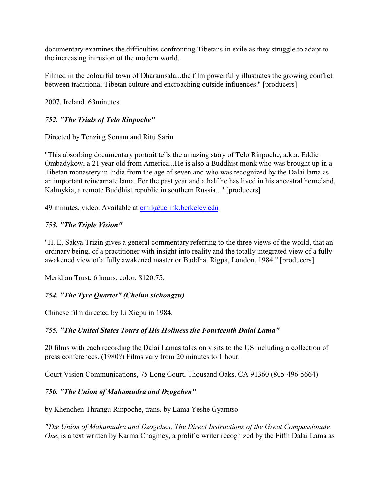documentary examines the difficulties confronting Tibetans in exile as they struggle to adapt to the increasing intrusion of the modern world.

Filmed in the colourful town of Dharamsala...the film powerfully illustrates the growing conflict between traditional Tibetan culture and encroaching outside influences." [producers]

2007. Ireland. 63minutes.

# *752. "The Trials of Telo Rinpoche"*

Directed by Tenzing Sonam and Ritu Sarin

"This absorbing documentary portrait tells the amazing story of Telo Rinpoche, a.k.a. Eddie Ombadykow, a 21 year old from America...He is also a Buddhist monk who was brought up in a Tibetan monastery in India from the age of seven and who was recognized by the Dalai lama as an important reincarnate lama. For the past year and a half he has lived in his ancestral homeland, Kalmykia, a remote Buddhist republic in southern Russia..." [producers]

49 minutes, video. Available at [cmil@uclink.berkeley.edu](mailto:cmil@uclink.berkeley.edu)

# *753. "The Triple Vision"*

"H. E. Sakya Trizin gives a general commentary referring to the three views of the world, that an ordinary being, of a practitioner with insight into reality and the totally integrated view of a fully awakened view of a fully awakened master or Buddha. Rigpa, London, 1984." [producers]

Meridian Trust, 6 hours, color. \$120.75.

# *754. "The Tyre Quartet" (Chelun sichongzu)*

Chinese film directed by Li Xiepu in 1984.

# *755. "The United States Tours of His Holiness the Fourteenth Dalai Lama"*

20 films with each recording the Dalai Lamas talks on visits to the US including a collection of press conferences. (1980?) Films vary from 20 minutes to 1 hour.

Court Vision Communications, 75 Long Court, Thousand Oaks, CA 91360 (805-496-5664)

# *756. "The Union of Mahamudra and Dzogchen"*

by Khenchen Thrangu Rinpoche, trans. by Lama Yeshe Gyamtso

*"The Union of Mahamudra and Dzogchen, The Direct Instructions of the Great Compassionate One*, is a text written by Karma Chagmey, a prolific writer recognized by the Fifth Dalai Lama as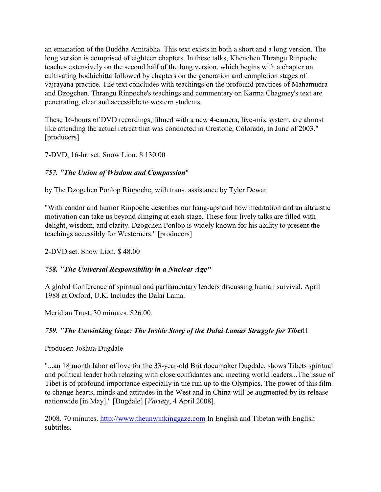an emanation of the Buddha Amitabha. This text exists in both a short and a long version. The long version is comprised of eighteen chapters. In these talks, Khenchen Thrangu Rinpoche teaches extensively on the second half of the long version, which begins with a chapter on cultivating bodhichitta followed by chapters on the generation and completion stages of vajrayana practice. The text concludes with teachings on the profound practices of Mahamudra and Dzogchen. Thrangu Rinpoche's teachings and commentary on Karma Chagmey's text are penetrating, clear and accessible to western students.

These 16-hours of DVD recordings, filmed with a new 4-camera, live-mix system, are almost like attending the actual retreat that was conducted in Crestone, Colorado, in June of 2003." [producers]

7-DVD, 16-hr. set. Snow Lion. \$ 130.00

# *757. "The Union of Wisdom and Compassion*"

by The Dzogchen Ponlop Rinpoche, with trans. assistance by Tyler Dewar

"With candor and humor Rinpoche describes our hang-ups and how meditation and an altruistic motivation can take us beyond clinging at each stage. These four lively talks are filled with delight, wisdom, and clarity. Dzogchen Ponlop is widely known for his ability to present the teachings accessibly for Westerners." [producers]

2-DVD set. Snow Lion. \$ 48.00

# *758. "The Universal Responsibility in a Nuclear Age"*

A global Conference of spiritual and parliamentary leaders discussing human survival, April 1988 at Oxford, U.K. Includes the Dalai Lama.

Meridian Trust. 30 minutes. \$26.00.

# 759. "The Unwinking Gaze: The Inside Story of the Dalai Lamas Struggle for Tibet<sup>[1]</sup>

Producer: Joshua Dugdale

"...an 18 month labor of love for the 33-year-old Brit documaker Dugdale, shows Tibets spiritual and political leader both relazing with close confidantes and meeting world leaders...The issue of Tibet is of profound importance especially in the run up to the Olympics. The power of this film to change hearts, minds and attitudes in the West and in China will be augmented by its release nationwide [in May]." [Dugdale] [*Variety*, 4 April 2008].

2008. 70 minutes. [http://www.theunwinkinggaze.com](Http://www.theunwinkinggaze.com) In English and Tibetan with English subtitles.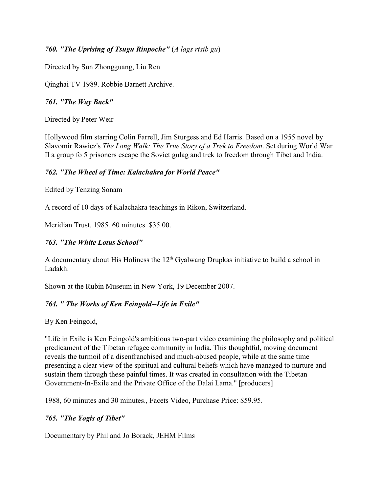## *760. "The Uprising of Tsugu Rinpoche"* (*A lags rtsib gu*)

Directed by Sun Zhongguang, Liu Ren

Qinghai TV 1989. Robbie Barnett Archive.

### *761. "The Way Back"*

Directed by Peter Weir

Hollywood film starring Colin Farrell, Jim Sturgess and Ed Harris. Based on a 1955 novel by Slavomir Rawicz's *The Long Walk: The True Story of a Trek to Freedom*. Set during World War II a group fo 5 prisoners escape the Soviet gulag and trek to freedom through Tibet and India.

# *762. "The Wheel of Time: Kalachakra for World Peace"*

Edited by Tenzing Sonam

A record of 10 days of Kalachakra teachings in Rikon, Switzerland.

Meridian Trust. 1985. 60 minutes. \$35.00.

## *763. "The White Lotus School"*

A documentary about His Holiness the  $12<sup>th</sup>$  Gyalwang Drupkas initiative to build a school in Ladakh.

Shown at the Rubin Museum in New York, 19 December 2007.

# *764. " The Works of Ken Feingold--Life in Exile"*

By Ken Feingold,

"Life in Exile is Ken Feingold's ambitious two-part video examining the philosophy and political predicament of the Tibetan refugee community in India. This thoughtful, moving document reveals the turmoil of a disenfranchised and much-abused people, while at the same time presenting a clear view of the spiritual and cultural beliefs which have managed to nurture and sustain them through these painful times. It was created in consultation with the Tibetan Government-In-Exile and the Private Office of the Dalai Lama." [producers]

1988, 60 minutes and 30 minutes., Facets Video, Purchase Price: \$59.95.

# *765. "The Yogis of Tibet"*

Documentary by Phil and Jo Borack, JEHM Films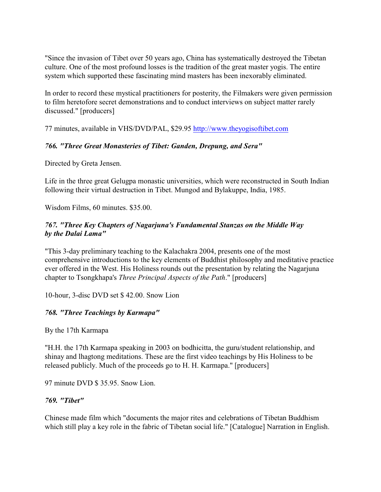"Since the invasion of Tibet over 50 years ago, China has systematically destroyed the Tibetan culture. One of the most profound losses is the tradition of the great master yogis. The entire system which supported these fascinating mind masters has been inexorably eliminated.

In order to record these mystical practitioners for posterity, the Filmakers were given permission to film heretofore secret demonstrations and to conduct interviews on subject matter rarely discussed." [producers]

77 minutes, available in VHS/DVD/PAL, \$29.95<http://www.theyogisoftibet.com>

## *766. "Three Great Monasteries of Tibet: Ganden, Drepung, and Sera"*

Directed by Greta Jensen.

Life in the three great Gelugpa monastic universities, which were reconstructed in South Indian following their virtual destruction in Tibet. Mungod and Bylakuppe, India, 1985.

Wisdom Films, 60 minutes. \$35.00.

## *767. "Three Key Chapters of Nagarjuna's Fundamental Stanzas on the Middle Way by the Dalai Lama"*

"This 3-day preliminary teaching to the Kalachakra 2004, presents one of the most comprehensive introductions to the key elements of Buddhist philosophy and meditative practice ever offered in the West. His Holiness rounds out the presentation by relating the Nagarjuna chapter to Tsongkhapa's *Three Principal Aspects of the Path*." [producers]

10-hour, 3-disc DVD set \$ 42.00. Snow Lion

### *768. "Three Teachings by Karmapa"*

By the 17th Karmapa

"H.H. the 17th Karmapa speaking in 2003 on bodhicitta, the guru/student relationship, and shinay and lhagtong meditations. These are the first video teachings by His Holiness to be released publicly. Much of the proceeds go to H. H. Karmapa." [producers]

97 minute DVD \$ 35.95. Snow Lion.

### *769. "Tibet"*

Chinese made film which "documents the major rites and celebrations of Tibetan Buddhism which still play a key role in the fabric of Tibetan social life." [Catalogue] Narration in English.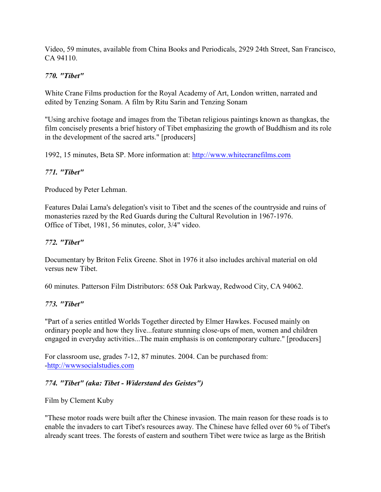Video, 59 minutes, available from China Books and Periodicals, 2929 24th Street, San Francisco, CA 94110.

### *770. "Tibet"*

White Crane Films production for the Royal Academy of Art, London written, narrated and edited by Tenzing Sonam. A film by Ritu Sarin and Tenzing Sonam

"Using archive footage and images from the Tibetan religious paintings known as thangkas, the film concisely presents a brief history of Tibet emphasizing the growth of Buddhism and its role in the development of the sacred arts." [producers]

1992, 15 minutes, Beta SP. More information at:<http://www.whitecranefilms.com>

### *771. "Tibet"*

Produced by Peter Lehman.

Features Dalai Lama's delegation's visit to Tibet and the scenes of the countryside and ruins of monasteries razed by the Red Guards during the Cultural Revolution in 1967-1976. Office of Tibet, 1981, 56 minutes, color, 3/4" video.

### *772. "Tibet"*

Documentary by Briton Felix Greene. Shot in 1976 it also includes archival material on old versus new Tibet.

60 minutes. Patterson Film Distributors: 658 Oak Parkway, Redwood City, CA 94062.

### *773. "Tibet"*

"Part of a series entitled Worlds Together directed by Elmer Hawkes. Focused mainly on ordinary people and how they live...feature stunning close-ups of men, women and children engaged in everyday activities...The main emphasis is on contemporary culture." [producers]

For classroom use, grades 7-12, 87 minutes. 2004. Can be purchased from: [-http://wwwsocialstudies.com](http://wwwsocialstudies.com)

# *774. "Tibet" (aka: Tibet - Widerstand des Geistes")*

Film by Clement Kuby

"These motor roads were built after the Chinese invasion. The main reason for these roads is to enable the invaders to cart Tibet's resources away. The Chinese have felled over 60 % of Tibet's already scant trees. The forests of eastern and southern Tibet were twice as large as the British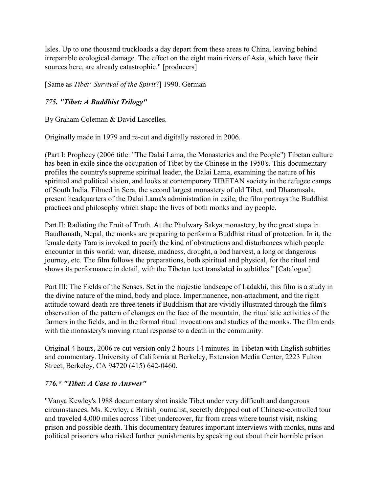Isles. Up to one thousand truckloads a day depart from these areas to China, leaving behind irreparable ecological damage. The effect on the eight main rivers of Asia, which have their sources here, are already catastrophic." [producers]

[Same as *Tibet: Survival of the Spirit*?] 1990. German

# *775. "Tibet: A Buddhist Trilogy"*

By Graham Coleman & David Lascelles.

Originally made in 1979 and re-cut and digitally restored in 2006.

(Part I: Prophecy (2006 title: "The Dalai Lama, the Monasteries and the People") Tibetan culture has been in exile since the occupation of Tibet by the Chinese in the 1950's. This documentary profiles the country's supreme spiritual leader, the Dalai Lama, examining the nature of his spiritual and political vision, and looks at contemporary TIBETAN society in the refugee camps of South India. Filmed in Sera, the second largest monastery of old Tibet, and Dharamsala, present headquarters of the Dalai Lama's administration in exile, the film portrays the Buddhist practices and philosophy which shape the lives of both monks and lay people.

Part II: Radiating the Fruit of Truth. At the Phulwary Sakya monastery, by the great stupa in Baudhanath, Nepal, the monks are preparing to perform a Buddhist ritual of protection. In it, the female deity Tara is invoked to pacify the kind of obstructions and disturbances which people encounter in this world: war, disease, madness, drought, a bad harvest, a long or dangerous journey, etc. The film follows the preparations, both spiritual and physical, for the ritual and shows its performance in detail, with the Tibetan text translated in subtitles." [Catalogue]

Part III: The Fields of the Senses. Set in the majestic landscape of Ladakhi, this film is a study in the divine nature of the mind, body and place. Impermanence, non-attachment, and the right attitude toward death are three tenets if Buddhism that are vividly illustrated through the film's observation of the pattern of changes on the face of the mountain, the ritualistic activities of the farmers in the fields, and in the formal ritual invocations and studies of the monks. The film ends with the monastery's moving ritual response to a death in the community.

Original 4 hours, 2006 re-cut version only 2 hours 14 minutes. In Tibetan with English subtitles and commentary. University of California at Berkeley, Extension Media Center, 2223 Fulton Street, Berkeley, CA 94720 (415) 642-0460.

### *776.\* "Tibet: A Case to Answer"*

"Vanya Kewley's 1988 documentary shot inside Tibet under very difficult and dangerous circumstances. Ms. Kewley, a British journalist, secretly dropped out of Chinese-controlled tour and traveled 4,000 miles across Tibet undercover, far from areas where tourist visit, risking prison and possible death. This documentary features important interviews with monks, nuns and political prisoners who risked further punishments by speaking out about their horrible prison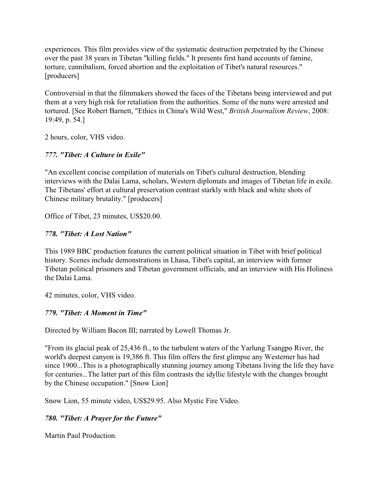experiences. This film provides view of the systematic destruction perpetrated by the Chinese over the past 38 years in Tibetan "killing fields." It presents first hand accounts of famine, torture, cannibalism, forced abortion and the exploitation of Tibet's natural resources." [producers]

Controversial in that the filmmakers showed the faces of the Tibetans being interviewed and put them at a very high risk for retaliation from the authorities. Some of the nuns were arrested and tortured. [See Robert Barnett, "Ethics in China's Wild West," *British Journalism Review*, 2008: 19:49, p. 54.]

2 hours, color, VHS video.

# *777. "Tibet: A Culture in Exile"*

"An excellent concise compilation of materials on Tibet's cultural destruction, blending interviews with the Dalai Lama, scholars, Western diplomats and images of Tibetan life in exile. The Tibetans' effort at cultural preservation contrast starkly with black and white shots of Chinese military brutality." [producers]

Office of Tibet, 23 minutes, US\$20.00.

## *778. "Tibet: A Lost Nation"*

This 1989 BBC production features the current political situation in Tibet with brief political history. Scenes include demonstrations in Lhasa, Tibet's capital, an interview with former Tibetan political prisoners and Tibetan government officials, and an interview with His Holiness the Dalai Lama.

42 minutes, color, VHS video.

# *779. "Tibet: A Moment in Time"*

Directed by William Bacon III; narrated by Lowell Thomas Jr.

"From its glacial peak of 25,436 ft., to the turbulent waters of the Yarlung Tsangpo River, the world's deepest canyon is 19,386 ft. This film offers the first glimpse any Westerner has had since 1900...This is a photographically stunning journey among Tibetans living the life they have for centuries...The latter part of this film contrasts the idyllic lifestyle with the changes brought by the Chinese occupation." [Snow Lion]

Snow Lion, 55 minute video, US\$29.95. Also Mystic Fire Video.

# *780. "Tibet: A Prayer for the Future"*

Martin Paul Production.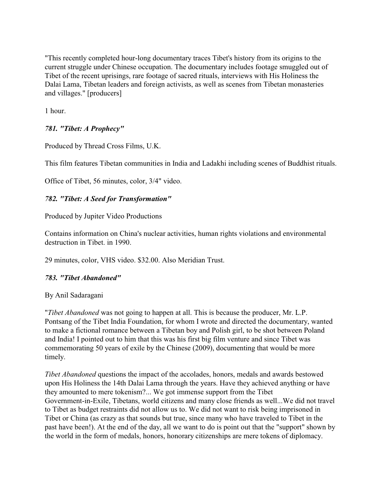"This recently completed hour-long documentary traces Tibet's history from its origins to the current struggle under Chinese occupation. The documentary includes footage smuggled out of Tibet of the recent uprisings, rare footage of sacred rituals, interviews with His Holiness the Dalai Lama, Tibetan leaders and foreign activists, as well as scenes from Tibetan monasteries and villages." [producers]

1 hour.

# *781. "Tibet: A Prophecy"*

Produced by Thread Cross Films, U.K.

This film features Tibetan communities in India and Ladakhi including scenes of Buddhist rituals.

Office of Tibet, 56 minutes, color, 3/4" video.

## *782. "Tibet: A Seed for Transformation"*

Produced by Jupiter Video Productions

Contains information on China's nuclear activities, human rights violations and environmental destruction in Tibet. in 1990.

29 minutes, color, VHS video. \$32.00. Also Meridian Trust.

### *783. "Tibet Abandoned"*

By Anil Sadaragani

"*Tibet Abandoned* was not going to happen at all. This is because the producer, Mr. L.P. Pontsang of the Tibet India Foundation, for whom I wrote and directed the documentary, wanted to make a fictional romance between a Tibetan boy and Polish girl, to be shot between Poland and India! I pointed out to him that this was his first big film venture and since Tibet was commemorating 50 years of exile by the Chinese (2009), documenting that would be more timely.

*Tibet Abandoned* questions the impact of the accolades, honors, medals and awards bestowed upon His Holiness the 14th Dalai Lama through the years. Have they achieved anything or have they amounted to mere tokenism?... We got immense support from the Tibet Government-in-Exile, Tibetans, world citizens and many close friends as well...We did not travel to Tibet as budget restraints did not allow us to. We did not want to risk being imprisoned in Tibet or China (as crazy as that sounds but true, since many who have traveled to Tibet in the past have been!). At the end of the day, all we want to do is point out that the "support" shown by the world in the form of medals, honors, honorary citizenships are mere tokens of diplomacy.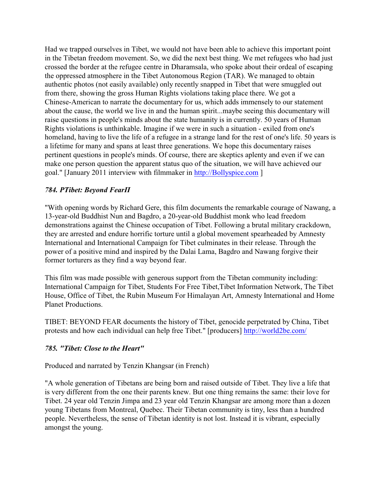Had we trapped ourselves in Tibet, we would not have been able to achieve this important point in the Tibetan freedom movement. So, we did the next best thing. We met refugees who had just crossed the border at the refugee centre in Dharamsala, who spoke about their ordeal of escaping the oppressed atmosphere in the Tibet Autonomous Region (TAR). We managed to obtain authentic photos (not easily available) only recently snapped in Tibet that were smuggled out from there, showing the gross Human Rights violations taking place there. We got a Chinese-American to narrate the documentary for us, which adds immensely to our statement about the cause, the world we live in and the human spirit...maybe seeing this documentary will raise questions in people's minds about the state humanity is in currently. 50 years of Human Rights violations is unthinkable. Imagine if we were in such a situation - exiled from one's homeland, having to live the life of a refugee in a strange land for the rest of one's life. 50 years is a lifetime for many and spans at least three generations. We hope this documentary raises pertinent questions in people's minds. Of course, there are skeptics aplenty and even if we can make one person question the apparent status quo of the situation, we will have achieved our goal." [January 2011 interview with filmmaker in<http://Bollyspice.com> ]

#### *784. ÐTibet: Beyond FearÏ*

"With opening words by Richard Gere, this film documents the remarkable courage of Nawang, a 13-year-old Buddhist Nun and Bagdro, a 20-year-old Buddhist monk who lead freedom demonstrations against the Chinese occupation of Tibet. Following a brutal military crackdown, they are arrested and endure horrific torture until a global movement spearheaded by Amnesty International and International Campaign for Tibet culminates in their release. Through the power of a positive mind and inspired by the Dalai Lama, Bagdro and Nawang forgive their former torturers as they find a way beyond fear.

This film was made possible with generous support from the Tibetan community including: International Campaign for Tibet, Students For Free Tibet,Tibet Information Network, The Tibet House, Office of Tibet, the Rubin Museum For Himalayan Art, Amnesty International and Home Planet Productions.

TIBET: BEYOND FEAR documents the history of Tibet, genocide perpetrated by China, Tibet protests and how each individual can help free Tibet." [producers]<http://world2be.com/>

### *785. "Tibet: Close to the Heart"*

Produced and narrated by Tenzin Khangsar (in French)

"A whole generation of Tibetans are being born and raised outside of Tibet. They live a life that is very different from the one their parents knew. But one thing remains the same: their love for Tibet. 24 year old Tenzin Jimpa and 23 year old Tenzin Khangsar are among more than a dozen young Tibetans from Montreal, Quebec. Their Tibetan community is tiny, less than a hundred people. Nevertheless, the sense of Tibetan identity is not lost. Instead it is vibrant, especially amongst the young.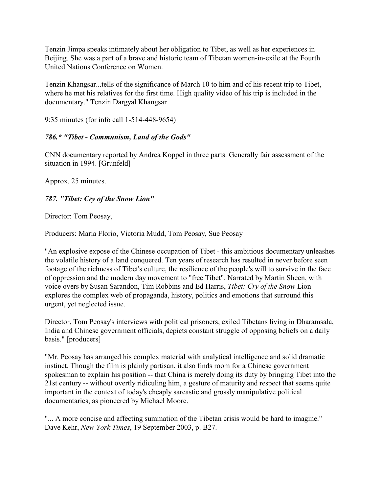Tenzin Jimpa speaks intimately about her obligation to Tibet, as well as her experiences in Beijing. She was a part of a brave and historic team of Tibetan women-in-exile at the Fourth United Nations Conference on Women.

Tenzin Khangsar...tells of the significance of March 10 to him and of his recent trip to Tibet, where he met his relatives for the first time. High quality video of his trip is included in the documentary." Tenzin Dargyal Khangsar

9:35 minutes (for info call 1-514-448-9654)

# *786.\* "Tibet - Communism, Land of the Gods"*

CNN documentary reported by Andrea Koppel in three parts. Generally fair assessment of the situation in 1994. [Grunfeld]

Approx. 25 minutes.

# *787. "Tibet: Cry of the Snow Lion"*

Director: Tom Peosay,

Producers: Maria Florio, Victoria Mudd, Tom Peosay, Sue Peosay

"An explosive expose of the Chinese occupation of Tibet - this ambitious documentary unleashes the volatile history of a land conquered. Ten years of research has resulted in never before seen footage of the richness of Tibet's culture, the resilience of the people's will to survive in the face of oppression and the modern day movement to "free Tibet". Narrated by Martin Sheen, with voice overs by Susan Sarandon, Tim Robbins and Ed Harris, *Tibet: Cry of the Snow* Lion explores the complex web of propaganda, history, politics and emotions that surround this urgent, yet neglected issue.

Director, Tom Peosay's interviews with political prisoners, exiled Tibetans living in Dharamsala, India and Chinese government officials, depicts constant struggle of opposing beliefs on a daily basis." [producers]

"Mr. Peosay has arranged his complex material with analytical intelligence and solid dramatic instinct. Though the film is plainly partisan, it also finds room for a Chinese government spokesman to explain his position -- that China is merely doing its duty by bringing Tibet into the 21st century -- without overtly ridiculing him, a gesture of maturity and respect that seems quite important in the context of today's cheaply sarcastic and grossly manipulative political documentaries, as pioneered by Michael Moore.

"... A more concise and affecting summation of the Tibetan crisis would be hard to imagine." Dave Kehr, *New York Times*, 19 September 2003, p. B27.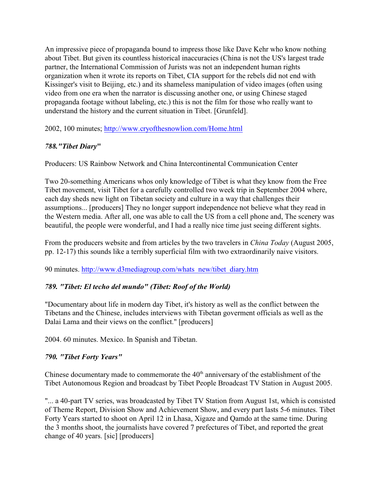An impressive piece of propaganda bound to impress those like Dave Kehr who know nothing about Tibet. But given its countless historical inaccuracies (China is not the US's largest trade partner, the International Commission of Jurists was not an independent human rights organization when it wrote its reports on Tibet, CIA support for the rebels did not end with Kissinger's visit to Beijing, etc.) and its shameless manipulation of video images (often using video from one era when the narrator is discussing another one, or using Chinese staged propaganda footage without labeling, etc.) this is not the film for those who really want to understand the history and the current situation in Tibet. [Grunfeld].

2002, 100 minutes;<http://www.cryofthesnowlion.com/Home.html>

# *788."Tibet Diary***"**

Producers: US Rainbow Network and China Intercontinental Communication Center

Two 20-something Americans whos only knowledge of Tibet is what they know from the Free Tibet movement, visit Tibet for a carefully controlled two week trip in September 2004 where, each day sheds new light on Tibetan society and culture in a way that challenges their assumptions... [producers] They no longer support independence not believe what they read in the Western media. After all, one was able to call the US from a cell phone and, The scenery was beautiful, the people were wonderful, and I had a really nice time just seeing different sights.

From the producers website and from articles by the two travelers in *China Today* (August 2005, pp. 12-17) this sounds like a terribly superficial film with two extraordinarily naive visitors.

90 minutes. [http://www.d3mediagroup.com/whats\\_new/tibet\\_diary.htm](http://www.d3mediagroup.com/whats_new/tibet_diary.htm)

### *789. "Tibet: El techo del mundo" (Tibet: Roof of the World)*

"Documentary about life in modern day Tibet, it's history as well as the conflict between the Tibetans and the Chinese, includes interviews with Tibetan goverment officials as well as the Dalai Lama and their views on the conflict." [producers]

2004. 60 minutes. Mexico. In Spanish and Tibetan.

# *790. "Tibet Forty Years"*

Chinese documentary made to commemorate the  $40<sup>th</sup>$  anniversary of the establishment of the Tibet Autonomous Region and broadcast by Tibet People Broadcast TV Station in August 2005.

"... a 40-part TV series, was broadcasted by Tibet TV Station from August 1st, which is consisted of Theme Report, Division Show and Achievement Show, and every part lasts 5-6 minutes. Tibet Forty Years started to shoot on April 12 in Lhasa, Xigaze and Qamdo at the same time. During the 3 months shoot, the journalists have covered 7 prefectures of Tibet, and reported the great change of 40 years. [sic] [producers]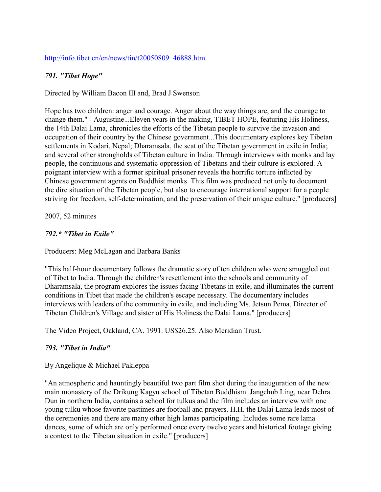## [http://info.tibet.cn/en/news/tin/t20050809\\_46888.htm](http://info.tibet.cn/en/news/tin/t20050809_46888.htm)

### *791. "Tibet Hope"*

Directed by William Bacon III and, Brad J Swenson

Hope has two children: anger and courage. Anger about the way things are, and the courage to change them." - Augustine...Eleven years in the making, TIBET HOPE, featuring His Holiness, the 14th Dalai Lama, chronicles the efforts of the Tibetan people to survive the invasion and occupation of their country by the Chinese government...This documentary explores key Tibetan settlements in Kodari, Nepal; Dharamsala, the seat of the Tibetan government in exile in India; and several other strongholds of Tibetan culture in India. Through interviews with monks and lay people, the continuous and systematic oppression of Tibetans and their culture is explored. A poignant interview with a former spiritual prisoner reveals the horrific torture inflicted by Chinese government agents on Buddhist monks. This film was produced not only to document the dire situation of the Tibetan people, but also to encourage international support for a people striving for freedom, self-determination, and the preservation of their unique culture." [producers]

2007, 52 minutes

#### *792.\* "Tibet in Exile"*

Producers: Meg McLagan and Barbara Banks

"This half-hour documentary follows the dramatic story of ten children who were smuggled out of Tibet to India. Through the children's resettlement into the schools and community of Dharamsala, the program explores the issues facing Tibetans in exile, and illuminates the current conditions in Tibet that made the children's escape necessary. The documentary includes interviews with leaders of the community in exile, and including Ms. Jetsun Pema, Director of Tibetan Children's Village and sister of His Holiness the Dalai Lama." [producers]

The Video Project, Oakland, CA. 1991. US\$26.25. Also Meridian Trust.

### *793. "Tibet in India"*

### By Angelique & Michael Pakleppa

"An atmospheric and hauntingly beautiful two part film shot during the inauguration of the new main monastery of the Drikung Kagyu school of Tibetan Buddhism. Jangchub Ling, near Dehra Dun in northern India, contains a school for tulkus and the film includes an interview with one young tulku whose favorite pastimes are football and prayers. H.H. the Dalai Lama leads most of the ceremonies and there are many other high lamas participating. Includes some rare lama dances, some of which are only performed once every twelve years and historical footage giving a context to the Tibetan situation in exile." [producers]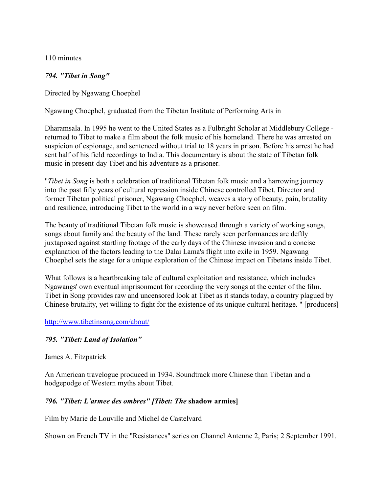110 minutes

### *794. "Tibet in Song"*

Directed by Ngawang Choephel

Ngawang Choephel, graduated from the Tibetan Institute of Performing Arts in

Dharamsala. In 1995 he went to the United States as a Fulbright Scholar at Middlebury College returned to Tibet to make a film about the folk music of his homeland. There he was arrested on suspicion of espionage, and sentenced without trial to 18 years in prison. Before his arrest he had sent half of his field recordings to India. This documentary is about the state of Tibetan folk music in present-day Tibet and his adventure as a prisoner.

"*Tibet in Song* is both a celebration of traditional Tibetan folk music and a harrowing journey into the past fifty years of cultural repression inside Chinese controlled Tibet. Director and former Tibetan political prisoner, Ngawang Choephel, weaves a story of beauty, pain, brutality and resilience, introducing Tibet to the world in a way never before seen on film.

The beauty of traditional Tibetan folk music is showcased through a variety of working songs, songs about family and the beauty of the land. These rarely seen performances are deftly juxtaposed against startling footage of the early days of the Chinese invasion and a concise explanation of the factors leading to the Dalai Lama's flight into exile in 1959. Ngawang Choephel sets the stage for a unique exploration of the Chinese impact on Tibetans inside Tibet.

What follows is a heartbreaking tale of cultural exploitation and resistance, which includes Ngawangs' own eventual imprisonment for recording the very songs at the center of the film. Tibet in Song provides raw and uncensored look at Tibet as it stands today, a country plagued by Chinese brutality, yet willing to fight for the existence of its unique cultural heritage. " [producers]

<http://www.tibetinsong.com/about/>

### *795. "Tibet: Land of Isolation"*

#### James A. Fitzpatrick

An American travelogue produced in 1934. Soundtrack more Chinese than Tibetan and a hodgepodge of Western myths about Tibet.

### *796. "Tibet: L'armee des ombres" [Tibet: The* **shadow armies]**

Film by Marie de Louville and Michel de Castelvard

Shown on French TV in the "Resistances" series on Channel Antenne 2, Paris; 2 September 1991.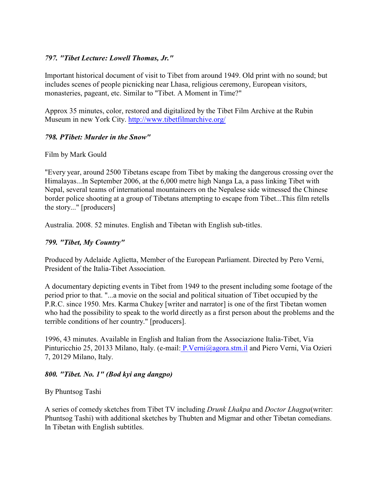### *797. "Tibet Lecture: Lowell Thomas, Jr."*

Important historical document of visit to Tibet from around 1949. Old print with no sound; but includes scenes of people picnicking near Lhasa, religious ceremony, European visitors, monasteries, pageant, etc. Similar to "Tibet. A Moment in Time?"

Approx 35 minutes, color, restored and digitalized by the Tibet Film Archive at the Rubin Museum in new York City. http://www.tibetfilmarchive.org/

### *798. ÐTibet: Murder in the Snow"*

### Film by Mark Gould

"Every year, around 2500 Tibetans escape from Tibet by making the dangerous crossing over the Himalayas...In September 2006, at the 6,000 metre high Nanga La, a pass linking Tibet with Nepal, several teams of international mountaineers on the Nepalese side witnessed the Chinese border police shooting at a group of Tibetans attempting to escape from Tibet...This film retells the story..." [producers]

Australia. 2008. 52 minutes. English and Tibetan with English sub-titles.

## *799. "Tibet, My Country"*

Produced by Adelaide Aglietta, Member of the European Parliament. Directed by Pero Verni, President of the Italia-Tibet Association.

A documentary depicting events in Tibet from 1949 to the present including some footage of the period prior to that. "...a movie on the social and political situation of Tibet occupied by the P.R.C. since 1950. Mrs. Karma Chukey [writer and narrator] is one of the first Tibetan women who had the possibility to speak to the world directly as a first person about the problems and the terrible conditions of her country." [producers].

1996, 43 minutes. Available in English and Italian from the Associazione Italia-Tibet, Via Pinturicchio 25, 20133 Milano, Italy. (e-mail[: P.Verni@agora.stm.il](mailto:P.Verni@agora.stm.il) and Piero Verni, Via Ozieri 7, 20129 Milano, Italy.

### *800. "Tibet. No. 1" (Bod kyi ang dangpo)*

# By Phuntsog Tashi

A series of comedy sketches from Tibet TV including *Drunk Lhakpa* and *Doctor Lhagpa*(writer: Phuntsog Tashi) with additional sketches by Thubten and Migmar and other Tibetan comedians. In Tibetan with English subtitles.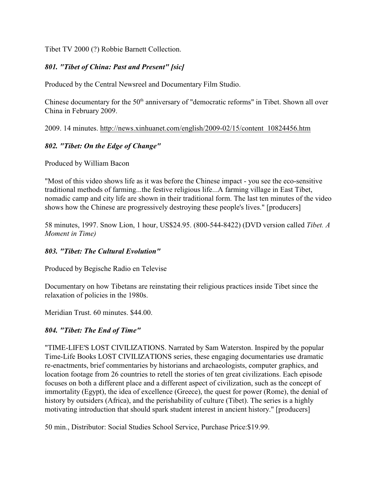Tibet TV 2000 (?) Robbie Barnett Collection.

### *801. "Tibet of China: Past and Present" [sic]*

Produced by the Central Newsreel and Documentary Film Studio.

Chinese documentary for the 50<sup>th</sup> anniversary of "democratic reforms" in Tibet. Shown all over China in February 2009.

2009. 14 minutes. http://news.xinhuanet.com/english/2009-02/15/content\_10824456.htm

### *802. "Tibet: On the Edge of Change"*

Produced by William Bacon

"Most of this video shows life as it was before the Chinese impact - you see the eco-sensitive traditional methods of farming...the festive religious life...A farming village in East Tibet, nomadic camp and city life are shown in their traditional form. The last ten minutes of the video shows how the Chinese are progressively destroying these people's lives." [producers]

58 minutes, 1997. Snow Lion, 1 hour, US\$24.95. (800-544-8422) (DVD version called *Tibet. A Moment in Time)*

### *803. "Tibet: The Cultural Evolution"*

Produced by Begische Radio en Televise

Documentary on how Tibetans are reinstating their religious practices inside Tibet since the relaxation of policies in the 1980s.

Meridian Trust. 60 minutes. \$44.00.

### *804. "Tibet: The End of Time"*

"TIME-LIFE'S LOST CIVILIZATIONS. Narrated by Sam Waterston. Inspired by the popular Time-Life Books LOST CIVILIZATIONS series, these engaging documentaries use dramatic re-enactments, brief commentaries by historians and archaeologists, computer graphics, and location footage from 26 countries to retell the stories of ten great civilizations. Each episode focuses on both a different place and a different aspect of civilization, such as the concept of immortality (Egypt), the idea of excellence (Greece), the quest for power (Rome), the denial of history by outsiders (Africa), and the perishability of culture (Tibet). The series is a highly motivating introduction that should spark student interest in ancient history." [producers]

50 min., Distributor: Social Studies School Service, Purchase Price:\$19.99.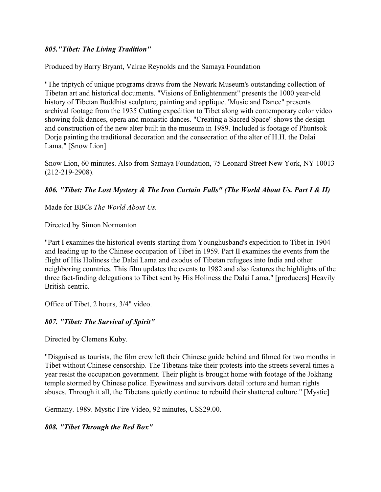### *805."Tibet: The Living Tradition"*

Produced by Barry Bryant, Valrae Reynolds and the Samaya Foundation

"The triptych of unique programs draws from the Newark Museum's outstanding collection of Tibetan art and historical documents. "Visions of Enlightenment" presents the 1000 year-old history of Tibetan Buddhist sculpture, painting and applique. 'Music and Dance" presents archival footage from the 1935 Cutting expedition to Tibet along with contemporary color video showing folk dances, opera and monastic dances. "Creating a Sacred Space" shows the design and construction of the new alter built in the museum in 1989. Included is footage of Phuntsok Dorje painting the traditional decoration and the consecration of the alter of H.H. the Dalai Lama." [Snow Lion]

Snow Lion, 60 minutes. Also from Samaya Foundation, 75 Leonard Street New York, NY 10013 (212-219-2908).

#### *806. "Tibet: The Lost Mystery & The Iron Curtain Falls" (The World About Us. Part I & II)*

Made for BBCs *The World About Us.*

Directed by Simon Normanton

"Part I examines the historical events starting from Younghusband's expedition to Tibet in 1904 and leading up to the Chinese occupation of Tibet in 1959. Part II examines the events from the flight of His Holiness the Dalai Lama and exodus of Tibetan refugees into India and other neighboring countries. This film updates the events to 1982 and also features the highlights of the three fact-finding delegations to Tibet sent by His Holiness the Dalai Lama." [producers] Heavily British-centric.

Office of Tibet, 2 hours, 3/4" video.

### *807. "Tibet: The Survival of Spirit"*

Directed by Clemens Kuby.

"Disguised as tourists, the film crew left their Chinese guide behind and filmed for two months in Tibet without Chinese censorship. The Tibetans take their protests into the streets several times a year resist the occupation government. Their plight is brought home with footage of the Jokhang temple stormed by Chinese police. Eyewitness and survivors detail torture and human rights abuses. Through it all, the Tibetans quietly continue to rebuild their shattered culture." [Mystic]

Germany. 1989. Mystic Fire Video, 92 minutes, US\$29.00.

*808. "Tibet Through the Red Box"*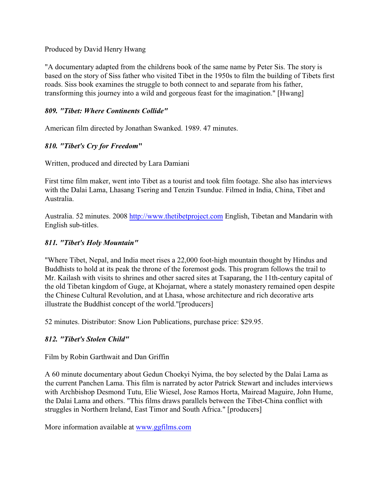### Produced by David Henry Hwang

"A documentary adapted from the childrens book of the same name by Peter Sis. The story is based on the story of Siss father who visited Tibet in the 1950s to film the building of Tibets first roads. Siss book examines the struggle to both connect to and separate from his father, transforming this journey into a wild and gorgeous feast for the imagination." [Hwang]

### *809. "Tibet: Where Continents Collide"*

American film directed by Jonathan Swanked. 1989. 47 minutes.

## *810. "Tibet's Cry for Freedom***"**

Written, produced and directed by Lara Damiani

First time film maker, went into Tibet as a tourist and took film footage. She also has interviews with the Dalai Lama, Lhasang Tsering and Tenzin Tsundue. Filmed in India, China, Tibet and Australia.

Australia. 52 minutes. 2008<http://www.thetibetproject.com> English, Tibetan and Mandarin with English sub-titles.

## *811. "Tibet's Holy Mountain"*

"Where Tibet, Nepal, and India meet rises a 22,000 foot-high mountain thought by Hindus and Buddhists to hold at its peak the throne of the foremost gods. This program follows the trail to Mr. Kailash with visits to shrines and other sacred sites at Tsaparang, the 11th-century capital of the old Tibetan kingdom of Guge, at Khojarnat, where a stately monastery remained open despite the Chinese Cultural Revolution, and at Lhasa, whose architecture and rich decorative arts illustrate the Buddhist concept of the world."[producers]

52 minutes. Distributor: Snow Lion Publications, purchase price: \$29.95.

### *812. "Tibet's Stolen Child"*

Film by Robin Garthwait and Dan Griffin

A 60 minute documentary about Gedun Choekyi Nyima, the boy selected by the Dalai Lama as the current Panchen Lama. This film is narrated by actor Patrick Stewart and includes interviews with Archbishop Desmond Tutu, Elie Wiesel, Jose Ramos Horta, Mairead Maguire, John Hume, the Dalai Lama and others. "This films draws parallels between the Tibet-China conflict with struggles in Northern Ireland, East Timor and South Africa." [producers]

More information available at [www.ggfilms.com](http://www.garthgrif.com)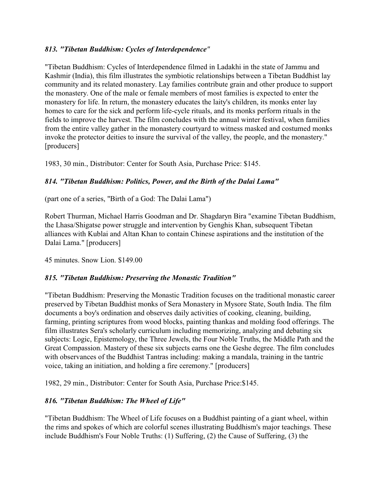## *813. "Tibetan Buddhism: Cycles of Interdependence"*

"Tibetan Buddhism: Cycles of Interdependence filmed in Ladakhi in the state of Jammu and Kashmir (India), this film illustrates the symbiotic relationships between a Tibetan Buddhist lay community and its related monastery. Lay families contribute grain and other produce to support the monastery. One of the male or female members of most families is expected to enter the monastery for life. In return, the monastery educates the laity's children, its monks enter lay homes to care for the sick and perform life-cycle rituals, and its monks perform rituals in the fields to improve the harvest. The film concludes with the annual winter festival, when families from the entire valley gather in the monastery courtyard to witness masked and costumed monks invoke the protector deities to insure the survival of the valley, the people, and the monastery." [producers]

1983, 30 min., Distributor: Center for South Asia, Purchase Price: \$145.

## *814. "Tibetan Buddhism: Politics, Power, and the Birth of the Dalai Lama"*

(part one of a series, "Birth of a God: The Dalai Lama")

Robert Thurman, Michael Harris Goodman and Dr. Shagdaryn Bira "examine Tibetan Buddhism, the Lhasa/Shigatse power struggle and intervention by Genghis Khan, subsequent Tibetan alliances with Kublai and Altan Khan to contain Chinese aspirations and the institution of the Dalai Lama." [producers]

45 minutes. Snow Lion. \$149.00

### *815. "Tibetan Buddhism: Preserving the Monastic Tradition"*

"Tibetan Buddhism: Preserving the Monastic Tradition focuses on the traditional monastic career preserved by Tibetan Buddhist monks of Sera Monastery in Mysore State, South India. The film documents a boy's ordination and observes daily activities of cooking, cleaning, building, farming, printing scriptures from wood blocks, painting thankas and molding food offerings. The film illustrates Sera's scholarly curriculum including memorizing, analyzing and debating six subjects: Logic, Epistemology, the Three Jewels, the Four Noble Truths, the Middle Path and the Great Compassion. Mastery of these six subjects earns one the Geshe degree. The film concludes with observances of the Buddhist Tantras including: making a mandala, training in the tantric voice, taking an initiation, and holding a fire ceremony." [producers]

1982, 29 min., Distributor: Center for South Asia, Purchase Price:\$145.

### *816. "Tibetan Buddhism: The Wheel of Life"*

"Tibetan Buddhism: The Wheel of Life focuses on a Buddhist painting of a giant wheel, within the rims and spokes of which are colorful scenes illustrating Buddhism's major teachings. These include Buddhism's Four Noble Truths: (1) Suffering, (2) the Cause of Suffering, (3) the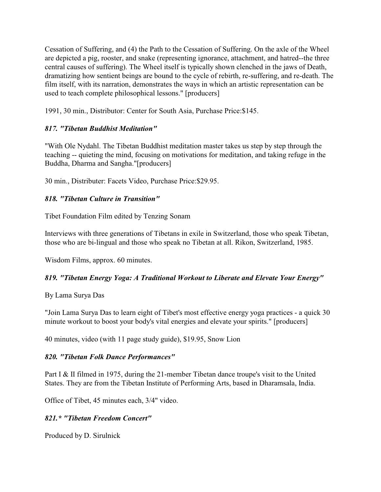Cessation of Suffering, and (4) the Path to the Cessation of Suffering. On the axle of the Wheel are depicted a pig, rooster, and snake (representing ignorance, attachment, and hatred--the three central causes of suffering). The Wheel itself is typically shown clenched in the jaws of Death, dramatizing how sentient beings are bound to the cycle of rebirth, re-suffering, and re-death. The film itself, with its narration, demonstrates the ways in which an artistic representation can be used to teach complete philosophical lessons." [producers]

1991, 30 min., Distributor: Center for South Asia, Purchase Price:\$145.

# *817. "Tibetan Buddhist Meditation"*

"With Ole Nydahl. The Tibetan Buddhist meditation master takes us step by step through the teaching -- quieting the mind, focusing on motivations for meditation, and taking refuge in the Buddha, Dharma and Sangha."[producers]

30 min., Distributer: Facets Video, Purchase Price:\$29.95.

# *818. "Tibetan Culture in Transition"*

Tibet Foundation Film edited by Tenzing Sonam

Interviews with three generations of Tibetans in exile in Switzerland, those who speak Tibetan, those who are bi-lingual and those who speak no Tibetan at all. Rikon, Switzerland, 1985.

Wisdom Films, approx. 60 minutes.

# *819. "Tibetan Energy Yoga: A Traditional Workout to Liberate and Elevate Your Energy"*

By Lama Surya Das

"Join Lama Surya Das to learn eight of Tibet's most effective energy yoga practices - a quick 30 minute workout to boost your body's vital energies and elevate your spirits." [producers]

40 minutes, video (with 11 page study guide), \$19.95, Snow Lion

# *820. "Tibetan Folk Dance Performances"*

Part I & II filmed in 1975, during the 21-member Tibetan dance troupe's visit to the United States. They are from the Tibetan Institute of Performing Arts, based in Dharamsala, India.

Office of Tibet, 45 minutes each, 3/4" video.

# *821.\* "Tibetan Freedom Concert"*

Produced by D. Sirulnick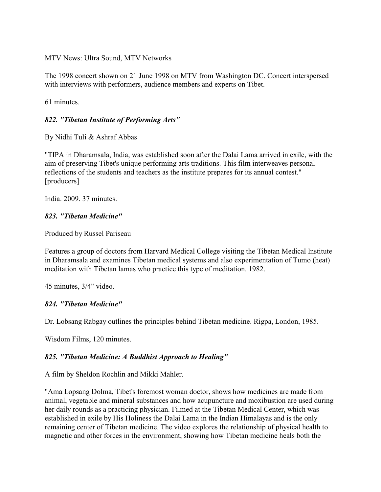MTV News: Ultra Sound, MTV Networks

The 1998 concert shown on 21 June 1998 on MTV from Washington DC. Concert interspersed with interviews with performers, audience members and experts on Tibet.

61 minutes.

### *822. "Tibetan Institute of Performing Arts"*

By Nidhi Tuli & Ashraf Abbas

"TIPA in Dharamsala, India, was established soon after the Dalai Lama arrived in exile, with the aim of preserving Tibet's unique performing arts traditions. This film interweaves personal reflections of the students and teachers as the institute prepares for its annual contest." [producers]

India. 2009. 37 minutes.

#### *823. "Tibetan Medicine"*

Produced by Russel Pariseau

Features a group of doctors from Harvard Medical College visiting the Tibetan Medical Institute in Dharamsala and examines Tibetan medical systems and also experimentation of Tumo (heat) meditation with Tibetan lamas who practice this type of meditation. 1982.

45 minutes, 3/4" video.

### *824. "Tibetan Medicine"*

Dr. Lobsang Rabgay outlines the principles behind Tibetan medicine. Rigpa, London, 1985.

Wisdom Films, 120 minutes.

### *825. "Tibetan Medicine: A Buddhist Approach to Healing"*

A film by Sheldon Rochlin and Mikki Mahler.

"Ama Lopsang Dolma, Tibet's foremost woman doctor, shows how medicines are made from animal, vegetable and mineral substances and how acupuncture and moxibustion are used during her daily rounds as a practicing physician. Filmed at the Tibetan Medical Center, which was established in exile by His Holiness the Dalai Lama in the Indian Himalayas and is the only remaining center of Tibetan medicine. The video explores the relationship of physical health to magnetic and other forces in the environment, showing how Tibetan medicine heals both the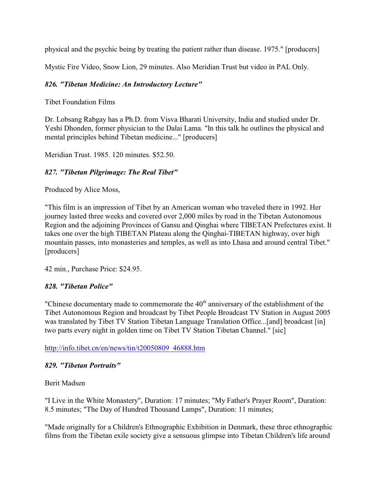physical and the psychic being by treating the patient rather than disease. 1975." [producers]

Mystic Fire Video, Snow Lion, 29 minutes. Also Meridian Trust but video in PAL Only.

## *826. "Tibetan Medicine: An Introductory Lecture"*

Tibet Foundation Films

Dr. Lobsang Rabgay has a Ph.D. from Visva Bharati University, India and studied under Dr. Yeshi Dhonden, former physician to the Dalai Lama. "In this talk he outlines the physical and mental principles behind Tibetan medicine..." [producers]

Meridian Trust. 1985. 120 minutes. \$52.50.

### *827. "Tibetan Pilgrimage: The Real Tibet"*

Produced by Alice Moss,

"This film is an impression of Tibet by an American woman who traveled there in 1992. Her journey lasted three weeks and covered over 2,000 miles by road in the Tibetan Autonomous Region and the adjoining Provinces of Gansu and Qinghai where TIBETAN Prefectures exist. It takes one over the high TIBETAN Plateau along the Qinghai-TIBETAN highway, over high mountain passes, into monasteries and temples, as well as into Lhasa and around central Tibet." [producers]

42 min., Purchase Price: \$24.95.

### *828. "Tibetan Police"*

"Chinese documentary made to commemorate the  $40<sup>th</sup>$  anniversary of the establishment of the Tibet Autonomous Region and broadcast by Tibet People Broadcast TV Station in August 2005 was translated by Tibet TV Station Tibetan Language Translation Office...[and] broadcast [in] two parts every night in golden time on Tibet TV Station Tibetan Channel." [sic]

[http://info.tibet.cn/en/news/tin/t20050809\\_46888.htm](http://info.tibet.cn/en/news/tin/t20050809_46888.htm)

### *829. "Tibetan Portraits"*

Berit Madsen

"I Live in the White Monastery", Duration: 17 minutes; "My Father's Prayer Room", Duration: 8.5 minutes; "The Day of Hundred Thousand Lamps", Duration: 11 minutes;

"Made originally for a Children's Ethnographic Exhibition in Denmark, these three ethnographic films from the Tibetan exile society give a sensuous glimpse into Tibetan Children's life around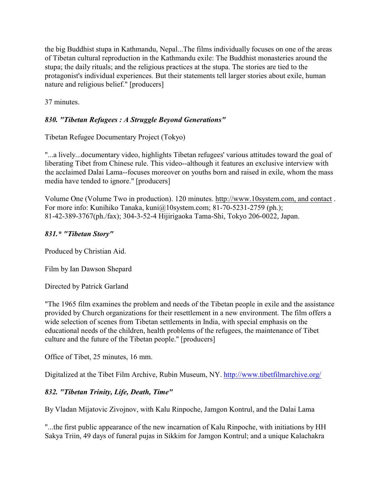the big Buddhist stupa in Kathmandu, Nepal...The films individually focuses on one of the areas of Tibetan cultural reproduction in the Kathmandu exile: The Buddhist monasteries around the stupa; the daily rituals; and the religious practices at the stupa. The stories are tied to the protagonist's individual experiences. But their statements tell larger stories about exile, human nature and religious belief." [producers]

37 minutes.

# *830. "Tibetan Refugees : A Struggle Beyond Generations"*

Tibetan Refugee Documentary Project (Tokyo)

"...a lively...documentary video, highlights Tibetan refugees' various attitudes toward the goal of liberating Tibet from Chinese rule. This video--although it features an exclusive interview with the acclaimed Dalai Lama--focuses moreover on youths born and raised in exile, whom the mass media have tended to ignore." [producers]

Volume One (Volume Two in production). 120 minutes. http://www.10system.com, and contact . For more info: Kunihiko Tanaka, kuni@10system.com; 81-70-5231-2759 (ph.); 81-42-389-3767(ph./fax); 304-3-52-4 Hijirigaoka Tama-Shi, Tokyo 206-0022, Japan.

### *831.\* "Tibetan Story"*

Produced by Christian Aid.

Film by Ian Dawson Shepard

Directed by Patrick Garland

"The 1965 film examines the problem and needs of the Tibetan people in exile and the assistance provided by Church organizations for their resettlement in a new environment. The film offers a wide selection of scenes from Tibetan settlements in India, with special emphasis on the educational needs of the children, health problems of the refugees, the maintenance of Tibet culture and the future of the Tibetan people." [producers]

Office of Tibet, 25 minutes, 16 mm.

Digitalized at the Tibet Film Archive, Rubin Museum, NY.<http://www.tibetfilmarchive.org/>

# *832. "Tibetan Trinity, Life, Death, Time"*

By Vladan Mijatovic Zivojnov, with Kalu Rinpoche, Jamgon Kontrul, and the Dalai Lama

"...the first public appearance of the new incarnation of Kalu Rinpoche, with initiations by HH Sakya Triin, 49 days of funeral pujas in Sikkim for Jamgon Kontrul; and a unique Kalachakra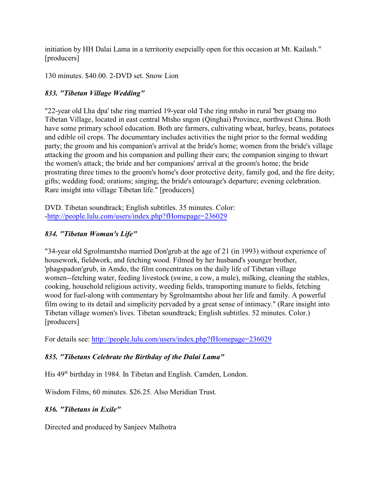initiation by HH Dalai Lama in a territority esepcially open for this occasion at Mt. Kailash." [producers]

130 minutes. \$40.00. 2-DVD set. Snow Lion

# *833. "Tibetan Village Wedding"*

"22-year old Lha dpa' tshe ring married 19-year old Tshe ring mtsho in rural 'ber gtsang mo Tibetan Village, located in east central Mtsho sngon (Qinghai) Province, northwest China. Both have some primary school education. Both are farmers, cultivating wheat, barley, beans, potatoes and edible oil crops. The documentary includes activities the night prior to the formal wedding party; the groom and his companion's arrival at the bride's home; women from the bride's village attacking the groom and his companion and pulling their ears; the companion singing to thwart the women's attack; the bride and her companions' arrival at the groom's home; the bride prostrating three times to the groom's home's door protective deity, family god, and the fire deity; gifts; wedding food; orations; singing; the bride's entourage's departure; evening celebration. Rare insight into village Tibetan life." [producers]

DVD. Tibetan soundtrack; English subtitles. 35 minutes. Color: [-http://people.lulu.com/users/index.php?fHomepage=236029](http://people.lulu.com/users/index.php?fHomepage=236029)

# *834. "Tibetan Woman's Life"*

"34-year old Sgrolmamtsho married Don'grub at the age of 21 (in 1993) without experience of housework, fieldwork, and fetching wood. Filmed by her husband's younger brother, 'phagspadon'grub, in Amdo, the film concentrates on the daily life of Tibetan village women--fetching water, feeding livestock (swine, a cow, a mule), milking, cleaning the stables, cooking, household religious activity, weeding fields, transporting manure to fields, fetching wood for fuel-along with commentary by Sgrolmamtsho about her life and family. A powerful film owing to its detail and simplicity pervaded by a great sense of intimacy." (Rare insight into Tibetan village women's lives. Tibetan soundtrack; English subtitles. 52 minutes. Color.) [producers]

For details see:<http://people.lulu.com/users/index.php?fHomepage=236029>

# *835. "Tibetans Celebrate the Birthday of the Dalai Lama"*

His 49<sup>th</sup> birthday in 1984. In Tibetan and English. Camden, London.

Wisdom Films, 60 minutes. \$26.25. Also Meridian Trust.

# *836. "Tibetans in Exile"*

Directed and produced by Sanjeev Malhotra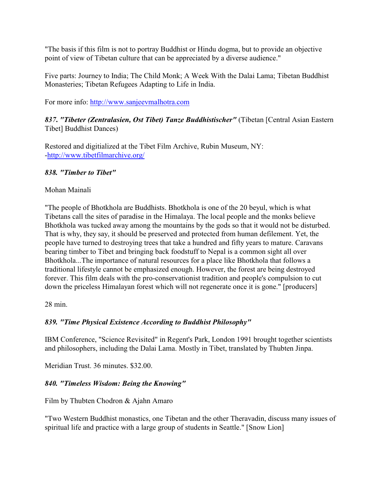"The basis if this film is not to portray Buddhist or Hindu dogma, but to provide an objective point of view of Tibetan culture that can be appreciated by a diverse audience."

Five parts: Journey to India; The Child Monk; A Week With the Dalai Lama; Tibetan Buddhist Monasteries; Tibetan Refugees Adapting to Life in India.

For more info:<http://www.sanjeevmalhotra.com>

*837***.** *"Tibeter (Zentralasien, Ost Tibet) Tanze Buddhistischer"* (Tibetan [Central Asian Eastern Tibet] Buddhist Dances)

Restored and digitialized at the Tibet Film Archive, Rubin Museum, NY: [-http://www.tibetfilmarchive.org/](http://www.tibetfilmarchive.org/)

## *838. "Timber to Tibet"*

## Mohan Mainali

"The people of Bhotkhola are Buddhists. Bhotkhola is one of the 20 beyul, which is what Tibetans call the sites of paradise in the Himalaya. The local people and the monks believe Bhotkhola was tucked away among the mountains by the gods so that it would not be disturbed. That is why, they say, it should be preserved and protected from human defilement. Yet, the people have turned to destroying trees that take a hundred and fifty years to mature. Caravans bearing timber to Tibet and bringing back foodstuff to Nepal is a common sight all over Bhotkhola...The importance of natural resources for a place like Bhotkhola that follows a traditional lifestyle cannot be emphasized enough. However, the forest are being destroyed forever. This film deals with the pro-conservationist tradition and people's compulsion to cut down the priceless Himalayan forest which will not regenerate once it is gone." [producers]

28 min.

# *839. "Time Physical Existence According to Buddhist Philosophy"*

IBM Conference, "Science Revisited" in Regent's Park, London 1991 brought together scientists and philosophers, including the Dalai Lama. Mostly in Tibet, translated by Thubten Jinpa.

Meridian Trust. 36 minutes. \$32.00.

# *840. "Timeless Wisdom: Being the Knowing"*

Film by Thubten Chodron & Ajahn Amaro

"Two Western Buddhist monastics, one Tibetan and the other Theravadin, discuss many issues of spiritual life and practice with a large group of students in Seattle." [Snow Lion]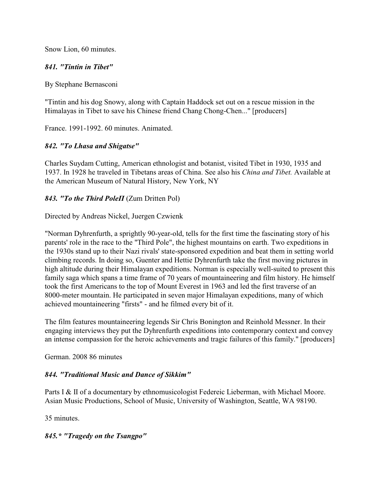Snow Lion, 60 minutes.

### *841. "Tintin in Tibet"*

By Stephane Bernasconi

"Tintin and his dog Snowy, along with Captain Haddock set out on a rescue mission in the Himalayas in Tibet to save his Chinese friend Chang Chong-Chen..." [producers]

France. 1991-1992. 60 minutes. Animated.

### *842. "To Lhasa and Shigatse"*

Charles Suydam Cutting, American ethnologist and botanist, visited Tibet in 1930, 1935 and 1937. In 1928 he traveled in Tibetans areas of China. See also his *China and Tibet.* Available at the American Museum of Natural History, New York, NY

#### *843. "To the Third PoleÏ* (Zum Dritten Pol)

Directed by Andreas Nickel, Juergen Czwienk

"Norman Dyhrenfurth, a sprightly 90-year-old, tells for the first time the fascinating story of his parents' role in the race to the "Third Pole", the highest mountains on earth. Two expeditions in the 1930s stand up to their Nazi rivals' state-sponsored expedition and beat them in setting world climbing records. In doing so, Guenter and Hettie Dyhrenfurth take the first moving pictures in high altitude during their Himalayan expeditions. Norman is especially well-suited to present this family saga which spans a time frame of 70 years of mountaineering and film history. He himself took the first Americans to the top of Mount Everest in 1963 and led the first traverse of an 8000-meter mountain. He participated in seven major Himalayan expeditions, many of which achieved mountaineering "firsts" - and he filmed every bit of it.

The film features mountaineering legends Sir Chris Bonington and Reinhold Messner. In their engaging interviews they put the Dyhrenfurth expeditions into contemporary context and convey an intense compassion for the heroic achievements and tragic failures of this family." [producers]

German. 2008 86 minutes

### *844. "Traditional Music and Dance of Sikkim"*

Parts I & II of a documentary by ethnomusicologist Federeic Lieberman, with Michael Moore. Asian Music Productions, School of Music, University of Washington, Seattle, WA 98190.

35 minutes.

*845.\* "Tragedy on the Tsangpo"*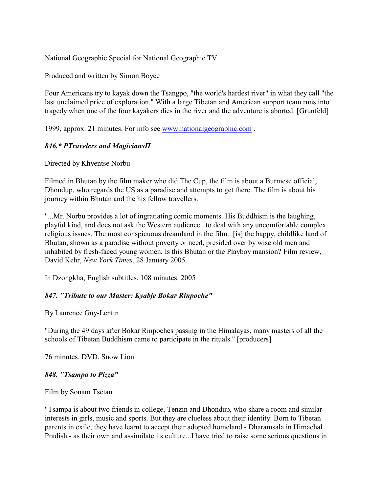National Geographic Special for National Geographic TV

Produced and written by Simon Boyce

Four Americans try to kayak down the Tsangpo, "the world's hardest river" in what they call "the last unclaimed price of exploration." With a large Tibetan and American support team runs into tragedy when one of the four kayakers dies in the river and the adventure is aborted. [Grunfeld]

1999, approx. 21 minutes. For info see [www.nationalgeographic.com](http://www.nationalgeographic.com) .

### 846.\* PTravelers and Magicians<sub>II</sub>

Directed by Khyentse Norbu

Filmed in Bhutan by the film maker who did The Cup, the film is about a Burmese official, Dhondup, who regards the US as a paradise and attempts to get there. The film is about his journey within Bhutan and the his fellow travellers.

"...Mr. Norbu provides a lot of ingratiating comic moments. His Buddhism is the laughing, playful kind, and does not ask the Western audience...to deal with any uncomfortable complex religious issues. The most conspicuous dreamland in the film...[is] the happy, childlike land of Bhutan, shown as a paradise without poverty or need, presided over by wise old men and inhabited by fresh-faced young women, Is this Bhutan or the Playboy mansion? Film review, David Kehr, *New York Times*, 28 January 2005.

In Dzongkha, English subtitles. 108 minutes. 2005

### *847. "Tribute to our Master: Kyabje Bokar Rinpoche"*

By Laurence Guy-Lentin

"During the 49 days after Bokar Rinpoches passing in the Himalayas, many masters of all the schools of Tibetan Buddhism came to participate in the rituals." [producers]

76 minutes. DVD. Snow Lion

#### *848. "Tsampa to Pizza"*

Film by Sonam Tsetan

"Tsampa is about two friends in college, Tenzin and Dhondup, who share a room and similar interests in girls, music and sports. But they are clueless about their identity. Born to Tibetan parents in exile, they have learnt to accept their adopted homeland - Dharamsala in Himachal Pradish - as their own and assimilate its culture...I have tried to raise some serious questions in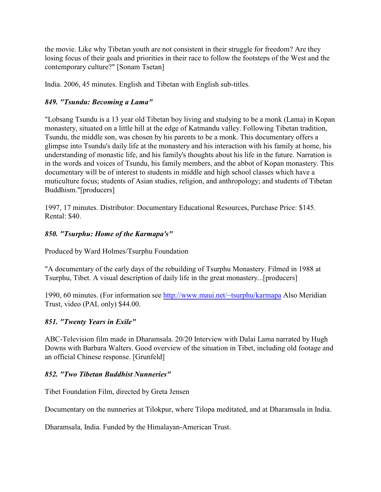the movie. Like why Tibetan youth are not consistent in their struggle for freedom? Are they losing focus of their goals and priorities in their race to follow the footsteps of the West and the contemporary culture?" [Sonam Tsetan]

India. 2006, 45 minutes. English and Tibetan with English sub-titles.

## *849. "Tsundu: Becoming a Lama"*

"Lobsang Tsundu is a 13 year old Tibetan boy living and studying to be a monk (Lama) in Kopan monastery, situated on a little hill at the edge of Katmandu valley. Following Tibetan tradition, Tsundu, the middle son, was chosen by his parents to be a monk. This documentary offers a glimpse into Tsundu's daily life at the monastery and his interaction with his family at home, his understanding of monastic life, and his family's thoughts about his life in the future. Narration is in the words and voices of Tsundu, his family members, and the abbot of Kopan monastery. This documentary will be of interest to students in middle and high school classes which have a muticulture focus; students of Asian studies, religion, and anthropology; and students of Tibetan Buddhism."[producers]

1997, 17 minutes. Distributor: Documentary Educational Resources, Purchase Price: \$145. Rental: \$40.

### *850. "Tsurphu: Home of the Karmapa's"*

Produced by Ward Holmes/Tsurphu Foundation

"A documentary of the early days of the rebuilding of Tsurphu Monastery. Filmed in 1988 at Tsurphu, Tibet. A visual description of daily life in the great monastery...[producers]

1990, 60 minutes. (For information see <http://www.maui.net/~tsurphu/karmapa> Also Meridian Trust, video (PAL only) \$44.00.

### *851. "Twenty Years in Exile"*

ABC-Television film made in Dharamsala. 20/20 Interview with Dalai Lama narrated by Hugh Downs with Barbara Walters. Good overview of the situation in Tibet, including old footage and an official Chinese response. [Grunfeld]

### *852. "Two Tibetan Buddhist Nunneries"*

Tibet Foundation Film, directed by Greta Jensen

Documentary on the nunneries at Tilokpur, where Tilopa meditated, and at Dharamsala in India.

Dharamsala, India. Funded by the Himalayan-American Trust.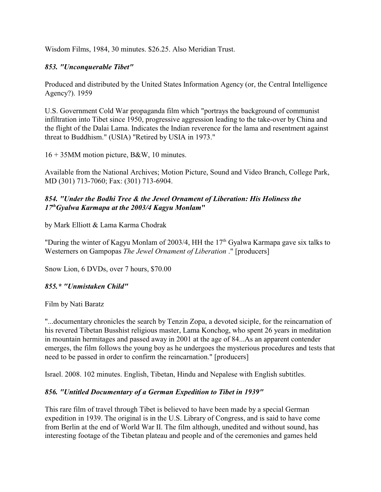Wisdom Films, 1984, 30 minutes. \$26.25. Also Meridian Trust.

### *853. "Unconquerable Tibet"*

Produced and distributed by the United States Information Agency (or, the Central Intelligence Agency?). 1959

U.S. Government Cold War propaganda film which "portrays the background of communist infiltration into Tibet since 1950, progressive aggression leading to the take-over by China and the flight of the Dalai Lama. Indicates the Indian reverence for the lama and resentment against threat to Buddhism." (USIA) "Retired by USIA in 1973."

16 + 35MM motion picture, B&W, 10 minutes.

Available from the National Archives; Motion Picture, Sound and Video Branch, College Park, MD (301) 713-7060; Fax: (301) 713-6904.

### *854. "Under the Bodhi Tree & the Jewel Ornament of Liberation: His Holiness the 17 Gyalwa Karmapa at the 2003/4 Kagyu Monlam***"** *th*

by Mark Elliott & Lama Karma Chodrak

"During the winter of Kagyu Monlam of 2003/4, HH the 17<sup>th</sup> Gyalwa Karmapa gave six talks to Westerners on Gampopas *The Jewel Ornament of Liberation* ." [producers]

Snow Lion, 6 DVDs, over 7 hours, \$70.00

# *855.\* "Unmistaken Child"*

Film by Nati Baratz

"...documentary chronicles the search by Tenzin Zopa, a devoted siciple, for the reincarnation of his revered Tibetan Busshist religious master, Lama Konchog, who spent 26 years in meditation in mountain hermitages and passed away in 2001 at the age of 84...As an apparent contender emerges, the film follows the young boy as he undergoes the mysterious procedures and tests that need to be passed in order to confirm the reincarnation." [producers]

Israel. 2008. 102 minutes. English, Tibetan, Hindu and Nepalese with English subtitles.

### *856. "Untitled Documentary of a German Expedition to Tibet in 1939"*

This rare film of travel through Tibet is believed to have been made by a special German expedition in 1939. The original is in the U.S. Library of Congress, and is said to have come from Berlin at the end of World War II. The film although, unedited and without sound, has interesting footage of the Tibetan plateau and people and of the ceremonies and games held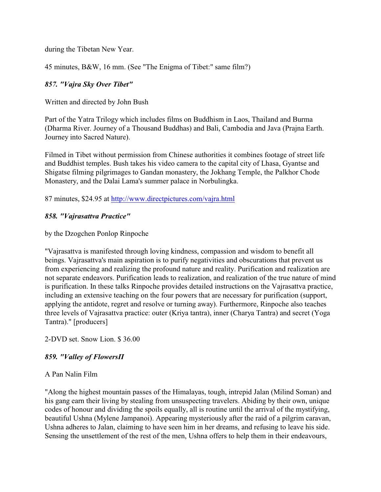during the Tibetan New Year.

45 minutes, B&W, 16 mm. (See "The Enigma of Tibet:" same film?)

### *857. "Vajra Sky Over Tibet"*

Written and directed by John Bush

Part of the Yatra Trilogy which includes films on Buddhism in Laos, Thailand and Burma (Dharma River. Journey of a Thousand Buddhas) and Bali, Cambodia and Java (Prajna Earth. Journey into Sacred Nature).

Filmed in Tibet without permission from Chinese authorities it combines footage of street life and Buddhist temples. Bush takes his video camera to the capital city of Lhasa, Gyantse and Shigatse filming pilgrimages to Gandan monastery, the Jokhang Temple, the Palkhor Chode Monastery, and the Dalai Lama's summer palace in Norbulingka.

87 minutes, \$24.95 at<http://www.directpictures.com/vajra.html>

#### *858. "Vajrasattva Practice"*

by the Dzogchen Ponlop Rinpoche

"Vajrasattva is manifested through loving kindness, compassion and wisdom to benefit all beings. Vajrasattva's main aspiration is to purify negativities and obscurations that prevent us from experiencing and realizing the profound nature and reality. Purification and realization are not separate endeavors. Purification leads to realization, and realization of the true nature of mind is purification. In these talks Rinpoche provides detailed instructions on the Vajrasattva practice, including an extensive teaching on the four powers that are necessary for purification (support, applying the antidote, regret and resolve or turning away). Furthermore, Rinpoche also teaches three levels of Vajrasattva practice: outer (Kriya tantra), inner (Charya Tantra) and secret (Yoga Tantra)." [producers]

2-DVD set. Snow Lion. \$ 36.00

### *859. "Valley of FlowersÏ*

#### A Pan Nalin Film

"Along the highest mountain passes of the Himalayas, tough, intrepid Jalan (Milind Soman) and his gang earn their living by stealing from unsuspecting travelers. Abiding by their own, unique codes of honour and dividing the spoils equally, all is routine until the arrival of the mystifying, beautiful Ushna (Mylene Jampanoi). Appearing mysteriously after the raid of a pilgrim caravan, Ushna adheres to Jalan, claiming to have seen him in her dreams, and refusing to leave his side. Sensing the unsettlement of the rest of the men, Ushna offers to help them in their endeavours,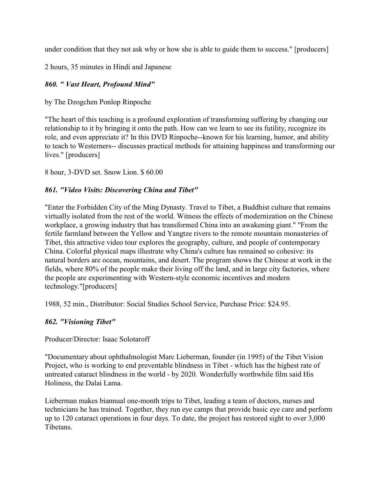under condition that they not ask why or how she is able to guide them to success." [producers]

2 hours, 35 minutes in Hindi and Japanese

# *860. " Vast Heart, Profound Mind"*

by The Dzogchen Ponlop Rinpoche

"The heart of this teaching is a profound exploration of transforming suffering by changing our relationship to it by bringing it onto the path. How can we learn to see its futility, recognize its role, and even appreciate it? In this DVD Rinpoche--known for his learning, humor, and ability to teach to Westerners-- discusses practical methods for attaining happiness and transforming our lives." [producers]

8 hour, 3-DVD set. Snow Lion. \$ 60.00

### *861. "Video Visits: Discovering China and Tibet"*

"Enter the Forbidden City of the Ming Dynasty. Travel to Tibet, a Buddhist culture that remains virtually isolated from the rest of the world. Witness the effects of modernization on the Chinese workplace, a growing industry that has transformed China into an awakening giant." "From the fertile farmland between the Yellow and Yangtze rivers to the remote mountain monasteries of Tibet, this attractive video tour explores the geography, culture, and people of contemporary China. Colorful physical maps illustrate why China's culture has remained so cohesive: its natural borders are ocean, mountains, and desert. The program shows the Chinese at work in the fields, where 80% of the people make their living off the land, and in large city factories, where the people are experimenting with Western-style economic incentives and modern technology."[producers]

1988, 52 min., Distributor: Social Studies School Service, Purchase Price: \$24.95.

# *862. "Visioning Tibet"*

Producer/Director: Isaac Solotaroff

"Documentary about ophthalmologist Marc Lieberman, founder (in 1995) of the Tibet Vision Project, who is working to end preventable blindness in Tibet - which has the highest rate of untreated cataract blindness in the world - by 2020. Wonderfully worthwhile film said His Holiness, the Dalai Lama.

Lieberman makes biannual one-month trips to Tibet, leading a team of doctors, nurses and technicians he has trained. Together, they run eye camps that provide basic eye care and perform up to 120 cataract operations in four days. To date, the project has restored sight to over 3,000 Tibetans.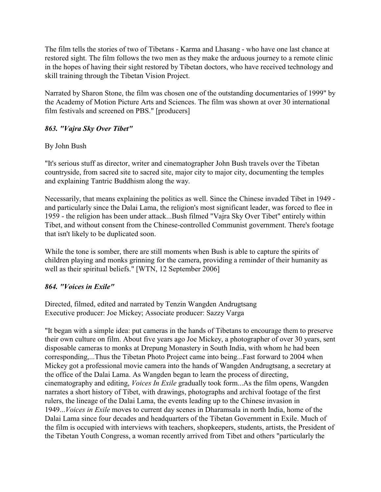The film tells the stories of two of Tibetans - Karma and Lhasang - who have one last chance at restored sight. The film follows the two men as they make the arduous journey to a remote clinic in the hopes of having their sight restored by Tibetan doctors, who have received technology and skill training through the Tibetan Vision Project.

Narrated by Sharon Stone, the film was chosen one of the outstanding documentaries of 1999" by the Academy of Motion Picture Arts and Sciences. The film was shown at over 30 international film festivals and screened on PBS." [producers]

### *863. "Vajra Sky Over Tibet"*

### By John Bush

"It's serious stuff as director, writer and cinematographer John Bush travels over the Tibetan countryside, from sacred site to sacred site, major city to major city, documenting the temples and explaining Tantric Buddhism along the way.

Necessarily, that means explaining the politics as well. Since the Chinese invaded Tibet in 1949 and particularly since the Dalai Lama, the religion's most significant leader, was forced to flee in 1959 - the religion has been under attack...Bush filmed "Vajra Sky Over Tibet" entirely within Tibet, and without consent from the Chinese-controlled Communist government. There's footage that isn't likely to be duplicated soon.

While the tone is somber, there are still moments when Bush is able to capture the spirits of children playing and monks grinning for the camera, providing a reminder of their humanity as well as their spiritual beliefs." [WTN, 12 September 2006]

### *864. "Voices in Exile"*

Directed, filmed, edited and narrated by Tenzin Wangden Andrugtsang Executive producer: Joe Mickey; Associate producer: Sazzy Varga

"It began with a simple idea: put cameras in the hands of Tibetans to encourage them to preserve their own culture on film. About five years ago Joe Mickey, a photographer of over 30 years, sent disposable cameras to monks at Drepung Monastery in South India, with whom he had been corresponding,...Thus the Tibetan Photo Project came into being...Fast forward to 2004 when Mickey got a professional movie camera into the hands of Wangden Andrugtsang, a secretary at the office of the Dalai Lama. As Wangden began to learn the process of directing, cinematography and editing, *Voices In Exile* gradually took form...As the film opens, Wangden narrates a short history of Tibet, with drawings, photographs and archival footage of the first rulers, the lineage of the Dalai Lama, the events leading up to the Chinese invasion in 1949...*Voices in Exile* moves to current day scenes in Dharamsala in north India, home of the Dalai Lama since four decades and headquarters of the Tibetan Government in Exile. Much of the film is occupied with interviews with teachers, shopkeepers, students, artists, the President of the Tibetan Youth Congress, a woman recently arrived from Tibet and others "particularly the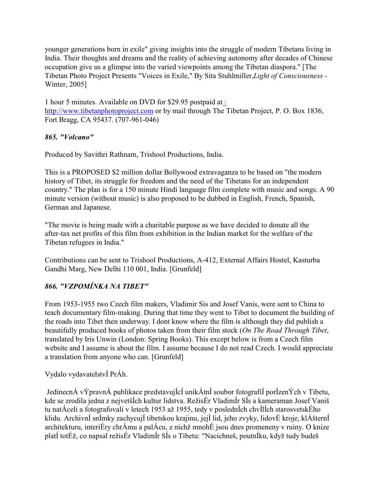younger generations born in exile" giving insights into the struggle of modern Tibetans living in India. Their thoughts and dreams and the reality of achieving autonomy after decades of Chinese occupation give us a glimpse into the varied viewpoints among the Tibetan diaspora." [The Tibetan Photo Project Presents "Voices in Exile," By Sita Stuhlmiller,*Light of Consciousness* - Winter, 2005]

1 hour 5 minutes. Available on DVD for \$29.95 postpaid a[t :](http://www.tibetanphotoproject.com) <http://www.tibetanphotoproject.com> or by mail through The Tibetan Project, P. O. Box 1836, Fort Bragg, CA 95437. (707-961-046)

### *865. "Volcano"*

Produced by Savithri Rathnam, Trishool Productions, India.

This is a PROPOSED \$2 million dollar Bollywood extravaganza to be based on "the modern history of Tibet, its struggle for freedom and the need of the Tibetans for an independent country." The plan is for a 150 minute Hindi language film complete with music and songs. A 90 minute version (without music) is also proposed to be dubbed in English, French, Spanish, German and Japanese.

"The movie is being made with a charitable purpose as we have decided to donate all the after-tax net profits of this film from exhibition in the Indian market for the welfare of the Tibetan refugees in India."

Contributions can be sent to Trishool Productions, A-412, External Affairs Hostel, Kasturba Gandhi Marg, New Delhi 110 001, India. [Grunfeld]

# *866. "VZPOMÍNKA NA TIBET"*

From 1953-1955 two Czech film makers, Vladimir Sis and Josef Vanis, were sent to China to teach documentary film-making. During that time they went to Tibet to document the building of the roads into Tibet then underway. I dont know where the film is although they did publish a beautifully produced books of photos taken from their film stock (*On The Road Through Tibet*, translated by Iris Unwin (London: Spring Books). This except below is from a Czech film website and I assume is about the film. I assume because I do not read Czech. I would appreciate a translation from anyone who can. [Grunfeld]

# Vydalo vydavatelstvÍ PrÁh.

 JedinecnÁ vÝpravnÁ publikace predstavujÍcÍ unikÁtnÍ soubor fotografiÍ porÍzenÝch v Tibetu, kde se zrodila jedna z nejvetšÍch kultur lidstva. RežisÉr VladimÍr SÍs a kameraman Josef Vaniš tu natÁceli a fotografovali v letech 1953 až 1955, tedy v poslednÍch chvÍlÍch starosvetskÉho klidu. ArchivnÍ snÍmky zachycujÍ tibetskou krajinu, jejÍ lid, jeho zvyky, lidovÉ kroje, klÁšternÍ architekturu, interiÉry chrÁmu a palÁcu, z nichž mnohÉ jsou dnes promeneny v ruiny. O knize platÍ totÉž, co napsal režisÉr VladimÍr SÍs o Tibetu: "Nacichneš, poutnÍku, když tudy budeš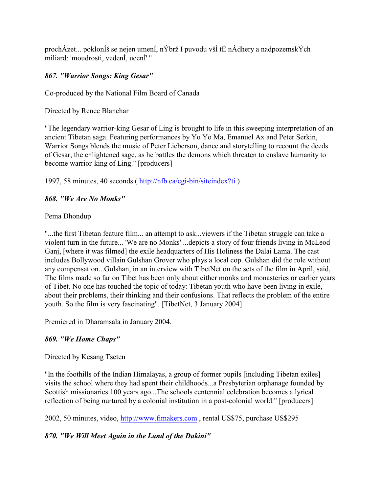prochÁzet... poklonÍš se nejen umenÍ, nÝbrž I puvodu všÍ tÉ nÁdhery a nadpozemskÝch miliard: 'moudrosti, vedenÍ, ucenÍ'."

# *867. "Warrior Songs: King Gesar"*

Co-produced by the National Film Board of Canada

Directed by Renee Blanchar

"The legendary warrior-king Gesar of Ling is brought to life in this sweeping interpretation of an ancient Tibetan saga. Featuring performances by Yo Yo Ma, Emanuel Ax and Peter Serkin, Warrior Songs blends the music of Peter Lieberson, dance and storytelling to recount the deeds of Gesar, the enlightened sage, as he battles the demons which threaten to enslave humanity to become warrior-king of Ling." [producers]

1997, 58 minutes, 40 seconds [\( http://nfb.ca/cgi-bin/siteindex?ti](http://nfb.ca) )

### *868. "We Are No Monks"*

Pema Dhondup

"...the first Tibetan feature film... an attempt to ask...viewers if the Tibetan struggle can take a violent turn in the future... 'We are no Monks' ...depicts a story of four friends living in McLeod Ganj, [where it was filmed] the exile headquarters of His Holiness the Dalai Lama. The cast includes Bollywood villain Gulshan Grover who plays a local cop. Gulshan did the role without any compensation...Gulshan, in an interview with TibetNet on the sets of the film in April, said, The films made so far on Tibet has been only about either monks and monasteries or earlier years of Tibet. No one has touched the topic of today: Tibetan youth who have been living in exile, about their problems, their thinking and their confusions. That reflects the problem of the entire youth. So the film is very fascinating". [TibetNet, 3 January 2004]

Premiered in Dharamsala in January 2004.

### *869. "We Home Chaps"*

### Directed by Kesang Tseten

"In the foothills of the Indian Himalayas, a group of former pupils [including Tibetan exiles] visits the school where they had spent their childhoods...a Presbyterian orphanage founded by Scottish missionaries 100 years ago...The schools centennial celebration becomes a lyrical reflection of being nurtured by a colonial institution in a post-colonial world." [producers]

2002, 50 minutes, video,<http://www.fimakers.com> , rental US\$75, purchase US\$295

# *870. "We Will Meet Again in the Land of the Dakini"*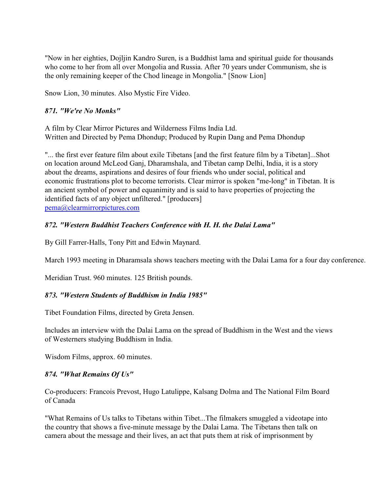"Now in her eighties, Dojljin Kandro Suren, is a Buddhist lama and spiritual guide for thousands who come to her from all over Mongolia and Russia. After 70 years under Communism, she is the only remaining keeper of the Chod lineage in Mongolia." [Snow Lion]

Snow Lion, 30 minutes. Also Mystic Fire Video.

## *871. "We're No Monks"*

A film by Clear Mirror Pictures and Wilderness Films India Ltd. Written and Directed by Pema Dhondup; Produced by Rupin Dang and Pema Dhondup

"... the first ever feature film about exile Tibetans [and the first feature film by a Tibetan]...Shot on location around McLeod Ganj, Dharamshala, and Tibetan camp Delhi, India, it is a story about the dreams, aspirations and desires of four friends who under social, political and economic frustrations plot to become terrorists. Clear mirror is spoken "me-long" in Tibetan. It is an ancient symbol of power and equanimity and is said to have properties of projecting the identified facts of any object unfiltered." [producers] [pema@clearmirrorpictures.com](mailto:pema@clearmirrorpictures.com)

### *872. "Western Buddhist Teachers Conference with H. H. the Dalai Lama"*

By Gill Farrer-Halls, Tony Pitt and Edwin Maynard.

March 1993 meeting in Dharamsala shows teachers meeting with the Dalai Lama for a four day conference.

Meridian Trust. 960 minutes. 125 British pounds.

# *873. "Western Students of Buddhism in India 1985"*

Tibet Foundation Films, directed by Greta Jensen.

Includes an interview with the Dalai Lama on the spread of Buddhism in the West and the views of Westerners studying Buddhism in India.

Wisdom Films, approx. 60 minutes.

### *874. "What Remains Of Us"*

Co-producers: Francois Prevost, Hugo Latulippe, Kalsang Dolma and The National Film Board of Canada

"What Remains of Us talks to Tibetans within Tibet...The filmakers smuggled a videotape into the country that shows a five-minute message by the Dalai Lama. The Tibetans then talk on camera about the message and their lives, an act that puts them at risk of imprisonment by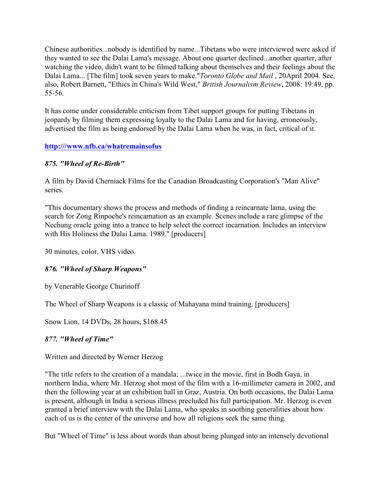Chinese authorities...nobody is identified by name...Tibetans who were interviewed were asked if they wanted to see the Dalai Lama's message. About one quarter declined...another quarter, after watching the video, didn't want to be filmed talking about themselves and their feelings about the Dalai Lama... [The film] took seven years to make."*Toronto Globe and Mail* , 20April 2004. See, also, Robert Barnett, "Ethics in China's Wild West," *British Journalism Review*, 2008: 19:49, pp. 55-56.

It has come under considerable criticism from Tibet support groups for putting Tibetans in jeopardy by filming them expressing loyalty to the Dalai Lama and for having, erroneously, advertised the film as being endorsed by the Dalai Lama when he was, in fact, critical of it.

### **<http:///www.nfb.ca/whatremainsofus>**

### *875. "Wheel of Re-Birth"*

A film by David Cherniack Films for the Canadian Broadcasting Corporation's "Man Alive" series.

"This documentary shows the process and methods of finding a reincarnate lama, using the search for Zong Rinpoche's reincarnation as an example. Scenes include a rare glimpse of the Nechung oracle going into a trance to help select the correct incarnation. Includes an interview with His Holiness the Dalai Lama. 1989." [producers]

30 minutes, color, VHS video.

# *876. "Wheel of Sharp Weapons"*

by Venerable George Churinoff

The Wheel of Sharp Weapons is a classic of Mahayana mind training. [producers]

Snow Lion, 14 DVDs, 28 hours, \$168.45

### *877. "Wheel of Time"*

# Written and directed by Werner Herzog

"The title refers to the creation of a mandala; ...twice in the movie, first in Bodh Gaya, in northern India, where Mr. Herzog shot most of the film with a 16-millimeter camera in 2002, and then the following year at an exhibition hall in Graz, Austria. On both occasions, the Dalai Lama is present, although in India a serious illness precluded his full participation. Mr. Herzog is even granted a brief interview with the Dalai Lama, who speaks in soothing generalities about how each of us is the center of the universe and how all religions seek the same thing.

But "Wheel of Time" is less about words than about being plunged into an intensely devotional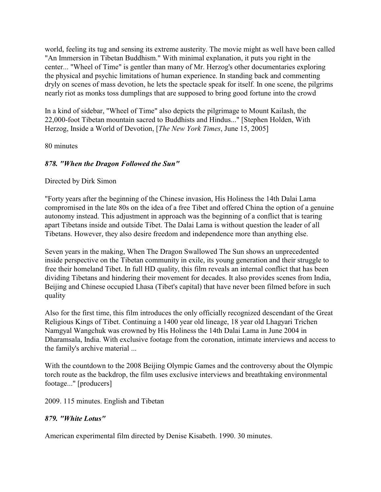world, feeling its tug and sensing its extreme austerity. The movie might as well have been called "An Immersion in Tibetan Buddhism." With minimal explanation, it puts you right in the center... "Wheel of Time" is gentler than many of Mr. Herzog's other documentaries exploring the physical and psychic limitations of human experience. In standing back and commenting dryly on scenes of mass devotion, he lets the spectacle speak for itself. In one scene, the pilgrims nearly riot as monks toss dumplings that are supposed to bring good fortune into the crowd

In a kind of sidebar, "Wheel of Time" also depicts the pilgrimage to Mount Kailash, the 22,000-foot Tibetan mountain sacred to Buddhists and Hindus..." [Stephen Holden, With Herzog, Inside a World of Devotion, [*The New York Times*, June 15, 2005]

80 minutes

### *878. "When the Dragon Followed the Sun"*

Directed by Dirk Simon

"Forty years after the beginning of the Chinese invasion, His Holiness the 14th Dalai Lama compromised in the late 80s on the idea of a free Tibet and offered China the option of a genuine autonomy instead. This adjustment in approach was the beginning of a conflict that is tearing apart Tibetans inside and outside Tibet. The Dalai Lama is without question the leader of all Tibetans. However, they also desire freedom and independence more than anything else.

Seven years in the making, When The Dragon Swallowed The Sun shows an unprecedented inside perspective on the Tibetan community in exile, its young generation and their struggle to free their homeland Tibet. In full HD quality, this film reveals an internal conflict that has been dividing Tibetans and hindering their movement for decades. It also provides scenes from India, Beijing and Chinese occupied Lhasa (Tibet's capital) that have never been filmed before in such quality

Also for the first time, this film introduces the only officially recognized descendant of the Great Religious Kings of Tibet. Continuing a 1400 year old lineage, 18 year old Lhagyari Trichen Namgyal Wangchuk was crowned by His Holiness the 14th Dalai Lama in June 2004 in Dharamsala, India. With exclusive footage from the coronation, intimate interviews and access to the family's archive material ...

With the countdown to the 2008 Beijing Olympic Games and the controversy about the Olympic torch route as the backdrop, the film uses exclusive interviews and breathtaking environmental footage..." [producers]

2009. 115 minutes. English and Tibetan

# *879. "White Lotus"*

American experimental film directed by Denise Kisabeth. 1990. 30 minutes.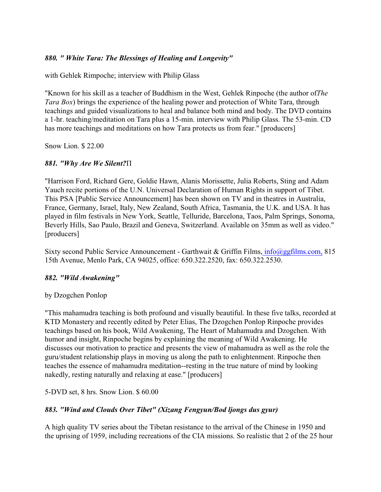### *880. " White Tara: The Blessings of Healing and Longevity"*

with Gehlek Rimpoche; interview with Philip Glass

"Known for his skill as a teacher of Buddhism in the West, Gehlek Rinpoche (the author of*The Tara Box*) brings the experience of the healing power and protection of White Tara, through teachings and guided visualizations to heal and balance both mind and body. The DVD contains a 1-hr. teaching/meditation on Tara plus a 15-min. interview with Philip Glass. The 53-min. CD has more teachings and meditations on how Tara protects us from fear." [producers]

Snow Lion. \$ 22.00

### *881. "Why Are We Silent?*Ï

"Harrison Ford, Richard Gere, Goldie Hawn, Alanis Morissette, Julia Roberts, Sting and Adam Yauch recite portions of the U.N. Universal Declaration of Human Rights in support of Tibet. This PSA [Public Service Announcement] has been shown on TV and in theatres in Australia, France, Germany, Israel, Italy, New Zealand, South Africa, Tasmania, the U.K. and USA. It has played in film festivals in New York, Seattle, Telluride, Barcelona, Taos, Palm Springs, Sonoma, Beverly Hills, Sao Paulo, Brazil and Geneva, Switzerland. Available on 35mm as well as video." [producers]

Sixty second Public Service Announcement - Garthwait & Griffin Films[, info@ggfilms.com,](mailto:info@ggfilms.com,) 815 15th Avenue, Menlo Park, CA 94025, office: 650.322.2520, fax: 650.322.2530.

### *882. "Wild Awakening"*

by Dzogchen Ponlop

"This mahamudra teaching is both profound and visually beautiful. In these five talks, recorded at KTD Monastery and recently edited by Peter Elias, The Dzogchen Ponlop Rinpoche provides teachings based on his book, Wild Awakening, The Heart of Mahamudra and Dzogchen. With humor and insight, Rinpoche begins by explaining the meaning of Wild Awakening. He discusses our motivation to practice and presents the view of mahamudra as well as the role the guru/student relationship plays in moving us along the path to enlightenment. Rinpoche then teaches the essence of mahamudra meditation--resting in the true nature of mind by looking nakedly, resting naturally and relaxing at ease." [producers]

5-DVD set, 8 hrs. Snow Lion. \$ 60.00

### *883. "Wind and Clouds Over Tibet" (Xizang Fengyun/Bod ljongs dus gyur)*

A high quality TV series about the Tibetan resistance to the arrival of the Chinese in 1950 and the uprising of 1959, including recreations of the CIA missions. So realistic that 2 of the 25 hour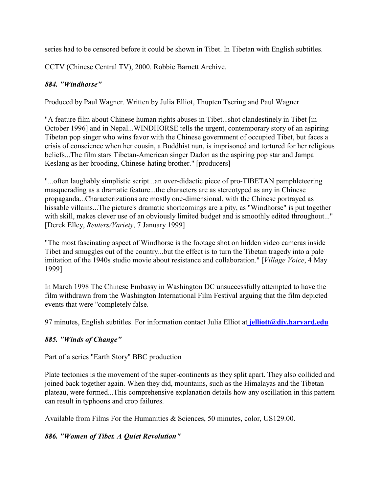series had to be censored before it could be shown in Tibet. In Tibetan with English subtitles.

CCTV (Chinese Central TV), 2000. Robbie Barnett Archive.

## *884. "Windhorse"*

Produced by Paul Wagner. Written by Julia Elliot, Thupten Tsering and Paul Wagner

"A feature film about Chinese human rights abuses in Tibet...shot clandestinely in Tibet [in October 1996] and in Nepal...WINDHORSE tells the urgent, contemporary story of an aspiring Tibetan pop singer who wins favor with the Chinese government of occupied Tibet, but faces a crisis of conscience when her cousin, a Buddhist nun, is imprisoned and tortured for her religious beliefs...The film stars Tibetan-American singer Dadon as the aspiring pop star and Jampa Keslang as her brooding, Chinese-hating brother." [producers]

"...often laughably simplistic script...an over-didactic piece of pro-TIBETAN pamphleteering masquerading as a dramatic feature...the characters are as stereotyped as any in Chinese propaganda...Characterizations are mostly one-dimensional, with the Chinese portrayed as hissable villains...The picture's dramatic shortcomings are a pity, as "Windhorse" is put together with skill, makes clever use of an obviously limited budget and is smoothly edited throughout..." [Derek Elley, *Reuters/Variety*, 7 January 1999]

"The most fascinating aspect of Windhorse is the footage shot on hidden video cameras inside Tibet and smuggles out of the country...but the effect is to turn the Tibetan tragedy into a pale imitation of the 1940s studio movie about resistance and collaboration." [*Village Voice*, 4 May 1999]

In March 1998 The Chinese Embassy in Washington DC unsuccessfully attempted to have the film withdrawn from the Washington International Film Festival arguing that the film depicted events that were "completely false.

97 minutes, English subtitles. For information contact Julia Elliot at **[jelliott@div.harvard.edu](mailto:jelliott@div.harvard.edu)**

# *885. "Winds of Change"*

Part of a series "Earth Story" BBC production

Plate tectonics is the movement of the super-continents as they split apart. They also collided and joined back together again. When they did, mountains, such as the Himalayas and the Tibetan plateau, were formed...This comprehensive explanation details how any oscillation in this pattern can result in typhoons and crop failures.

Available from Films For the Humanities & Sciences, 50 minutes, color, US129.00.

### *886. "Women of Tibet. A Quiet Revolution"*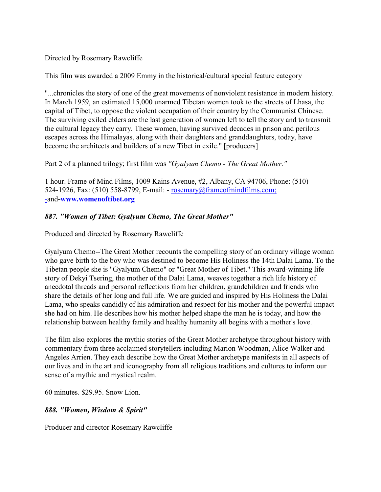Directed by Rosemary Rawcliffe

This film was awarded a 2009 Emmy in the historical/cultural special feature category

"...chronicles the story of one of the great movements of nonviolent resistance in modern history. In March 1959, an estimated 15,000 unarmed Tibetan women took to the streets of Lhasa, the capital of Tibet, to oppose the violent occupation of their country by the Communist Chinese. The surviving exiled elders are the last generation of women left to tell the story and to transmit the cultural legacy they carry. These women, having survived decades in prison and perilous escapes across the Himalayas, along with their daughters and granddaughters, today, have become the architects and builders of a new Tibet in exile." [producers]

Part 2 of a planned trilogy; first film was *"Gyalyum Chemo - The Great Mother."*

1 hour. Frame of Mind Films, 1009 Kains Avenue, #2, Albany, CA 94706, Phone: (510) 524-1926, Fax: (510) 558-8799, E-mail: - [rosemary@frameofmindfilms.com;](mailto:rosemary@frameofmindfilms.com) [-](mailto:rosemary@frameofmindfilms.com)and**[-www.womenoftibet.org](http://www.womenoftibet.org)**

# *887. "Women of Tibet: Gyalyum Chemo, The Great Mother"*

Produced and directed by Rosemary Rawcliffe

Gyalyum Chemo--The Great Mother recounts the compelling story of an ordinary village woman who gave birth to the boy who was destined to become His Holiness the 14th Dalai Lama. To the Tibetan people she is "Gyalyum Chemo" or "Great Mother of Tibet." This award-winning life story of Dekyi Tsering, the mother of the Dalai Lama, weaves together a rich life history of anecdotal threads and personal reflections from her children, grandchildren and friends who share the details of her long and full life. We are guided and inspired by His Holiness the Dalai Lama, who speaks candidly of his admiration and respect for his mother and the powerful impact she had on him. He describes how his mother helped shape the man he is today, and how the relationship between healthy family and healthy humanity all begins with a mother's love.

The film also explores the mythic stories of the Great Mother archetype throughout history with commentary from three acclaimed storytellers including Marion Woodman, Alice Walker and Angeles Arrien. They each describe how the Great Mother archetype manifests in all aspects of our lives and in the art and iconography from all religious traditions and cultures to inform our sense of a mythic and mystical realm.

60 minutes. \$29.95. Snow Lion.

# *888. "Women, Wisdom & Spirit"*

Producer and director Rosemary Rawcliffe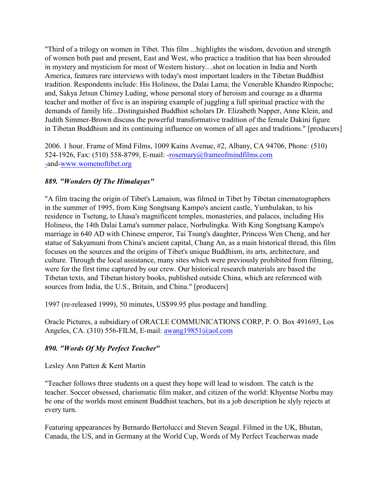"Third of a trilogy on women in Tibet. This film ...highlights the wisdom, devotion and strength of women both past and present, East and West, who practice a tradition that has been shrouded in mystery and mysticism for most of Western history....shot on location in India and North America, features rare interviews with today's most important leaders in the Tibetan Buddhist tradition. Respondents include: His Holiness, the Dalai Lama; the Venerable Khandro Rinpoche; and, Sakya Jetsun Chimey Luding, whose personal story of heroism and courage as a dharma teacher and mother of five is an inspiring example of juggling a full spiritual practice with the demands of family life...Distinguished Buddhist scholars Dr. Elizabeth Napper, Anne Klein, and Judith Simmer-Brown discuss the powerful transformative tradition of the female Dakini figure in Tibetan Buddhism and its continuing influence on women of all ages and traditions." [producers]

2006. 1 hour. Frame of Mind Films, 1009 Kains Avenue, #2, Albany, CA 94706, Phone: (510) 524-1926, Fax: (510) 558-8799, E-mail: [-rosemary@frameofmindfilms.com](mailto:rosemary@frameofmindfilms.com) [-](mailto:rosemary@frameofmindfilms.com)and[-www.womenoftibet.org](http://www.womenoftibet.org)

### *889. "Wonders Of The Himalayas"*

"A film tracing the origin of Tibet's Lamaism, was filmed in Tibet by Tibetan cinematographers in the summer of 1995, from King Songtsang Kampo's ancient castle, Yumbulakan, to his residence in Tsetung, to Lhasa's magnificent temples, monasteries, and palaces, including His Holiness, the 14th Dalai Lama's summer palace, Norbulingka. With King Songtsang Kampo's marriage in 640 AD with Chinese emperor, Tai Tsung's daughter, Princess Wen Cheng, and her statue of Sakyamuni from China's ancient capital, Chang An, as a main historical thread, this film focuses on the sources and the origins of Tibet's unique Buddhism, its arts, architecture, and culture. Through the local assistance, many sites which were previously prohibited from filming, were for the first time captured by our crew. Our historical research materials are based the Tibetan texts, and Tibetan history books, published outside China, which are referenced with sources from India, the U.S., Britain, and China." [producers]

1997 (re-released 1999), 50 minutes, US\$99.95 plus postage and handling.

Oracle Pictures, a subsidiary of ORACLE COMMUNICATIONS CORP, P. O. Box 491693, Los Angeles, CA. (310) 556-FILM, E-mail: [awang19851@aol.com](mailto:awang19851@aol.com)

### *890. "Words Of My Perfect Teacher***"**

Lesley Ann Patten & Kent Martin

"Teacher follows three students on a quest they hope will lead to wisdom. The catch is the teacher. Soccer obsessed, charismatic film maker, and citizen of the world: Khyentse Norbu may be one of the worlds most eminent Buddhist teachers, but its a job description he slyly rejects at every turn.

Featuring appearances by Bernardo Bertolucci and Steven Seagal. Filmed in the UK, Bhutan, Canada, the US, and in Germany at the World Cup, Words of My Perfect Teacherwas made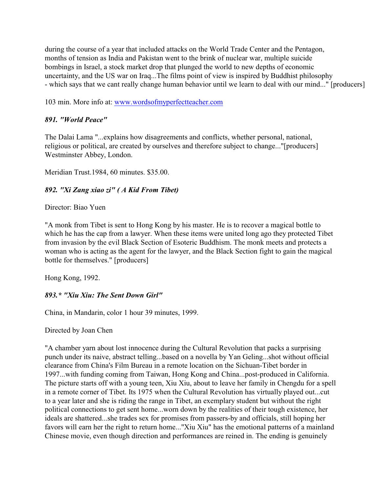during the course of a year that included attacks on the World Trade Center and the Pentagon, months of tension as India and Pakistan went to the brink of nuclear war, multiple suicide bombings in Israel, a stock market drop that plunged the world to new depths of economic uncertainty, and the US war on Iraq...The films point of view is inspired by Buddhist philosophy - which says that we cant really change human behavior until we learn to deal with our mind..." [producers]

103 min. More info at: [www.wordsofmyperfectteacher.com](http://www.wordsofmyperfectteacher.com)

### *891. "World Peace"*

The Dalai Lama "...explains how disagreements and conflicts, whether personal, national, religious or political, are created by ourselves and therefore subject to change..."[producers] Westminster Abbey, London.

Meridian Trust.1984, 60 minutes. \$35.00.

### *892. "Xi Zang xiao zi" ( A Kid From Tibet)*

Director: Biao Yuen

"A monk from Tibet is sent to Hong Kong by his master. He is to recover a magical bottle to which he has the cap from a lawyer. When these items were united long ago they protected Tibet from invasion by the evil Black Section of Esoteric Buddhism. The monk meets and protects a woman who is acting as the agent for the lawyer, and the Black Section fight to gain the magical bottle for themselves." [producers]

Hong Kong, 1992.

# *893.\* "Xiu Xiu: The Sent Down Girl"*

China, in Mandarin, color 1 hour 39 minutes, 1999.

Directed by Joan Chen

"A chamber yarn about lost innocence during the Cultural Revolution that packs a surprising punch under its naive, abstract telling...based on a novella by Yan Geling...shot without official clearance from China's Film Bureau in a remote location on the Sichuan-Tibet border in 1997...with funding coming from Taiwan, Hong Kong and China...post-produced in California. The picture starts off with a young teen, Xiu Xiu, about to leave her family in Chengdu for a spell in a remote corner of Tibet. Its 1975 when the Cultural Revolution has virtually played out...cut to a year later and she is riding the range in Tibet, an exemplary student but without the right political connections to get sent home...worn down by the realities of their tough existence, her ideals are shattered...she trades sex for promises from passers-by and officials, still hoping her favors will earn her the right to return home..."Xiu Xiu" has the emotional patterns of a mainland Chinese movie, even though direction and performances are reined in. The ending is genuinely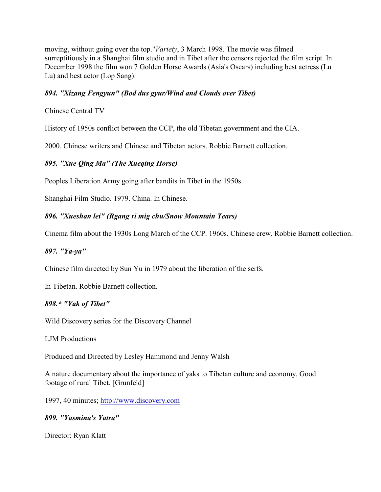moving, without going over the top."*Variety*, 3 March 1998. The movie was filmed surreptitiously in a Shanghai film studio and in Tibet after the censors rejected the film script. In December 1998 the film won 7 Golden Horse Awards (Asia's Oscars) including best actress (Lu Lu) and best actor (Lop Sang).

#### *894. "Xizang Fengyun" (Bod dus gyur/Wind and Clouds over Tibet)*

Chinese Central TV

History of 1950s conflict between the CCP, the old Tibetan government and the CIA.

2000. Chinese writers and Chinese and Tibetan actors. Robbie Barnett collection.

#### *895. "Xue Qing Ma" (The Xueqing Horse)*

Peoples Liberation Army going after bandits in Tibet in the 1950s.

Shanghai Film Studio. 1979. China. In Chinese.

### *896. "Xueshan lei" (Rgang ri mig chu/Snow Mountain Tears)*

Cinema film about the 1930s Long March of the CCP. 1960s. Chinese crew. Robbie Barnett collection.

#### *897. "Ya-ya"*

Chinese film directed by Sun Yu in 1979 about the liberation of the serfs.

In Tibetan. Robbie Barnett collection.

#### *898.\* "Yak of Tibet"*

Wild Discovery series for the Discovery Channel

LJM Productions

Produced and Directed by Lesley Hammond and Jenny Walsh

A nature documentary about the importance of yaks to Tibetan culture and economy. Good footage of rural Tibet. [Grunfeld]

1997, 40 minutes;<http://www.discovery.com>

#### *899. "Yasmina's Yatra"*

Director: Ryan Klatt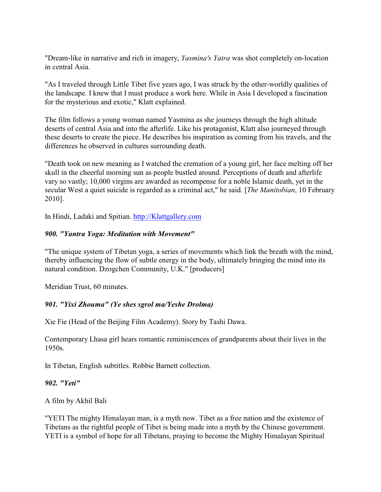"Dream-like in narrative and rich in imagery, *Yasmina's Yatra* was shot completely on-location in central Asia.

"As I traveled through Little Tibet five years ago, I was struck by the other-worldly qualities of the landscape. I knew that I must produce a work here. While in Asia I developed a fascination for the mysterious and exotic," Klatt explained.

The film follows a young woman named Yasmina as she journeys through the high altitude deserts of central Asia and into the afterlife. Like his protagonist, Klatt also journeyed through these deserts to create the piece. He describes his inspiration as coming from his travels, and the differences he observed in cultures surrounding death.

"Death took on new meaning as I watched the cremation of a young girl, her face melting off her skull in the cheerful morning sun as people bustled around. Perceptions of death and afterlife vary so vastly; 10,000 virgins are awarded as recompense for a noble Islamic death, yet in the secular West a quiet suicide is regarded as a criminal act," he said. [*The Manitobian*, 10 February 2010].

In Hindi, Ladaki and Spitian. [http://Klattgallery.com](Http://Klattgallery.com)

### *900. "Yantra Yoga: Meditation with Movement"*

"The unique system of Tibetan yoga, a series of movements which link the breath with the mind, thereby influencing the flow of subtle energy in the body, ultimately bringing the mind into its natural condition. Dzogchen Community, U.K." [producers]

Meridian Trust, 60 minutes.

# *901. "Yixi Zhouma" (Ye shes sgrol ma/Yeshe Drolma)*

Xie Fie (Head of the Beijing Film Academy). Story by Tashi Dawa.

Contemporary Lhasa girl hears romantic reminiscences of grandparents about their lives in the 1950s.

In Tibetan, English subtitles. Robbie Barnett collection.

# *902. "Yeti"*

A film by Akhil Bali

"YETI The mighty Himalayan man, is a myth now. Tibet as a free nation and the existence of Tibetans as the rightful people of Tibet is being made into a myth by the Chinese government. YETI is a symbol of hope for all Tibetans, praying to become the Mighty Himalayan Spiritual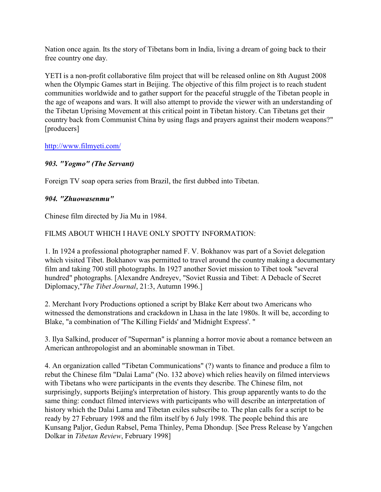Nation once again. Its the story of Tibetans born in India, living a dream of going back to their free country one day.

YETI is a non-profit collaborative film project that will be released online on 8th August 2008 when the Olympic Games start in Beijing. The objective of this film project is to reach student communities worldwide and to gather support for the peaceful struggle of the Tibetan people in the age of weapons and wars. It will also attempt to provide the viewer with an understanding of the Tibetan Uprising Movement at this critical point in Tibetan history. Can Tibetans get their country back from Communist China by using flags and prayers against their modern weapons?" [producers]

<http://www.filmyeti.com/>

# *903. "Yogmo" (The Servant)*

Foreign TV soap opera series from Brazil, the first dubbed into Tibetan.

# *904. "Zhuowasenmu"*

Chinese film directed by Jia Mu in 1984.

# FILMS ABOUT WHICH I HAVE ONLY SPOTTY INFORMATION:

1. In 1924 a professional photographer named F. V. Bokhanov was part of a Soviet delegation which visited Tibet. Bokhanov was permitted to travel around the country making a documentary film and taking 700 still photographs. In 1927 another Soviet mission to Tibet took "several hundred" photographs. [Alexandre Andreyev, "Soviet Russia and Tibet: A Debacle of Secret Diplomacy,"*The Tibet Journal*, 21:3, Autumn 1996.]

2. Merchant Ivory Productions optioned a script by Blake Kerr about two Americans who witnessed the demonstrations and crackdown in Lhasa in the late 1980s. It will be, according to Blake, "a combination of 'The Killing Fields' and 'Midnight Express'. "

3. Ilya Salkind, producer of "Superman" is planning a horror movie about a romance between an American anthropologist and an abominable snowman in Tibet.

4. An organization called "Tibetan Communications" (?) wants to finance and produce a film to rebut the Chinese film "Dalai Lama" (No. 132 above) which relies heavily on filmed interviews with Tibetans who were participants in the events they describe. The Chinese film, not surprisingly, supports Beijing's interpretation of history. This group apparently wants to do the same thing: conduct filmed interviews with participants who will describe an interpretation of history which the Dalai Lama and Tibetan exiles subscribe to. The plan calls for a script to be ready by 27 February 1998 and the film itself by 6 July 1998. The people behind this are Kunsang Paljor, Gedun Rabsel, Pema Thinley, Pema Dhondup. [See Press Release by Yangchen Dolkar in *Tibetan Review*, February 1998]